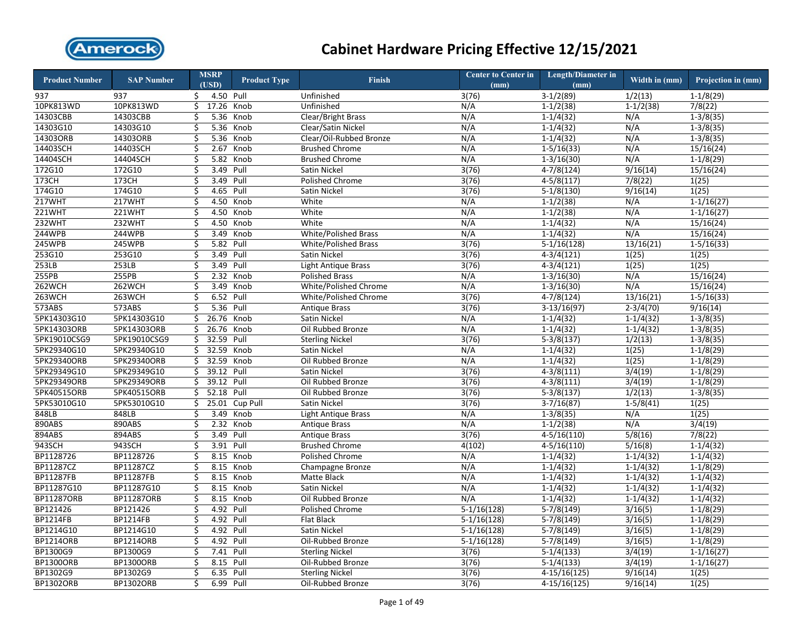

| <b>Product Number</b> | <b>SAP Number</b> | <b>MSRP</b><br>(USD) | <b>Product Type</b> | Finish                      | <b>Center to Center in</b><br>(mm) | <b>Length/Diameter in</b><br>(mm) | Width in (mm) | Projection in (mm) |
|-----------------------|-------------------|----------------------|---------------------|-----------------------------|------------------------------------|-----------------------------------|---------------|--------------------|
| 937                   | 937               | \$<br>4.50 Pull      |                     | Unfinished                  | 3(76)                              | $3-1/2(89)$                       | 1/2(13)       | $1-1/8(29)$        |
| 10PK813WD             | 10PK813WD         | \$<br>17.26 Knob     |                     | Unfinished                  | N/A                                | $1 - 1/2(38)$                     | $1-1/2(38)$   | 7/8(22)            |
| 14303CBB              | 14303CBB          | \$<br>5.36           | Knob                | <b>Clear/Bright Brass</b>   | N/A                                | $1-1/4(32)$                       | N/A           | $1-3/8(35)$        |
| 14303G10              | 14303G10          | \$                   | 5.36 Knob           | Clear/Satin Nickel          | N/A                                | $1-1/4(32)$                       | N/A           | $1-3/8(35)$        |
| 143030RB              | 14303ORB          | \$<br>5.36           | Knob                | Clear/Oil-Rubbed Bronze     | N/A                                | $1-1/4(32)$                       | N/A           | $1-3/8(35)$        |
| 14403SCH              | 14403SCH          | \$<br>2.67           | Knob                | <b>Brushed Chrome</b>       | N/A                                | $1-5/16(33)$                      | N/A           | 15/16(24)          |
| 14404SCH              | 14404SCH          | \$<br>5.82           | Knob                | <b>Brushed Chrome</b>       | N/A                                | $1-3/16(30)$                      | N/A           | $1-1/8(29)$        |
| 172G10                | 172G10            | \$<br>3.49           | Pull                | Satin Nickel                | 3(76)                              | $4-7/8(124)$                      | 9/16(14)      | 15/16(24)          |
| 173CH                 | 173CH             | \$<br>3.49           | Pull                | <b>Polished Chrome</b>      | 3(76)                              | $4-5/8(117)$                      | 7/8(22)       | 1(25)              |
| 174G10                | 174G10            | \$<br>4.65           | Pull                | Satin Nickel                | 3(76)                              | $5-1/8(130)$                      | 9/16(14)      | 1(25)              |
| 217WHT                | 217WHT            | \$<br>4.50           | Knob                | White                       | N/A                                | $1-1/2(38)$                       | N/A           | $1 - 1/16(27)$     |
| 221WHT                | <b>221WHT</b>     | \$                   | 4.50 Knob           | White                       | N/A                                | $1-1/2(38)$                       | N/A           | $1-1/16(27)$       |
| 232WHT                | 232WHT            | \$<br>4.50           | Knob                | White                       | N/A                                | $1-1/4(32)$                       | N/A           | 15/16(24)          |
| 244WPB                | 244WPB            | \$<br>3.49           | Knob                | <b>White/Polished Brass</b> | N/A                                | $1-1/4(32)$                       | N/A           | 15/16(24)          |
| 245WPB                | 245WPB            | \$<br>5.82           | Pull                | <b>White/Polished Brass</b> | 3(76)                              | $5-1/16(128)$                     | 13/16(21)     | $1 - 5/16(33)$     |
| 253G10                | 253G10            | \$<br>3.49 Pull      |                     | Satin Nickel                | 3(76)                              | $4-3/4(121)$                      | 1(25)         | 1(25)              |
| 253LB                 | 253LB             | \$<br>3.49           | Pull                | Light Antique Brass         | 3(76)                              | $4 - 3/4(121)$                    | 1(25)         | 1(25)              |
| 255PB                 | 255PB             | \$<br>2.32           | Knob                | <b>Polished Brass</b>       | N/A                                | $1 - 3/16(30)$                    | N/A           | 15/16(24)          |
| 262WCH                | 262WCH            | \$<br>3.49           | Knob                | White/Polished Chrome       | N/A                                | $1-3/16(30)$                      | N/A           | 15/16(24)          |
| 263WCH                | 263WCH            | \$<br>6.52 Pull      |                     | White/Polished Chrome       | 3(76)                              | $4-7/8(124)$                      | 13/16(21)     | $1-5/16(33)$       |
| 573ABS                | 573ABS            | \$<br>5.36 Pull      |                     | <b>Antique Brass</b>        | 3(76)                              | $3-13/16(97)$                     | $2-3/4(70)$   | 9/16(14)           |
| 5PK14303G10           | 5PK14303G10       | \$<br>26.76          | Knob                | Satin Nickel                | N/A                                | $1-1/4(32)$                       | $1-1/4(32)$   | $1 - 3/8(35)$      |
| 5PK14303ORB           | 5PK14303ORB       | \$<br>26.76          | Knob                | Oil Rubbed Bronze           | N/A                                | $1-1/4(32)$                       | $1-1/4(32)$   | $1 - 3/8(35)$      |
| 5PK19010CSG9          | 5PK19010CSG9      | \$<br>32.59          | Pull                | <b>Sterling Nickel</b>      | 3(76)                              | $5-3/8(137)$                      | 1/2(13)       | $1-3/8(35)$        |
| 5PK29340G10           | 5PK29340G10       | \$<br>32.59          | Knob                | Satin Nickel                | N/A                                | $1 - 1/4(32)$                     | 1(25)         | $1-1/8(29)$        |
| 5PK29340ORB           | 5PK29340ORB       | \$<br>32.59          | Knob                | Oil Rubbed Bronze           | N/A                                | $1-1/4(32)$                       | 1(25)         | $1-1/8(29)$        |
| 5PK29349G10           | 5PK29349G10       | \$<br>39.12          | Pull                | Satin Nickel                | 3(76)                              | $4 - 3/8(111)$                    | 3/4(19)       | $1-1/8(29)$        |
| 5PK29349ORB           | 5PK29349ORB       | \$<br>39.12 Pull     |                     | Oil Rubbed Bronze           | 3(76)                              | $4-3/8(111)$                      | 3/4(19)       | $1-1/8(29)$        |
| 5PK40515ORB           | 5PK40515ORB       | \$<br>52.18          | Pull                | Oil Rubbed Bronze           | 3(76)                              | $5-3/8(137)$                      | 1/2(13)       | $1-3/8(35)$        |
| 5PK53010G10           | 5PK53010G10       | \$<br>25.01          | Cup Pull            | Satin Nickel                | 3(76)                              | $3-7/16(87)$                      | $1-5/8(41)$   | 1(25)              |
| 848LB                 | 848LB             | \$<br>3.49           | Knob                | Light Antique Brass         | N/A                                | $1-3/8(35)$                       | N/A           | 1(25)              |
| 890ABS                | 890ABS            | \$                   | 2.32 Knob           | <b>Antique Brass</b>        | N/A                                | $1-1/2(38)$                       | N/A           | 3/4(19)            |
| 894ABS                | 894ABS            | \$<br>3.49           | Pull                | <b>Antique Brass</b>        | 3(76)                              | $4-5/16(110)$                     | 5/8(16)       | 7/8(22)            |
| 943SCH                | 943SCH            | \$<br>3.91           | Pull                | <b>Brushed Chrome</b>       | 4(102)                             | $4-5/16(110)$                     | 5/16(8)       | $1-1/4(32)$        |
| BP1128726             | BP1128726         | \$<br>8.15           | Knob                | <b>Polished Chrome</b>      | N/A                                | $1-1/4(32)$                       | $1-1/4(32)$   | $1-1/4(32)$        |
| BP11287CZ             | BP11287CZ         | \$<br>8.15           | Knob                | Champagne Bronze            | N/A                                | $1-1/4(32)$                       | $1-1/4(32)$   | $1-1/8(29)$        |
| BP11287FB             | BP11287FB         | \$<br>8.15           | Knob                | Matte Black                 | N/A                                | $1-1/4(32)$                       | $1-1/4(32)$   | $1-1/4(32)$        |
| BP11287G10            | BP11287G10        | \$                   | 8.15 Knob           | Satin Nickel                | N/A                                | $1-1/4(32)$                       | $1-1/4(32)$   | $1-1/4(32)$        |
| BP11287ORB            | BP11287ORB        | \$                   | 8.15 Knob           | Oil Rubbed Bronze           | N/A                                | $1 - 1/4(32)$                     | $1-1/4(32)$   | $1-1/4(32)$        |
| BP121426              | BP121426          | \$<br>4.92 Pull      |                     | Polished Chrome             | $5-1/16(128)$                      | $5-7/8(149)$                      | 3/16(5)       | $1-1/8(29)$        |
| <b>BP1214FB</b>       | <b>BP1214FB</b>   | \$<br>4.92 Pull      |                     | <b>Flat Black</b>           | $5-1/16(128)$                      | $5-7/8(149)$                      | 3/16(5)       | $1-1/8(29)$        |
| BP1214G10             | BP1214G10         | \$<br>4.92 Pull      |                     | Satin Nickel                | $5-1/16(128)$                      | $5-7/8(149)$                      | 3/16(5)       | $1-1/8(29)$        |
| <b>BP1214ORB</b>      | <b>BP1214ORB</b>  | \$<br>4.92 Pull      |                     | Oil-Rubbed Bronze           | $5-1/16(128)$                      | $5-7/8(149)$                      | 3/16(5)       | $1-1/8(29)$        |
| BP1300G9              | BP1300G9          | \$<br>7.41 Pull      |                     | <b>Sterling Nickel</b>      | 3(76)                              | $5-1/4(133)$                      | 3/4(19)       | $1 - 1/16(27)$     |
| <b>BP1300ORB</b>      | <b>BP1300ORB</b>  | \$<br>8.15 Pull      |                     | Oil-Rubbed Bronze           | 3(76)                              | $5-1/4(133)$                      | 3/4(19)       | $1 - 1/16(27)$     |
| BP1302G9              | BP1302G9          | \$<br>6.35           | Pull                | <b>Sterling Nickel</b>      | 3(76)                              | 4-15/16(125)                      | 9/16(14)      | 1(25)              |
| <b>BP1302ORB</b>      | BP1302ORB         | \$<br>6.99           | Pull                | Oil-Rubbed Bronze           | 3(76)                              | 4-15/16(125)                      | 9/16(14)      | 1(25)              |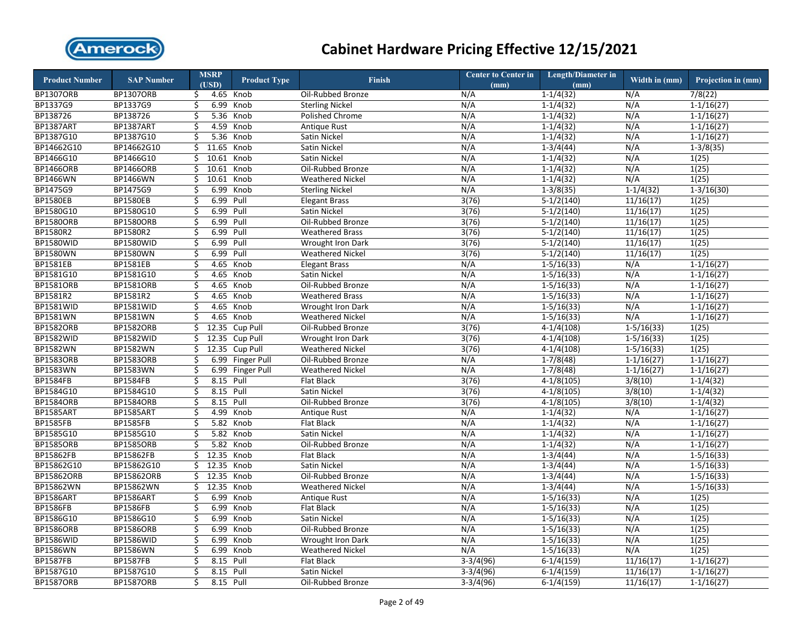

| <b>Product Number</b> | <b>SAP Number</b> |    | <b>MSRP</b> | <b>Product Type</b> | <b>Finish</b>            | <b>Center to Center in</b> | Length/Diameter in | Width in (mm)  | Projection in (mm) |
|-----------------------|-------------------|----|-------------|---------------------|--------------------------|----------------------------|--------------------|----------------|--------------------|
|                       |                   |    | (USD)       |                     |                          | (mm)                       | (mm)               |                |                    |
| <b>BP1307ORB</b>      | <b>BP1307ORB</b>  | \$ |             | 4.65 Knob           | Oil-Rubbed Bronze        | N/A                        | $1-1/4(32)$        | N/A            | 7/8(22)            |
| BP1337G9              | BP1337G9          | \$ | 6.99        | Knob                | <b>Sterling Nickel</b>   | N/A                        | $1 - 1/4(32)$      | N/A            | $1 - 1/16(27)$     |
| BP138726              | BP138726          | Ś. | 5.36        | Knob                | <b>Polished Chrome</b>   | N/A                        | $1 - 1/4(32)$      | N/A            | $1 - 1/16(27)$     |
| BP1387ART             | BP1387ART         | \$ | 4.59        | Knob                | Antique Rust             | N/A                        | $1-1/4(32)$        | N/A            | $1-1/16(27)$       |
| BP1387G10             | BP1387G10         | \$ | 5.36        | Knob                | Satin Nickel             | N/A                        | $1 - 1/4(32)$      | N/A            | $1-1/16(27)$       |
| BP14662G10            | BP14662G10        | \$ | 11.65       | Knob                | Satin Nickel             | N/A                        | $1-3/4(44)$        | N/A            | $1 - 3/8(35)$      |
| BP1466G10             | BP1466G10         | \$ | 10.61       | Knob                | Satin Nickel             | N/A                        | $1 - 1/4(32)$      | N/A            | 1(25)              |
| <b>BP1466ORB</b>      | <b>BP1466ORB</b>  | \$ | 10.61       | Knob                | Oil-Rubbed Bronze        | N/A                        | $1 - 1/4(32)$      | N/A            | 1(25)              |
| <b>BP1466WN</b>       | BP1466WN          | \$ | 10.61       | Knob                | <b>Weathered Nickel</b>  | N/A                        | $1-1/4(32)$        | N/A            | 1(25)              |
| BP1475G9              | BP1475G9          | \$ | 6.99        | Knob                | <b>Sterling Nickel</b>   | N/A                        | $1-3/8(35)$        | $1-1/4(32)$    | $1 - 3/16(30)$     |
| <b>BP1580EB</b>       | <b>BP1580EB</b>   | \$ | 6.99        | Pull                | <b>Elegant Brass</b>     | 3(76)                      | $5-1/2(140)$       | 11/16(17)      | 1(25)              |
| BP1580G10             | BP1580G10         | \$ | 6.99        | Pull                | Satin Nickel             | 3(76)                      | $5-1/2(140)$       | 11/16(17)      | 1(25)              |
| <b>BP1580ORB</b>      | <b>BP1580ORB</b>  | \$ | 6.99        | Pull                | Oil-Rubbed Bronze        | 3(76)                      | $5-1/2(140)$       | 11/16(17)      | 1(25)              |
| BP1580R2              | BP1580R2          | \$ | 6.99        | Pull                | <b>Weathered Brass</b>   | 3(76)                      | $5-1/2(140)$       | 11/16(17)      | 1(25)              |
| <b>BP1580WID</b>      | <b>BP1580WID</b>  | \$ | 6.99        | Pull                | Wrought Iron Dark        | 3(76)                      | $5-1/2(140)$       | 11/16(17)      | 1(25)              |
| <b>BP1580WN</b>       | <b>BP1580WN</b>   | \$ | 6.99        | Pull                | <b>Weathered Nickel</b>  | 3(76)                      | $5-1/2(140)$       | 11/16(17)      | 1(25)              |
| <b>BP1581EB</b>       | <b>BP1581EB</b>   | \$ | 4.65        | Knob                | <b>Elegant Brass</b>     | N/A                        | $1 - 5/16(33)$     | N/A            | $1-1/16(27)$       |
| BP1581G10             | BP1581G10         | Ś. | 4.65        | Knob                | Satin Nickel             | N/A                        | $1 - 5/16(33)$     | N/A            | $1 - 1/16(27)$     |
| BP1581ORB             | <b>BP1581ORB</b>  | \$ | 4.65        | Knob                | Oil-Rubbed Bronze        | N/A                        | $1-5/16(33)$       | N/A            | $1-1/16(27)$       |
| BP1581R2              | BP1581R2          | \$ | 4.65        | Knob                | <b>Weathered Brass</b>   | N/A                        | $1 - 5/16(33)$     | N/A            | $1 - 1/16(27)$     |
| <b>BP1581WID</b>      | <b>BP1581WID</b>  | \$ | 4.65        | Knob                | <b>Wrought Iron Dark</b> | N/A                        | $1 - 5/16(33)$     | N/A            | $1 - 1/16(27)$     |
| BP1581WN              | BP1581WN          | \$ | 4.65        | Knob                | <b>Weathered Nickel</b>  | N/A                        | $1 - 5/16(33)$     | N/A            | $1 - 1/16(27)$     |
| <b>BP1582ORB</b>      | <b>BP1582ORB</b>  | \$ | 12.35       | Cup Pull            | Oil-Rubbed Bronze        | 3(76)                      | $4-1/4(108)$       | $1-5/16(33)$   | 1(25)              |
| <b>BP1582WID</b>      | <b>BP1582WID</b>  | \$ | 12.35       | Cup Pull            | <b>Wrought Iron Dark</b> | 3(76)                      | $4-1/4(108)$       | $1 - 5/16(33)$ | 1(25)              |
| BP1582WN              | BP1582WN          | \$ | 12.35       | Cup Pull            | <b>Weathered Nickel</b>  | 3(76)                      | $4-1/4(108)$       | $1 - 5/16(33)$ | 1(25)              |
| <b>BP1583ORB</b>      | <b>BP1583ORB</b>  | \$ | 6.99        | <b>Finger Pull</b>  | Oil-Rubbed Bronze        | N/A                        | $1-7/8(48)$        | $1-1/16(27)$   | $1-1/16(27)$       |
| <b>BP1583WN</b>       | BP1583WN          | \$ | 6.99        | Finger Pull         | <b>Weathered Nickel</b>  | N/A                        | $1-7/8(48)$        | $1-1/16(27)$   | $1 - 1/16(27)$     |
| <b>BP1584FB</b>       | <b>BP1584FB</b>   | \$ | 8.15        | Pull                | <b>Flat Black</b>        | 3(76)                      | $4-1/8(105)$       | 3/8(10)        | $1-1/4(32)$        |
| BP1584G10             | BP1584G10         | \$ | 8.15 Pull   |                     | Satin Nickel             | 3(76)                      | $4-1/8(105)$       | 3/8(10)        | $1 - 1/4(32)$      |
| <b>BP1584ORB</b>      | <b>BP1584ORB</b>  | \$ | 8.15        | Pull                | Oil-Rubbed Bronze        | 3(76)                      | $4-1/8(105)$       | 3/8(10)        | $1-1/4(32)$        |
| BP1585ART             | <b>BP1585ART</b>  | \$ | 4.99        | Knob                | <b>Antique Rust</b>      | N/A                        | $1 - 1/4(32)$      | N/A            | $1 - 1/16(27)$     |
| <b>BP1585FB</b>       | <b>BP1585FB</b>   | \$ | 5.82        | Knob                | Flat Black               | N/A                        | $1-1/4(32)$        | N/A            | $1-1/16(27)$       |
| BP1585G10             | BP1585G10         | \$ | 5.82        | Knob                | Satin Nickel             | N/A                        | $1-1/4(32)$        | N/A            | $1 - 1/16(27)$     |
| <b>BP1585ORB</b>      | <b>BP1585ORB</b>  | \$ | 5.82        | Knob                | Oil-Rubbed Bronze        | N/A                        | $1-1/4(32)$        | N/A            | $1 - 1/16(27)$     |
| BP15862FB             | BP15862FB         | Ś. | 12.35       | Knob                | <b>Flat Black</b>        | N/A                        | $1 - 3/4(44)$      | N/A            | $1-5/16(33)$       |
| BP15862G10            | BP15862G10        | \$ | 12.35       | Knob                | Satin Nickel             | N/A                        | $1-3/4(44)$        | N/A            | $1-5/16(33)$       |
| BP15862ORB            | BP15862ORB        | \$ | 12.35       | Knob                | Oil-Rubbed Bronze        | N/A                        | $1-3/4(44)$        | N/A            | $1 - 5/16(33)$     |
| BP15862WN             | BP15862WN         | \$ | 12.35       | Knob                | <b>Weathered Nickel</b>  | N/A                        | $1-3/4(44)$        | N/A            | $1 - 5/16(33)$     |
| BP1586ART             | BP1586ART         | \$ | 6.99        | Knob                | <b>Antique Rust</b>      | N/A                        | $1 - 5/16(33)$     | N/A            | 1(25)              |
| <b>BP1586FB</b>       | <b>BP1586FB</b>   | \$ | 6.99        | Knob                | <b>Flat Black</b>        | N/A                        | $1 - 5/16(33)$     | N/A            | 1(25)              |
| BP1586G10             | BP1586G10         | \$ | 6.99        | Knob                | Satin Nickel             | N/A                        | $1-5/16(33)$       | N/A            | 1(25)              |
| <b>BP1586ORB</b>      | <b>BP1586ORB</b>  | \$ | 6.99        | Knob                | Oil-Rubbed Bronze        | N/A                        | $1-5/16(33)$       | N/A            | 1(25)              |
| <b>BP1586WID</b>      | <b>BP1586WID</b>  | \$ | 6.99        | Knob                | <b>Wrought Iron Dark</b> | N/A                        | $1 - 5/16(33)$     | N/A            | 1(25)              |
| BP1586WN              | BP1586WN          | \$ | 6.99        | Knob                | <b>Weathered Nickel</b>  | N/A                        | $1 - 5/16(33)$     | N/A            | 1(25)              |
| <b>BP1587FB</b>       | <b>BP1587FB</b>   | \$ | 8.15        | Pull                | Flat Black               | $3-3/4(96)$                | $6-1/4(159)$       | 11/16(17)      | $1-1/16(27)$       |
| BP1587G10             | BP1587G10         | \$ | 8.15 Pull   |                     | Satin Nickel             | $3-3/4(96)$                | $6-1/4(159)$       | 11/16(17)      | $1 - 1/16(27)$     |
| <b>BP1587ORB</b>      | <b>BP1587ORB</b>  | \$ | 8.15 Pull   |                     | Oil-Rubbed Bronze        | $3-3/4(96)$                | $6-1/4(159)$       | 11/16(17)      | $1-1/16(27)$       |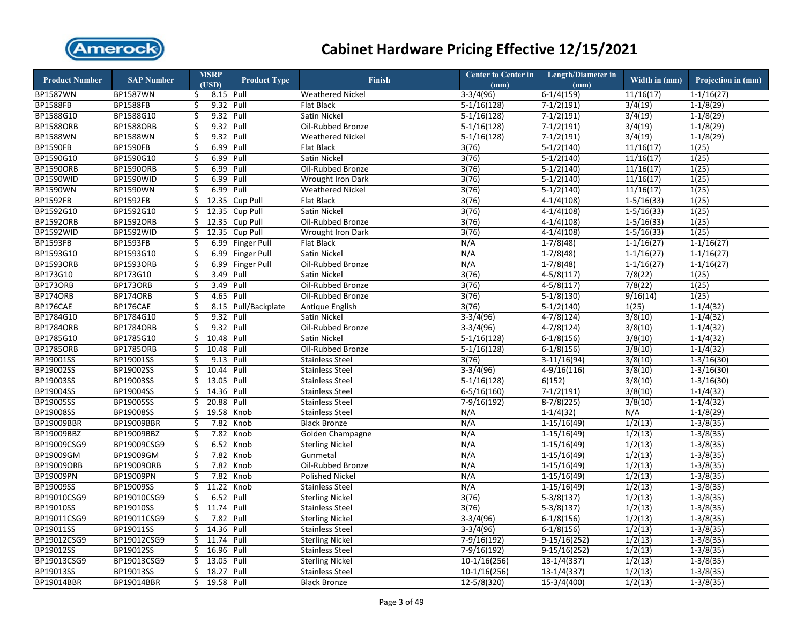

| <b>Product Number</b> | <b>SAP Number</b> |    | <b>MSRP</b><br>(USD) | <b>Product Type</b> | <b>Finish</b>            | Center to Center in<br>(mm) | <b>Length/Diameter in</b><br>(mm) | Width in (mm)           | Projection in (mm) |
|-----------------------|-------------------|----|----------------------|---------------------|--------------------------|-----------------------------|-----------------------------------|-------------------------|--------------------|
| BP1587WN              | BP1587WN          | \$ | 8.15 Pull            |                     | <b>Weathered Nickel</b>  | $3-3/4(96)$                 | $6-1/4(159)$                      | 11/16(17)               | $1 - 1/16(27)$     |
| <b>BP1588FB</b>       | <b>BP1588FB</b>   | \$ | 9.32 Pull            |                     | Flat Black               | $5-1/16(128)$               | $7-1/2(191)$                      | 3/4(19)                 | $1-1/8(29)$        |
| BP1588G10             | BP1588G10         | Ś. | 9.32 Pull            |                     | Satin Nickel             | $5-1/16(128)$               | $7-1/2(191)$                      | 3/4(19)                 | $1-1/8(29)$        |
| <b>BP1588ORB</b>      | <b>BP1588ORB</b>  | \$ | 9.32 Pull            |                     | Oil-Rubbed Bronze        | $5-1/16(128)$               | $7-1/2(191)$                      | 3/4(19)                 | $1-1/8(29)$        |
| <b>BP1588WN</b>       | BP1588WN          | Ś. | 9.32 Pull            |                     | <b>Weathered Nickel</b>  | $5-1/16(128)$               | $7-1/2(191)$                      | 3/4(19)                 | $1-1/8(29)$        |
| <b>BP1590FB</b>       | <b>BP1590FB</b>   | \$ | 6.99 Pull            |                     | <b>Flat Black</b>        | 3(76)                       | $5-1/2(140)$                      | 11/16(17)               | 1(25)              |
| BP1590G10             | BP1590G10         | \$ | 6.99                 | Pull                | Satin Nickel             | 3(76)                       | $5-1/2(140)$                      | 11/16(17)               | 1(25)              |
| <b>BP1590ORB</b>      | <b>BP1590ORB</b>  | \$ | 6.99                 | Pull                | Oil-Rubbed Bronze        | 3(76)                       | $5-1/2(140)$                      | 11/16(17)               | 1(25)              |
| <b>BP1590WID</b>      | BP1590WID         | \$ | 6.99                 | Pull                | Wrought Iron Dark        | 3(76)                       | $5-1/2(140)$                      | 11/16(17)               | 1(25)              |
| BP1590WN              | BP1590WN          | \$ | 6.99                 | Pull                | <b>Weathered Nickel</b>  | 3(76)                       | $5-1/2(140)$                      | 11/16(17)               | 1(25)              |
| <b>BP1592FB</b>       | <b>BP1592FB</b>   | \$ | 12.35                | Cup Pull            | <b>Flat Black</b>        | 3(76)                       | $4-1/4(108)$                      | $1-5/16(33)$            | 1(25)              |
| BP1592G10             | BP1592G10         | Ś. | 12.35                | Cup Pull            | Satin Nickel             | 3(76)                       | $\sqrt{4-1/4(108)}$               | $\overline{1-5/16(33)}$ | 1(25)              |
| <b>BP1592ORB</b>      | <b>BP1592ORB</b>  | \$ | 12.35                | Cup Pull            | Oil-Rubbed Bronze        | 3(76)                       | $4-1/4(108)$                      | $1-5/16(33)$            | 1(25)              |
| <b>BP1592WID</b>      | <b>BP1592WID</b>  | \$ | 12.35                | Cup Pull            | <b>Wrought Iron Dark</b> | 3(76)                       | $4-1/4(108)$                      | $1-5/16(33)$            | 1(25)              |
| <b>BP1593FB</b>       | <b>BP1593FB</b>   | \$ | 6.99                 | <b>Finger Pull</b>  | Flat Black               | N/A                         | $1-7/8(48)$                       | $1-1/16(27)$            | $1-1/16(27)$       |
| BP1593G10             | BP1593G10         | \$ |                      | 6.99 Finger Pull    | Satin Nickel             | N/A                         | $1-7/8(48)$                       | $1 - 1/16(27)$          | $1-1/16(27)$       |
| <b>BP1593ORB</b>      | <b>BP1593ORB</b>  | \$ | 6.99                 | <b>Finger Pull</b>  | Oil-Rubbed Bronze        | N/A                         | $1-7/8(48)$                       | $1-1/16(27)$            | $1-1/16(27)$       |
| BP173G10              | BP173G10          | \$ | 3.49 Pull            |                     | Satin Nickel             | 3(76)                       | $4 - 5/8(117)$                    | 7/8(22)                 | 1(25)              |
| BP173ORB              | BP173ORB          | \$ | 3.49 Pull            |                     | Oil-Rubbed Bronze        | 3(76)                       | $4 - 5/8(117)$                    | 7/8(22)                 | 1(25)              |
| <b>BP174ORB</b>       | BP174ORB          | Ś. | 4.65 Pull            |                     | Oil-Rubbed Bronze        | 3(76)                       | $5-1/8(130)$                      | 9/16(14)                | 1(25)              |
| BP176CAE              | BP176CAE          | \$ |                      | 8.15 Pull/Backplate | Antique English          | 3(76)                       | $5-1/2(140)$                      | 1(25)                   | $1-1/4(32)$        |
| BP1784G10             | BP1784G10         | \$ | 9.32 Pull            |                     | Satin Nickel             | $3-3/4(96)$                 | $4-7/8(124)$                      | 3/8(10)                 | $1-1/4(32)$        |
| <b>BP1784ORB</b>      | <b>BP1784ORB</b>  | \$ | 9.32 Pull            |                     | Oil-Rubbed Bronze        | $3-3/4(96)$                 | $4 - 7/8(124)$                    | 3/8(10)                 | $1 - 1/4(32)$      |
| BP1785G10             | BP1785G10         | \$ | 10.48                | Pull                | Satin Nickel             | $5-1/16(128)$               | $6-1/8(156)$                      | 3/8(10)                 | $1-1/4(32)$        |
| <b>BP1785ORB</b>      | <b>BP1785ORB</b>  | \$ | 10.48 Pull           |                     | Oil-Rubbed Bronze        | $5-1/16(128)$               | $6-1/8(156)$                      | 3/8(10)                 | $1-1/4(32)$        |
| BP19001SS             | BP19001SS         | Ś  | 9.13                 | Pull                | <b>Stainless Steel</b>   | 3(76)                       | $3-11/16(94)$                     | 3/8(10)                 | $1 - 3/16(30)$     |
| BP19002SS             | BP19002SS         | \$ | 10.44 Pull           |                     | <b>Stainless Steel</b>   | $3-3/4(96)$                 | $4-9/16(116)$                     | 3/8(10)                 | $1 - 3/16(30)$     |
| BP19003SS             | BP19003SS         | Ś. | 13.05                | Pull                | <b>Stainless Steel</b>   | $5-1/16(128)$               | 6(152)                            | 3/8(10)                 | $1-3/16(30)$       |
| BP19004SS             | BP19004SS         | \$ | 14.36                | Pull                | <b>Stainless Steel</b>   | $6 - 5/16(160)$             | $7-1/2(191)$                      | 3/8(10)                 | $1-1/4(32)$        |
| BP19005SS             | BP19005SS         | \$ | 20.88                | Pull                | <b>Stainless Steel</b>   | $7-9/16(192)$               | $8-7/8(225)$                      | 3/8(10)                 | $1-1/4(32)$        |
| <b>BP19008SS</b>      | BP19008SS         | \$ | 19.58                | Knob                | <b>Stainless Steel</b>   | N/A                         | $1-1/4(32)$                       | N/A                     | $1-1/8(29)$        |
| BP19009BBR            | BP19009BBR        | \$ | 7.82                 | Knob                | <b>Black Bronze</b>      | N/A                         | $1-15/16(49)$                     | 1/2(13)                 | $1-3/8(35)$        |
| BP19009BBZ            | BP19009BBZ        | \$ | 7.82                 | Knob                | Golden Champagne         | N/A                         | $1-15/16(49)$                     | 1/2(13)                 | $1 - 3/8(35)$      |
| BP19009CSG9           | BP19009CSG9       | \$ | 6.52                 | Knob                | <b>Sterling Nickel</b>   | N/A                         | $1-15/16(49)$                     | 1/2(13)                 | $1-3/8(35)$        |
| BP19009GM             | BP19009GM         | \$ |                      | 7.82 Knob           | Gunmetal                 | N/A                         | $1-15/16(49)$                     | 1/2(13)                 | $1-3/8(35)$        |
| BP19009ORB            | BP19009ORB        | \$ | 7.82                 | Knob                | Oil-Rubbed Bronze        | N/A                         | $1-15/16(49)$                     | 1/2(13)                 | $1-3/8(35)$        |
| BP19009PN             | BP19009PN         | \$ |                      | 7.82 Knob           | <b>Polished Nickel</b>   | N/A                         | $1-15/16(49)$                     | 1/2(13)                 | $1-3/8(35)$        |
| BP19009SS             | BP19009SS         | \$ | 11.22 Knob           |                     | <b>Stainless Steel</b>   | N/A                         | $1-15/16(49)$                     | 1/2(13)                 | $1-3/8(35)$        |
| BP19010CSG9           | BP19010CSG9       | Ś. | 6.52 Pull            |                     | <b>Sterling Nickel</b>   | 3(76)                       | $5-3/8(137)$                      | 1/2(13)                 | $1-3/8(35)$        |
| BP19010SS             | BP19010SS         | \$ | 11.74                | Pull                | <b>Stainless Steel</b>   | 3(76)                       | $5-3/8(137)$                      | 1/2(13)                 | $1-3/8(35)$        |
| BP19011CSG9           | BP19011CSG9       | \$ | 7.82                 | Pull                | <b>Sterling Nickel</b>   | $3-3/4(96)$                 | $6-1/8(156)$                      | 1/2(13)                 | $1-3/8(35)$        |
| BP19011SS             | BP19011SS         | \$ | 14.36 Pull           |                     | <b>Stainless Steel</b>   | $3-3/4(96)$                 | $6-1/8(156)$                      | 1/2(13)                 | $1-3/8(35)$        |
| BP19012CSG9           | BP19012CSG9       | \$ | 11.74 Pull           |                     | <b>Sterling Nickel</b>   | $7-9/16(192)$               | $9-15/16(252)$                    | 1/2(13)                 | $1 - 3/8(35)$      |
| BP19012SS             | BP19012SS         | \$ | 16.96 Pull           |                     | <b>Stainless Steel</b>   | 7-9/16(192)                 | $9-15/16(252)$                    | 1/2(13)                 | $1 - 3/8(35)$      |
| BP19013CSG9           | BP19013CSG9       | \$ | 13.05                | Pull                | <b>Sterling Nickel</b>   | $10-1/16(256)$              | $13-1/4(337)$                     | 1/2(13)                 | $1-3/8(35)$        |
| BP19013SS             | BP19013SS         | Ś. | 18.27                | Pull                | <b>Stainless Steel</b>   | $10-1/16(256)$              | $13-1/4(337)$                     | 1/2(13)                 | $1-3/8(35)$        |
| BP19014BBR            | <b>BP19014BBR</b> | \$ | 19.58 Pull           |                     | <b>Black Bronze</b>      | $12 - 5/8(320)$             | 15-3/4(400)                       | 1/2(13)                 | $1-3/8(35)$        |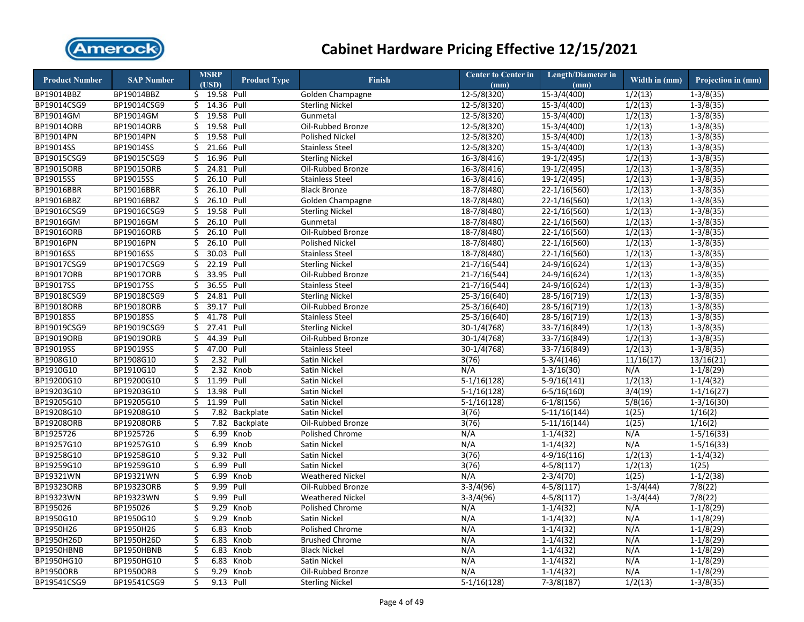

| <b>Product Number</b> | <b>SAP Number</b> |    | <b>MSRP</b>              | <b>Product Type</b> | <b>Finish</b>           | <b>Center to Center in</b> | <b>Length/Diameter in</b> | Width in (mm)        | Projection in (mm) |
|-----------------------|-------------------|----|--------------------------|---------------------|-------------------------|----------------------------|---------------------------|----------------------|--------------------|
|                       |                   |    | (USD)                    |                     |                         | (mm)                       | (mm)                      |                      |                    |
| BP19014BBZ            | BP19014BBZ        |    | $\frac{1}{5}$ 19.58 Pull |                     | Golden Champagne        | $12 - 5/8(320)$            | $15-3/4(400)$             | 1/2(13)              | $1 - 3/8(35)$      |
| BP19014CSG9           | BP19014CSG9       | \$ | 14.36 Pull               |                     | <b>Sterling Nickel</b>  | 12-5/8(320)                | 15-3/4(400)               | 1/2(13)              | $1-3/8(35)$        |
| BP19014GM             | BP19014GM         | Ś. | 19.58 Pull               |                     | Gunmetal                | 12-5/8(320)                | 15-3/4(400)               | 1/2(13)              | $1 - 3/8(35)$      |
| BP19014ORB            | BP19014ORB        | \$ | 19.58 Pull               |                     | Oil-Rubbed Bronze       | $12 - 5/8(320)$            | $15-3/4(400)$             | 1/2(13)              | $1-3/8(35)$        |
| BP19014PN             | BP19014PN         | Ś  | 19.58 Pull               |                     | <b>Polished Nickel</b>  | 12-5/8(320)                | 15-3/4(400)               | 1/2(13)              | $1-3/8(35)$        |
| <b>BP19014SS</b>      | BP19014SS         | \$ | 21.66 Pull               |                     | <b>Stainless Steel</b>  | 12-5/8(320)                | $15-3/4(400)$             | 1/2(13)              | $1 - 3/8(35)$      |
| BP19015CSG9           | BP19015CSG9       | Ś. | 16.96 Pull               |                     | <b>Sterling Nickel</b>  | $16-3/8(416)$              | $19-1/2(495)$             | 1/2(13)              | $1-3/8(35)$        |
| BP19015ORB            | BP19015ORB        | \$ | 24.81                    | Pull                | Oil-Rubbed Bronze       | $16-3/8(416)$              | 19-1/2(495)               | $\overline{1/2(13)}$ | $1 - 3/8(35)$      |
| BP19015SS             | BP19015SS         | \$ | 26.10                    | Pull                | <b>Stainless Steel</b>  | $16-3/8(416)$              | $19-1/2(495)$             | 1/2(13)              | $1-3/8(35)$        |
| BP19016BBR            | BP19016BBR        | \$ | 26.10                    | Pull                | <b>Black Bronze</b>     | 18-7/8(480)                | $22 - 1/16(560)$          | 1/2(13)              | $1 - 3/8(35)$      |
| BP19016BBZ            | BP19016BBZ        | \$ | 26.10 Pull               |                     | Golden Champagne        | $18-7/8(480)$              | $22-1/16(560)$            | 1/2(13)              | $1-3/8(35)$        |
| BP19016CSG9           | BP19016CSG9       | \$ | 19.58 Pull               |                     | <b>Sterling Nickel</b>  | 18-7/8(480)                | 22-1/16(560)              | 1/2(13)              | $1 - 3/8(35)$      |
| BP19016GM             | BP19016GM         | \$ | 26.10                    | Pull                | Gunmetal                | $18-7/8(480)$              | $22-1/16(560)$            | 1/2(13)              | $1-3/8(35)$        |
| BP19016ORB            | BP19016ORB        | \$ | 26.10 Pull               |                     | Oil-Rubbed Bronze       | $18-7/8(480)$              | $22-1/16(560)$            | 1/2(13)              | $1-3/8(35)$        |
| BP19016PN             | BP19016PN         | \$ | 26.10 Pull               |                     | <b>Polished Nickel</b>  | $18-7/8(480)$              | $22-1/16(560)$            | 1/2(13)              | $1-3/8(35)$        |
| BP19016SS             | BP19016SS         | \$ | 30.03 Pull               |                     | <b>Stainless Steel</b>  | $18-7/8(480)$              | $22 - 1/16(560)$          | 1/2(13)              | $1-3/8(35)$        |
| BP19017CSG9           | BP19017CSG9       | \$ | 22.19                    | Pull                | <b>Sterling Nickel</b>  | $21 - 7/16(544)$           | $24 - 9/16(624)$          | 1/2(13)              | $1-3/8(35)$        |
| BP19017ORB            | BP19017ORB        | \$ | 33.95 Pull               |                     | Oil-Rubbed Bronze       | $21 - 7/16(544)$           | $24 - 9/16(624)$          | 1/2(13)              | $1 - 3/8(35)$      |
| BP19017SS             | BP19017SS         | \$ | 36.55 Pull               |                     | <b>Stainless Steel</b>  | $21 - 7/16(544)$           | $24 - 9/16(624)$          | 1/2(13)              | $1-3/8(35)$        |
| BP19018CSG9           | BP19018CSG9       | Ś. | 24.81                    | Pull                | <b>Sterling Nickel</b>  | $25-3/16(640)$             | 28-5/16(719)              | 1/2(13)              | $1-3/8(35)$        |
| <b>BP19018ORB</b>     | BP19018ORB        | \$ | 39.17 Pull               |                     | Oil-Rubbed Bronze       | 25-3/16(640)               | 28-5/16(719)              | 1/2(13)              | $1 - 3/8(35)$      |
| BP19018SS             | BP19018SS         | Ś. | 41.78                    | Pull                | <b>Stainless Steel</b>  | $25 - 3/16(640)$           | 28-5/16(719)              | 1/2(13)              | $1-3/8(35)$        |
| BP19019CSG9           | BP19019CSG9       | \$ | 27.41                    | Pull                | <b>Sterling Nickel</b>  | $30-1/4(768)$              | $33 - 7/16(849)$          | 1/2(13)              | $1 - 3/8(35)$      |
| BP19019ORB            | BP19019ORB        | \$ | 44.39                    | Pull                | Oil-Rubbed Bronze       | 30-1/4(768)                | $33 - 7/16(849)$          | 1/2(13)              | $1 - 3/8(35)$      |
| BP19019SS             | BP19019SS         | \$ | 47.00 Pull               |                     | <b>Stainless Steel</b>  | 30-1/4(768)                | 33-7/16(849)              | 1/2(13)              | $1 - 3/8(35)$      |
| BP1908G10             | BP1908G10         | \$ | 2.32                     | Pull                | Satin Nickel            | 3(76)                      | $5-3/4(146)$              | 11/16(17)            | 13/16(21)          |
| BP1910G10             | BP1910G10         | \$ | 2.32                     | Knob                | Satin Nickel            | N/A                        | $1 - 3/16(30)$            | N/A                  | $1-1/8(29)$        |
| BP19200G10            | BP19200G10        | \$ | 11.99                    | Pull                | Satin Nickel            | $5-1/16(128)$              | $5-9/16(141)$             | 1/2(13)              | $1-1/4(32)$        |
| BP19203G10            | BP19203G10        | \$ | 13.98 Pull               |                     | Satin Nickel            | $5-1/16(128)$              | $6-5/16(160)$             | 3/4(19)              | $1-1/16(27)$       |
| BP19205G10            | BP19205G10        | \$ | 11.99                    | Pull                | Satin Nickel            | $5-1/16(128)$              | $6-1/8(156)$              | 5/8(16)              | $1 - 3/16(30)$     |
| BP19208G10            | BP19208G10        | \$ |                          | 7.82 Backplate      | Satin Nickel            | 3(76)                      | $5-11/16(144)$            | 1(25)                | 1/16(2)            |
| BP19208ORB            | BP19208ORB        | \$ | 7.82                     | Backplate           | Oil-Rubbed Bronze       | 3(76)                      | $5-11/16(144)$            | 1(25)                | 1/16(2)            |
| BP1925726             | BP1925726         | \$ | 6.99                     | Knob                | Polished Chrome         | N/A                        | $1-1/4(32)$               | N/A                  | $1-5/16(33)$       |
| BP19257G10            | BP19257G10        | \$ | 6.99                     | Knob                | Satin Nickel            | N/A                        | $1-1/4(32)$               | N/A                  | $1-5/16(33)$       |
| BP19258G10            | BP19258G10        | Ś. | 9.32 Pull                |                     | Satin Nickel            | 3(76)                      | $4-9/16(116)$             | 1/2(13)              | $1-1/4(32)$        |
| BP19259G10            | BP19259G10        | \$ | 6.99                     | Pull                | Satin Nickel            | 3(76)                      | $4 - 5/8(117)$            | 1/2(13)              | 1(25)              |
| BP19321WN             | BP19321WN         | \$ | 6.99                     | Knob                | <b>Weathered Nickel</b> | N/A                        | $2-3/4(70)$               | 1(25)                | $1-1/2(38)$        |
| BP19323ORB            | BP19323ORB        | \$ | 9.99 Pull                |                     | Oil-Rubbed Bronze       | $3-3/4(96)$                | $4-5/8(117)$              | $1-3/4(44)$          | 7/8(22)            |
| BP19323WN             | BP19323WN         | \$ | 9.99                     | Pull                | <b>Weathered Nickel</b> | $3-3/4(96)$                | $4 - 5/8(117)$            | $1-3/4(44)$          | 7/8(22)            |
| BP195026              | BP195026          | \$ | 9.29                     | Knob                | Polished Chrome         | N/A                        | $1 - 1/4(32)$             | N/A                  | $1-1/8(29)$        |
| BP1950G10             | BP1950G10         | \$ | 9.29                     | Knob                | <b>Satin Nickel</b>     | N/A                        | $1-1/4(32)$               | N/A                  | $1-1/8(29)$        |
| BP1950H26             | BP1950H26         | \$ | 6.83                     | Knob                | Polished Chrome         | N/A                        | $1 - 1/4(32)$             | N/A                  | $1-1/8(29)$        |
| BP1950H26D            | BP1950H26D        | \$ | 6.83                     | Knob                | <b>Brushed Chrome</b>   | N/A                        | $1-1/4(32)$               | N/A                  | $1-1/8(29)$        |
| BP1950HBNB            | BP1950HBNB        | \$ | 6.83                     | Knob                | <b>Black Nickel</b>     | N/A                        | $1 - 1/4(32)$             | N/A                  | $1-1/8(29)$        |
| BP1950HG10            | BP1950HG10        | \$ | 6.83                     | Knob                | Satin Nickel            | N/A                        | $1-1/4(32)$               | N/A                  | $1-1/8(29)$        |
| <b>BP1950ORB</b>      | <b>BP1950ORB</b>  | \$ | 9.29                     | Knob                | Oil-Rubbed Bronze       | N/A                        | $1-1/4(32)$               | N/A                  | $1-1/8(29)$        |
| BP19541CSG9           | BP19541CSG9       | \$ | 9.13 Pull                |                     | <b>Sterling Nickel</b>  | $5-1/16(128)$              | $7-3/8(187)$              | 1/2(13)              | $1-3/8(35)$        |
|                       |                   |    |                          |                     |                         |                            |                           |                      |                    |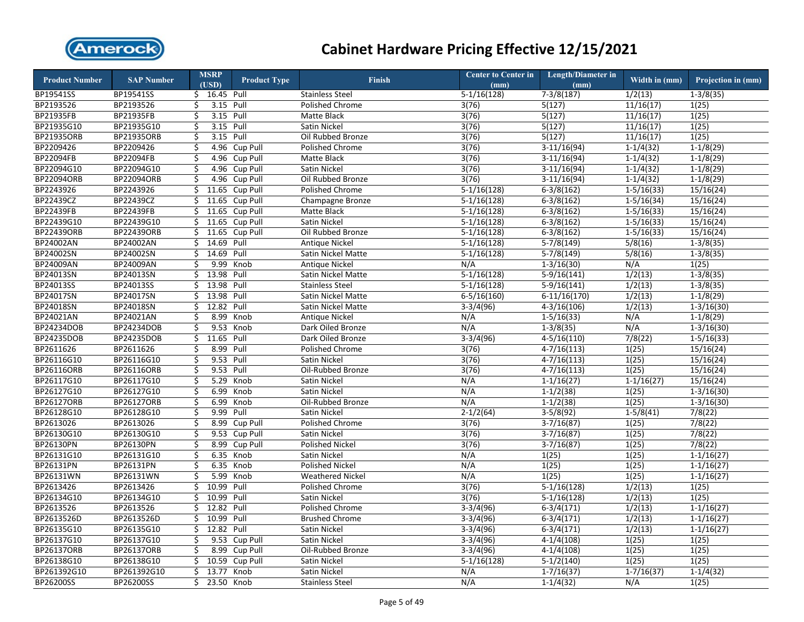

| <b>Product Number</b> | <b>SAP Number</b> |    | <b>MSRP</b><br>(USD) | <b>Product Type</b> | <b>Finish</b>           | <b>Center to Center in</b><br>(mm) | <b>Length/Diameter in</b><br>(mm) | Width in (mm)  | Projection in (mm) |
|-----------------------|-------------------|----|----------------------|---------------------|-------------------------|------------------------------------|-----------------------------------|----------------|--------------------|
| BP19541SS             | BP19541SS         |    | $$16.45$ Pull        |                     | <b>Stainless Steel</b>  | $5-1/16(128)$                      | $7-3/8(187)$                      | 1/2(13)        | $1-3/8(35)$        |
| BP2193526             | BP2193526         | \$ | 3.15 Pull            |                     | Polished Chrome         | 3(76)                              | 5(127)                            | 11/16(17)      | 1(25)              |
| BP21935FB             | BP21935FB         | Ś. | 3.15 Pull            |                     | Matte Black             | 3(76)                              | 5(127)                            | 11/16(17)      | 1(25)              |
| BP21935G10            | BP21935G10        | \$ | 3.15 Pull            |                     | Satin Nickel            | 3(76)                              | 5(127)                            | 11/16(17)      | 1(25)              |
| BP21935ORB            | <b>BP21935ORB</b> | Ś. | 3.15 Pull            |                     | Oil Rubbed Bronze       | 3(76)                              | 5(127)                            | 11/16(17)      | 1(25)              |
| BP2209426             | BP2209426         | \$ |                      | 4.96 Cup Pull       | Polished Chrome         | 3(76)                              | $3-11/16(94)$                     | $1-1/4(32)$    | $1-1/8(29)$        |
| BP22094FB             | BP22094FB         | \$ |                      | 4.96 Cup Pull       | Matte Black             | 3(76)                              | $3-11/16(94)$                     | $1-1/4(32)$    | $1-1/8(29)$        |
| BP22094G10            | BP22094G10        | \$ |                      | 4.96 Cup Pull       | Satin Nickel            | 3(76)                              | $3-11/16(94)$                     | $1 - 1/4(32)$  | $1-1/8(29)$        |
| <b>BP22094ORB</b>     | <b>BP22094ORB</b> | \$ |                      | 4.96 Cup Pull       | Oil Rubbed Bronze       | 3(76)                              | $3-11/16(94)$                     | $1-1/4(32)$    | $1-1/8(29)$        |
| BP2243926             | BP2243926         | \$ |                      | 11.65 Cup Pull      | Polished Chrome         | $5-1/16(128)$                      | $6-3/8(162)$                      | $1 - 5/16(33)$ | 15/16(24)          |
| BP22439CZ             | BP22439CZ         | \$ |                      | 11.65 Cup Pull      | Champagne Bronze        | $5-1/16(128)$                      | $6-3/8(162)$                      | $1-5/16(34)$   | 15/16(24)          |
| <b>BP22439FB</b>      | BP22439FB         | Ś. |                      | 11.65 Cup Pull      | <b>Matte Black</b>      | $5-1/16(128)$                      | $6-3/8(162)$                      | $1 - 5/16(33)$ | 15/16(24)          |
| BP22439G10            | BP22439G10        | \$ |                      | 11.65 Cup Pull      | Satin Nickel            | $5-1/16(128)$                      | $6-3/8(162)$                      | $1 - 5/16(33)$ | 15/16(24)          |
| BP22439ORB            | BP22439ORB        | \$ |                      | 11.65 Cup Pull      | Oil Rubbed Bronze       | $5-1/16(128)$                      | $6-3/8(162)$                      | $1-5/16(33)$   | 15/16(24)          |
| BP24002AN             | BP24002AN         | \$ | 14.69 Pull           |                     | <b>Antique Nickel</b>   | $5-1/16(128)$                      | $5-7/8(149)$                      | 5/8(16)        | $1-3/8(35)$        |
| BP24002SN             | BP24002SN         | \$ | 14.69 Pull           |                     | Satin Nickel Matte      | $5-1/16(128)$                      | $5-7/8(149)$                      | 5/8(16)        | $1 - 3/8(35)$      |
| BP24009AN             | BP24009AN         | \$ | 9.99                 | Knob                | <b>Antique Nickel</b>   | N/A                                | $1 - 3/16(30)$                    | N/A            | 1(25)              |
| BP24013SN             | BP24013SN         | \$ | 13.98 Pull           |                     | Satin Nickel Matte      | $5-1/16(128)$                      | $5-9/16(141)$                     | 1/2(13)        | $1-3/8(35)$        |
| BP24013SS             | BP24013SS         | \$ | 13.98 Pull           |                     | <b>Stainless Steel</b>  | $5-1/16(128)$                      | $5-9/16(141)$                     | 1/2(13)        | $1-3/8(35)$        |
| BP24017SN             | BP24017SN         | Ś. | 13.98 Pull           |                     | Satin Nickel Matte      | $6 - 5/16(160)$                    | $6-11/16(170)$                    | 1/2(13)        | $1-1/8(29)$        |
| BP24018SN             | BP24018SN         | \$ | 12.82 Pull           |                     | Satin Nickel Matte      | $3-3/4(96)$                        | $4 - 3/16(106)$                   | 1/2(13)        | $1 - 3/16(30)$     |
| BP24021AN             | BP24021AN         | \$ | 8.99                 | Knob                | <b>Antique Nickel</b>   | N/A                                | $1-5/16(33)$                      | N/A            | $1-1/8(29)$        |
| BP24234DOB            | BP24234DOB        | \$ | 9.53                 | Knob                | Dark Oiled Bronze       | N/A                                | $1-3/8(35)$                       | N/A            | $1-3/16(30)$       |
| BP24235DOB            | BP24235DOB        | \$ | 11.65 Pull           |                     | Dark Oiled Bronze       | $3-3/4(96)$                        | $4 - 5/16(110)$                   | 7/8(22)        | $1 - 5/16(33)$     |
| BP2611626             | BP2611626         | \$ | 8.99 Pull            |                     | Polished Chrome         | 3(76)                              | $4 - 7/16(113)$                   | 1(25)          | 15/16(24)          |
| BP26116G10            | BP26116G10        | \$ | 9.53 Pull            |                     | Satin Nickel            | 3(76)                              | $4-7/16(113)$                     | 1(25)          | 15/16(24)          |
| BP26116ORB            | BP26116ORB        | \$ | 9.53 Pull            |                     | Oil-Rubbed Bronze       | 3(76)                              | $4 - 7/16(113)$                   | 1(25)          | 15/16(24)          |
| BP26117G10            | BP26117G10        | \$ | 5.29                 | Knob                | Satin Nickel            | N/A                                | $1-1/16(27)$                      | $1-1/16(27)$   | 15/16(24)          |
| BP26127G10            | BP26127G10        | \$ | 6.99                 | Knob                | Satin Nickel            | N/A                                | $1-1/2(38)$                       | 1(25)          | $1 - 3/16(30)$     |
| BP26127ORB            | BP26127ORB        | \$ | 6.99                 | Knob                | Oil-Rubbed Bronze       | N/A                                | $1-1/2(38)$                       | 1(25)          | $1-3/16(30)$       |
| BP26128G10            | BP26128G10        | \$ | 9.99                 | Pull                | Satin Nickel            | $2 - 1/2(64)$                      | $3-5/8(92)$                       | $1-5/8(41)$    | 7/8(22)            |
| BP2613026             | BP2613026         | \$ | 8.99                 | Cup Pull            | Polished Chrome         | 3(76)                              | $3-7/16(87)$                      | 1(25)          | 7/8(22)            |
| BP26130G10            | BP26130G10        | \$ |                      | 9.53 Cup Pull       | Satin Nickel            | 3(76)                              | $3-7/16(87)$                      | 1(25)          | 7/8(22)            |
| BP26130PN             | BP26130PN         | \$ | 8.99                 | Cup Pull            | Polished Nickel         | 3(76)                              | $3-7/16(87)$                      | 1(25)          | 7/8(22)            |
| BP26131G10            | BP26131G10        | \$ | 6.35                 | Knob                | Satin Nickel            | N/A                                | 1(25)                             | 1(25)          | $1-1/16(27)$       |
| BP26131PN             | BP26131PN         | \$ |                      | 6.35 Knob           | <b>Polished Nickel</b>  | N/A                                | 1(25)                             | 1(25)          | $1-1/16(27)$       |
| BP26131WN             | BP26131WN         | \$ | 5.99                 | Knob                | <b>Weathered Nickel</b> | N/A                                | 1(25)                             | 1(25)          | $1-1/16(27)$       |
| BP2613426             | BP2613426         | \$ | 10.99 Pull           |                     | Polished Chrome         | 3(76)                              | $5-1/16(128)$                     | 1/2(13)        | 1(25)              |
| BP26134G10            | BP26134G10        | Ś. | 10.99                | Pull                | Satin Nickel            | 3(76)                              | $5-1/16(128)$                     | 1/2(13)        | 1(25)              |
| BP2613526             | BP2613526         | \$ | 12.82 Pull           |                     | Polished Chrome         | $3-3/4(96)$                        | $6 - 3/4(171)$                    | 1/2(13)        | $1 - 1/16(27)$     |
| BP2613526D            | BP2613526D        | \$ | 10.99 Pull           |                     | <b>Brushed Chrome</b>   | $3-3/4(96)$                        | $6 - 3/4(171)$                    | 1/2(13)        | $1 - 1/16(27)$     |
| BP26135G10            | BP26135G10        | \$ | 12.82 Pull           |                     | Satin Nickel            | $3-3/4(96)$                        | $6 - 3/4(171)$                    | 1/2(13)        | $1-1/16(27)$       |
| BP26137G10            | BP26137G10        | \$ | 9.53                 | Cup Pull            | Satin Nickel            | $3-3/4(96)$                        | $4-1/4(108)$                      | 1(25)          | 1(25)              |
| <b>BP26137ORB</b>     | BP26137ORB        | \$ | 8.99                 | Cup Pull            | Oil-Rubbed Bronze       | $3-3/4(96)$                        | $4-1/4(108)$                      | 1(25)          | 1(25)              |
| BP26138G10            | BP26138G10        | \$ |                      | 10.59 Cup Pull      | Satin Nickel            | $5-1/16(128)$                      | $5-1/2(140)$                      | 1(25)          | 1(25)              |
| BP261392G10           | BP261392G10       | \$ | 13.77                | Knob                | Satin Nickel            | N/A                                | $1 - 7/16(37)$                    | $1 - 7/16(37)$ | $1-1/4(32)$        |
| BP26200SS             | BP26200SS         | \$ | 23.50 Knob           |                     | <b>Stainless Steel</b>  | N/A                                | $1-1/4(32)$                       | N/A            | 1(25)              |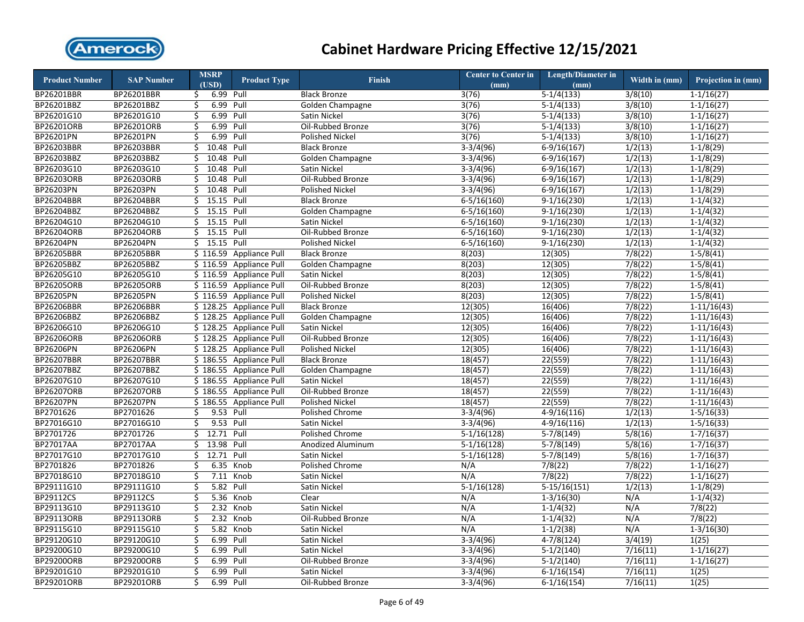

| <b>Product Number</b> | <b>SAP Number</b> | <b>MSRP</b>      | <b>Product Type</b>     | <b>Finish</b>          | <b>Center to Center in</b> | <b>Length/Diameter in</b> | Width in (mm) | Projection in (mm) |
|-----------------------|-------------------|------------------|-------------------------|------------------------|----------------------------|---------------------------|---------------|--------------------|
|                       |                   | (USD)            |                         |                        | (mm)                       | (mm)                      |               |                    |
| BP26201BBR            | BP26201BBR        | 6.99 Pull<br>\$  |                         | <b>Black Bronze</b>    | 3(76)                      | $\overline{5-1/4(133)}$   | 3/8(10)       | $1-1/16(27)$       |
| BP26201BBZ            | BP26201BBZ        | 6.99 Pull<br>\$  |                         | Golden Champagne       | 3(76)                      | $5-1/4(133)$              | 3/8(10)       | $1 - 1/16(27)$     |
| BP26201G10            | BP26201G10        | 6.99 Pull<br>Ś.  |                         | Satin Nickel           | 3(76)                      | $5-1/4(133)$              | 3/8(10)       | $1-1/16(27)$       |
| BP26201ORB            | BP26201ORB        | 6.99 Pull<br>\$  |                         | Oil-Rubbed Bronze      | 3(76)                      | $5-1/4(133)$              | 3/8(10)       | $1-1/16(27)$       |
| BP26201PN             | BP26201PN         | 6.99<br>Ś.       | Pull                    | <b>Polished Nickel</b> | 3(76)                      | $5-1/4(133)$              | 3/8(10)       | $1 - 1/16(27)$     |
| BP26203BBR            | BP26203BBR        | \$<br>10.48 Pull |                         | <b>Black Bronze</b>    | $3-3/4(96)$                | $6-9/16(167)$             | 1/2(13)       | $1-1/8(29)$        |
| BP26203BBZ            | BP26203BBZ        | 10.48 Pull<br>\$ |                         | Golden Champagne       | $3-3/4(96)$                | $6-9/16(167)$             | 1/2(13)       | $1-1/8(29)$        |
| BP26203G10            | BP26203G10        | 10.48 Pull<br>\$ |                         | Satin Nickel           | $3-3/4(96)$                | $6-9/16(167)$             | 1/2(13)       | $1-1/8(29)$        |
| BP26203ORB            | BP26203ORB        | 10.48<br>Ś.      | Pull                    | Oil-Rubbed Bronze      | $3-3/4(96)$                | $6-9/16(167)$             | 1/2(13)       | $1-1/8(29)$        |
| BP26203PN             | BP26203PN         | 10.48 Pull<br>\$ |                         | <b>Polished Nickel</b> | $3-3/4(96)$                | $6-9/16(167)$             | 1/2(13)       | $1-1/8(29)$        |
| BP26204BBR            | BP26204BBR        | \$<br>15.15 Pull |                         | <b>Black Bronze</b>    | $6 - 5/16(160)$            | $9-1/16(230)$             | 1/2(13)       | $1-1/4(32)$        |
| BP26204BBZ            | BP26204BBZ        | 15.15 Pull<br>Ś. |                         | Golden Champagne       | $6 - 5/16(160)$            | $9-1/16(230)$             | 1/2(13)       | $1-1/4(32)$        |
| BP26204G10            | BP26204G10        | 15.15 Pull<br>\$ |                         | Satin Nickel           | $6 - 5/16(160)$            | $9-1/16(230)$             | 1/2(13)       | $1-1/4(32)$        |
| BP26204ORB            | BP26204ORB        | \$<br>15.15 Pull |                         | Oil-Rubbed Bronze      | $6-5/16(160)$              | $9-1/16(230)$             | 1/2(13)       | $1-1/4(32)$        |
| <b>BP26204PN</b>      | BP26204PN         | \$<br>15.15 Pull |                         | <b>Polished Nickel</b> | $6 - 5/16(160)$            | $9-1/16(230)$             | 1/2(13)       | $1-1/4(32)$        |
| BP26205BBR            | BP26205BBR        | \$116.59         | <b>Appliance Pull</b>   | <b>Black Bronze</b>    | 8(203)                     | 12(305)                   | 7/8(22)       | $1 - 5/8(41)$      |
| BP26205BBZ            | BP26205BBZ        | \$116.59         | <b>Appliance Pull</b>   | Golden Champagne       | 8(203)                     | 12(305)                   | 7/8(22)       | $1-5/8(41)$        |
| BP26205G10            | BP26205G10        | \$116.59         | <b>Appliance Pull</b>   | Satin Nickel           | 8(203)                     | 12(305)                   | 7/8(22)       | $1-5/8(41)$        |
| BP26205ORB            | BP26205ORB        |                  | \$116.59 Appliance Pull | Oil-Rubbed Bronze      | 8(203)                     | 12(305)                   | 7/8(22)       | $1 - 5/8(41)$      |
| BP26205PN             | BP26205PN         |                  | \$116.59 Appliance Pull | <b>Polished Nickel</b> | 8(203)                     | 12(305)                   | 7/8(22)       | $1 - 5/8(41)$      |
| BP26206BBR            | BP26206BBR        |                  | \$128.25 Appliance Pull | <b>Black Bronze</b>    | 12(305)                    | 16(406)                   | 7/8(22)       | $1-11/16(43)$      |
| BP26206BBZ            | BP26206BBZ        |                  | \$128.25 Appliance Pull | Golden Champagne       | 12(305)                    | 16(406)                   | 7/8(22)       | $1-11/16(43)$      |
| BP26206G10            | BP26206G10        |                  | \$128.25 Appliance Pull | <b>Satin Nickel</b>    | 12(305)                    | 16(406)                   | 7/8(22)       | $1-11/16(43)$      |
| BP26206ORB            | BP26206ORB        |                  | \$128.25 Appliance Pull | Oil-Rubbed Bronze      | 12(305)                    | 16(406)                   | 7/8(22)       | $1-11/16(43)$      |
| BP26206PN             | BP26206PN         |                  | \$128.25 Appliance Pull | <b>Polished Nickel</b> | 12(305)                    | 16(406)                   | 7/8(22)       | $1-11/16(43)$      |
| BP26207BBR            | BP26207BBR        |                  | \$186.55 Appliance Pull | <b>Black Bronze</b>    | 18(457)                    | 22(559)                   | 7/8(22)       | $1-11/16(43)$      |
| BP26207BBZ            | BP26207BBZ        |                  | \$186.55 Appliance Pull | Golden Champagne       | 18(457)                    | 22(559)                   | 7/8(22)       | $1-11/16(43)$      |
| BP26207G10            | BP26207G10        |                  | \$186.55 Appliance Pull | Satin Nickel           | 18(457)                    | 22(559)                   | 7/8(22)       | $1-11/16(43)$      |
| BP26207ORB            | BP26207ORB        |                  | \$186.55 Appliance Pull | Oil-Rubbed Bronze      | 18(457)                    | 22(559)                   | 7/8(22)       | $1-11/16(43)$      |
| BP26207PN             | BP26207PN         |                  | \$186.55 Appliance Pull | <b>Polished Nickel</b> | 18(457)                    | 22(559)                   | 7/8(22)       | $1-11/16(43)$      |
| BP2701626             | BP2701626         | 9.53 Pull<br>\$  |                         | <b>Polished Chrome</b> | $3-3/4(96)$                | $4-9/16(116)$             | 1/2(13)       | $1-5/16(33)$       |
| BP27016G10            | BP27016G10        | \$<br>9.53 Pull  |                         | Satin Nickel           | $3-3/4(96)$                | $4-9/16(116)$             | 1/2(13)       | $1-5/16(33)$       |
| BP2701726             | BP2701726         | 12.71 Pull<br>Ś. |                         | Polished Chrome        | $5-1/16(128)$              | $5-7/8(149)$              | 5/8(16)       | $1-7/16(37)$       |
| BP27017AA             | BP27017AA         | 13.98 Pull<br>\$ |                         | Anodized Aluminum      | $5-1/16(128)$              | $5-7/8(149)$              | 5/8(16)       | $1 - 7/16(37)$     |
| BP27017G10            | BP27017G10        | 12.71 Pull<br>\$ |                         | Satin Nickel           | $5-1/16(128)$              | $5-7/8(149)$              | 5/8(16)       | $1 - 7/16(37)$     |
| BP2701826             | BP2701826         | \$               | 6.35 Knob               | Polished Chrome        | N/A                        | 7/8(22)                   | 7/8(22)       | $1-1/16(27)$       |
| BP27018G10            | BP27018G10        | \$               | 7.11 Knob               | Satin Nickel           | N/A                        | 7/8(22)                   | 7/8(22)       | $1 - 1/16(27)$     |
| BP29111G10            | BP29111G10        | 5.82 Pull<br>\$  |                         | Satin Nickel           | $5-1/16(128)$              | $5-15/16(151)$            | 1/2(13)       | $1-1/8(29)$        |
| BP29112CS             | BP29112CS         | Ś.               | 5.36 Knob               | Clear                  | N/A                        | $1 - 3/16(30)$            | N/A           | $1-1/4(32)$        |
| BP29113G10            | BP29113G10        | \$               | 2.32 Knob               | Satin Nickel           | N/A                        | $1-1/4(32)$               | N/A           | 7/8(22)            |
| BP29113ORB            | BP29113ORB        | \$               | 2.32 Knob               | Oil-Rubbed Bronze      | N/A                        | $1 - 1/4(32)$             | N/A           | 7/8(22)            |
| BP29115G10            | BP29115G10        | \$               | 5.82 Knob               | Satin Nickel           | N/A                        | $1-1/2(38)$               | N/A           | $1-3/16(30)$       |
| BP29120G10            | BP29120G10        | 6.99 Pull<br>\$  |                         | Satin Nickel           | $3-3/4(96)$                | $4 - 7/8(124)$            | 3/4(19)       | 1(25)              |
| BP29200G10            | BP29200G10        | \$<br>6.99 Pull  |                         | Satin Nickel           | $3-3/4(96)$                | $5-1/2(140)$              | 7/16(11)      | $1 - 1/16(27)$     |
| BP29200ORB            | BP29200ORB        | \$<br>6.99       | Pull                    | Oil-Rubbed Bronze      | $3-3/4(96)$                | $5-1/2(140)$              | 7/16(11)      | $1-1/16(27)$       |
| BP29201G10            | BP29201G10        | \$<br>6.99       | Pull                    | <b>Satin Nickel</b>    | $3-3/4(96)$                | $6-1/16(154)$             | 7/16(11)      | 1(25)              |
| BP29201ORB            | BP29201ORB        | \$<br>6.99       | Pull                    | Oil-Rubbed Bronze      | $3-3/4(96)$                | $6-1/16(154)$             | 7/16(11)      | 1(25)              |
|                       |                   |                  |                         |                        |                            |                           |               |                    |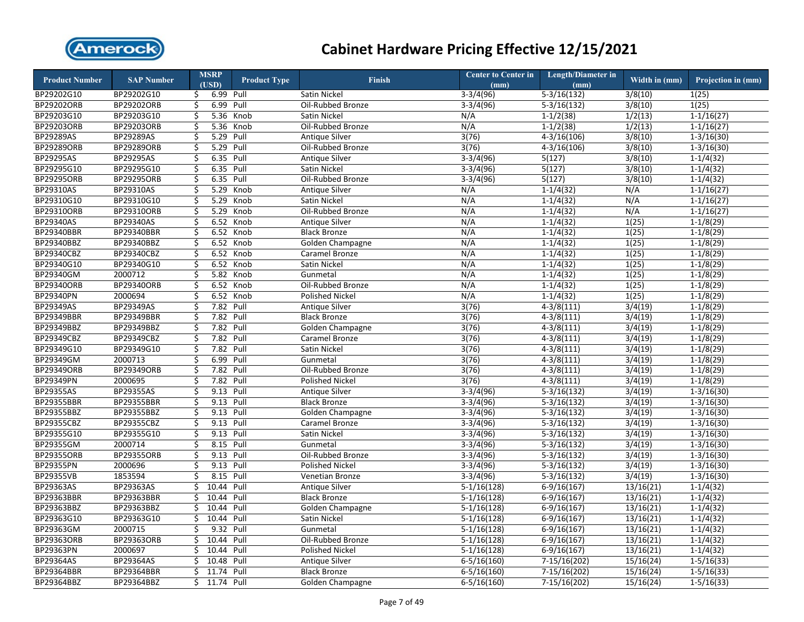

| <b>Product Number</b> | <b>SAP Number</b> |                         | <b>MSRP</b><br>(USD)    | <b>Product Type</b> | <b>Finish</b>          | <b>Center to Center in</b><br>(mm) | <b>Length/Diameter in</b><br>(mm) | Width in (mm) | Projection in (mm) |
|-----------------------|-------------------|-------------------------|-------------------------|---------------------|------------------------|------------------------------------|-----------------------------------|---------------|--------------------|
| BP29202G10            | BP29202G10        | \$                      | 6.99 Pull               |                     | <b>Satin Nickel</b>    | $3-3/4(96)$                        | $5-3/16(132)$                     | 3/8(10)       | 1(25)              |
| <b>BP29202ORB</b>     | BP29202ORB        | \$                      | 6.99                    | Pull                | Oil-Rubbed Bronze      | $3-3/4(96)$                        | $5-3/16(132)$                     | 3/8(10)       | 1(25)              |
| BP29203G10            | BP29203G10        | \$                      |                         | 5.36 Knob           | Satin Nickel           | N/A                                | $1-1/2(38)$                       | 1/2(13)       | $1-1/16(27)$       |
| BP29203ORB            | BP29203ORB        | \$                      |                         | 5.36 Knob           | Oil-Rubbed Bronze      | N/A                                | $1-1/2(38)$                       | 1/2(13)       | $1-1/16(27)$       |
| BP29289AS             | BP29289AS         | $\overline{\mathsf{S}}$ | 5.29 Pull               |                     | Antique Silver         | 3(76)                              | $4-3/16(106)$                     | 3/8(10)       | $1 - 3/16(30)$     |
| BP29289ORB            | BP29289ORB        | \$                      | 5.29 Pull               |                     | Oil-Rubbed Bronze      | 3(76)                              | $4 - 3/16(106)$                   | 3/8(10)       | $1 - 3/16(30)$     |
| <b>BP29295AS</b>      | <b>BP29295AS</b>  | \$                      | 6.35 Pull               |                     | <b>Antique Silver</b>  | $3-3/4(96)$                        | 5(127)                            | 3/8(10)       | $1-1/4(32)$        |
| BP29295G10            | BP29295G10        | \$                      | 6.35 Pull               |                     | Satin Nickel           | $3-3/4(96)$                        | 5(127)                            | 3/8(10)       | $1 - 1/4(32)$      |
| BP29295ORB            | BP29295ORB        | \$                      | 6.35 Pull               |                     | Oil-Rubbed Bronze      | $3-3/4(96)$                        | 5(127)                            | 3/8(10)       | $1-1/4(32)$        |
| BP29310AS             | BP29310AS         | \$                      | 5.29                    | Knob                | <b>Antique Silver</b>  | N/A                                | $1 - 1/4(32)$                     | N/A           | $1 - 1/16(27)$     |
| BP29310G10            | BP29310G10        | $\overline{\mathsf{S}}$ | 5.29                    | Knob                | Satin Nickel           | N/A                                | $1 - 1/4(32)$                     | N/A           | $1-1/16(27)$       |
| BP29310ORB            | BP29310ORB        | \$                      | 5.29                    | Knob                | Oil-Rubbed Bronze      | N/A                                | $1 - 1/4(32)$                     | N/A           | $1-1/16(27)$       |
| BP29340AS             | BP29340AS         | \$                      |                         | 6.52 Knob           | <b>Antique Silver</b>  | N/A                                | $1-1/4(32)$                       | 1(25)         | $1-1/8(29)$        |
| BP29340BBR            | BP29340BBR        | \$                      |                         | 6.52 Knob           | <b>Black Bronze</b>    | N/A                                | $1-1/4(32)$                       | 1(25)         | $1-1/8(29)$        |
| BP29340BBZ            | BP29340BBZ        | \$                      |                         | 6.52 Knob           | Golden Champagne       | N/A                                | $1-1/4(32)$                       | 1(25)         | $1-1/8(29)$        |
| BP29340CBZ            | BP29340CBZ        | \$                      |                         | 6.52 Knob           | Caramel Bronze         | N/A                                | $1-1/4(32)$                       | 1(25)         | $1-1/8(29)$        |
| BP29340G10            | BP29340G10        | \$                      | 6.52                    | Knob                | Satin Nickel           | N/A                                | $1-1/4(32)$                       | 1(25)         | $1-1/8(29)$        |
| BP29340GM             | 2000712           | \$                      |                         | 5.82 Knob           | Gunmetal               | N/A                                | $1 - 1/4(32)$                     | 1(25)         | $1-1/8(29)$        |
| BP29340ORB            | BP29340ORB        | \$                      |                         | 6.52 Knob           | Oil-Rubbed Bronze      | N/A                                | $1-1/4(32)$                       | 1(25)         | $1-1/8(29)$        |
| BP29340PN             | 2000694           | \$                      |                         | 6.52 Knob           | <b>Polished Nickel</b> | N/A                                | $1-1/4(32)$                       | 1(25)         | $1-1/8(29)$        |
| BP29349AS             | BP29349AS         | \$                      | 7.82 Pull               |                     | <b>Antique Silver</b>  | 3(76)                              | $4-3/8(111)$                      | 3/4(19)       | $1-1/8(29)$        |
| BP29349BBR            | BP29349BBR        | \$                      | 7.82 Pull               |                     | <b>Black Bronze</b>    | 3(76)                              | $4 - 3/8(111)$                    | 3/4(19)       | $1-1/8(29)$        |
| BP29349BBZ            | BP29349BBZ        | \$                      | 7.82 Pull               |                     | Golden Champagne       | 3(76)                              | $4 - 3/8(111)$                    | 3/4(19)       | $1-1/8(29)$        |
| BP29349CBZ            | BP29349CBZ        | $\overline{\mathsf{S}}$ | 7.82 Pull               |                     | Caramel Bronze         | 3(76)                              | $4 - 3/8(111)$                    | 3/4(19)       | $1-1/8(29)$        |
| BP29349G10            | BP29349G10        | \$                      | 7.82 Pull               |                     | Satin Nickel           | 3(76)                              | $4 - 3/8(111)$                    | 3/4(19)       | $1-1/8(29)$        |
| BP29349GM             | 2000713           | Ś                       | 6.99                    | Pull                | Gunmetal               | 3(76)                              | $4 - 3/8(111)$                    | 3/4(19)       | $1-1/8(29)$        |
| <b>BP29349ORB</b>     | BP29349ORB        | \$                      | 7.82 Pull               |                     | Oil-Rubbed Bronze      | 3(76)                              | $4 - 3/8(111)$                    | 3/4(19)       | $1-1/8(29)$        |
| BP29349PN             | 2000695           | \$                      | 7.82 Pull               |                     | <b>Polished Nickel</b> | 3(76)                              | $4 - 3/8(111)$                    | 3/4(19)       | $1-1/8(29)$        |
| BP29355AS             | BP29355AS         | \$                      | 9.13                    | Pull                | Antique Silver         | $3-3/4(96)$                        | $5-3/16(132)$                     | 3/4(19)       | $1-3/16(30)$       |
| BP29355BBR            | BP29355BBR        | \$                      | 9.13                    | Pull                | <b>Black Bronze</b>    | $3-3/4(96)$                        | $5-3/16(132)$                     | 3/4(19)       | $1-3/16(30)$       |
| BP29355BBZ            | BP29355BBZ        | \$                      | 9.13 Pull               |                     | Golden Champagne       | $3-3/4(96)$                        | $5-3/16(132)$                     | 3/4(19)       | $1-3/16(30)$       |
| <b>BP29355CBZ</b>     | BP29355CBZ        | \$                      | 9.13 Pull               |                     | Caramel Bronze         | $3-3/4(96)$                        | $5-3/16(132)$                     | 3/4(19)       | $1-3/16(30)$       |
| BP29355G10            | BP29355G10        | \$                      | 9.13 Pull               |                     | Satin Nickel           | $3-3/4(96)$                        | $5-3/16(132)$                     | 3/4(19)       | $1 - 3/16(30)$     |
| BP29355GM             | 2000714           | \$                      | 8.15                    | Pull                | Gunmetal               | $3-3/4(96)$                        | $5-3/16(132)$                     | 3/4(19)       | $1-3/16(30)$       |
| <b>BP29355ORB</b>     | BP29355ORB        | \$                      | 9.13 Pull               |                     | Oil-Rubbed Bronze      | $3-3/4(96)$                        | $5-3/16(132)$                     | 3/4(19)       | $1-3/16(30)$       |
| <b>BP29355PN</b>      | 2000696           | \$                      | 9.13 Pull               |                     | <b>Polished Nickel</b> | $3-3/4(96)$                        | $5-3/16(132)$                     | 3/4(19)       | $1 - 3/16(30)$     |
| <b>BP29355VB</b>      | 1853594           | \$                      | 8.15 Pull               |                     | Venetian Bronze        | $3-3/4(96)$                        | $5-3/16(132)$                     | 3/4(19)       | $1 - 3/16(30)$     |
| BP29363AS             | BP29363AS         | \$                      | 10.44                   | Pull                | Antique Silver         | $5-1/16(128)$                      | $6-9/16(167)$                     | 13/16(21)     | $1-1/4(32)$        |
| BP29363BBR            | BP29363BBR        | \$                      | 10.44                   | Pull                | <b>Black Bronze</b>    | $5-1/16(128)$                      | $6-9/16(167)$                     | 13/16(21)     | $1-1/4(32)$        |
| BP29363BBZ            | BP29363BBZ        | \$                      | 10.44 Pull              |                     | Golden Champagne       | $5-1/16(128)$                      | $6-9/16(167)$                     | 13/16(21)     | $1-1/4(32)$        |
| BP29363G10            | BP29363G10        | Ś.                      | 10.44 Pull              |                     | Satin Nickel           | $5-1/16(128)$                      | $6-9/16(167)$                     | 13/16(21)     | $1-1/4(32)$        |
| <b>BP29363GM</b>      | 2000715           | \$                      | 9.32 Pull               |                     | Gunmetal               | $5-1/16(128)$                      | $6-9/16(167)$                     | 13/16(21)     | $1 - 1/4(32)$      |
| BP29363ORB            | BP29363ORB        | \$                      | 10.44                   | Pull                | Oil-Rubbed Bronze      | $5-1/16(128)$                      | $6-9/16(167)$                     | 13/16(21)     | $1-1/4(32)$        |
| BP29363PN             | 2000697           | \$                      | 10.44                   | Pull                | <b>Polished Nickel</b> | $5-1/16(128)$                      | $6-9/16(167)$                     | 13/16(21)     | $1-1/4(32)$        |
| BP29364AS             | BP29364AS         | \$                      | 10.48                   | Pull                | <b>Antique Silver</b>  | $6 - 5/16(160)$                    | $7-15/16(202)$                    | 15/16(24)     | $1-5/16(33)$       |
| BP29364BBR            | BP29364BBR        | \$                      | $\overline{11.74}$ Pull |                     | <b>Black Bronze</b>    | $6 - 5/16(160)$                    | 7-15/16(202)                      | 15/16(24)     | $1-5/16(33)$       |
| BP29364BBZ            | BP29364BBZ        |                         | \$ 11.74 Pull           |                     | Golden Champagne       | $6 - 5/16(160)$                    | 7-15/16(202)                      | 15/16(24)     | $1-5/16(33)$       |
|                       |                   |                         |                         |                     |                        |                                    |                                   |               |                    |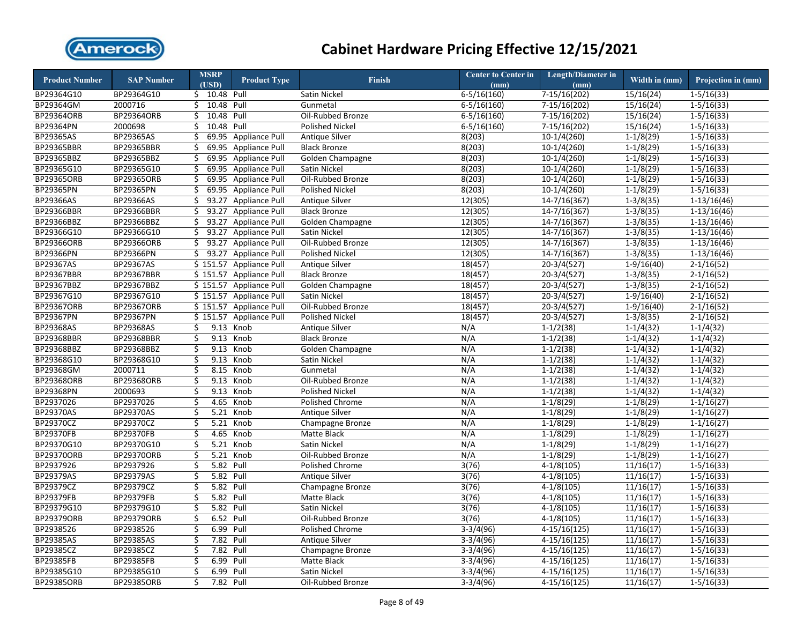

| <b>Product Number</b> | <b>SAP Number</b> | <b>MSRP</b><br>(USD) | <b>Product Type</b>     | <b>Finish</b>          | <b>Center to Center in</b><br>(mm) | <b>Length/Diameter in</b><br>(mm) | Width in (mm) | Projection in (mm) |
|-----------------------|-------------------|----------------------|-------------------------|------------------------|------------------------------------|-----------------------------------|---------------|--------------------|
| BP29364G10            | BP29364G10        | \$ 10.48 Pull        |                         | Satin Nickel           | $6 - 5/16(160)$                    | 7-15/16(202)                      | 15/16(24)     | $1 - 5/16(33)$     |
| BP29364GM             | 2000716           | 10.48 Pull<br>\$     |                         | Gunmetal               | $6 - 5/16(160)$                    | 7-15/16(202)                      | 15/16(24)     | $1 - 5/16(33)$     |
| <b>BP29364ORB</b>     | BP29364ORB        | 10.48<br>Ś.          | Pull                    | Oil-Rubbed Bronze      | $6 - 5/16(160)$                    | 7-15/16(202)                      | 15/16(24)     | $1 - 5/16(33)$     |
| BP29364PN             | 2000698           | 10.48<br>Ś.          | Pull                    | <b>Polished Nickel</b> | $6 - 5/16(160)$                    | $7-15/16(202)$                    | 15/16(24)     | $1 - 5/16(33)$     |
| BP29365AS             | BP29365AS         | 69.95<br>Ś.          | Appliance Pull          | Antique Silver         | 8(203)                             | $10-1/4(260)$                     | $1-1/8(29)$   | $1-5/16(33)$       |
| BP29365BBR            | BP29365BBR        | Ś.<br>69.95          | Appliance Pull          | <b>Black Bronze</b>    | 8(203)                             | $10-1/4(260)$                     | $1-1/8(29)$   | $1-5/16(33)$       |
| BP29365BBZ            | BP29365BBZ        | \$                   | 69.95 Appliance Pull    | Golden Champagne       | 8(203)                             | $10-1/4(260)$                     | $1-1/8(29)$   | $1-5/16(33)$       |
| BP29365G10            | BP29365G10        | \$                   | 69.95 Appliance Pull    | Satin Nickel           | 8(203)                             | $10-1/4(260)$                     | $1 - 1/8(29)$ | $1 - 5/16(33)$     |
| <b>BP29365ORB</b>     | BP29365ORB        | Ś.                   | 69.95 Appliance Pull    | Oil-Rubbed Bronze      | 8(203)                             | $10-1/4(260)$                     | $1-1/8(29)$   | $1 - 5/16(33)$     |
| <b>BP29365PN</b>      | BP29365PN         | \$                   | 69.95 Appliance Pull    | <b>Polished Nickel</b> | 8(203)                             | $10-1/4(260)$                     | $1-1/8(29)$   | $1 - 5/16(33)$     |
| BP29366AS             | BP29366AS         | \$                   | 93.27 Appliance Pull    | <b>Antique Silver</b>  | 12(305)                            | $14 - 7/16(367)$                  | $1-3/8(35)$   | $1-13/16(46)$      |
| BP29366BBR            | BP29366BBR        | Ś.                   | 93.27 Appliance Pull    | <b>Black Bronze</b>    | 12(305)                            | $\overline{14 - 7/16}$ (367)      | $1-3/8(35)$   | $1-13/16(46)$      |
| BP29366BBZ            | BP29366BBZ        | \$                   | 93.27 Appliance Pull    | Golden Champagne       | 12(305)                            | $14 - 7/16(367)$                  | $1-3/8(35)$   | $1-13/16(46)$      |
| BP29366G10            | BP29366G10        | \$<br>93.27          | <b>Appliance Pull</b>   | Satin Nickel           | 12(305)                            | $14 - 7/16(367)$                  | $1-3/8(35)$   | $1-13/16(46)$      |
| <b>BP29366ORB</b>     | BP29366ORB        | \$                   | 93.27 Appliance Pull    | Oil-Rubbed Bronze      | 12(305)                            | $14 - 7/16(367)$                  | $1-3/8(35)$   | $1-13/16(46)$      |
| BP29366PN             | BP29366PN         | Ś.<br>93.27          | <b>Appliance Pull</b>   | <b>Polished Nickel</b> | 12(305)                            | $14 - 7/16(367)$                  | $1-3/8(35)$   | $1-13/16(46)$      |
| BP29367AS             | BP29367AS         |                      | \$151.57 Appliance Pull | Antique Silver         | 18(457)                            | $20-3/4(527)$                     | $1-9/16(40)$  | $2-1/16(52)$       |
| <b>BP29367BBR</b>     | <b>BP29367BBR</b> |                      | \$151.57 Appliance Pull | <b>Black Bronze</b>    | 18(457)                            | 20-3/4(527)                       | $1-3/8(35)$   | $2-1/16(52)$       |
| BP29367BBZ            | BP29367BBZ        |                      | \$151.57 Appliance Pull | Golden Champagne       | 18(457)                            | $20-3/4(527)$                     | $1-3/8(35)$   | $2 - 1/16(52)$     |
| BP29367G10            | BP29367G10        |                      | \$151.57 Appliance Pull | Satin Nickel           | 18(457)                            | 20-3/4(527)                       | $1-9/16(40)$  | $2 - 1/16(52)$     |
| BP29367ORB            | BP29367ORB        |                      | \$151.57 Appliance Pull | Oil-Rubbed Bronze      | 18(457)                            | $20-3/4(527)$                     | $1-9/16(40)$  | $2 - 1/16(52)$     |
| BP29367PN             | BP29367PN         |                      | \$151.57 Appliance Pull | Polished Nickel        | 18(457)                            | $20-3/4(527)$                     | $1-3/8(35)$   | $2 - 1/16(52)$     |
| BP29368AS             | BP29368AS         | 9.13<br>\$           | Knob                    | Antique Silver         | N/A                                | $1-1/2(38)$                       | $1-1/4(32)$   | $1-1/4(32)$        |
| BP29368BBR            | BP29368BBR        | \$                   | 9.13 Knob               | <b>Black Bronze</b>    | N/A                                | $1 - 1/2(38)$                     | $1-1/4(32)$   | $1 - 1/4(32)$      |
| BP29368BBZ            | BP29368BBZ        | \$<br>9.13           | Knob                    | Golden Champagne       | N/A                                | $1 - 1/2(38)$                     | $1 - 1/4(32)$ | $1 - 1/4(32)$      |
| BP29368G10            | BP29368G10        | \$<br>9.13           | Knob                    | Satin Nickel           | N/A                                | $1-1/2(38)$                       | $1-1/4(32)$   | $1-1/4(32)$        |
| BP29368GM             | 2000711           | \$<br>8.15           | Knob                    | Gunmetal               | N/A                                | $1 - 1/2(38)$                     | $1-1/4(32)$   | $1-1/4(32)$        |
| <b>BP29368ORB</b>     | BP29368ORB        | \$<br>9.13           | Knob                    | Oil-Rubbed Bronze      | N/A                                | $1-1/2(38)$                       | $1-1/4(32)$   | $1-1/4(32)$        |
| <b>BP29368PN</b>      | 2000693           | \$<br>9.13           | Knob                    | <b>Polished Nickel</b> | N/A                                | $1-1/2(38)$                       | $1-1/4(32)$   | $1-1/4(32)$        |
| BP2937026             | BP2937026         | \$<br>4.65           | Knob                    | Polished Chrome        | N/A                                | $1-1/8(29)$                       | $1-1/8(29)$   | $1-1/16(27)$       |
| <b>BP29370AS</b>      | <b>BP29370AS</b>  | \$<br>5.21           | Knob                    | <b>Antique Silver</b>  | N/A                                | $1-1/8(29)$                       | $1-1/8(29)$   | $1-1/16(27)$       |
| BP29370CZ             | BP29370CZ         | \$<br>5.21           | Knob                    | Champagne Bronze       | N/A                                | $1-1/8(29)$                       | $1-1/8(29)$   | $1-1/16(27)$       |
| <b>BP29370FB</b>      | BP29370FB         | \$<br>4.65           | Knob                    | Matte Black            | N/A                                | $1-1/8(29)$                       | $1-1/8(29)$   | $1-1/16(27)$       |
| BP29370G10            | BP29370G10        | 5.21<br>\$           | Knob                    | Satin Nickel           | N/A                                | $1-1/8(29)$                       | $1-1/8(29)$   | $1 - 1/16(27)$     |
| <b>BP29370ORB</b>     | <b>BP29370ORB</b> | \$<br>5.21           | Knob                    | Oil-Rubbed Bronze      | N/A                                | $1-1/8(29)$                       | $1-1/8(29)$   | $1-1/16(27)$       |
| BP2937926             | BP2937926         | \$<br>5.82 Pull      |                         | Polished Chrome        | 3(76)                              | $4-1/8(105)$                      | 11/16(17)     | $1-5/16(33)$       |
| <b>BP29379AS</b>      | BP29379AS         | \$<br>5.82 Pull      |                         | Antique Silver         | 3(76)                              | $4-1/8(105)$                      | 11/16(17)     | $1 - 5/16(33)$     |
| BP29379CZ             | BP29379CZ         | \$<br>5.82 Pull      |                         | Champagne Bronze       | 3(76)                              | $4-1/8(105)$                      | 11/16(17)     | $1 - 5/16(33)$     |
| <b>BP29379FB</b>      | <b>BP29379FB</b>  | Ś<br>5.82            | Pull                    | Matte Black            | 3(76)                              | $4-1/8(105)$                      | 11/16(17)     | $1-5/16(33)$       |
| BP29379G10            | BP29379G10        | \$<br>5.82 Pull      |                         | Satin Nickel           | 3(76)                              | $4-1/8(105)$                      | 11/16(17)     | $1-5/16(33)$       |
| <b>BP29379ORB</b>     | BP29379ORB        | \$<br>6.52 Pull      |                         | Oil-Rubbed Bronze      | 3(76)                              | $4-1/8(105)$                      | 11/16(17)     | $1 - 5/16(33)$     |
| BP2938526             | BP2938526         | 6.99<br>\$           | Pull                    | Polished Chrome        | $3-3/4(96)$                        | $4-15/16(125)$                    | 11/16(17)     | $1 - 5/16(33)$     |
| <b>BP29385AS</b>      | BP29385AS         | \$<br>7.82           | Pull                    | <b>Antique Silver</b>  | $3-3/4(96)$                        | $4-15/16(125)$                    | 11/16(17)     | $1 - 5/16(33)$     |
| BP29385CZ             | BP29385CZ         | \$<br>7.82           | Pull                    | Champagne Bronze       | $3-3/4(96)$                        | $4-15/16(125)$                    | 11/16(17)     | $1 - 5/16(33)$     |
| <b>BP29385FB</b>      | BP29385FB         | 6.99<br>\$           | Pull                    | Matte Black            | $3-3/4(96)$                        | $4-15/16(125)$                    | 11/16(17)     | $1-5/16(33)$       |
| BP29385G10            | BP29385G10        | \$<br>6.99           | Pull                    | Satin Nickel           | $3-3/4(96)$                        | $4-15/16(125)$                    | 11/16(17)     | $1-5/16(33)$       |
| BP29385ORB            | BP29385ORB        | Ś<br>7.82            | Pull                    | Oil-Rubbed Bronze      | $3-3/4(96)$                        | $4-15/16(125)$                    | 11/16(17)     | $1 - 5/16(33)$     |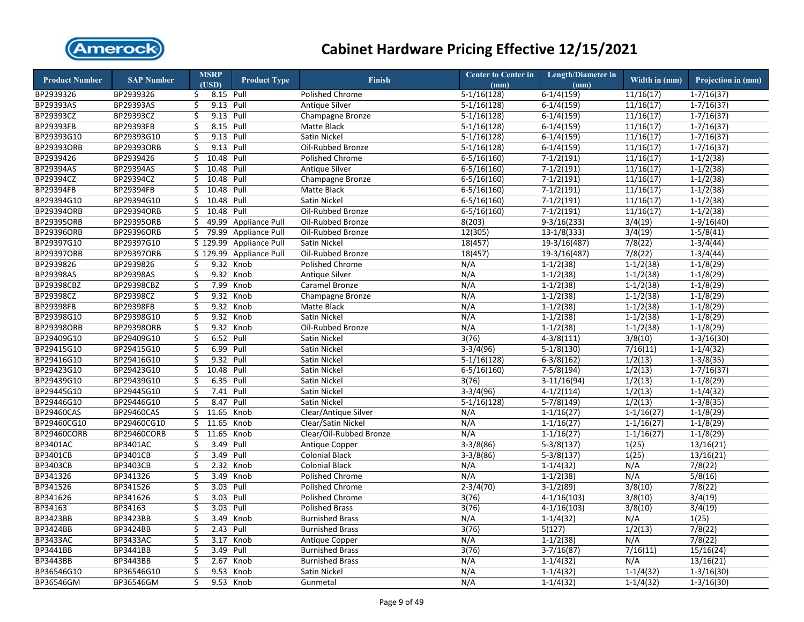

| $6-1/4(159)$<br>BP2939326<br>BP2939326<br>8.15 Pull<br>11/16(17)<br>$1 - 7/16(37)$<br><b>Polished Chrome</b><br>$5-1/16(128)$<br>\$<br><b>BP29393AS</b><br>9.13 Pull<br>11/16(17)<br>BP29393AS<br>\$<br><b>Antique Silver</b><br>$5-1/16(128)$<br>$6-1/4(159)$<br>$1-7/16(37)$<br>BP29393CZ<br>BP29393CZ<br>\$<br>9.13 Pull<br>$5-1/16(128)$<br>$6-1/4(159)$<br>11/16(17)<br>$1 - 7/16(37)$<br>Champagne Bronze<br>BP29393FB<br>BP29393FB<br>8.15<br>Pull<br>11/16(17)<br>\$<br>Matte Black<br>$5-1/16(128)$<br>$6-1/4(159)$<br>$1 - 7/16(37)$<br>BP29393G10<br>BP29393G10<br>9.13 Pull<br>Satin Nickel<br>\$<br>$5-1/16(128)$<br>$6-1/4(159)$<br>11/16(17)<br>$1 - 7/16(37)$<br><b>BP29393ORB</b><br>BP29393ORB<br>\$<br>9.13 Pull<br>Oil-Rubbed Bronze<br>11/16(17)<br>$5-1/16(128)$<br>$6-1/4(159)$<br>$1 - 7/16(37)$<br>BP2939426<br>BP2939426<br>\$<br>10.48 Pull<br>Polished Chrome<br>$6 - 5/16(160)$<br>$7-1/2(191)$<br>11/16(17)<br>$1-1/2(38)$<br><b>BP29394AS</b><br>BP29394AS<br>\$<br>10.48 Pull<br>Antique Silver<br>$7-1/2(191)$<br>11/16(17)<br>$1 - 1/2(38)$<br>$6 - 5/16(160)$<br>BP29394CZ<br>BP29394CZ<br>10.48<br>Pull<br>$7-1/2(191)$<br>11/16(17)<br>$1-1/2(38)$<br>\$<br>Champagne Bronze<br>$6 - 5/16(160)$<br>BP29394FB<br>BP29394FB<br>10.48 Pull<br>11/16(17)<br>\$<br>Matte Black<br>$6 - 5/16(160)$<br>$7-1/2(191)$<br>$1 - 1/2(38)$<br>BP29394G10<br>BP29394G10<br>\$<br>10.48<br>Pull<br>Satin Nickel<br>$6 - 5/16(160)$<br>$7-1/2(191)$<br>11/16(17)<br>$1-1/2(38)$<br>BP29394ORB<br>BP29394ORB<br>\$<br>10.48<br>$7-1/2(191)$<br>Pull<br>Oil-Rubbed Bronze<br>$6 - 5/16(160)$<br>11/16(17)<br>$1 - 1/2(38)$<br>BP29395ORB<br>BP29395ORB<br>Ś<br>49.99<br>8(203)<br>$9-3/16(233)$<br>3/4(19)<br>$1-9/16(40)$<br><b>Appliance Pull</b><br>Oil-Rubbed Bronze<br><b>BP29396ORB</b><br>\$<br>79.99<br>BP29396ORB<br><b>Appliance Pull</b><br>12(305)<br>$13-1/8(333)$<br>3/4(19)<br>$1-5/8(41)$<br>Oil-Rubbed Bronze<br>7/8(22)<br>BP29397G10<br>BP29397G10<br>\$129.99<br><b>Appliance Pull</b><br>Satin Nickel<br>18(457)<br>$19-3/16(487)$<br>$1-3/4(44)$<br><b>BP29397ORB</b><br>7/8(22)<br>BP29397ORB<br>\$129.99<br><b>Appliance Pull</b><br>18(457)<br>$19-3/16(487)$<br>$1-3/4(44)$<br>Oil-Rubbed Bronze<br>9.32<br>$1-1/2(38)$<br>BP2939826<br>BP2939826<br>\$<br>Knob<br>Polished Chrome<br>N/A<br>$1-1/2(38)$<br>$1-1/8(29)$<br><b>BP29398AS</b><br>BP29398AS<br>\$<br>9.32 Knob<br>N/A<br>$1-1/2(38)$<br>$1-1/2(38)$<br>$1-1/8(29)$<br>Antique Silver<br>BP29398CBZ<br>BP29398CBZ<br>\$<br>7.99<br>Knob<br>N/A<br>$1-1/2(38)$<br>$1-1/2(38)$<br>$1-1/8(29)$<br>Caramel Bronze<br>BP29398CZ<br>BP29398CZ<br>\$<br>9.32 Knob<br>$1-1/2(38)$<br>$1-1/2(38)$<br>N/A<br>$1-1/8(29)$<br>Champagne Bronze<br><b>BP29398FB</b><br><b>BP29398FB</b><br>\$<br>9.32<br>Knob<br>N/A<br>$1-1/2(38)$<br>Matte Black<br>$1 - 1/2(38)$<br>$1-1/8(29)$<br>BP29398G10<br>BP29398G10<br>\$<br>9.32<br>Knob<br>Satin Nickel<br>N/A<br>$1-1/2(38)$<br>$1-1/2(38)$<br>$1-1/8(29)$<br>BP29398ORB<br>BP29398ORB<br>\$<br>9.32 Knob<br>Oil-Rubbed Bronze<br>N/A<br>$1-1/2(38)$<br>$1-1/2(38)$<br>$1-1/8(29)$<br>BP29409G10<br>BP29409G10<br>\$<br>6.52 Pull<br>3(76)<br>$4 - 3/8(111)$<br>3/8(10)<br>Satin Nickel<br>$1 - 3/16(30)$<br>BP29415G10<br>BP29415G10<br>\$<br>6.99<br>7/16(11)<br>Pull<br>Satin Nickel<br>$3-3/4(96)$<br>$5-1/8(130)$<br>$1 - 1/4(32)$<br>BP29416G10<br>BP29416G10<br>\$<br>9.32<br>Pull<br>Satin Nickel<br>$5-1/16(128)$<br>$6-3/8(162)$<br>1/2(13)<br>$1-3/8(35)$<br>BP29423G10<br>BP29423G10<br>\$<br>10.48 Pull<br>1/2(13)<br>Satin Nickel<br>$6 - 5/16(160)$<br>$7-5/8(194)$<br>$1 - 7/16(37)$<br>BP29439G10<br>BP29439G10<br>\$<br>6.35<br>Pull<br>Satin Nickel<br>3(76)<br>$3-11/16(94)$<br>1/2(13)<br>$1-1/8(29)$<br>BP29445G10<br>BP29445G10<br>\$<br>7.41<br>Pull<br>$3-3/4(96)$<br>$4-1/2(114)$<br>1/2(13)<br>$1-1/4(32)$<br>Satin Nickel<br>8.47<br>Pull<br>1/2(13)<br>$1-3/8(35)$<br>BP29446G10<br>BP29446G10<br>\$<br>Satin Nickel<br>$5-1/16(128)$<br>$5-7/8(149)$<br>BP29460CAS<br><b>BP29460CAS</b><br>\$<br>11.65<br>Knob<br>Clear/Antique Silver<br>N/A<br>$1-1/16(27)$<br>$1-1/8(29)$<br>$1 - 1/16(27)$<br>$1-1/16(27)$<br>BP29460CG10<br>BP29460CG10<br>11.65<br>Knob<br>Clear/Satin Nickel<br>N/A<br>$1-1/16(27)$<br>$1-1/8(29)$<br>\$<br>11.65<br>BP29460CORB<br>BP29460CORB<br>Knob<br>N/A<br>$1-1/8(29)$<br>\$<br>Clear/Oil-Rubbed Bronze<br>$1 - 1/16(27)$<br>$1 - 1/16(27)$<br>BP3401AC<br>BP3401AC<br>\$<br>3.49<br>Pull<br>$3-3/8(86)$<br>$5-3/8(137)$<br>1(25)<br>Antique Copper<br>13/16(21)<br><b>BP3401CB</b><br>Pull<br>BP3401CB<br>\$<br>3.49<br><b>Colonial Black</b><br>$3-3/8(86)$<br>$5-3/8(137)$<br>1(25)<br>13/16(21)<br><b>BP3403CB</b><br><b>BP3403CB</b><br>2.32 Knob<br>N/A<br>\$<br><b>Colonial Black</b><br>N/A<br>$1-1/4(32)$<br>7/8(22)<br>BP341326<br>N/A<br>BP341326<br>\$<br>3.49<br>Knob<br>N/A<br>$1-1/2(38)$<br>5/8(16)<br><b>Polished Chrome</b><br>BP341526<br>3.03<br>3/8(10)<br>BP341526<br>\$<br>Pull<br>$2 - 3/4(70)$<br>$3-1/2(89)$<br>7/8(22)<br>Polished Chrome<br>BP341626<br>BP341626<br>\$<br>3.03<br>Pull<br>3(76)<br>3/8(10)<br><b>Polished Chrome</b><br>$4-1/16(103)$<br>3/4(19)<br>BP34163<br>BP34163<br>\$<br>3.03<br>Pull<br>3/8(10)<br><b>Polished Brass</b><br>3(76)<br>$4-1/16(103)$<br>3/4(19)<br><b>BP3423BB</b><br>BP3423BB<br>Knob<br><b>Burnished Brass</b><br>N/A<br>$1-1/4(32)$<br>N/A<br>1(25)<br>Ś<br>3.49<br><b>BP3424BB</b><br>1/2(13)<br><b>BP3424BB</b><br>\$<br>2.43<br>Pull<br><b>Burnished Brass</b><br>3(76)<br>5(127)<br>7/8(22)<br><b>BP3433AC</b><br><b>BP3433AC</b><br>\$<br>N/A<br>$1-1/2(38)$<br>N/A<br>7/8(22)<br>3.17<br>Knob<br>Antique Copper<br><b>BP3441BB</b><br>BP3441BB<br>\$<br>3.49<br>Pull<br>3(76)<br>$3-7/16(87)$<br>7/16(11)<br>15/16(24)<br><b>Burnished Brass</b><br><b>BP3443BB</b><br>\$<br>N/A<br><b>BP3443BB</b><br>2.67<br>Knob<br><b>Burnished Brass</b><br>N/A<br>$1-1/4(32)$<br>13/16(21)<br>BP36546G10<br>BP36546G10<br>\$<br>9.53<br>Knob<br>N/A<br>$1-1/4(32)$<br>Satin Nickel<br>$1 - 1/4(32)$<br>$1 - 3/16(30)$<br>9.53 Knob | <b>Product Number</b> | <b>SAP Number</b> | <b>MSRP</b><br>(USD) | <b>Product Type</b> | <b>Finish</b> | <b>Center to Center in</b><br>(mm) | <b>Length/Diameter in</b><br>(mm) | Width in (mm) | Projection in (mm) |
|-----------------------------------------------------------------------------------------------------------------------------------------------------------------------------------------------------------------------------------------------------------------------------------------------------------------------------------------------------------------------------------------------------------------------------------------------------------------------------------------------------------------------------------------------------------------------------------------------------------------------------------------------------------------------------------------------------------------------------------------------------------------------------------------------------------------------------------------------------------------------------------------------------------------------------------------------------------------------------------------------------------------------------------------------------------------------------------------------------------------------------------------------------------------------------------------------------------------------------------------------------------------------------------------------------------------------------------------------------------------------------------------------------------------------------------------------------------------------------------------------------------------------------------------------------------------------------------------------------------------------------------------------------------------------------------------------------------------------------------------------------------------------------------------------------------------------------------------------------------------------------------------------------------------------------------------------------------------------------------------------------------------------------------------------------------------------------------------------------------------------------------------------------------------------------------------------------------------------------------------------------------------------------------------------------------------------------------------------------------------------------------------------------------------------------------------------------------------------------------------------------------------------------------------------------------------------------------------------------------------------------------------------------------------------------------------------------------------------------------------------------------------------------------------------------------------------------------------------------------------------------------------------------------------------------------------------------------------------------------------------------------------------------------------------------------------------------------------------------------------------------------------------------------------------------------------------------------------------------------------------------------------------------------------------------------------------------------------------------------------------------------------------------------------------------------------------------------------------------------------------------------------------------------------------------------------------------------------------------------------------------------------------------------------------------------------------------------------------------------------------------------------------------------------------------------------------------------------------------------------------------------------------------------------------------------------------------------------------------------------------------------------------------------------------------------------------------------------------------------------------------------------------------------------------------------------------------------------------------------------------------------------------------------------------------------------------------------------------------------------------------------------------------------------------------------------------------------------------------------------------------------------------------------------------------------------------------------------------------------------------------------------------------------------------------------------------------------------------------------------------------------------------------------------------------------------------------------------------------------------------------------------------------------------------------------------------------------------------------------------------------------------------------------------------------------------------------------------------------------------------------------------------------------------------------------------------------------------------------------------------------------------------------------------------------------------------------------------------------------------------------------------------------------------------------------------------------------------------------------------------------------------------------------------------------------------------------------------------------------------------------------------------------------------------------------------------------------------------------------------------------------------------------------------------------------------------------------------------------------------------------------------------------------------------------------------------------------------------------------------------------------------------------------------------------------------------------------------------------------|-----------------------|-------------------|----------------------|---------------------|---------------|------------------------------------|-----------------------------------|---------------|--------------------|
|                                                                                                                                                                                                                                                                                                                                                                                                                                                                                                                                                                                                                                                                                                                                                                                                                                                                                                                                                                                                                                                                                                                                                                                                                                                                                                                                                                                                                                                                                                                                                                                                                                                                                                                                                                                                                                                                                                                                                                                                                                                                                                                                                                                                                                                                                                                                                                                                                                                                                                                                                                                                                                                                                                                                                                                                                                                                                                                                                                                                                                                                                                                                                                                                                                                                                                                                                                                                                                                                                                                                                                                                                                                                                                                                                                                                                                                                                                                                                                                                                                                                                                                                                                                                                                                                                                                                                                                                                                                                                                                                                                                                                                                                                                                                                                                                                                                                                                                                                                                                                                                                                                                                                                                                                                                                                                                                                                                                                                                                                                                                                                                                                                                                                                                                                                                                                                                                                                                                                                                                                                                                                                           |                       |                   |                      |                     |               |                                    |                                   |               |                    |
|                                                                                                                                                                                                                                                                                                                                                                                                                                                                                                                                                                                                                                                                                                                                                                                                                                                                                                                                                                                                                                                                                                                                                                                                                                                                                                                                                                                                                                                                                                                                                                                                                                                                                                                                                                                                                                                                                                                                                                                                                                                                                                                                                                                                                                                                                                                                                                                                                                                                                                                                                                                                                                                                                                                                                                                                                                                                                                                                                                                                                                                                                                                                                                                                                                                                                                                                                                                                                                                                                                                                                                                                                                                                                                                                                                                                                                                                                                                                                                                                                                                                                                                                                                                                                                                                                                                                                                                                                                                                                                                                                                                                                                                                                                                                                                                                                                                                                                                                                                                                                                                                                                                                                                                                                                                                                                                                                                                                                                                                                                                                                                                                                                                                                                                                                                                                                                                                                                                                                                                                                                                                                                           |                       |                   |                      |                     |               |                                    |                                   |               |                    |
|                                                                                                                                                                                                                                                                                                                                                                                                                                                                                                                                                                                                                                                                                                                                                                                                                                                                                                                                                                                                                                                                                                                                                                                                                                                                                                                                                                                                                                                                                                                                                                                                                                                                                                                                                                                                                                                                                                                                                                                                                                                                                                                                                                                                                                                                                                                                                                                                                                                                                                                                                                                                                                                                                                                                                                                                                                                                                                                                                                                                                                                                                                                                                                                                                                                                                                                                                                                                                                                                                                                                                                                                                                                                                                                                                                                                                                                                                                                                                                                                                                                                                                                                                                                                                                                                                                                                                                                                                                                                                                                                                                                                                                                                                                                                                                                                                                                                                                                                                                                                                                                                                                                                                                                                                                                                                                                                                                                                                                                                                                                                                                                                                                                                                                                                                                                                                                                                                                                                                                                                                                                                                                           |                       |                   |                      |                     |               |                                    |                                   |               |                    |
|                                                                                                                                                                                                                                                                                                                                                                                                                                                                                                                                                                                                                                                                                                                                                                                                                                                                                                                                                                                                                                                                                                                                                                                                                                                                                                                                                                                                                                                                                                                                                                                                                                                                                                                                                                                                                                                                                                                                                                                                                                                                                                                                                                                                                                                                                                                                                                                                                                                                                                                                                                                                                                                                                                                                                                                                                                                                                                                                                                                                                                                                                                                                                                                                                                                                                                                                                                                                                                                                                                                                                                                                                                                                                                                                                                                                                                                                                                                                                                                                                                                                                                                                                                                                                                                                                                                                                                                                                                                                                                                                                                                                                                                                                                                                                                                                                                                                                                                                                                                                                                                                                                                                                                                                                                                                                                                                                                                                                                                                                                                                                                                                                                                                                                                                                                                                                                                                                                                                                                                                                                                                                                           |                       |                   |                      |                     |               |                                    |                                   |               |                    |
|                                                                                                                                                                                                                                                                                                                                                                                                                                                                                                                                                                                                                                                                                                                                                                                                                                                                                                                                                                                                                                                                                                                                                                                                                                                                                                                                                                                                                                                                                                                                                                                                                                                                                                                                                                                                                                                                                                                                                                                                                                                                                                                                                                                                                                                                                                                                                                                                                                                                                                                                                                                                                                                                                                                                                                                                                                                                                                                                                                                                                                                                                                                                                                                                                                                                                                                                                                                                                                                                                                                                                                                                                                                                                                                                                                                                                                                                                                                                                                                                                                                                                                                                                                                                                                                                                                                                                                                                                                                                                                                                                                                                                                                                                                                                                                                                                                                                                                                                                                                                                                                                                                                                                                                                                                                                                                                                                                                                                                                                                                                                                                                                                                                                                                                                                                                                                                                                                                                                                                                                                                                                                                           |                       |                   |                      |                     |               |                                    |                                   |               |                    |
|                                                                                                                                                                                                                                                                                                                                                                                                                                                                                                                                                                                                                                                                                                                                                                                                                                                                                                                                                                                                                                                                                                                                                                                                                                                                                                                                                                                                                                                                                                                                                                                                                                                                                                                                                                                                                                                                                                                                                                                                                                                                                                                                                                                                                                                                                                                                                                                                                                                                                                                                                                                                                                                                                                                                                                                                                                                                                                                                                                                                                                                                                                                                                                                                                                                                                                                                                                                                                                                                                                                                                                                                                                                                                                                                                                                                                                                                                                                                                                                                                                                                                                                                                                                                                                                                                                                                                                                                                                                                                                                                                                                                                                                                                                                                                                                                                                                                                                                                                                                                                                                                                                                                                                                                                                                                                                                                                                                                                                                                                                                                                                                                                                                                                                                                                                                                                                                                                                                                                                                                                                                                                                           |                       |                   |                      |                     |               |                                    |                                   |               |                    |
|                                                                                                                                                                                                                                                                                                                                                                                                                                                                                                                                                                                                                                                                                                                                                                                                                                                                                                                                                                                                                                                                                                                                                                                                                                                                                                                                                                                                                                                                                                                                                                                                                                                                                                                                                                                                                                                                                                                                                                                                                                                                                                                                                                                                                                                                                                                                                                                                                                                                                                                                                                                                                                                                                                                                                                                                                                                                                                                                                                                                                                                                                                                                                                                                                                                                                                                                                                                                                                                                                                                                                                                                                                                                                                                                                                                                                                                                                                                                                                                                                                                                                                                                                                                                                                                                                                                                                                                                                                                                                                                                                                                                                                                                                                                                                                                                                                                                                                                                                                                                                                                                                                                                                                                                                                                                                                                                                                                                                                                                                                                                                                                                                                                                                                                                                                                                                                                                                                                                                                                                                                                                                                           |                       |                   |                      |                     |               |                                    |                                   |               |                    |
|                                                                                                                                                                                                                                                                                                                                                                                                                                                                                                                                                                                                                                                                                                                                                                                                                                                                                                                                                                                                                                                                                                                                                                                                                                                                                                                                                                                                                                                                                                                                                                                                                                                                                                                                                                                                                                                                                                                                                                                                                                                                                                                                                                                                                                                                                                                                                                                                                                                                                                                                                                                                                                                                                                                                                                                                                                                                                                                                                                                                                                                                                                                                                                                                                                                                                                                                                                                                                                                                                                                                                                                                                                                                                                                                                                                                                                                                                                                                                                                                                                                                                                                                                                                                                                                                                                                                                                                                                                                                                                                                                                                                                                                                                                                                                                                                                                                                                                                                                                                                                                                                                                                                                                                                                                                                                                                                                                                                                                                                                                                                                                                                                                                                                                                                                                                                                                                                                                                                                                                                                                                                                                           |                       |                   |                      |                     |               |                                    |                                   |               |                    |
|                                                                                                                                                                                                                                                                                                                                                                                                                                                                                                                                                                                                                                                                                                                                                                                                                                                                                                                                                                                                                                                                                                                                                                                                                                                                                                                                                                                                                                                                                                                                                                                                                                                                                                                                                                                                                                                                                                                                                                                                                                                                                                                                                                                                                                                                                                                                                                                                                                                                                                                                                                                                                                                                                                                                                                                                                                                                                                                                                                                                                                                                                                                                                                                                                                                                                                                                                                                                                                                                                                                                                                                                                                                                                                                                                                                                                                                                                                                                                                                                                                                                                                                                                                                                                                                                                                                                                                                                                                                                                                                                                                                                                                                                                                                                                                                                                                                                                                                                                                                                                                                                                                                                                                                                                                                                                                                                                                                                                                                                                                                                                                                                                                                                                                                                                                                                                                                                                                                                                                                                                                                                                                           |                       |                   |                      |                     |               |                                    |                                   |               |                    |
|                                                                                                                                                                                                                                                                                                                                                                                                                                                                                                                                                                                                                                                                                                                                                                                                                                                                                                                                                                                                                                                                                                                                                                                                                                                                                                                                                                                                                                                                                                                                                                                                                                                                                                                                                                                                                                                                                                                                                                                                                                                                                                                                                                                                                                                                                                                                                                                                                                                                                                                                                                                                                                                                                                                                                                                                                                                                                                                                                                                                                                                                                                                                                                                                                                                                                                                                                                                                                                                                                                                                                                                                                                                                                                                                                                                                                                                                                                                                                                                                                                                                                                                                                                                                                                                                                                                                                                                                                                                                                                                                                                                                                                                                                                                                                                                                                                                                                                                                                                                                                                                                                                                                                                                                                                                                                                                                                                                                                                                                                                                                                                                                                                                                                                                                                                                                                                                                                                                                                                                                                                                                                                           |                       |                   |                      |                     |               |                                    |                                   |               |                    |
|                                                                                                                                                                                                                                                                                                                                                                                                                                                                                                                                                                                                                                                                                                                                                                                                                                                                                                                                                                                                                                                                                                                                                                                                                                                                                                                                                                                                                                                                                                                                                                                                                                                                                                                                                                                                                                                                                                                                                                                                                                                                                                                                                                                                                                                                                                                                                                                                                                                                                                                                                                                                                                                                                                                                                                                                                                                                                                                                                                                                                                                                                                                                                                                                                                                                                                                                                                                                                                                                                                                                                                                                                                                                                                                                                                                                                                                                                                                                                                                                                                                                                                                                                                                                                                                                                                                                                                                                                                                                                                                                                                                                                                                                                                                                                                                                                                                                                                                                                                                                                                                                                                                                                                                                                                                                                                                                                                                                                                                                                                                                                                                                                                                                                                                                                                                                                                                                                                                                                                                                                                                                                                           |                       |                   |                      |                     |               |                                    |                                   |               |                    |
|                                                                                                                                                                                                                                                                                                                                                                                                                                                                                                                                                                                                                                                                                                                                                                                                                                                                                                                                                                                                                                                                                                                                                                                                                                                                                                                                                                                                                                                                                                                                                                                                                                                                                                                                                                                                                                                                                                                                                                                                                                                                                                                                                                                                                                                                                                                                                                                                                                                                                                                                                                                                                                                                                                                                                                                                                                                                                                                                                                                                                                                                                                                                                                                                                                                                                                                                                                                                                                                                                                                                                                                                                                                                                                                                                                                                                                                                                                                                                                                                                                                                                                                                                                                                                                                                                                                                                                                                                                                                                                                                                                                                                                                                                                                                                                                                                                                                                                                                                                                                                                                                                                                                                                                                                                                                                                                                                                                                                                                                                                                                                                                                                                                                                                                                                                                                                                                                                                                                                                                                                                                                                                           |                       |                   |                      |                     |               |                                    |                                   |               |                    |
|                                                                                                                                                                                                                                                                                                                                                                                                                                                                                                                                                                                                                                                                                                                                                                                                                                                                                                                                                                                                                                                                                                                                                                                                                                                                                                                                                                                                                                                                                                                                                                                                                                                                                                                                                                                                                                                                                                                                                                                                                                                                                                                                                                                                                                                                                                                                                                                                                                                                                                                                                                                                                                                                                                                                                                                                                                                                                                                                                                                                                                                                                                                                                                                                                                                                                                                                                                                                                                                                                                                                                                                                                                                                                                                                                                                                                                                                                                                                                                                                                                                                                                                                                                                                                                                                                                                                                                                                                                                                                                                                                                                                                                                                                                                                                                                                                                                                                                                                                                                                                                                                                                                                                                                                                                                                                                                                                                                                                                                                                                                                                                                                                                                                                                                                                                                                                                                                                                                                                                                                                                                                                                           |                       |                   |                      |                     |               |                                    |                                   |               |                    |
|                                                                                                                                                                                                                                                                                                                                                                                                                                                                                                                                                                                                                                                                                                                                                                                                                                                                                                                                                                                                                                                                                                                                                                                                                                                                                                                                                                                                                                                                                                                                                                                                                                                                                                                                                                                                                                                                                                                                                                                                                                                                                                                                                                                                                                                                                                                                                                                                                                                                                                                                                                                                                                                                                                                                                                                                                                                                                                                                                                                                                                                                                                                                                                                                                                                                                                                                                                                                                                                                                                                                                                                                                                                                                                                                                                                                                                                                                                                                                                                                                                                                                                                                                                                                                                                                                                                                                                                                                                                                                                                                                                                                                                                                                                                                                                                                                                                                                                                                                                                                                                                                                                                                                                                                                                                                                                                                                                                                                                                                                                                                                                                                                                                                                                                                                                                                                                                                                                                                                                                                                                                                                                           |                       |                   |                      |                     |               |                                    |                                   |               |                    |
|                                                                                                                                                                                                                                                                                                                                                                                                                                                                                                                                                                                                                                                                                                                                                                                                                                                                                                                                                                                                                                                                                                                                                                                                                                                                                                                                                                                                                                                                                                                                                                                                                                                                                                                                                                                                                                                                                                                                                                                                                                                                                                                                                                                                                                                                                                                                                                                                                                                                                                                                                                                                                                                                                                                                                                                                                                                                                                                                                                                                                                                                                                                                                                                                                                                                                                                                                                                                                                                                                                                                                                                                                                                                                                                                                                                                                                                                                                                                                                                                                                                                                                                                                                                                                                                                                                                                                                                                                                                                                                                                                                                                                                                                                                                                                                                                                                                                                                                                                                                                                                                                                                                                                                                                                                                                                                                                                                                                                                                                                                                                                                                                                                                                                                                                                                                                                                                                                                                                                                                                                                                                                                           |                       |                   |                      |                     |               |                                    |                                   |               |                    |
|                                                                                                                                                                                                                                                                                                                                                                                                                                                                                                                                                                                                                                                                                                                                                                                                                                                                                                                                                                                                                                                                                                                                                                                                                                                                                                                                                                                                                                                                                                                                                                                                                                                                                                                                                                                                                                                                                                                                                                                                                                                                                                                                                                                                                                                                                                                                                                                                                                                                                                                                                                                                                                                                                                                                                                                                                                                                                                                                                                                                                                                                                                                                                                                                                                                                                                                                                                                                                                                                                                                                                                                                                                                                                                                                                                                                                                                                                                                                                                                                                                                                                                                                                                                                                                                                                                                                                                                                                                                                                                                                                                                                                                                                                                                                                                                                                                                                                                                                                                                                                                                                                                                                                                                                                                                                                                                                                                                                                                                                                                                                                                                                                                                                                                                                                                                                                                                                                                                                                                                                                                                                                                           |                       |                   |                      |                     |               |                                    |                                   |               |                    |
|                                                                                                                                                                                                                                                                                                                                                                                                                                                                                                                                                                                                                                                                                                                                                                                                                                                                                                                                                                                                                                                                                                                                                                                                                                                                                                                                                                                                                                                                                                                                                                                                                                                                                                                                                                                                                                                                                                                                                                                                                                                                                                                                                                                                                                                                                                                                                                                                                                                                                                                                                                                                                                                                                                                                                                                                                                                                                                                                                                                                                                                                                                                                                                                                                                                                                                                                                                                                                                                                                                                                                                                                                                                                                                                                                                                                                                                                                                                                                                                                                                                                                                                                                                                                                                                                                                                                                                                                                                                                                                                                                                                                                                                                                                                                                                                                                                                                                                                                                                                                                                                                                                                                                                                                                                                                                                                                                                                                                                                                                                                                                                                                                                                                                                                                                                                                                                                                                                                                                                                                                                                                                                           |                       |                   |                      |                     |               |                                    |                                   |               |                    |
|                                                                                                                                                                                                                                                                                                                                                                                                                                                                                                                                                                                                                                                                                                                                                                                                                                                                                                                                                                                                                                                                                                                                                                                                                                                                                                                                                                                                                                                                                                                                                                                                                                                                                                                                                                                                                                                                                                                                                                                                                                                                                                                                                                                                                                                                                                                                                                                                                                                                                                                                                                                                                                                                                                                                                                                                                                                                                                                                                                                                                                                                                                                                                                                                                                                                                                                                                                                                                                                                                                                                                                                                                                                                                                                                                                                                                                                                                                                                                                                                                                                                                                                                                                                                                                                                                                                                                                                                                                                                                                                                                                                                                                                                                                                                                                                                                                                                                                                                                                                                                                                                                                                                                                                                                                                                                                                                                                                                                                                                                                                                                                                                                                                                                                                                                                                                                                                                                                                                                                                                                                                                                                           |                       |                   |                      |                     |               |                                    |                                   |               |                    |
|                                                                                                                                                                                                                                                                                                                                                                                                                                                                                                                                                                                                                                                                                                                                                                                                                                                                                                                                                                                                                                                                                                                                                                                                                                                                                                                                                                                                                                                                                                                                                                                                                                                                                                                                                                                                                                                                                                                                                                                                                                                                                                                                                                                                                                                                                                                                                                                                                                                                                                                                                                                                                                                                                                                                                                                                                                                                                                                                                                                                                                                                                                                                                                                                                                                                                                                                                                                                                                                                                                                                                                                                                                                                                                                                                                                                                                                                                                                                                                                                                                                                                                                                                                                                                                                                                                                                                                                                                                                                                                                                                                                                                                                                                                                                                                                                                                                                                                                                                                                                                                                                                                                                                                                                                                                                                                                                                                                                                                                                                                                                                                                                                                                                                                                                                                                                                                                                                                                                                                                                                                                                                                           |                       |                   |                      |                     |               |                                    |                                   |               |                    |
|                                                                                                                                                                                                                                                                                                                                                                                                                                                                                                                                                                                                                                                                                                                                                                                                                                                                                                                                                                                                                                                                                                                                                                                                                                                                                                                                                                                                                                                                                                                                                                                                                                                                                                                                                                                                                                                                                                                                                                                                                                                                                                                                                                                                                                                                                                                                                                                                                                                                                                                                                                                                                                                                                                                                                                                                                                                                                                                                                                                                                                                                                                                                                                                                                                                                                                                                                                                                                                                                                                                                                                                                                                                                                                                                                                                                                                                                                                                                                                                                                                                                                                                                                                                                                                                                                                                                                                                                                                                                                                                                                                                                                                                                                                                                                                                                                                                                                                                                                                                                                                                                                                                                                                                                                                                                                                                                                                                                                                                                                                                                                                                                                                                                                                                                                                                                                                                                                                                                                                                                                                                                                                           |                       |                   |                      |                     |               |                                    |                                   |               |                    |
|                                                                                                                                                                                                                                                                                                                                                                                                                                                                                                                                                                                                                                                                                                                                                                                                                                                                                                                                                                                                                                                                                                                                                                                                                                                                                                                                                                                                                                                                                                                                                                                                                                                                                                                                                                                                                                                                                                                                                                                                                                                                                                                                                                                                                                                                                                                                                                                                                                                                                                                                                                                                                                                                                                                                                                                                                                                                                                                                                                                                                                                                                                                                                                                                                                                                                                                                                                                                                                                                                                                                                                                                                                                                                                                                                                                                                                                                                                                                                                                                                                                                                                                                                                                                                                                                                                                                                                                                                                                                                                                                                                                                                                                                                                                                                                                                                                                                                                                                                                                                                                                                                                                                                                                                                                                                                                                                                                                                                                                                                                                                                                                                                                                                                                                                                                                                                                                                                                                                                                                                                                                                                                           |                       |                   |                      |                     |               |                                    |                                   |               |                    |
|                                                                                                                                                                                                                                                                                                                                                                                                                                                                                                                                                                                                                                                                                                                                                                                                                                                                                                                                                                                                                                                                                                                                                                                                                                                                                                                                                                                                                                                                                                                                                                                                                                                                                                                                                                                                                                                                                                                                                                                                                                                                                                                                                                                                                                                                                                                                                                                                                                                                                                                                                                                                                                                                                                                                                                                                                                                                                                                                                                                                                                                                                                                                                                                                                                                                                                                                                                                                                                                                                                                                                                                                                                                                                                                                                                                                                                                                                                                                                                                                                                                                                                                                                                                                                                                                                                                                                                                                                                                                                                                                                                                                                                                                                                                                                                                                                                                                                                                                                                                                                                                                                                                                                                                                                                                                                                                                                                                                                                                                                                                                                                                                                                                                                                                                                                                                                                                                                                                                                                                                                                                                                                           |                       |                   |                      |                     |               |                                    |                                   |               |                    |
|                                                                                                                                                                                                                                                                                                                                                                                                                                                                                                                                                                                                                                                                                                                                                                                                                                                                                                                                                                                                                                                                                                                                                                                                                                                                                                                                                                                                                                                                                                                                                                                                                                                                                                                                                                                                                                                                                                                                                                                                                                                                                                                                                                                                                                                                                                                                                                                                                                                                                                                                                                                                                                                                                                                                                                                                                                                                                                                                                                                                                                                                                                                                                                                                                                                                                                                                                                                                                                                                                                                                                                                                                                                                                                                                                                                                                                                                                                                                                                                                                                                                                                                                                                                                                                                                                                                                                                                                                                                                                                                                                                                                                                                                                                                                                                                                                                                                                                                                                                                                                                                                                                                                                                                                                                                                                                                                                                                                                                                                                                                                                                                                                                                                                                                                                                                                                                                                                                                                                                                                                                                                                                           |                       |                   |                      |                     |               |                                    |                                   |               |                    |
|                                                                                                                                                                                                                                                                                                                                                                                                                                                                                                                                                                                                                                                                                                                                                                                                                                                                                                                                                                                                                                                                                                                                                                                                                                                                                                                                                                                                                                                                                                                                                                                                                                                                                                                                                                                                                                                                                                                                                                                                                                                                                                                                                                                                                                                                                                                                                                                                                                                                                                                                                                                                                                                                                                                                                                                                                                                                                                                                                                                                                                                                                                                                                                                                                                                                                                                                                                                                                                                                                                                                                                                                                                                                                                                                                                                                                                                                                                                                                                                                                                                                                                                                                                                                                                                                                                                                                                                                                                                                                                                                                                                                                                                                                                                                                                                                                                                                                                                                                                                                                                                                                                                                                                                                                                                                                                                                                                                                                                                                                                                                                                                                                                                                                                                                                                                                                                                                                                                                                                                                                                                                                                           |                       |                   |                      |                     |               |                                    |                                   |               |                    |
|                                                                                                                                                                                                                                                                                                                                                                                                                                                                                                                                                                                                                                                                                                                                                                                                                                                                                                                                                                                                                                                                                                                                                                                                                                                                                                                                                                                                                                                                                                                                                                                                                                                                                                                                                                                                                                                                                                                                                                                                                                                                                                                                                                                                                                                                                                                                                                                                                                                                                                                                                                                                                                                                                                                                                                                                                                                                                                                                                                                                                                                                                                                                                                                                                                                                                                                                                                                                                                                                                                                                                                                                                                                                                                                                                                                                                                                                                                                                                                                                                                                                                                                                                                                                                                                                                                                                                                                                                                                                                                                                                                                                                                                                                                                                                                                                                                                                                                                                                                                                                                                                                                                                                                                                                                                                                                                                                                                                                                                                                                                                                                                                                                                                                                                                                                                                                                                                                                                                                                                                                                                                                                           |                       |                   |                      |                     |               |                                    |                                   |               |                    |
|                                                                                                                                                                                                                                                                                                                                                                                                                                                                                                                                                                                                                                                                                                                                                                                                                                                                                                                                                                                                                                                                                                                                                                                                                                                                                                                                                                                                                                                                                                                                                                                                                                                                                                                                                                                                                                                                                                                                                                                                                                                                                                                                                                                                                                                                                                                                                                                                                                                                                                                                                                                                                                                                                                                                                                                                                                                                                                                                                                                                                                                                                                                                                                                                                                                                                                                                                                                                                                                                                                                                                                                                                                                                                                                                                                                                                                                                                                                                                                                                                                                                                                                                                                                                                                                                                                                                                                                                                                                                                                                                                                                                                                                                                                                                                                                                                                                                                                                                                                                                                                                                                                                                                                                                                                                                                                                                                                                                                                                                                                                                                                                                                                                                                                                                                                                                                                                                                                                                                                                                                                                                                                           |                       |                   |                      |                     |               |                                    |                                   |               |                    |
|                                                                                                                                                                                                                                                                                                                                                                                                                                                                                                                                                                                                                                                                                                                                                                                                                                                                                                                                                                                                                                                                                                                                                                                                                                                                                                                                                                                                                                                                                                                                                                                                                                                                                                                                                                                                                                                                                                                                                                                                                                                                                                                                                                                                                                                                                                                                                                                                                                                                                                                                                                                                                                                                                                                                                                                                                                                                                                                                                                                                                                                                                                                                                                                                                                                                                                                                                                                                                                                                                                                                                                                                                                                                                                                                                                                                                                                                                                                                                                                                                                                                                                                                                                                                                                                                                                                                                                                                                                                                                                                                                                                                                                                                                                                                                                                                                                                                                                                                                                                                                                                                                                                                                                                                                                                                                                                                                                                                                                                                                                                                                                                                                                                                                                                                                                                                                                                                                                                                                                                                                                                                                                           |                       |                   |                      |                     |               |                                    |                                   |               |                    |
|                                                                                                                                                                                                                                                                                                                                                                                                                                                                                                                                                                                                                                                                                                                                                                                                                                                                                                                                                                                                                                                                                                                                                                                                                                                                                                                                                                                                                                                                                                                                                                                                                                                                                                                                                                                                                                                                                                                                                                                                                                                                                                                                                                                                                                                                                                                                                                                                                                                                                                                                                                                                                                                                                                                                                                                                                                                                                                                                                                                                                                                                                                                                                                                                                                                                                                                                                                                                                                                                                                                                                                                                                                                                                                                                                                                                                                                                                                                                                                                                                                                                                                                                                                                                                                                                                                                                                                                                                                                                                                                                                                                                                                                                                                                                                                                                                                                                                                                                                                                                                                                                                                                                                                                                                                                                                                                                                                                                                                                                                                                                                                                                                                                                                                                                                                                                                                                                                                                                                                                                                                                                                                           |                       |                   |                      |                     |               |                                    |                                   |               |                    |
|                                                                                                                                                                                                                                                                                                                                                                                                                                                                                                                                                                                                                                                                                                                                                                                                                                                                                                                                                                                                                                                                                                                                                                                                                                                                                                                                                                                                                                                                                                                                                                                                                                                                                                                                                                                                                                                                                                                                                                                                                                                                                                                                                                                                                                                                                                                                                                                                                                                                                                                                                                                                                                                                                                                                                                                                                                                                                                                                                                                                                                                                                                                                                                                                                                                                                                                                                                                                                                                                                                                                                                                                                                                                                                                                                                                                                                                                                                                                                                                                                                                                                                                                                                                                                                                                                                                                                                                                                                                                                                                                                                                                                                                                                                                                                                                                                                                                                                                                                                                                                                                                                                                                                                                                                                                                                                                                                                                                                                                                                                                                                                                                                                                                                                                                                                                                                                                                                                                                                                                                                                                                                                           |                       |                   |                      |                     |               |                                    |                                   |               |                    |
|                                                                                                                                                                                                                                                                                                                                                                                                                                                                                                                                                                                                                                                                                                                                                                                                                                                                                                                                                                                                                                                                                                                                                                                                                                                                                                                                                                                                                                                                                                                                                                                                                                                                                                                                                                                                                                                                                                                                                                                                                                                                                                                                                                                                                                                                                                                                                                                                                                                                                                                                                                                                                                                                                                                                                                                                                                                                                                                                                                                                                                                                                                                                                                                                                                                                                                                                                                                                                                                                                                                                                                                                                                                                                                                                                                                                                                                                                                                                                                                                                                                                                                                                                                                                                                                                                                                                                                                                                                                                                                                                                                                                                                                                                                                                                                                                                                                                                                                                                                                                                                                                                                                                                                                                                                                                                                                                                                                                                                                                                                                                                                                                                                                                                                                                                                                                                                                                                                                                                                                                                                                                                                           |                       |                   |                      |                     |               |                                    |                                   |               |                    |
|                                                                                                                                                                                                                                                                                                                                                                                                                                                                                                                                                                                                                                                                                                                                                                                                                                                                                                                                                                                                                                                                                                                                                                                                                                                                                                                                                                                                                                                                                                                                                                                                                                                                                                                                                                                                                                                                                                                                                                                                                                                                                                                                                                                                                                                                                                                                                                                                                                                                                                                                                                                                                                                                                                                                                                                                                                                                                                                                                                                                                                                                                                                                                                                                                                                                                                                                                                                                                                                                                                                                                                                                                                                                                                                                                                                                                                                                                                                                                                                                                                                                                                                                                                                                                                                                                                                                                                                                                                                                                                                                                                                                                                                                                                                                                                                                                                                                                                                                                                                                                                                                                                                                                                                                                                                                                                                                                                                                                                                                                                                                                                                                                                                                                                                                                                                                                                                                                                                                                                                                                                                                                                           |                       |                   |                      |                     |               |                                    |                                   |               |                    |
|                                                                                                                                                                                                                                                                                                                                                                                                                                                                                                                                                                                                                                                                                                                                                                                                                                                                                                                                                                                                                                                                                                                                                                                                                                                                                                                                                                                                                                                                                                                                                                                                                                                                                                                                                                                                                                                                                                                                                                                                                                                                                                                                                                                                                                                                                                                                                                                                                                                                                                                                                                                                                                                                                                                                                                                                                                                                                                                                                                                                                                                                                                                                                                                                                                                                                                                                                                                                                                                                                                                                                                                                                                                                                                                                                                                                                                                                                                                                                                                                                                                                                                                                                                                                                                                                                                                                                                                                                                                                                                                                                                                                                                                                                                                                                                                                                                                                                                                                                                                                                                                                                                                                                                                                                                                                                                                                                                                                                                                                                                                                                                                                                                                                                                                                                                                                                                                                                                                                                                                                                                                                                                           |                       |                   |                      |                     |               |                                    |                                   |               |                    |
|                                                                                                                                                                                                                                                                                                                                                                                                                                                                                                                                                                                                                                                                                                                                                                                                                                                                                                                                                                                                                                                                                                                                                                                                                                                                                                                                                                                                                                                                                                                                                                                                                                                                                                                                                                                                                                                                                                                                                                                                                                                                                                                                                                                                                                                                                                                                                                                                                                                                                                                                                                                                                                                                                                                                                                                                                                                                                                                                                                                                                                                                                                                                                                                                                                                                                                                                                                                                                                                                                                                                                                                                                                                                                                                                                                                                                                                                                                                                                                                                                                                                                                                                                                                                                                                                                                                                                                                                                                                                                                                                                                                                                                                                                                                                                                                                                                                                                                                                                                                                                                                                                                                                                                                                                                                                                                                                                                                                                                                                                                                                                                                                                                                                                                                                                                                                                                                                                                                                                                                                                                                                                                           |                       |                   |                      |                     |               |                                    |                                   |               |                    |
|                                                                                                                                                                                                                                                                                                                                                                                                                                                                                                                                                                                                                                                                                                                                                                                                                                                                                                                                                                                                                                                                                                                                                                                                                                                                                                                                                                                                                                                                                                                                                                                                                                                                                                                                                                                                                                                                                                                                                                                                                                                                                                                                                                                                                                                                                                                                                                                                                                                                                                                                                                                                                                                                                                                                                                                                                                                                                                                                                                                                                                                                                                                                                                                                                                                                                                                                                                                                                                                                                                                                                                                                                                                                                                                                                                                                                                                                                                                                                                                                                                                                                                                                                                                                                                                                                                                                                                                                                                                                                                                                                                                                                                                                                                                                                                                                                                                                                                                                                                                                                                                                                                                                                                                                                                                                                                                                                                                                                                                                                                                                                                                                                                                                                                                                                                                                                                                                                                                                                                                                                                                                                                           |                       |                   |                      |                     |               |                                    |                                   |               |                    |
|                                                                                                                                                                                                                                                                                                                                                                                                                                                                                                                                                                                                                                                                                                                                                                                                                                                                                                                                                                                                                                                                                                                                                                                                                                                                                                                                                                                                                                                                                                                                                                                                                                                                                                                                                                                                                                                                                                                                                                                                                                                                                                                                                                                                                                                                                                                                                                                                                                                                                                                                                                                                                                                                                                                                                                                                                                                                                                                                                                                                                                                                                                                                                                                                                                                                                                                                                                                                                                                                                                                                                                                                                                                                                                                                                                                                                                                                                                                                                                                                                                                                                                                                                                                                                                                                                                                                                                                                                                                                                                                                                                                                                                                                                                                                                                                                                                                                                                                                                                                                                                                                                                                                                                                                                                                                                                                                                                                                                                                                                                                                                                                                                                                                                                                                                                                                                                                                                                                                                                                                                                                                                                           |                       |                   |                      |                     |               |                                    |                                   |               |                    |
|                                                                                                                                                                                                                                                                                                                                                                                                                                                                                                                                                                                                                                                                                                                                                                                                                                                                                                                                                                                                                                                                                                                                                                                                                                                                                                                                                                                                                                                                                                                                                                                                                                                                                                                                                                                                                                                                                                                                                                                                                                                                                                                                                                                                                                                                                                                                                                                                                                                                                                                                                                                                                                                                                                                                                                                                                                                                                                                                                                                                                                                                                                                                                                                                                                                                                                                                                                                                                                                                                                                                                                                                                                                                                                                                                                                                                                                                                                                                                                                                                                                                                                                                                                                                                                                                                                                                                                                                                                                                                                                                                                                                                                                                                                                                                                                                                                                                                                                                                                                                                                                                                                                                                                                                                                                                                                                                                                                                                                                                                                                                                                                                                                                                                                                                                                                                                                                                                                                                                                                                                                                                                                           |                       |                   |                      |                     |               |                                    |                                   |               |                    |
|                                                                                                                                                                                                                                                                                                                                                                                                                                                                                                                                                                                                                                                                                                                                                                                                                                                                                                                                                                                                                                                                                                                                                                                                                                                                                                                                                                                                                                                                                                                                                                                                                                                                                                                                                                                                                                                                                                                                                                                                                                                                                                                                                                                                                                                                                                                                                                                                                                                                                                                                                                                                                                                                                                                                                                                                                                                                                                                                                                                                                                                                                                                                                                                                                                                                                                                                                                                                                                                                                                                                                                                                                                                                                                                                                                                                                                                                                                                                                                                                                                                                                                                                                                                                                                                                                                                                                                                                                                                                                                                                                                                                                                                                                                                                                                                                                                                                                                                                                                                                                                                                                                                                                                                                                                                                                                                                                                                                                                                                                                                                                                                                                                                                                                                                                                                                                                                                                                                                                                                                                                                                                                           |                       |                   |                      |                     |               |                                    |                                   |               |                    |
|                                                                                                                                                                                                                                                                                                                                                                                                                                                                                                                                                                                                                                                                                                                                                                                                                                                                                                                                                                                                                                                                                                                                                                                                                                                                                                                                                                                                                                                                                                                                                                                                                                                                                                                                                                                                                                                                                                                                                                                                                                                                                                                                                                                                                                                                                                                                                                                                                                                                                                                                                                                                                                                                                                                                                                                                                                                                                                                                                                                                                                                                                                                                                                                                                                                                                                                                                                                                                                                                                                                                                                                                                                                                                                                                                                                                                                                                                                                                                                                                                                                                                                                                                                                                                                                                                                                                                                                                                                                                                                                                                                                                                                                                                                                                                                                                                                                                                                                                                                                                                                                                                                                                                                                                                                                                                                                                                                                                                                                                                                                                                                                                                                                                                                                                                                                                                                                                                                                                                                                                                                                                                                           |                       |                   |                      |                     |               |                                    |                                   |               |                    |
|                                                                                                                                                                                                                                                                                                                                                                                                                                                                                                                                                                                                                                                                                                                                                                                                                                                                                                                                                                                                                                                                                                                                                                                                                                                                                                                                                                                                                                                                                                                                                                                                                                                                                                                                                                                                                                                                                                                                                                                                                                                                                                                                                                                                                                                                                                                                                                                                                                                                                                                                                                                                                                                                                                                                                                                                                                                                                                                                                                                                                                                                                                                                                                                                                                                                                                                                                                                                                                                                                                                                                                                                                                                                                                                                                                                                                                                                                                                                                                                                                                                                                                                                                                                                                                                                                                                                                                                                                                                                                                                                                                                                                                                                                                                                                                                                                                                                                                                                                                                                                                                                                                                                                                                                                                                                                                                                                                                                                                                                                                                                                                                                                                                                                                                                                                                                                                                                                                                                                                                                                                                                                                           |                       |                   |                      |                     |               |                                    |                                   |               |                    |
|                                                                                                                                                                                                                                                                                                                                                                                                                                                                                                                                                                                                                                                                                                                                                                                                                                                                                                                                                                                                                                                                                                                                                                                                                                                                                                                                                                                                                                                                                                                                                                                                                                                                                                                                                                                                                                                                                                                                                                                                                                                                                                                                                                                                                                                                                                                                                                                                                                                                                                                                                                                                                                                                                                                                                                                                                                                                                                                                                                                                                                                                                                                                                                                                                                                                                                                                                                                                                                                                                                                                                                                                                                                                                                                                                                                                                                                                                                                                                                                                                                                                                                                                                                                                                                                                                                                                                                                                                                                                                                                                                                                                                                                                                                                                                                                                                                                                                                                                                                                                                                                                                                                                                                                                                                                                                                                                                                                                                                                                                                                                                                                                                                                                                                                                                                                                                                                                                                                                                                                                                                                                                                           |                       |                   |                      |                     |               |                                    |                                   |               |                    |
|                                                                                                                                                                                                                                                                                                                                                                                                                                                                                                                                                                                                                                                                                                                                                                                                                                                                                                                                                                                                                                                                                                                                                                                                                                                                                                                                                                                                                                                                                                                                                                                                                                                                                                                                                                                                                                                                                                                                                                                                                                                                                                                                                                                                                                                                                                                                                                                                                                                                                                                                                                                                                                                                                                                                                                                                                                                                                                                                                                                                                                                                                                                                                                                                                                                                                                                                                                                                                                                                                                                                                                                                                                                                                                                                                                                                                                                                                                                                                                                                                                                                                                                                                                                                                                                                                                                                                                                                                                                                                                                                                                                                                                                                                                                                                                                                                                                                                                                                                                                                                                                                                                                                                                                                                                                                                                                                                                                                                                                                                                                                                                                                                                                                                                                                                                                                                                                                                                                                                                                                                                                                                                           |                       |                   |                      |                     |               |                                    |                                   |               |                    |
|                                                                                                                                                                                                                                                                                                                                                                                                                                                                                                                                                                                                                                                                                                                                                                                                                                                                                                                                                                                                                                                                                                                                                                                                                                                                                                                                                                                                                                                                                                                                                                                                                                                                                                                                                                                                                                                                                                                                                                                                                                                                                                                                                                                                                                                                                                                                                                                                                                                                                                                                                                                                                                                                                                                                                                                                                                                                                                                                                                                                                                                                                                                                                                                                                                                                                                                                                                                                                                                                                                                                                                                                                                                                                                                                                                                                                                                                                                                                                                                                                                                                                                                                                                                                                                                                                                                                                                                                                                                                                                                                                                                                                                                                                                                                                                                                                                                                                                                                                                                                                                                                                                                                                                                                                                                                                                                                                                                                                                                                                                                                                                                                                                                                                                                                                                                                                                                                                                                                                                                                                                                                                                           |                       |                   |                      |                     |               |                                    |                                   |               |                    |
|                                                                                                                                                                                                                                                                                                                                                                                                                                                                                                                                                                                                                                                                                                                                                                                                                                                                                                                                                                                                                                                                                                                                                                                                                                                                                                                                                                                                                                                                                                                                                                                                                                                                                                                                                                                                                                                                                                                                                                                                                                                                                                                                                                                                                                                                                                                                                                                                                                                                                                                                                                                                                                                                                                                                                                                                                                                                                                                                                                                                                                                                                                                                                                                                                                                                                                                                                                                                                                                                                                                                                                                                                                                                                                                                                                                                                                                                                                                                                                                                                                                                                                                                                                                                                                                                                                                                                                                                                                                                                                                                                                                                                                                                                                                                                                                                                                                                                                                                                                                                                                                                                                                                                                                                                                                                                                                                                                                                                                                                                                                                                                                                                                                                                                                                                                                                                                                                                                                                                                                                                                                                                                           |                       |                   |                      |                     |               |                                    |                                   |               |                    |
|                                                                                                                                                                                                                                                                                                                                                                                                                                                                                                                                                                                                                                                                                                                                                                                                                                                                                                                                                                                                                                                                                                                                                                                                                                                                                                                                                                                                                                                                                                                                                                                                                                                                                                                                                                                                                                                                                                                                                                                                                                                                                                                                                                                                                                                                                                                                                                                                                                                                                                                                                                                                                                                                                                                                                                                                                                                                                                                                                                                                                                                                                                                                                                                                                                                                                                                                                                                                                                                                                                                                                                                                                                                                                                                                                                                                                                                                                                                                                                                                                                                                                                                                                                                                                                                                                                                                                                                                                                                                                                                                                                                                                                                                                                                                                                                                                                                                                                                                                                                                                                                                                                                                                                                                                                                                                                                                                                                                                                                                                                                                                                                                                                                                                                                                                                                                                                                                                                                                                                                                                                                                                                           |                       |                   |                      |                     |               |                                    |                                   |               |                    |
|                                                                                                                                                                                                                                                                                                                                                                                                                                                                                                                                                                                                                                                                                                                                                                                                                                                                                                                                                                                                                                                                                                                                                                                                                                                                                                                                                                                                                                                                                                                                                                                                                                                                                                                                                                                                                                                                                                                                                                                                                                                                                                                                                                                                                                                                                                                                                                                                                                                                                                                                                                                                                                                                                                                                                                                                                                                                                                                                                                                                                                                                                                                                                                                                                                                                                                                                                                                                                                                                                                                                                                                                                                                                                                                                                                                                                                                                                                                                                                                                                                                                                                                                                                                                                                                                                                                                                                                                                                                                                                                                                                                                                                                                                                                                                                                                                                                                                                                                                                                                                                                                                                                                                                                                                                                                                                                                                                                                                                                                                                                                                                                                                                                                                                                                                                                                                                                                                                                                                                                                                                                                                                           |                       |                   |                      |                     |               |                                    |                                   |               |                    |
|                                                                                                                                                                                                                                                                                                                                                                                                                                                                                                                                                                                                                                                                                                                                                                                                                                                                                                                                                                                                                                                                                                                                                                                                                                                                                                                                                                                                                                                                                                                                                                                                                                                                                                                                                                                                                                                                                                                                                                                                                                                                                                                                                                                                                                                                                                                                                                                                                                                                                                                                                                                                                                                                                                                                                                                                                                                                                                                                                                                                                                                                                                                                                                                                                                                                                                                                                                                                                                                                                                                                                                                                                                                                                                                                                                                                                                                                                                                                                                                                                                                                                                                                                                                                                                                                                                                                                                                                                                                                                                                                                                                                                                                                                                                                                                                                                                                                                                                                                                                                                                                                                                                                                                                                                                                                                                                                                                                                                                                                                                                                                                                                                                                                                                                                                                                                                                                                                                                                                                                                                                                                                                           |                       |                   |                      |                     |               |                                    |                                   |               |                    |
|                                                                                                                                                                                                                                                                                                                                                                                                                                                                                                                                                                                                                                                                                                                                                                                                                                                                                                                                                                                                                                                                                                                                                                                                                                                                                                                                                                                                                                                                                                                                                                                                                                                                                                                                                                                                                                                                                                                                                                                                                                                                                                                                                                                                                                                                                                                                                                                                                                                                                                                                                                                                                                                                                                                                                                                                                                                                                                                                                                                                                                                                                                                                                                                                                                                                                                                                                                                                                                                                                                                                                                                                                                                                                                                                                                                                                                                                                                                                                                                                                                                                                                                                                                                                                                                                                                                                                                                                                                                                                                                                                                                                                                                                                                                                                                                                                                                                                                                                                                                                                                                                                                                                                                                                                                                                                                                                                                                                                                                                                                                                                                                                                                                                                                                                                                                                                                                                                                                                                                                                                                                                                                           | BP36546GM             | BP36546GM         | \$                   |                     | Gunmetal      | N/A                                | $1-1/4(32)$                       | $1-1/4(32)$   | $1-3/16(30)$       |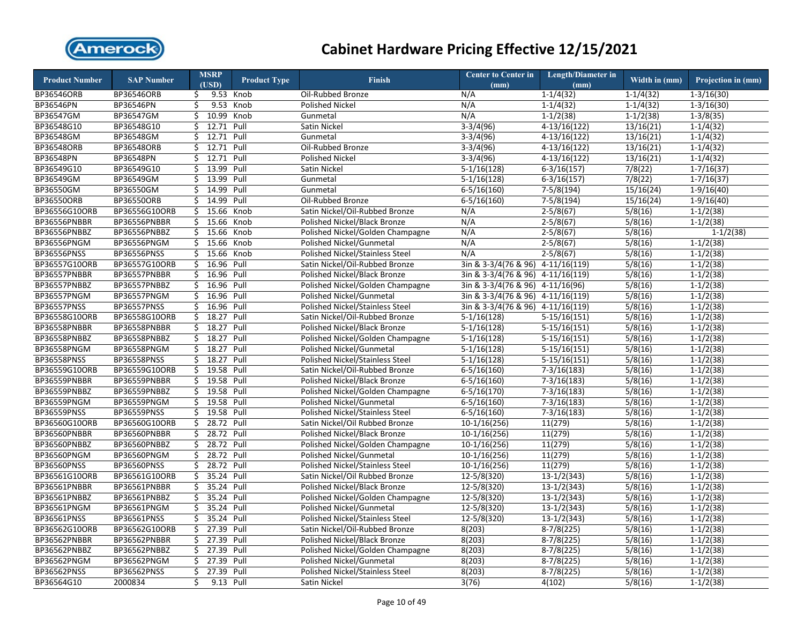

| <b>Product Number</b> | <b>SAP Number</b>  |     | <b>MSRP</b><br>(USD) | <b>Product Type</b> | <b>Finish</b>                          | <b>Center to Center in</b><br>(mm) | <b>Length/Diameter in</b><br>(mm) | Width in (mm) | Projection in (mm)     |
|-----------------------|--------------------|-----|----------------------|---------------------|----------------------------------------|------------------------------------|-----------------------------------|---------------|------------------------|
| BP36546ORB            | BP36546ORB         | \$  |                      | 9.53 Knob           | Oil-Rubbed Bronze                      | N/A                                | $1 - 1/4(32)$                     | $1 - 1/4(32)$ | $1 - 3/16(30)$         |
| BP36546PN             | BP36546PN          | \$  |                      | 9.53 Knob           | <b>Polished Nickel</b>                 | N/A                                | $1 - 1/4(32)$                     | $1-1/4(32)$   | $1 - 3/16(30)$         |
| BP36547GM             | BP36547GM          | Ś.  | 10.99 Knob           |                     | Gunmetal                               | N/A                                | $1 - 1/2(38)$                     | $1-1/2(38)$   | $1 - 3/8(35)$          |
| BP36548G10            | BP36548G10         | \$  | 12.71                | Pull                | Satin Nickel                           | $3-3/4(96)$                        | $4-13/16(122)$                    | 13/16(21)     | $1 - 1/4(32)$          |
| BP36548GM             | BP36548GM          | \$  | 12.71 Pull           |                     | Gunmetal                               | $3-3/4(96)$                        | $4-13/16(122)$                    | 13/16(21)     | $1-1/4(32)$            |
| BP36548ORB            | BP36548ORB         | \$  | 12.71                | Pull                | Oil-Rubbed Bronze                      | $3-3/4(96)$                        | $4-13/16(122)$                    | 13/16(21)     | $1-1/4(32)$            |
| BP36548PN             | BP36548PN          | Ś.  | 12.71 Pull           |                     | <b>Polished Nickel</b>                 | $3-3/4(96)$                        | $4-13/16(122)$                    | 13/16(21)     | $1-1/4(32)$            |
| BP36549G10            | BP36549G10         | \$  | 13.99 Pull           |                     | Satin Nickel                           | $5-1/16(128)$                      | $6 - 3/16(157)$                   | 7/8(22)       | $1 - 7/16(37)$         |
| BP36549GM             | BP36549GM          | \$  | 13.99                | Pull                | Gunmetal                               | $5-1/16(128)$                      | $6-3/16(157)$                     | 7/8(22)       | $1 - 7/16(37)$         |
| BP36550GM             | BP36550GM          | \$  | 14.99 Pull           |                     | Gunmetal                               | $6 - 5/16(160)$                    | $7-5/8(194)$                      | 15/16(24)     | $1-9/16(40)$           |
| <b>BP36550ORB</b>     | <b>BP36550ORB</b>  | \$  | 14.99                | Pull                | Oil-Rubbed Bronze                      | $6 - 5/16(160)$                    | $7-5/8(194)$                      | 15/16(24)     | $1-9/16(40)$           |
| BP36556G10ORB         | BP36556G10ORB      | \$. | 15.66                | Knob                | Satin Nickel/Oil-Rubbed Bronze         | N/A                                | $2 - 5/8(67)$                     | 5/8(16)       | $1 - 1/2(38)$          |
| BP36556PNBBR          | BP36556PNBBR       | \$  | 15.66                | Knob                | Polished Nickel/Black Bronze           | N/A                                | $2-5/8(67)$                       | 5/8(16)       | $1-1/2(38)$            |
| BP36556PNBBZ          | BP36556PNBBZ       | \$  | 15.66                | Knob                | Polished Nickel/Golden Champagne       | N/A                                | $2-5/8(67)$                       | 5/8(16)       | $\overline{1-1/2(38)}$ |
| BP36556PNGM           | BP36556PNGM        | \$  | 15.66 Knob           |                     | Polished Nickel/Gunmetal               | N/A                                | $2-5/8(67)$                       | 5/8(16)       | $1 - 1/2(38)$          |
| BP36556PNSS           | <b>BP36556PNSS</b> | \$  | 15.66 Knob           |                     | Polished Nickel/Stainless Steel        | N/A                                | $2-5/8(67)$                       | 5/8(16)       | $1-1/2(38)$            |
| BP36557G10ORB         | BP36557G10ORB      | \$  | 16.96 Pull           |                     | Satin Nickel/Oil-Rubbed Bronze         | $3in \& 3-3/4(76 \& 96)$           | $4-11/16(119)$                    | 5/8(16)       | $1 - 1/2(38)$          |
| BP36557PNBBR          | BP36557PNBBR       | \$  | 16.96 Pull           |                     | Polished Nickel/Black Bronze           | 3in & 3-3/4(76 & 96) 4-11/16(119)  |                                   | 5/8(16)       | $1-1/2(38)$            |
| BP36557PNBBZ          | BP36557PNBBZ       | \$  | 16.96 Pull           |                     | Polished Nickel/Golden Champagne       | 3in & 3-3/4(76 & 96) 4-11/16(96)   |                                   | 5/8(16)       | $1-1/2(38)$            |
| BP36557PNGM           | BP36557PNGM        | \$  | 16.96 Pull           |                     | Polished Nickel/Gunmetal               | 3in & 3-3/4(76 & 96) 4-11/16(119)  |                                   | 5/8(16)       | $1-1/2(38)$            |
| BP36557PNSS           | BP36557PNSS        | \$  | 16.96 Pull           |                     | Polished Nickel/Stainless Steel        | 3in & 3-3/4(76 & 96) 4-11/16(119)  |                                   | 5/8(16)       | $1 - 1/2(38)$          |
| BP36558G10ORB         | BP36558G10ORB      | \$  | 18.27                | Pull                | Satin Nickel/Oil-Rubbed Bronze         | $5-1/16(128)$                      | $5-15/16(151)$                    | 5/8(16)       | $1 - 1/2(38)$          |
| BP36558PNBBR          | BP36558PNBBR       | \$  | 18.27 Pull           |                     | Polished Nickel/Black Bronze           | $5-1/16(128)$                      | $5-15/16(151)$                    | 5/8(16)       | $1 - 1/2(38)$          |
| BP36558PNBBZ          | BP36558PNBBZ       | \$  | 18.27 Pull           |                     | Polished Nickel/Golden Champagne       | $5-1/16(128)$                      | $5-15/16(151)$                    | 5/8(16)       | $1 - 1/2(38)$          |
| BP36558PNGM           | BP36558PNGM        |     | \$ 18.27 Pull        |                     | Polished Nickel/Gunmetal               | $5-1/16(128)$                      | $5-15/16(151)$                    | 5/8(16)       | $1 - 1/2(38)$          |
| <b>BP36558PNSS</b>    | BP36558PNSS        | \$  | 18.27                | Pull                | Polished Nickel/Stainless Steel        | $5-1/16(128)$                      | $5-15/16(151)$                    | 5/8(16)       | $1-1/2(38)$            |
| BP36559G10ORB         | BP36559G10ORB      |     | \$ 19.58 Pull        |                     | Satin Nickel/Oil-Rubbed Bronze         | $6 - 5/16(160)$                    | $7-3/16(183)$                     | 5/8(16)       | $1 - 1/2(38)$          |
| BP36559PNBBR          | BP36559PNBBR       | \$  | 19.58 Pull           |                     | Polished Nickel/Black Bronze           | $6 - 5/16(160)$                    | $7-3/16(183)$                     | 5/8(16)       | $1-1/2(38)$            |
| BP36559PNBBZ          | BP36559PNBBZ       | \$  | 19.58 Pull           |                     | Polished Nickel/Golden Champagne       | $6 - 5/16(170)$                    | $7-3/16(183)$                     | 5/8(16)       | $1-1/2(38)$            |
| BP36559PNGM           | BP36559PNGM        | \$  | 19.58 Pull           |                     | Polished Nickel/Gunmetal               | $6 - 5/16(160)$                    | $7-3/16(183)$                     | 5/8(16)       | $1-1/2(38)$            |
| BP36559PNSS           | BP36559PNSS        | \$  | 19.58 Pull           |                     | Polished Nickel/Stainless Steel        | $6-5/16(160)$                      | $7-3/16(183)$                     | 5/8(16)       | $1-1/2(38)$            |
| BP36560G10ORB         | BP36560G10ORB      | \$  | 28.72 Pull           |                     | Satin Nickel/Oil Rubbed Bronze         | $10-1/16(256)$                     | 11(279)                           | 5/8(16)       | $1-1/2(38)$            |
| BP36560PNBBR          | BP36560PNBBR       | \$  | 28.72 Pull           |                     | Polished Nickel/Black Bronze           | $10-1/16(256)$                     | 11(279)                           | 5/8(16)       | $1-1/2(38)$            |
| BP36560PNBBZ          | BP36560PNBBZ       | Ś.  | 28.72 Pull           |                     | Polished Nickel/Golden Champagne       | $10-1/16(256)$                     | 11(279)                           | 5/8(16)       | $1-1/2(38)$            |
| BP36560PNGM           | BP36560PNGM        | Ś.  | 28.72 Pull           |                     | Polished Nickel/Gunmetal               | $10-1/16(256)$                     | 11(279)                           | 5/8(16)       | $1-1/2(38)$            |
| <b>BP36560PNSS</b>    | BP36560PNSS        | \$. | 28.72 Pull           |                     | Polished Nickel/Stainless Steel        | $10-1/16(256)$                     | 11(279)                           | 5/8(16)       | $1 - 1/2(38)$          |
| BP36561G10ORB         | BP36561G10ORB      | \$  | 35.24 Pull           |                     | Satin Nickel/Oil Rubbed Bronze         | $12 - 5/8(320)$                    | $13-1/2(343)$                     | 5/8(16)       | $1-1/2(38)$            |
| BP36561PNBBR          | BP36561PNBBR       | \$  | 35.24 Pull           |                     | Polished Nickel/Black Bronze           | $12 - 5/8(320)$                    | $13-1/2(343)$                     | 5/8(16)       | $1-1/2(38)$            |
| BP36561PNBBZ          | BP36561PNBBZ       | \$  | 35.24 Pull           |                     | Polished Nickel/Golden Champagne       | $12 - 5/8(320)$                    | $13-1/2(343)$                     | 5/8(16)       | $1 - 1/2(38)$          |
| BP36561PNGM           | BP36561PNGM        | \$  | 35.24 Pull           |                     | Polished Nickel/Gunmetal               | 12-5/8(320)                        | $13-1/2(343)$                     | 5/8(16)       | $1 - 1/2(38)$          |
| BP36561PNSS           | BP36561PNSS        | Ś.  | 35.24 Pull           |                     | Polished Nickel/Stainless Steel        | $12 - 5/8(320)$                    | $13-1/2(343)$                     | 5/8(16)       | $1-1/2(38)$            |
| BP36562G10ORB         | BP36562G10ORB      | \$  | 27.39                | Pull                | Satin Nickel/Oil-Rubbed Bronze         | 8(203)                             | $8-7/8(225)$                      | 5/8(16)       | $1 - 1/2(38)$          |
| BP36562PNBBR          | BP36562PNBBR       | \$  | 27.39                | Pull                | Polished Nickel/Black Bronze           | 8(203)                             | $8-7/8(225)$                      | 5/8(16)       | $1-1/2(38)$            |
| BP36562PNBBZ          | BP36562PNBBZ       |     | \$ 27.39 Pull        |                     | Polished Nickel/Golden Champagne       | 8(203)                             | $8-7/8(225)$                      | 5/8(16)       | $1-1/2(38)$            |
| BP36562PNGM           | BP36562PNGM        | \$  | 27.39 Pull           |                     | Polished Nickel/Gunmetal               | 8(203)                             | $8-7/8(225)$                      | 5/8(16)       | $1 - 1/2(38)$          |
| BP36562PNSS           | BP36562PNSS        | Ś.  | 27.39 Pull           |                     | <b>Polished Nickel/Stainless Steel</b> | 8(203)                             | $8-7/8(225)$                      | 5/8(16)       | $1-1/2(38)$            |
| BP36564G10            | 2000834            | \$  | 9.13 Pull            |                     | Satin Nickel                           | 3(76)                              | 4(102)                            | 5/8(16)       | $1-1/2(38)$            |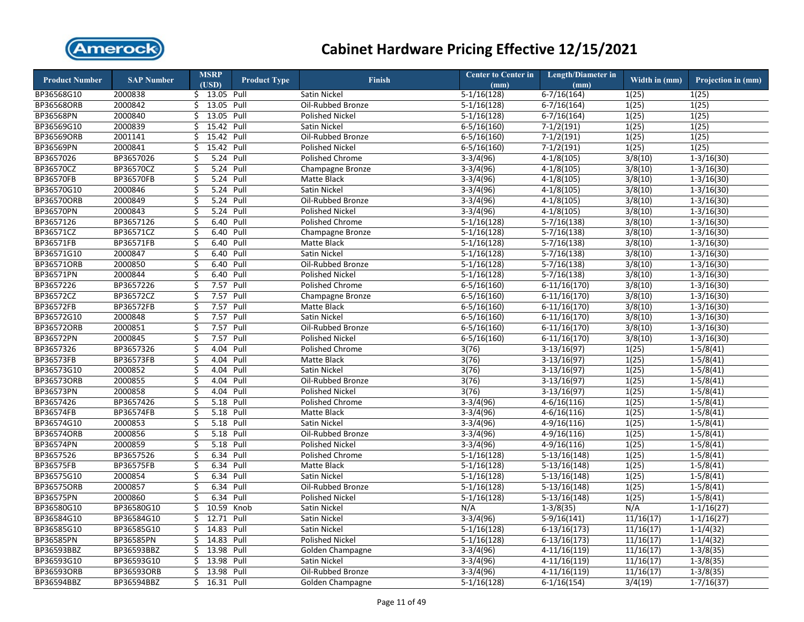

| <b>Product Number</b> | <b>SAP Number</b> |    | <b>MSRP</b>   | <b>Product Type</b> | <b>Finish</b>          | <b>Center to Center in</b> | <b>Length/Diameter in</b> | Width in (mm) | Projection in (mm) |
|-----------------------|-------------------|----|---------------|---------------------|------------------------|----------------------------|---------------------------|---------------|--------------------|
|                       |                   |    | (USD)         |                     |                        | (mm)                       | (mm)                      |               |                    |
| BP36568G10            | 2000838           |    | \$ 13.05 Pull |                     | Satin Nickel           | $5-1/16(128)$              | $6-7/16(164)$             | 1(25)         | 1(25)              |
| <b>BP36568ORB</b>     | 2000842           | \$ | 13.05 Pull    |                     | Oil-Rubbed Bronze      | $5-1/16(128)$              | $6-7/16(164)$             | 1(25)         | 1(25)              |
| <b>BP36568PN</b>      | 2000840           | \$ | 13.05         | Pull                | <b>Polished Nickel</b> | $5-1/16(128)$              | $6-7/16(164)$             | 1(25)         | 1(25)              |
| BP36569G10            | 2000839           | \$ | 15.42 Pull    |                     | Satin Nickel           | $6 - 5/16(160)$            | $7-1/2(191)$              | 1(25)         | 1(25)              |
| <b>BP36569ORB</b>     | 2001141           | \$ | 15.42 Pull    |                     | Oil-Rubbed Bronze      | $6-5/16(160)$              | $7-1/2(191)$              | 1(25)         | 1(25)              |
| BP36569PN             | 2000841           | \$ | 15.42 Pull    |                     | <b>Polished Nickel</b> | $6 - 5/16(160)$            | $7-1/2(191)$              | 1(25)         | 1(25)              |
| BP3657026             | BP3657026         | \$ | 5.24 Pull     |                     | Polished Chrome        | $3-3/4(96)$                | $4-1/8(105)$              | 3/8(10)       | $1-3/16(30)$       |
| BP36570CZ             | BP36570CZ         | \$ | 5.24 Pull     |                     | Champagne Bronze       | $3-3/4(96)$                | $4-1/8(105)$              | 3/8(10)       | $1 - 3/16(30)$     |
| <b>BP36570FB</b>      | <b>BP36570FB</b>  | \$ | 5.24 Pull     |                     | <b>Matte Black</b>     | $3-3/4(96)$                | $4-1/8(105)$              | 3/8(10)       | $1-3/16(30)$       |
| BP36570G10            | 2000846           | \$ | 5.24 Pull     |                     | Satin Nickel           | $3-3/4(96)$                | $4-1/8(105)$              | 3/8(10)       | $1 - 3/16(30)$     |
| BP36570ORB            | 2000849           | \$ | 5.24 Pull     |                     | Oil-Rubbed Bronze      | $3-3/4(96)$                | $4-1/8(105)$              | 3/8(10)       | $1 - 3/16(30)$     |
| <b>BP36570PN</b>      | 2000843           | Ś  | 5.24 Pull     |                     | <b>Polished Nickel</b> | $3-3/4(96)$                | $4-1/8(105)$              | 3/8(10)       | $1 - 3/16(30)$     |
| BP3657126             | BP3657126         | \$ | 6.40          | Pull                | Polished Chrome        | $5-1/16(128)$              | $5-7/16(138)$             | 3/8(10)       | $1-3/16(30)$       |
| BP36571CZ             | BP36571CZ         | \$ | 6.40 Pull     |                     | Champagne Bronze       | $5-1/16(128)$              | $5-7/16(138)$             | 3/8(10)       | $1 - 3/16(30)$     |
| BP36571FB             | BP36571FB         | \$ | 6.40          | Pull                | <b>Matte Black</b>     | $5-1/16(128)$              | $5-7/16(138)$             | 3/8(10)       | $1-3/16(30)$       |
| BP36571G10            | 2000847           | \$ | 6.40 Pull     |                     | Satin Nickel           | $5-1/16(128)$              | $5-7/16(138)$             | 3/8(10)       | $1-3/16(30)$       |
| <b>BP36571ORB</b>     | 2000850           | \$ | 6.40          | Pull                | Oil-Rubbed Bronze      | $5-1/16(128)$              | $5-7/16(138)$             | 3/8(10)       | $1-3/16(30)$       |
| <b>BP36571PN</b>      | 2000844           | \$ | 6.40 Pull     |                     | <b>Polished Nickel</b> | $5-1/16(128)$              | $5-7/16(138)$             | 3/8(10)       | $1-3/16(30)$       |
| BP3657226             | BP3657226         | \$ | 7.57 Pull     |                     | Polished Chrome        | $6 - 5/16(160)$            | $6-11/16(170)$            | 3/8(10)       | $1-3/16(30)$       |
| BP36572CZ             | BP36572CZ         | \$ | 7.57 Pull     |                     | Champagne Bronze       | $6 - 5/16(160)$            | $6-11/16(170)$            | 3/8(10)       | $1-3/16(30)$       |
| <b>BP36572FB</b>      | BP36572FB         | \$ | 7.57          | Pull                | Matte Black            | $6 - 5/16(160)$            | $6-11/16(170)$            | 3/8(10)       | $1-3/16(30)$       |
| BP36572G10            | 2000848           | \$ | 7.57          | Pull                | Satin Nickel           | $6 - 5/16(160)$            | $6-11/16(170)$            | 3/8(10)       | $1-3/16(30)$       |
| BP36572ORB            | 2000851           | \$ | 7.57          | Pull                | Oil-Rubbed Bronze      | $6 - 5/16(160)$            | $6-11/16(170)$            | 3/8(10)       | $1-3/16(30)$       |
| BP36572PN             | 2000845           | \$ | 7.57 Pull     |                     | <b>Polished Nickel</b> | $6-5/16(160)$              | $6-11/16(170)$            | 3/8(10)       | $1 - 3/16(30)$     |
| BP3657326             | BP3657326         | \$ | 4.04          | Pull                | Polished Chrome        | 3(76)                      | $3-13/16(97)$             | 1(25)         | $1-5/8(41)$        |
| <b>BP36573FB</b>      | <b>BP36573FB</b>  | \$ | 4.04          | Pull                | <b>Matte Black</b>     | 3(76)                      | $3-13/16(97)$             | 1(25)         | $1-5/8(41)$        |
| BP36573G10            | 2000852           | \$ | 4.04 Pull     |                     | Satin Nickel           | 3(76)                      | $3-13/16(97)$             | 1(25)         | $1 - 5/8(41)$      |
| <b>BP36573ORB</b>     | 2000855           | Ś  | 4.04 Pull     |                     | Oil-Rubbed Bronze      | 3(76)                      | $3-13/16(97)$             | 1(25)         | $1-5/8(41)$        |
| <b>BP36573PN</b>      | 2000858           | Ś  | 4.04 Pull     |                     | <b>Polished Nickel</b> | 3(76)                      | $3-13/16(97)$             | 1(25)         | $1-5/8(41)$        |
| BP3657426             | BP3657426         | \$ | 5.18 Pull     |                     | Polished Chrome        | $3-3/4(96)$                | $4-6/16(116)$             | 1(25)         | $1-5/8(41)$        |
| <b>BP36574FB</b>      | BP36574FB         | \$ | 5.18 Pull     |                     | <b>Matte Black</b>     | $3-3/4(96)$                | $4-6/16(116)$             | 1(25)         | $1-5/8(41)$        |
| BP36574G10            | 2000853           | \$ | 5.18 Pull     |                     | Satin Nickel           | $3-3/4(96)$                | $4-9/16(116)$             | 1(25)         | $1-5/8(41)$        |
| <b>BP36574ORB</b>     | 2000856           | \$ | 5.18 Pull     |                     | Oil-Rubbed Bronze      | $3-3/4(96)$                | $4-9/16(116)$             | 1(25)         | $1-5/8(41)$        |
| <b>BP36574PN</b>      | 2000859           | \$ | 5.18 Pull     |                     | <b>Polished Nickel</b> | $3-3/4(96)$                | $4-9/16(116)$             | 1(25)         | $1-5/8(41)$        |
| BP3657526             | BP3657526         | \$ | 6.34 Pull     |                     | Polished Chrome        | $5-1/16(128)$              | $5-13/16(148)$            | 1(25)         | $1-5/8(41)$        |
| <b>BP36575FB</b>      | <b>BP36575FB</b>  | \$ | 6.34 Pull     |                     | <b>Matte Black</b>     | $5-1/16(128)$              | $5-13/16(148)$            | 1(25)         | $1-5/8(41)$        |
| BP36575G10            | 2000854           | \$ | 6.34 Pull     |                     | Satin Nickel           | $5-1/16(128)$              | $5-13/16(148)$            | 1(25)         | $1-5/8(41)$        |
| <b>BP36575ORB</b>     | 2000857           | \$ | 6.34 Pull     |                     | Oil-Rubbed Bronze      | $5-1/16(128)$              | $5-13/16(148)$            | 1(25)         | $1 - 5/8(41)$      |
| <b>BP36575PN</b>      | 2000860           | \$ | 6.34 Pull     |                     | <b>Polished Nickel</b> | $5-1/16(128)$              | $5-13/16(148)$            | 1(25)         | $1-5/8(41)$        |
| BP36580G10            | BP36580G10        | \$ | 10.59 Knob    |                     | Satin Nickel           | N/A                        | $1-3/8(35)$               | N/A           | $1-1/16(27)$       |
| BP36584G10            | BP36584G10        | \$ | 12.71         | Pull                | Satin Nickel           | $3-3/4(96)$                | $5-9/16(141)$             | 11/16(17)     | $1 - 1/16(27)$     |
| BP36585G10            | BP36585G10        | \$ | 14.83 Pull    |                     | Satin Nickel           | $5-1/16(128)$              | $6-13/16(173)$            | 11/16(17)     | $1 - 1/4(32)$      |
| <b>BP36585PN</b>      | BP36585PN         | \$ | 14.83         | Pull                | <b>Polished Nickel</b> | $5-1/16(128)$              | $6-13/16(173)$            | 11/16(17)     | $1-1/4(32)$        |
| BP36593BBZ            | BP36593BBZ        | \$ | 13.98 Pull    |                     | Golden Champagne       | $3-3/4(96)$                | $4-11/16(119)$            | 11/16(17)     | $1 - 3/8(35)$      |
| BP36593G10            | BP36593G10        | Ś  | 13.98 Pull    |                     | Satin Nickel           | $3-3/4(96)$                | $4-11/16(119)$            | 11/16(17)     | $1-3/8(35)$        |
| BP36593ORB            | BP36593ORB        | \$ | 13.98 Pull    |                     | Oil-Rubbed Bronze      | $3-3/4(96)$                | $4-11/16(119)$            | 11/16(17)     | $1 - 3/8(35)$      |
| BP36594BBZ            | BP36594BBZ        | Ś. | 16.31 Pull    |                     | Golden Champagne       | $5-1/16(128)$              | $6-1/16(154)$             | 3/4(19)       | $1 - 7/16(37)$     |
|                       |                   |    |               |                     |                        |                            |                           |               |                    |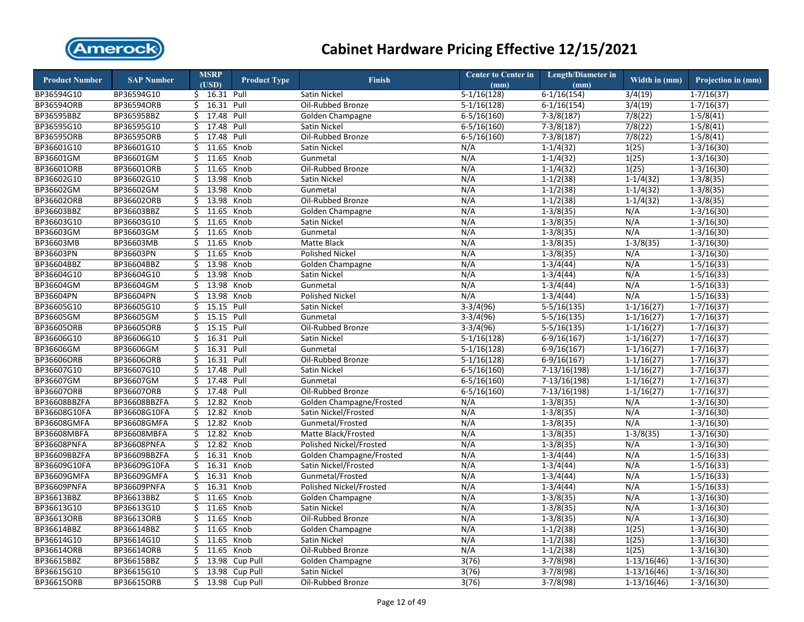

| <b>Product Number</b> | <b>SAP Number</b>  |    | <b>MSRP</b><br>(USD) | <b>Product Type</b> | <b>Finish</b>            | <b>Center to Center in</b><br>(mm) | <b>Length/Diameter in</b><br>(mm) | Width in (mm)  | Projection in (mm)      |
|-----------------------|--------------------|----|----------------------|---------------------|--------------------------|------------------------------------|-----------------------------------|----------------|-------------------------|
| BP36594G10            | BP36594G10         |    | \$ 16.31 Pull        |                     | <b>Satin Nickel</b>      | $5-1/16(128)$                      | $6-1/16(154)$                     | 3/4(19)        | $1-7/16(37)$            |
| <b>BP36594ORB</b>     | BP36594ORB         |    | $$16.31$ Pull        |                     | Oil-Rubbed Bronze        | $5-1/16(128)$                      | $6-1/16(154)$                     | 3/4(19)        | $1 - 7/16(37)$          |
| BP36595BBZ            | BP36595BBZ         |    | \$ 17.48 Pull        |                     | Golden Champagne         | $6 - 5/16(160)$                    | $7-3/8(187)$                      | 7/8(22)        | $1 - 5/8(41)$           |
| BP36595G10            | BP36595G10         | \$ | 17.48                | Pull                | Satin Nickel             | $6 - 5/16(160)$                    | $7-3/8(187)$                      | 7/8(22)        | $1-5/8(41)$             |
| BP36595ORB            | <b>BP36595ORB</b>  | Ś. | 17.48                | Pull                | Oil-Rubbed Bronze        | $6 - 5/16(160)$                    | $7-3/8(187)$                      | 7/8(22)        | $1 - 5/8(41)$           |
| BP36601G10            | BP36601G10         | \$ | 11.65 Knob           |                     | Satin Nickel             | N/A                                | $1 - 1/4(32)$                     | 1(25)          | $1 - 3/16(30)$          |
| BP36601GM             | BP36601GM          | Ś. | 11.65 Knob           |                     | Gunmetal                 | N/A                                | $1-1/4(32)$                       | 1(25)          | $\overline{1-3/1}6(30)$ |
| <b>BP36601ORB</b>     | BP36601ORB         | \$ | 11.65 Knob           |                     | Oil-Rubbed Bronze        | N/A                                | $1 - 1/4(32)$                     | 1(25)          | $1 - 3/16(30)$          |
| BP36602G10            | BP36602G10         | Ś. | 13.98                | Knob                | Satin Nickel             | N/A                                | $1-1/2(38)$                       | $1-1/4(32)$    | $1 - 3/8(35)$           |
| BP36602GM             | BP36602GM          | \$ | 13.98 Knob           |                     | Gunmetal                 | N/A                                | $1 - 1/2(38)$                     | $1 - 1/4(32)$  | $1 - 3/8(35)$           |
| <b>BP36602ORB</b>     | BP36602ORB         | \$ | 13.98                | Knob                | Oil-Rubbed Bronze        | N/A                                | $1-1/2(38)$                       | $1-1/4(32)$    | $1-3/8(35)$             |
| BP36603BBZ            | BP36603BBZ         |    | \$11.65              | Knob                | Golden Champagne         | N/A                                | $1-3/8(35)$                       | N/A            | $1 - 3/16(30)$          |
| BP36603G10            | BP36603G10         | \$ | 11.65                | Knob                | Satin Nickel             | N/A                                | $1-3/8(35)$                       | N/A            | $1-3/16(30)$            |
| BP36603GM             | BP36603GM          |    | \$11.65              | Knob                | Gunmetal                 | N/A                                | $1-3/8(35)$                       | N/A            | $1-3/16(30)$            |
| BP36603MB             | BP36603MB          | \$ | 11.65                | Knob                | Matte Black              | N/A                                | $1-3/8(35)$                       | $1-3/8(35)$    | $1-3/16(30)$            |
| <b>BP36603PN</b>      | BP36603PN          | \$ | 11.65                | Knob                | <b>Polished Nickel</b>   | N/A                                | $1-3/8(35)$                       | N/A            | $1-3/16(30)$            |
| BP36604BBZ            | BP36604BBZ         | \$ | 13.98                | Knob                | Golden Champagne         | N/A                                | $1-3/4(44)$                       | N/A            | $1-5/16(33)$            |
| BP36604G10            | BP36604G10         | \$ | 13.98                | Knob                | Satin Nickel             | N/A                                | $1-3/4(44)$                       | N/A            | $1-5/16(33)$            |
| BP36604GM             | BP36604GM          | \$ | 13.98 Knob           |                     | Gunmetal                 | N/A                                | $1-3/4(44)$                       | N/A            | $1-5/16(33)$            |
| BP36604PN             | BP36604PN          | \$ | 13.98 Knob           |                     | <b>Polished Nickel</b>   | N/A                                | $1-3/4(44)$                       | N/A            | $1-5/16(33)$            |
| BP36605G10            | BP36605G10         | \$ | 15.15 Pull           |                     | Satin Nickel             | $3-3/4(96)$                        | $5-5/16(135)$                     | $1-1/16(27)$   | $1 - 7/16(37)$          |
| BP36605GM             | BP36605GM          | Ś. | 15.15 Pull           |                     | Gunmetal                 | $3-3/4(96)$                        | $5-5/16(135)$                     | $1 - 1/16(27)$ | $1 - 7/16(37)$          |
| BP36605ORB            | BP36605ORB         | \$ | 15.15 Pull           |                     | Oil-Rubbed Bronze        | $3-3/4(96)$                        | $5-5/16(135)$                     | $1-1/16(27)$   | $1 - 7/16(37)$          |
| BP36606G10            | BP36606G10         | Ś. | 16.31 Pull           |                     | Satin Nickel             | $5-1/16(128)$                      | $6-9/16(167)$                     | $1-1/16(27)$   | $1 - 7/16(37)$          |
| BP36606GM             | BP36606GM          | \$ | 16.31 Pull           |                     | Gunmetal                 | $5-1/16(128)$                      | $6-9/16(167)$                     | $1 - 1/16(27)$ | $1 - 7/16(37)$          |
| BP36606ORB            | BP36606ORB         | \$ | 16.31                | Pull                | Oil-Rubbed Bronze        | $5-1/16(128)$                      | $6-9/16(167)$                     | $1-1/16(27)$   | $1 - 7/16(37)$          |
| BP36607G10            | BP36607G10         |    | \$ 17.48 Pull        |                     | Satin Nickel             | $6 - 5/16(160)$                    | 7-13/16(198)                      | $1 - 1/16(27)$ | $1 - 7/16(37)$          |
| BP36607GM             | BP36607GM          | Ś. | 17.48                | Pull                | Gunmetal                 | $6 - 5/16(160)$                    | $7-13/16(198)$                    | $1-1/16(27)$   | $1-7/16(37)$            |
| <b>BP36607ORB</b>     | BP36607ORB         | \$ | 17.48                | Pull                | Oil-Rubbed Bronze        | $6 - 5/16(160)$                    | $7-13/16(198)$                    | $1-1/16(27)$   | $1-7/16(37)$            |
| BP36608BBZFA          | BP36608BBZFA       | \$ | 12.82                | Knob                | Golden Champagne/Frosted | N/A                                | $1-3/8(35)$                       | N/A            | $1 - 3/16(30)$          |
| BP36608G10FA          | BP36608G10FA       |    | \$12.82              | Knob                | Satin Nickel/Frosted     | N/A                                | $1-3/8(35)$                       | N/A            | $1-3/16(30)$            |
| BP36608GMFA           | BP36608GMFA        | \$ | 12.82 Knob           |                     | Gunmetal/Frosted         | N/A                                | $1-3/8(35)$                       | N/A            | $1-3/16(30)$            |
| BP36608MBFA           | BP36608MBFA        | Ś. | 12.82 Knob           |                     | Matte Black/Frosted      | N/A                                | $1-3/8(35)$                       | $1-3/8(35)$    | $1-3/16(30)$            |
| BP36608PNFA           | BP36608PNFA        | Ś. | 12.82 Knob           |                     | Polished Nickel/Frosted  | N/A                                | $1-3/8(35)$                       | N/A            | $1 - 3/16(30)$          |
| BP36609BBZFA          | BP36609BBZFA       |    | $$16.31$ Knob        |                     | Golden Champagne/Frosted | N/A                                | $1 - 3/4(44)$                     | N/A            | $1-5/16(33)$            |
| BP36609G10FA          | BP36609G10FA       |    | $$16.31$ Knob        |                     | Satin Nickel/Frosted     | N/A                                | $1 - 3/4(44)$                     | N/A            | $1-5/16(33)$            |
| <b>BP36609GMFA</b>    | <b>BP36609GMFA</b> | \$ | 16.31                | Knob                | Gunmetal/Frosted         | N/A                                | $1-3/4(44)$                       | N/A            | $1-5/16(33)$            |
| BP36609PNFA           | BP36609PNFA        | \$ | 16.31                | Knob                | Polished Nickel/Frosted  | N/A                                | $1-3/4(44)$                       | N/A            | $1-5/16(33)$            |
| BP36613BBZ            | BP36613BBZ         | Ś. | 11.65                | Knob                | Golden Champagne         | N/A                                | $1-3/8(35)$                       | N/A            | $1 - 3/16(30)$          |
| BP36613G10            | BP36613G10         |    | $$11.65$ Knob        |                     | Satin Nickel             | N/A                                | $1 - 3/8(35)$                     | N/A            | $1 - 3/16(30)$          |
| BP36613ORB            | BP36613ORB         | Ś. | 11.65                | Knob                | Oil-Rubbed Bronze        | N/A                                | $1-3/8(35)$                       | N/A            | $1-3/16(30)$            |
| BP36614BBZ            | BP36614BBZ         |    | \$11.65              | Knob                | Golden Champagne         | N/A                                | $1-1/2(38)$                       | 1(25)          | $1 - 3/16(30)$          |
| BP36614G10            | BP36614G10         | Ś. | 11.65                | Knob                | Satin Nickel             | N/A                                | $1-1/2(38)$                       | 1(25)          | $1 - 3/16(30)$          |
| BP36614ORB            | BP36614ORB         |    | \$11.65              | Knob                | Oil-Rubbed Bronze        | N/A                                | $1-1/2(38)$                       | 1(25)          | $1-3/16(30)$            |
| BP36615BBZ            | BP36615BBZ         | \$ |                      | 13.98 Cup Pull      | Golden Champagne         | 3(76)                              | $3-7/8(98)$                       | $1-13/16(46)$  | $1 - 3/16(30)$          |
| BP36615G10            | BP36615G10         |    |                      | $5$ 13.98 Cup Pull  | Satin Nickel             | 3(76)                              | $3-7/8(98)$                       | $1-13/16(46)$  | $1 - 3/16(30)$          |
| BP36615ORB            | BP36615ORB         |    |                      | \$ 13.98 Cup Pull   | Oil-Rubbed Bronze        | 3(76)                              | $3-7/8(98)$                       | $1-13/16(46)$  | $1 - 3/16(30)$          |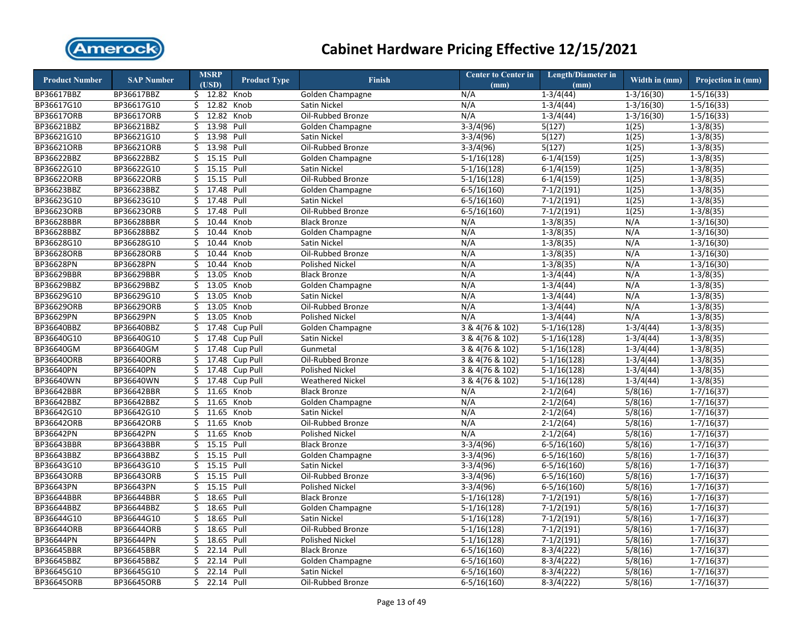

| <b>Product Number</b> | <b>SAP Number</b> | <b>MSRP</b><br>(USD) | <b>Product Type</b> | <b>Finish</b>           | Center to Center in<br>(mm) | Length/Diameter in<br>(mm) | Width in (mm)  | Projection in (mm) |
|-----------------------|-------------------|----------------------|---------------------|-------------------------|-----------------------------|----------------------------|----------------|--------------------|
| BP36617BBZ            | BP36617BBZ        | $$12.82$ Knob        |                     | Golden Champagne        | N/A                         | $1-3/4(44)$                | $1 - 3/16(30)$ | $1-5/16(33)$       |
| BP36617G10            | BP36617G10        | \$ 12.82 Knob        |                     | Satin Nickel            | N/A                         | $1 - 3/4(44)$              | $1-3/16(30)$   | $1 - 5/16(33)$     |
| <b>BP36617ORB</b>     | BP36617ORB        | 12.82<br>Ś.          | Knob                | Oil-Rubbed Bronze       | N/A                         | $1-3/4(44)$                | $1 - 3/16(30)$ | $1-5/16(33)$       |
| BP36621BBZ            | BP36621BBZ        | 13.98<br>\$          | Pull                | Golden Champagne        | $3-3/4(96)$                 | 5(127)                     | 1(25)          | $1-3/8(35)$        |
| BP36621G10            | BP36621G10        | 13.98<br>Ś.          | Pull                | Satin Nickel            | $3-3/4(96)$                 | 5(127)                     | 1(25)          | $1 - 3/8(35)$      |
| BP36621ORB            | BP36621ORB        | \$<br>13.98          | Pull                | Oil-Rubbed Bronze       | $3-3/4(96)$                 | 5(127)                     | 1(25)          | $1-3/8(35)$        |
| BP36622BBZ            | BP36622BBZ        | \$<br>15.15          | Pull                | Golden Champagne        | $5-1/16(128)$               | $6-1/4(159)$               | 1(25)          | $1 - 3/8(35)$      |
| BP36622G10            | BP36622G10        | \$                   | 15.15 Pull          | Satin Nickel            | $5-1/16(128)$               | $6-1/4(159)$               | 1(25)          | $1 - 3/8(35)$      |
| BP36622ORB            | BP36622ORB        | \$<br>15.15          | Pull                | Oil-Rubbed Bronze       | $5-1/16(128)$               | $6-1/4(159)$               | 1(25)          | $1 - 3/8(35)$      |
| BP36623BBZ            | BP36623BBZ        | \$<br>17.48          | Pull                | Golden Champagne        | $6 - 5/16(160)$             | $7-1/2(191)$               | 1(25)          | $1 - 3/8(35)$      |
| BP36623G10            | BP36623G10        | 17.48<br>Ś.          | Pull                | <b>Satin Nickel</b>     | $6 - 5/16(160)$             | $7-1/2(191)$               | 1(25)          | $1-3/8(35)$        |
| BP36623ORB            | BP36623ORB        | 17.48<br>\$.         | Pull                | Oil-Rubbed Bronze       | $6 - 5/16(160)$             | $7-1/2(191)$               | 1(25)          | $1-3/8(35)$        |
| BP36628BBR            | BP36628BBR        | 10.44<br>Ś           | Knob                | <b>Black Bronze</b>     | N/A                         | $1-3/8(35)$                | N/A            | $1-3/16(30)$       |
| BP36628BBZ            | BP36628BBZ        | \$<br>10.44          | Knob                | Golden Champagne        | N/A                         | $1-3/8(35)$                | N/A            | $1-3/16(30)$       |
| BP36628G10            | BP36628G10        | 10.44<br>\$          | Knob                | Satin Nickel            | N/A                         | $1-3/8(35)$                | N/A            | $1-3/16(30)$       |
| BP36628ORB            | BP36628ORB        | 10.44<br>\$          | Knob                | Oil-Rubbed Bronze       | N/A                         | $1-3/8(35)$                | N/A            | $1-3/16(30)$       |
| <b>BP36628PN</b>      | <b>BP36628PN</b>  | 10.44<br>\$          | Knob                | Polished Nickel         | N/A                         | $1-3/8(35)$                | N/A            | $1 - 3/16(30)$     |
| BP36629BBR            | BP36629BBR        | 13.05<br>\$          | Knob                | <b>Black Bronze</b>     | N/A                         | $1-3/4(44)$                | N/A            | $1 - 3/8(35)$      |
| BP36629BBZ            | BP36629BBZ        | 13.05<br>\$          | Knob                | Golden Champagne        | N/A                         | $1-3/4(44)$                | N/A            | $1-3/8(35)$        |
| BP36629G10            | BP36629G10        | 13.05<br>Ś.          | Knob                | Satin Nickel            | N/A                         | $1-3/4(44)$                | N/A            | $1 - 3/8(35)$      |
| BP36629ORB            | BP36629ORB        | 13.05<br>Ś.          | Knob                | Oil-Rubbed Bronze       | N/A                         | $1-3/4(44)$                | N/A            | $1-3/8(35)$        |
| <b>BP36629PN</b>      | BP36629PN         | 13.05<br>Ś.          | Knob                | <b>Polished Nickel</b>  | N/A                         | $1 - 3/4(44)$              | N/A            | $1 - 3/8(35)$      |
| BP36640BBZ            | BP36640BBZ        | 17.48<br>\$          | Cup Pull            | Golden Champagne        | 3 & 4(76 & 102)             | $5-1/16(128)$              | $1-3/4(44)$    | $1-3/8(35)$        |
| BP36640G10            | BP36640G10        | Ś.                   | 17.48 Cup Pull      | Satin Nickel            | 3 & 4(76 & 102)             | $5-1/16(128)$              | $1-3/4(44)$    | $1-3/8(35)$        |
| BP36640GM             | BP36640GM         | \$<br>17.48          | Cup Pull            | Gunmetal                | 3 & 4(76 & 102)             | $5-1/16(128)$              | $1 - 3/4(44)$  | $1 - 3/8(35)$      |
| BP36640ORB            | BP36640ORB        | 17.48<br>Ś.          | Cup Pull            | Oil-Rubbed Bronze       | 3 & 4(76 & 102)             | $5-1/16(128)$              | $1-3/4(44)$    | $1-3/8(35)$        |
| BP36640PN             | BP36640PN         | \$17.48              | Cup Pull            | <b>Polished Nickel</b>  | 3 & 4(76 & 102)             | $5-1/16(128)$              | $1-3/4(44)$    | $1-3/8(35)$        |
| BP36640WN             | BP36640WN         | 17.48<br>Ś.          | Cup Pull            | <b>Weathered Nickel</b> | 3 & 4(76 & 102)             | $5-1/16(128)$              | $1-3/4(44)$    | $1-3/8(35)$        |
| BP36642BBR            | BP36642BBR        | 11.65<br>Ś.          | Knob                | <b>Black Bronze</b>     | N/A                         | $2 - 1/2(64)$              | 5/8(16)        | $1 - 7/16(37)$     |
| BP36642BBZ            | BP36642BBZ        | \$<br>11.65          | Knob                | Golden Champagne        | N/A                         | $2-1/2(64)$                | 5/8(16)        | $1 - 7/16(37)$     |
| BP36642G10            | BP36642G10        | 11.65<br>\$          | Knob                | Satin Nickel            | N/A                         | $2-1/2(64)$                | 5/8(16)        | $1 - 7/16(37)$     |
| <b>BP36642ORB</b>     | BP36642ORB        | Ś.<br>11.65          | Knob                | Oil-Rubbed Bronze       | N/A                         | $2-1/2(64)$                | 5/8(16)        | $1-7/16(37)$       |
| <b>BP36642PN</b>      | BP36642PN         | \$                   | 11.65 Knob          | <b>Polished Nickel</b>  | N/A                         | $2-1/2(64)$                | 5/8(16)        | $1 - 7/16(37)$     |
| BP36643BBR            | BP36643BBR        | 15.15<br>\$          | Pull                | <b>Black Bronze</b>     | $3-3/4(96)$                 | $6 - 5/16(160)$            | 5/8(16)        | $1-7/16(37)$       |
| BP36643BBZ            | BP36643BBZ        | 15.15<br>\$          | Pull                | Golden Champagne        | $3-3/4(96)$                 | $6-5/16(160)$              | 5/8(16)        | $1-7/16(37)$       |
| BP36643G10            | BP36643G10        | \$                   | 15.15 Pull          | Satin Nickel            | $3-3/4(96)$                 | $6 - 5/16(160)$            | 5/8(16)        | $1 - 7/16(37)$     |
| <b>BP36643ORB</b>     | BP36643ORB        | Ś.                   | 15.15 Pull          | Oil-Rubbed Bronze       | $3-3/4(96)$                 | $6 - 5/16(160)$            | 5/8(16)        | $1 - 7/16(37)$     |
| BP36643PN             | BP36643PN         | \$                   | 15.15 Pull          | Polished Nickel         | $3-3/4(96)$                 | $6 - 5/16(160)$            | 5/8(16)        | $1 - 7/16(37)$     |
| BP36644BBR            | BP36644BBR        | 18.65<br>Ś.          | Pull                | <b>Black Bronze</b>     | $5-1/16(128)$               | $7-1/2(191)$               | 5/8(16)        | $1 - 7/16(37)$     |
| BP36644BBZ            | BP36644BBZ        | 18.65<br>\$          | Pull                | Golden Champagne        | $5-1/16(128)$               | $7-1/2(191)$               | 5/8(16)        | $1 - 7/16(37)$     |
| BP36644G10            | BP36644G10        | 18.65<br>\$          | Pull                | Satin Nickel            | $5-1/16(128)$               | $7-1/2(191)$               | 5/8(16)        | $1 - 7/16(37)$     |
| BP36644ORB            | BP36644ORB        | \$                   | 18.65 Pull          | Oil-Rubbed Bronze       | $5-1/16(128)$               | $7 - 1/2(191)$             | 5/8(16)        | $1 - 7/16(37)$     |
| <b>BP36644PN</b>      | BP36644PN         | \$<br>18.65          | Pull                | <b>Polished Nickel</b>  | $5-1/16(128)$               | $7-1/2(191)$               | 5/8(16)        | $1 - 7/16(37)$     |
| BP36645BBR            | BP36645BBR        | 22.14<br>\$          | Pull                | <b>Black Bronze</b>     | $6 - 5/16(160)$             | $8-3/4(222)$               | 5/8(16)        | $1 - 7/16(37)$     |
| BP36645BBZ            | BP36645BBZ        | 22.14<br>Ś.          | Pull                | Golden Champagne        | $6 - 5/16(160)$             | $8-3/4(222)$               | 5/8(16)        | $1-7/16(37)$       |
| BP36645G10            | BP36645G10        | 22.14<br>\$          | Pull                | Satin Nickel            | $6 - 5/16(160)$             | $8-3/4(222)$               | 5/8(16)        | $1 - 7/16(37)$     |
| BP36645ORB            | BP36645ORB        | Ś.                   | 22.14 Pull          | Oil-Rubbed Bronze       | $6 - 5/16(160)$             | $8-3/4(222)$               | 5/8(16)        | $1-7/16(37)$       |
|                       |                   |                      |                     |                         |                             |                            |                |                    |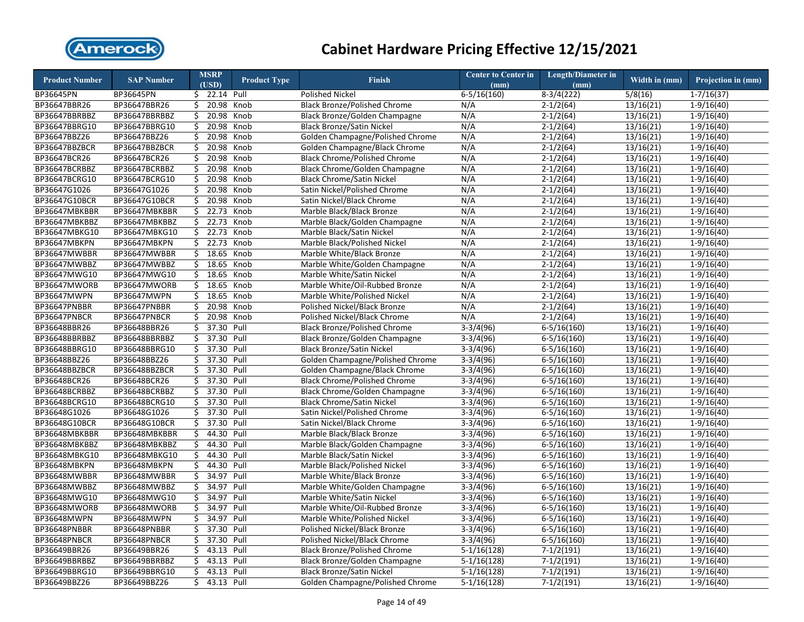

| <b>Product Number</b> | <b>SAP Number</b> |    | <b>MSRP</b><br>(USD) | <b>Product Type</b> | Finish                               | <b>Center to Center in</b><br>(mm) | <b>Length/Diameter in</b><br>(mm) | Width in (mm)          | Projection in (mm) |
|-----------------------|-------------------|----|----------------------|---------------------|--------------------------------------|------------------------------------|-----------------------------------|------------------------|--------------------|
| BP36645PN             | BP36645PN         |    | \$ 22.14 Pull        |                     | <b>Polished Nickel</b>               | $6 - 5/16(160)$                    | $8-3/4(222)$                      | 5/8(16)                | $1-7/16(37)$       |
| BP36647BBR26          | BP36647BBR26      |    | \$20.98              | Knob                | <b>Black Bronze/Polished Chrome</b>  | N/A                                | $2-1/2(64)$                       | 13/16(21)              | $1-9/16(40)$       |
| BP36647BBRBBZ         | BP36647BBRBBZ     | \$ | 20.98                | Knob                | Black Bronze/Golden Champagne        | N/A                                | $2-1/2(64)$                       | 13/16(21)              | $1-9/16(40)$       |
| BP36647BBRG10         | BP36647BBRG10     | \$ | 20.98                | Knob                | <b>Black Bronze/Satin Nickel</b>     | N/A                                | $2-1/2(64)$                       | 13/16(21)              | $1-9/16(40)$       |
| BP36647BBZ26          | BP36647BBZ26      | \$ | 20.98                | Knob                | Golden Champagne/Polished Chrome     | N/A                                | $2 - 1/2(64)$                     | 13/16(21)              | $1-9/16(40)$       |
| BP36647BBZBCR         | BP36647BBZBCR     | \$ | 20.98                | Knob                | Golden Champagne/Black Chrome        | N/A                                | $2-1/2(64)$                       | 13/16(21)              | $1-9/16(40)$       |
| BP36647BCR26          | BP36647BCR26      | \$ | 20.98                | Knob                | <b>Black Chrome/Polished Chrome</b>  | N/A                                | $2-1/2(64)$                       | 13/16(21)              | $1-9/16(40)$       |
| BP36647BCRBBZ         | BP36647BCRBBZ     | \$ | 20.98                | Knob                | <b>Black Chrome/Golden Champagne</b> | N/A                                | $2 - 1/2(64)$                     | 13/16(21)              | $1-9/16(40)$       |
| BP36647BCRG10         | BP36647BCRG10     | \$ | 20.98                | Knob                | <b>Black Chrome/Satin Nickel</b>     | N/A                                | $2-1/2(64)$                       | 13/16(21)              | $1-9/16(40)$       |
| BP36647G1026          | BP36647G1026      | \$ | 20.98                | Knob                | Satin Nickel/Polished Chrome         | N/A                                | $2 - 1/2(64)$                     | 13/16(21)              | $1-9/16(40)$       |
| BP36647G10BCR         | BP36647G10BCR     | \$ | 20.98                | Knob                | Satin Nickel/Black Chrome            | N/A                                | $2-1/2(64)$                       | 13/16(21)              | $1-9/16(40)$       |
| BP36647MBKBBR         | BP36647MBKBBR     |    | $\frac{1}{2}$ 22.73  | Knob                | Marble Black/Black Bronze            | N/A                                | $2 - 1/2(64)$                     | 13/16(21)              | $1-9/16(40)$       |
| BP36647MBKBBZ         | BP36647MBKBBZ     | \$ | 22.73                | Knob                | Marble Black/Golden Champagne        | N/A                                | $2-1/2(64)$                       | 13/16(21)              | $1-9/16(40)$       |
| BP36647MBKG10         | BP36647MBKG10     |    | $\frac{22.73}{ }$    | Knob                | Marble Black/Satin Nickel            | N/A                                | $2 - 1/2(64)$                     | 13/16(21)              | $1-9/16(40)$       |
| BP36647MBKPN          | BP36647MBKPN      | \$ | 22.73                | Knob                | Marble Black/Polished Nickel         | N/A                                | $2-1/2(64)$                       | 13/16(21)              | $1-9/16(40)$       |
| BP36647MWBBR          | BP36647MWBBR      | \$ | 18.65                | Knob                | Marble White/Black Bronze            | N/A                                | $2 - 1/2(64)$                     | 13/16(21)              | $1-9/16(40)$       |
| BP36647MWBBZ          | BP36647MWBBZ      | \$ | 18.65                | Knob                | Marble White/Golden Champagne        | N/A                                | $2-1/2(64)$                       | 13/16(21)              | $1-9/16(40)$       |
| BP36647MWG10          | BP36647MWG10      | \$ | 18.65                | Knob                | Marble White/Satin Nickel            | N/A                                | $2 - 1/2(64)$                     | 13/16(21)              | $1-9/16(40)$       |
| BP36647MWORB          | BP36647MWORB      | \$ | 18.65                | Knob                | Marble White/Oil-Rubbed Bronze       | N/A                                | $2-1/2(64)$                       | 13/16(21)              | $1-9/16(40)$       |
| BP36647MWPN           | BP36647MWPN       | \$ | 18.65                | Knob                | Marble White/Polished Nickel         | N/A                                | $2-1/2(64)$                       | 13/16(21)              | $1-9/16(40)$       |
| BP36647PNBBR          | BP36647PNBBR      | \$ | 20.98                | Knob                | Polished Nickel/Black Bronze         | N/A                                | $2 - 1/2(64)$                     | 13/16(21)              | $1-9/16(40)$       |
| BP36647PNBCR          | BP36647PNBCR      | Ś. | 20.98                | Knob                | Polished Nickel/Black Chrome         | N/A                                | $2-1/2(64)$                       | 13/16(21)              | $1-9/16(40)$       |
| BP36648BBR26          | BP36648BBR26      | \$ | 37.30 Pull           |                     | <b>Black Bronze/Polished Chrome</b>  | $3-3/4(96)$                        | $6 - 5/16(160)$                   | 13/16(21)              | $1-9/16(40)$       |
| BP36648BBRBBZ         | BP36648BBRBBZ     | \$ | 37.30 Pull           |                     | Black Bronze/Golden Champagne        | $3-3/4(96)$                        | $6-5/16(160)$                     | 13/16(21)              | $1-9/16(40)$       |
| BP36648BBRG10         | BP36648BBRG10     | \$ | 37.30 Pull           |                     | <b>Black Bronze/Satin Nickel</b>     | $3-3/4(96)$                        | $6 - 5/16(160)$                   | 13/16(21)              | $1-9/16(40)$       |
| BP36648BBZ26          | BP36648BBZ26      | \$ | 37.30                | Pull                | Golden Champagne/Polished Chrome     | $3-3/4(96)$                        | $6 - 5/16(160)$                   | 13/16(21)              | $1-9/16(40)$       |
| BP36648BBZBCR         | BP36648BBZBCR     |    | \$ 37.30 Pull        |                     | Golden Champagne/Black Chrome        | $3-3/4(96)$                        | $6 - 5/16(160)$                   | 13/16(21)              | $1-9/16(40)$       |
| BP36648BCR26          | BP36648BCR26      | \$ | 37.30 Pull           |                     | <b>Black Chrome/Polished Chrome</b>  | $3-3/4(96)$                        | $6 - 5/16(160)$                   | 13/16(21)              | $1-9/16(40)$       |
| BP36648BCRBBZ         | BP36648BCRBBZ     | \$ | 37.30 Pull           |                     | <b>Black Chrome/Golden Champagne</b> | $3-3/4(96)$                        | $6 - 5/16(160)$                   | 13/16(21)              | $1-9/16(40)$       |
| BP36648BCRG10         | BP36648BCRG10     | \$ | 37.30 Pull           |                     | <b>Black Chrome/Satin Nickel</b>     | $3-3/4(96)$                        | $6 - 5/16(160)$                   | 13/16(21)              | $1-9/16(40)$       |
| BP36648G1026          | BP36648G1026      |    | \$ 37.30 Pull        |                     | Satin Nickel/Polished Chrome         | $3-3/4(96)$                        | $6 - 5/16(160)$                   | 13/16(21)              | $1-9/16(40)$       |
| BP36648G10BCR         | BP36648G10BCR     | \$ | 37.30 Pull           |                     | Satin Nickel/Black Chrome            | $3-3/4(96)$                        | $6 - 5/16(160)$                   | 13/16(21)              | $1-9/16(40)$       |
| BP36648MBKBBR         | BP36648MBKBBR     | \$ | 44.30 Pull           |                     | Marble Black/Black Bronze            | $3-3/4(96)$                        | $6 - 5/16(160)$                   | 13/16(21)              | $1-9/16(40)$       |
| BP36648MBKBBZ         | BP36648MBKBBZ     | \$ | 44.30                | Pull                | Marble Black/Golden Champagne        | $3-3/4(96)$                        | $6 - 5/16(160)$                   | 13/16(21)              | $1-9/16(40)$       |
| BP36648MBKG10         | BP36648MBKG10     | Ś. | 44.30 Pull           |                     | Marble Black/Satin Nickel            | $3-3/4(96)$                        | $6 - 5/16(160)$                   | 13/16(21)              | $1-9/16(40)$       |
| BP36648MBKPN          | BP36648MBKPN      | \$ | 44.30 Pull           |                     | Marble Black/Polished Nickel         | $3-3/4(96)$                        | $6 - 5/16(160)$                   | 13/16(21)              | $1-9/16(40)$       |
| BP36648MWBBR          | BP36648MWBBR      | \$ | 34.97                | Pull                | Marble White/Black Bronze            | $3-3/4(96)$                        | $6 - 5/16(160)$                   | 13/16(21)              | $1-9/16(40)$       |
| BP36648MWBBZ          | BP36648MWBBZ      | \$ | 34.97                | Pull                | Marble White/Golden Champagne        | $3-3/4(96)$                        | $6 - 5/16(160)$                   | $\overline{13/1}6(21)$ | $1-9/16(40)$       |
| BP36648MWG10          | BP36648MWG10      | \$ | 34.97                | Pull                | Marble White/Satin Nickel            | $3-3/4(96)$                        | $6 - 5/16(160)$                   | 13/16(21)              | $1-9/16(40)$       |
| BP36648MWORB          | BP36648MWORB      | \$ | 34.97                | Pull                | Marble White/Oil-Rubbed Bronze       | $3-3/4(96)$                        | $6 - 5/16(160)$                   | 13/16(21)              | $1-9/16(40)$       |
| BP36648MWPN           | BP36648MWPN       | \$ | 34.97                | Pull                | Marble White/Polished Nickel         | $3-3/4(96)$                        | $6-5/16(160)$                     | 13/16(21)              | $1-9/16(40)$       |
| BP36648PNBBR          | BP36648PNBBR      | \$ | 37.30 Pull           |                     | Polished Nickel/Black Bronze         | $3-3/4(96)$                        | $6 - 5/16(160)$                   | 13/16(21)              | $1-9/16(40)$       |
| BP36648PNBCR          | BP36648PNBCR      | \$ | 37.30                | Pull                | Polished Nickel/Black Chrome         | $3-3/4(96)$                        | $6 - 5/16(160)$                   | 13/16(21)              | $1-9/16(40)$       |
| BP36649BBR26          | BP36649BBR26      | \$ | 43.13 Pull           |                     | <b>Black Bronze/Polished Chrome</b>  | $5-1/16(128)$                      | $7-1/2(191)$                      | 13/16(21)              | $1-9/16(40)$       |
| BP36649BBRBBZ         | BP36649BBRBBZ     | \$ | 43.13 Pull           |                     | Black Bronze/Golden Champagne        | $5-1/16(128)$                      | $7-1/2(191)$                      | 13/16(21)              | $1-9/16(40)$       |
| BP36649BBRG10         | BP36649BBRG10     |    | \$ 43.13 Pull        |                     | <b>Black Bronze/Satin Nickel</b>     | $5-1/16(128)$                      | $7-1/2(191)$                      | 13/16(21)              | $1-9/16(40)$       |
| BP36649BBZ26          | BP36649BBZ26      |    | \$ 43.13 Pull        |                     | Golden Champagne/Polished Chrome     | $5-1/16(128)$                      | $7-1/2(191)$                      | 13/16(21)              | $1-9/16(40)$       |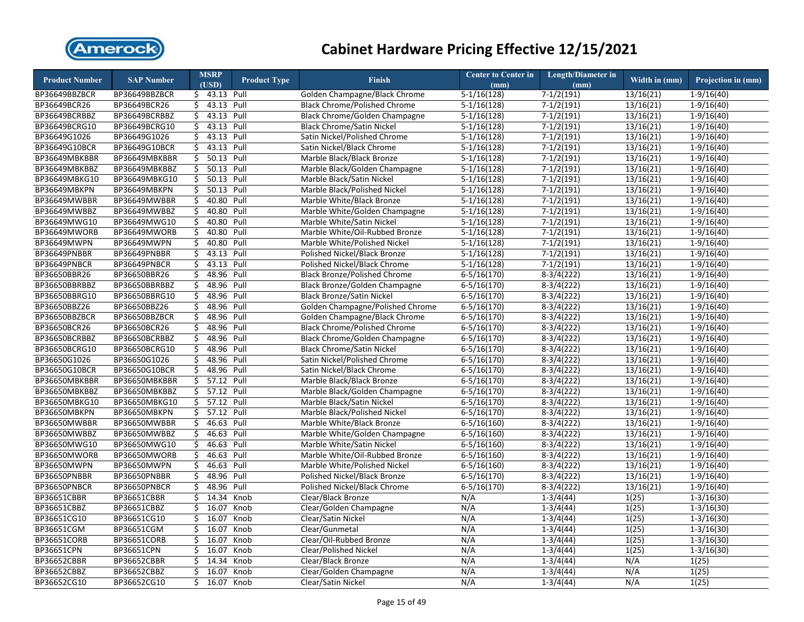

| <b>Product Number</b> | <b>SAP Number</b> |     | <b>MSRP</b>   | <b>Product Type</b> | <b>Finish</b>                        | <b>Center to Center in</b> | <b>Length/Diameter in</b>    | Width in (mm)          | Projection in (mm)           |
|-----------------------|-------------------|-----|---------------|---------------------|--------------------------------------|----------------------------|------------------------------|------------------------|------------------------------|
|                       |                   |     | (USD)         |                     |                                      | (mm)                       | (mm)                         |                        |                              |
| BP36649BBZBCR         | BP36649BBZBCR     |     | \$ 43.13 Pull |                     | Golden Champagne/Black Chrome        | $5-1/16(128)$              | $7-1/2(191)$                 | 13/16(21)              | $1-9/16(40)$                 |
| BP36649BCR26          | BP36649BCR26      |     | \$ 43.13 Pull |                     | <b>Black Chrome/Polished Chrome</b>  | $5-1/16(128)$              | $7-1/2(191)$                 | 13/16(21)              | $1-9/16(40)$                 |
| BP36649BCRBBZ         | BP36649BCRBBZ     | \$  | 43.13 Pull    |                     | <b>Black Chrome/Golden Champagne</b> | $5-1/16(128)$              | $7-1/2(191)$                 | 13/16(21)              | $1-9/16(40)$                 |
| BP36649BCRG10         | BP36649BCRG10     | \$  | 43.13 Pull    |                     | <b>Black Chrome/Satin Nickel</b>     | $5-1/16(128)$              | $7-1/2(191)$                 | 13/16(21)              | $1-9/16(40)$                 |
| BP36649G1026          | BP36649G1026      | \$  | 43.13 Pull    |                     | Satin Nickel/Polished Chrome         | $5-1/16(128)$              | $7-1/2(191)$                 | 13/16(21)              | $1-9/16(40)$                 |
| BP36649G10BCR         | BP36649G10BCR     | Ś.  | 43.13 Pull    |                     | Satin Nickel/Black Chrome            | $5-1/16(128)$              | $7-1/2(191)$                 | 13/16(21)              | $1-9/16(40)$                 |
| BP36649MBKBBR         | BP36649MBKBBR     | \$  | 50.13 Pull    |                     | Marble Black/Black Bronze            | $5-1/16(128)$              | $7-1/2(191)$                 | 13/16(21)              | $1-9/16(40)$                 |
| BP36649MBKBBZ         | BP36649MBKBBZ     | \$  | 50.13 Pull    |                     | Marble Black/Golden Champagne        | $5-1/16(128)$              | $7-1/2(191)$                 | 13/16(21)              | $1-9/16(40)$                 |
| BP36649MBKG10         | BP36649MBKG10     | \$  | 50.13 Pull    |                     | Marble Black/Satin Nickel            | $5-1/16(128)$              | $7-1/2(191)$                 | 13/16(21)              | $1-9/16(40)$                 |
| BP36649MBKPN          | BP36649MBKPN      | \$  | 50.13 Pull    |                     | Marble Black/Polished Nickel         | $5-1/16(128)$              | $7-1/2(191)$                 | 13/16(21)              | $1-9/16(40)$                 |
| BP36649MWBBR          | BP36649MWBBR      | \$  | 40.80         | Pull                | Marble White/Black Bronze            | $5-1/16(128)$              | $7-1/2(191)$                 | 13/16(21)              | $1-9/16(40)$                 |
| BP36649MWBBZ          | BP36649MWBBZ      | \$  | 40.80 Pull    |                     | Marble White/Golden Champagne        | $5-1/16(128)$              | $7-1/2(191)$                 | 13/16(21)              | $1-9/16(40)$                 |
| BP36649MWG10          | BP36649MWG10      | \$  | 40.80         | Pull                | Marble White/Satin Nickel            | $5-1/16(128)$              | $7-1/2(191)$                 | 13/16(21)              | $1-9/16(40)$                 |
| BP36649MWORB          | BP36649MWORB      | \$  | 40.80 Pull    |                     | Marble White/Oil-Rubbed Bronze       | $5-1/16(128)$              | $7-1/2(191)$                 | 13/16(21)              | $1-9/16(40)$                 |
| BP36649MWPN           | BP36649MWPN       | \$  | 40.80 Pull    |                     | Marble White/Polished Nickel         | $5-1/16(128)$              | $7-1/2(191)$                 | 13/16(21)              | $1-9/16(40)$                 |
| BP36649PNBBR          | BP36649PNBBR      | \$  | 43.13 Pull    |                     | Polished Nickel/Black Bronze         | $5-1/16(128)$              | $7-1/2(191)$                 | 13/16(21)              | $1-9/16(40)$                 |
| BP36649PNBCR          | BP36649PNBCR      | \$  | 43.13 Pull    |                     | Polished Nickel/Black Chrome         | $5-1/16(128)$              | $7-1/2(191)$                 | 13/16(21)              | $1-9/16(40)$                 |
| BP36650BBR26          | BP36650BBR26      | \$  | 48.96         | Pull                | <b>Black Bronze/Polished Chrome</b>  | $6 - 5/16(170)$            | $8-3/4(222)$                 | 13/16(21)              | $1-9/16(40)$                 |
| BP36650BBRBBZ         | BP36650BBRBBZ     | \$  | 48.96 Pull    |                     | Black Bronze/Golden Champagne        | $6 - 5/16(170)$            | $8-3/4(222)$                 | 13/16(21)              | $1-9/16(40)$                 |
| BP36650BBRG10         | BP36650BBRG10     | \$  | 48.96 Pull    |                     | <b>Black Bronze/Satin Nickel</b>     | $6 - 5/16(170)$            | $8-3/4(222)$                 | 13/16(21)              | $1-9/16(40)$                 |
| BP36650BBZ26          | BP36650BBZ26      | \$  | 48.96         | Pull                | Golden Champagne/Polished Chrome     | $6 - 5/16(170)$            | $8-3/4(222)$                 | 13/16(21)              | $1-9/16(40)$                 |
| BP36650BBZBCR         | BP36650BBZBCR     | \$  | 48.96 Pull    |                     | Golden Champagne/Black Chrome        | $6 - 5/16(170)$            | $8-3/4(222)$                 | 13/16(21)              | $1-9/16(40)$                 |
| BP36650BCR26          | BP36650BCR26      | \$  | 48.96 Pull    |                     | <b>Black Chrome/Polished Chrome</b>  | $6 - 5/16(170)$            | $8-3/4(222)$                 | 13/16(21)              | $1-9/16(40)$                 |
| BP36650BCRBBZ         | BP36650BCRBBZ     | \$  | 48.96 Pull    |                     | <b>Black Chrome/Golden Champagne</b> | $6 - 5/16(170)$            | $8-3/4(222)$                 | 13/16(21)              | $1-9/16(40)$                 |
| BP36650BCRG10         | BP36650BCRG10     | \$  | 48.96 Pull    |                     | <b>Black Chrome/Satin Nickel</b>     | $6 - 5/16(170)$            | $8-3/4(222)$                 | $\overline{13/1}6(21)$ | $1-9/16(40)$                 |
| BP36650G1026          | BP36650G1026      | \$  | 48.96         | Pull                | Satin Nickel/Polished Chrome         | $6 - 5/16(170)$            | $8-3/4(222)$                 | 13/16(21)              | $1-9/16(40)$                 |
| BP36650G10BCR         | BP36650G10BCR     | \$  | 48.96 Pull    |                     | Satin Nickel/Black Chrome            | $6 - 5/16(170)$            | $8-3/4(222)$                 | 13/16(21)              | $1-9/16(40)$                 |
| BP36650MBKBBR         | BP36650MBKBBR     | \$  | 57.12 Pull    |                     | Marble Black/Black Bronze            | $6 - 5/16(170)$            | $8-3/4(222)$                 | 13/16(21)              | $1-9/16(40)$                 |
| BP36650MBKBBZ         | BP36650MBKBBZ     | \$. | 57.12 Pull    |                     | Marble Black/Golden Champagne        | $6 - 5/16(170)$            | $8-3/4(222)$                 | 13/16(21)              | $1-9/16(40)$                 |
| BP36650MBKG10         | BP36650MBKG10     | \$  | 57.12 Pull    |                     | Marble Black/Satin Nickel            | $6 - 5/16(170)$            | $8-3/4(222)$                 | 13/16(21)              | $1-9/16(40)$                 |
| BP36650MBKPN          | BP36650MBKPN      |     | \$ 57.12 Pull |                     | Marble Black/Polished Nickel         | $6 - 5/16(170)$            | $8-3/4(222)$                 | 13/16(21)              | $1-9/16(40)$                 |
| BP36650MWBBR          | BP36650MWBBR      | \$  | 46.63 Pull    |                     | Marble White/Black Bronze            | $6-5/16(160)$              | $8-3/4(222)$                 | 13/16(21)              | $1-9/16(40)$                 |
| BP36650MWBBZ          | BP36650MWBBZ      |     | $$46.63$ Pull |                     | Marble White/Golden Champagne        | $6 - 5/16(160)$            | $8-3/4(222)$                 | 13/16(21)              | $1-9/16(40)$                 |
| BP36650MWG10          | BP36650MWG10      | \$  | 46.63 Pull    |                     | Marble White/Satin Nickel            | $6 - 5/16(160)$            | $8-3/4(222)$                 | 13/16(21)              | $1-9/16(40)$                 |
| BP36650MWORB          | BP36650MWORB      | \$  | 46.63 Pull    |                     | Marble White/Oil-Rubbed Bronze       | $6-5/16(160)$              | $8-3/4(222)$                 | 13/16(21)              | $1-9/16(40)$                 |
| BP36650MWPN           | BP36650MWPN       | \$  | 46.63 Pull    |                     | Marble White/Polished Nickel         | $6 - 5/16(160)$            |                              | 13/16(21)              |                              |
| BP36650PNBBR          | BP36650PNBBR      | \$  | 48.96         | Pull                | Polished Nickel/Black Bronze         | $6 - 5/16(170)$            | $8-3/4(222)$<br>$8-3/4(222)$ | 13/16(21)              | $1-9/16(40)$<br>$1-9/16(40)$ |
|                       |                   | \$  | 48.96         | Pull                |                                      |                            |                              |                        |                              |
| BP36650PNBCR          | BP36650PNBCR      | Ś.  | 14.34         | Knob                | Polished Nickel/Black Chrome         | $6 - 5/16(170)$            | $8-3/4(222)$                 | 13/16(21)              | $1-9/16(40)$                 |
| BP36651CBBR           | BP36651CBBR       |     |               |                     | Clear/Black Bronze                   | N/A                        | $1-3/4(44)$                  | 1(25)                  | $\overline{1-3/1}6(30)$      |
| BP36651CBBZ           | BP36651CBBZ       | \$  | 16.07         | Knob                | Clear/Golden Champagne               | N/A                        | $1 - 3/4(44)$                | 1(25)                  | $1 - 3/16(30)$               |
| BP36651CG10           | BP36651CG10       | Ś.  | 16.07         | Knob                | Clear/Satin Nickel                   | N/A                        | $1 - 3/4(44)$                | 1(25)                  | $1 - 3/16(30)$               |
| BP36651CGM            | BP36651CGM        | Ś.  | 16.07         | Knob                | Clear/Gunmetal                       | N/A                        | $1 - 3/4(44)$                | 1(25)                  | $1 - 3/16(30)$               |
| BP36651CORB           | BP36651CORB       | \$  | 16.07         | Knob                | Clear/Oil-Rubbed Bronze              | N/A                        | $1 - 3/4(44)$                | 1(25)                  | $1 - 3/16(30)$               |
| BP36651CPN            | BP36651CPN        | \$  | 16.07         | Knob                | Clear/Polished Nickel                | N/A                        | $1 - 3/4(44)$                | 1(25)                  | $1 - 3/16(30)$               |
| BP36652CBBR           | BP36652CBBR       | Ś.  | 14.34         | Knob                | Clear/Black Bronze                   | N/A                        | $1-3/4(44)$                  | N/A                    | 1(25)                        |
| BP36652CBBZ           | BP36652CBBZ       | \$  | 16.07         | Knob                | Clear/Golden Champagne               | N/A                        | $1 - 3/4(44)$                | N/A                    | 1(25)                        |
| BP36652CG10           | BP36652CG10       |     | \$16.07       | Knob                | Clear/Satin Nickel                   | N/A                        | $1-3/4(44)$                  | N/A                    | 1(25)                        |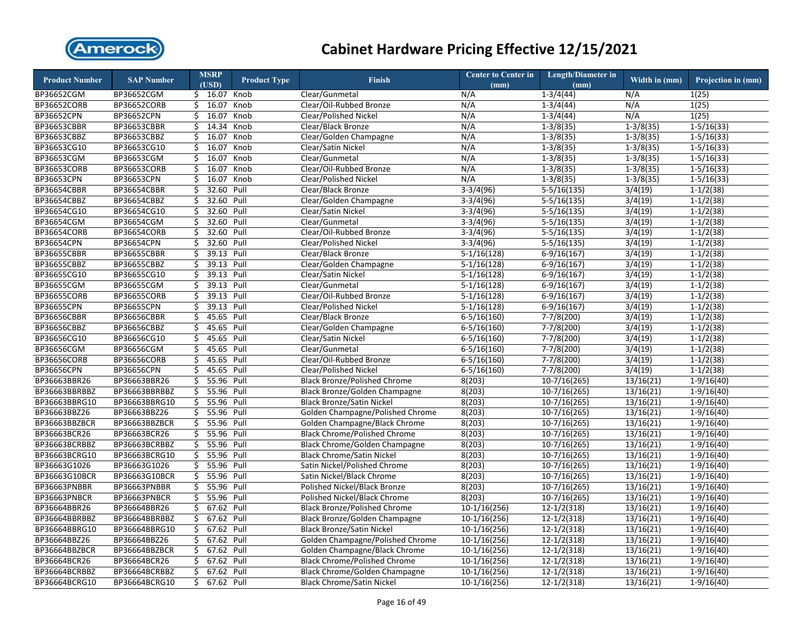

| <b>Product Number</b>         | <b>SAP Number</b>  |          | <b>MSRP</b><br>(USD) | <b>Product Type</b> | <b>Finish</b>                       | <b>Center to Center in</b><br>(mm) | <b>Length/Diameter in</b><br>(mm) | Width in (mm)          | Projection in (mm)     |
|-------------------------------|--------------------|----------|----------------------|---------------------|-------------------------------------|------------------------------------|-----------------------------------|------------------------|------------------------|
| BP36652CGM                    | BP36652CGM         |          | $$16.07$ Knob        |                     | Clear/Gunmetal                      | N/A                                | $1-3/4(44)$                       | N/A                    | 1(25)                  |
| BP36652CORB                   | BP36652CORB        |          | \$16.07              | Knob                | Clear/Oil-Rubbed Bronze             | N/A                                | $1 - 3/4(44)$                     | N/A                    | 1(25)                  |
| BP36652CPN                    | BP36652CPN         |          | \$16.07              | Knob                | Clear/Polished Nickel               | N/A                                | $1 - 3/4(44)$                     | N/A                    | 1(25)                  |
| BP36653CBBR                   | BP36653CBBR        | Ś.       | 14.34                | Knob                | Clear/Black Bronze                  | N/A                                | $1-3/8(35)$                       | $1-3/8(35)$            | $1 - 5/16(33)$         |
| BP36653CBBZ                   | BP36653CBBZ        | \$       | 16.07                | Knob                | Clear/Golden Champagne              | N/A                                | $1 - 3/8(35)$                     | $1 - 3/8(35)$          | $1 - 5/16(33)$         |
| BP36653CG10                   | BP36653CG10        | \$       | 16.07                | Knob                | Clear/Satin Nickel                  | N/A                                | $1-3/8(35)$                       | $1-3/8(35)$            | $1 - 5/16(33)$         |
| BP36653CGM                    | BP36653CGM         | \$       | 16.07                | Knob                | Clear/Gunmetal                      | N/A                                | $1-3/8(35)$                       | $1-3/8(35)$            | $1 - 5/16(33)$         |
| BP36653CORB                   | BP36653CORB        | \$       | 16.07                | Knob                | Clear/Oil-Rubbed Bronze             | N/A                                | $1-3/8(35)$                       | $1 - 3/8(35)$          | $1 - 5/16(33)$         |
| BP36653CPN                    | <b>BP36653CPN</b>  | Ś        | 16.07                | Knob                | <b>Clear/Polished Nickel</b>        | N/A                                | $1-3/8(35)$                       | $1 - 3/8(35)$          | $1 - 5/16(33)$         |
| BP36654CBBR                   | BP36654CBBR        | \$       | 32.60 Pull           |                     | Clear/Black Bronze                  | $3-3/4(96)$                        | $5-5/16(135)$                     | 3/4(19)                | $1 - 1/2(38)$          |
| BP36654CBBZ                   | BP36654CBBZ        | \$       | 32.60 Pull           |                     | Clear/Golden Champagne              | $3-3/4(96)$                        | $5-5/16(135)$                     | 3/4(19)                | $1-1/2(38)$            |
| BP36654CG10                   | BP36654CG10        | Ś.       | 32.60 Pull           |                     | Clear/Satin Nickel                  | $3-3/4(96)$                        | $5-5/16(135)$                     | 3/4(19)                | $\overline{1-1/2(38)}$ |
| BP36654CGM                    | BP36654CGM         | \$       | 32.60                | Pull                | Clear/Gunmetal                      | $3-3/4(96)$                        | $5-5/16(135)$                     | 3/4(19)                | $1-1/2(38)$            |
| BP36654CORB                   | BP36654CORB        | \$       | 32.60 Pull           |                     | Clear/Oil-Rubbed Bronze             | $3-3/4(96)$                        | $5-5/16(135)$                     | 3/4(19)                | $1-1/2(38)$            |
| BP36654CPN                    | BP36654CPN         | \$       | 32.60 Pull           |                     | Clear/Polished Nickel               | $3-3/4(96)$                        | $5-5/16(135)$                     | 3/4(19)                | $1-1/2(38)$            |
| BP36655CBBR                   | <b>BP36655CBBR</b> | \$       | 39.13 Pull           |                     | Clear/Black Bronze                  | $5-1/16(128)$                      | $6-9/16(167)$                     | 3/4(19)                | $1 - 1/2(38)$          |
| BP36655CBBZ                   | BP36655CBBZ        | \$       | 39.13 Pull           |                     | Clear/Golden Champagne              | $5-1/16(128)$                      | $6-9/16(167)$                     | 3/4(19)                | $1-1/2(38)$            |
| BP36655CG10                   | BP36655CG10        | \$       | 39.13 Pull           |                     | Clear/Satin Nickel                  | $5-1/16(128)$                      | $6-9/16(167)$                     | 3/4(19)                | $1-1/2(38)$            |
| BP36655CGM                    | BP36655CGM         | \$       | 39.13 Pull           |                     | Clear/Gunmetal                      | $5-1/16(128)$                      | $6-9/16(167)$                     | 3/4(19)                | $1-1/2(38)$            |
| <b>BP36655CORB</b>            | BP36655CORB        |          | $$39.13$ Pull        |                     | Clear/Oil-Rubbed Bronze             | $5-1/16(128)$                      | $6-9/16(167)$                     | 3/4(19)                | $1-1/2(38)$            |
| BP36655CPN                    | BP36655CPN         | \$       | 39.13 Pull           |                     | Clear/Polished Nickel               | $5-1/16(128)$                      | $6-9/16(167)$                     | 3/4(19)                | $1 - 1/2(38)$          |
| <b>BP36656CBBR</b>            | <b>BP36656CBBR</b> | Ś.       | 45.65 Pull           |                     | Clear/Black Bronze                  | $6 - 5/16(160)$                    | $7-7/8(200)$                      | 3/4(19)                | $1-1/2(38)$            |
| BP36656CBBZ                   | BP36656CBBZ        | Ś.       | 45.65 Pull           |                     | Clear/Golden Champagne              | $6 - 5/16(160)$                    | $7-7/8(200)$                      | 3/4(19)                | $1 - 1/2(38)$          |
| BP36656CG10                   | BP36656CG10        | \$       | 45.65 Pull           |                     | Clear/Satin Nickel                  | $6 - 5/16(160)$                    | $7 - 7/8(200)$                    | 3/4(19)                | $1 - 1/2(38)$          |
| BP36656CGM                    | BP36656CGM         | Ś.       | 45.65 Pull           |                     | Clear/Gunmetal                      | $6 - 5/16(160)$                    | 7-7/8(200)                        | 3/4(19)                | $1 - 1/2(38)$          |
| <b>BP36656CORB</b>            | <b>BP36656CORB</b> | \$       | 45.65 Pull           |                     | Clear/Oil-Rubbed Bronze             | $6 - 5/16(160)$                    | $7 - 7/8(200)$                    | 3/4(19)                | $1 - 1/2(38)$          |
| BP36656CPN                    | BP36656CPN         | \$       | 45.65 Pull           |                     | Clear/Polished Nickel               | $6 - 5/16(160)$                    | $7 - 7/8(200)$                    | 3/4(19)                | $1 - 1/2(38)$          |
| BP36663BBR26                  | BP36663BBR26       | \$       | 55.96 Pull           |                     | <b>Black Bronze/Polished Chrome</b> | 8(203)                             | $10-7/16(265)$                    | 13/16(21)              | $1-9/16(40)$           |
| BP36663BBRBBZ                 | BP36663BBRBBZ      | \$       | 55.96                | Pull                | Black Bronze/Golden Champagne       | 8(203)                             | $10-7/16(265)$                    | 13/16(21)              | $1-9/16(40)$           |
| BP36663BBRG10                 | BP36663BBRG10      | \$       | 55.96                | Pull                | <b>Black Bronze/Satin Nickel</b>    | 8(203)                             | $10-7/16(265)$                    | 13/16(21)              | $1-9/16(40)$           |
| BP36663BBZ26                  | BP36663BBZ26       | \$       | 55.96 Pull           |                     | Golden Champagne/Polished Chrome    | 8(203)                             | $10-7/16(265)$                    | 13/16(21)              | $1-9/16(40)$           |
| BP36663BBZBCR                 | BP36663BBZBCR      | \$       | 55.96 Pull           |                     | Golden Champagne/Black Chrome       | 8(203)                             | $10-7/16(265)$                    | 13/16(21)              | $1-9/16(40)$           |
| BP36663BCR26                  | BP36663BCR26       |          | $$55.96$ Pull        |                     | <b>Black Chrome/Polished Chrome</b> | 8(203)                             | $10-7/16(265)$                    | 13/16(21)              | $1-9/16(40)$           |
| BP36663BCRBBZ                 | BP36663BCRBBZ      | \$       | 55.96 Pull           |                     | Black Chrome/Golden Champagne       | 8(203)                             | $10-7/16(265)$                    | 13/16(21)              | $1-9/16(40)$           |
| BP36663BCRG10                 | BP36663BCRG10      | \$       | 55.96 Pull           |                     | <b>Black Chrome/Satin Nickel</b>    | 8(203)                             | $10-7/16(265)$                    | 13/16(21)              | $1-9/16(40)$           |
| BP36663G1026                  | BP36663G1026       | \$       | 55.96 Pull           |                     | Satin Nickel/Polished Chrome        | 8(203)                             | $10-7/16(265)$                    | 13/16(21)              | $1-9/16(40)$           |
| BP36663G10BCR                 | BP36663G10BCR      |          | $$55.96$ Pull        |                     | Satin Nickel/Black Chrome           | 8(203)                             | $10-7/16(265)$                    | 13/16(21)              | $1-9/16(40)$           |
| BP36663PNBBR                  | BP36663PNBBR       | \$       | 55.96 Pull           |                     | Polished Nickel/Black Bronze        |                                    |                                   |                        |                        |
| BP36663PNBCR                  | BP36663PNBCR       | Ś.       | 55.96 Pull           |                     | Polished Nickel/Black Chrome        | 8(203)<br>8(203)                   | $10-7/16(265)$                    | 13/16(21)              | $1-9/16(40)$           |
|                               |                    |          | 67.62 Pull           |                     |                                     |                                    | $10-7/16(265)$                    | 13/16(21)              | $1-9/16(40)$           |
| BP36664BBR26<br>BP36664BBRBBZ | BP36664BBR26       | \$       | 67.62 Pull           |                     | <b>Black Bronze/Polished Chrome</b> | $10-1/16(256)$                     | $12-1/2(318)$                     | $\overline{13/1}6(21)$ | $1-9/16(40)$           |
|                               | BP36664BBRBBZ      | \$<br>Ś. |                      |                     | Black Bronze/Golden Champagne       | $10-1/16(256)$                     | $12 - 1/2(318)$                   | 13/16(21)              | $1-9/16(40)$           |
| BP36664BBRG10                 | BP36664BBRG10      |          | 67.62 Pull           |                     | <b>Black Bronze/Satin Nickel</b>    | $10-1/16(256)$                     | $12 - 1/2(318)$                   | 13/16(21)              | $1-9/16(40)$           |
| BP36664BBZ26                  | BP36664BBZ26       | \$       | 67.62 Pull           |                     | Golden Champagne/Polished Chrome    | $10-1/16(256)$                     | $12 - 1/2(318)$                   | 13/16(21)              | $1-9/16(40)$           |
| BP36664BBZBCR                 | BP36664BBZBCR      | Ś.       | 67.62 Pull           |                     | Golden Champagne/Black Chrome       | $10-1/16(256)$                     | $12 - 1/2(318)$                   | 13/16(21)              | $1-9/16(40)$           |
| BP36664BCR26                  | BP36664BCR26       | \$       | 67.62 Pull           |                     | <b>Black Chrome/Polished Chrome</b> | $10-1/16(256)$                     | $12-1/2(318)$                     | 13/16(21)              | $1-9/16(40)$           |
| BP36664BCRBBZ                 | BP36664BCRBBZ      |          | \$ 67.62 Pull        |                     | Black Chrome/Golden Champagne       | $10-1/16(256)$                     | $12 - 1/2(318)$                   | 13/16(21)              | $1-9/16(40)$           |
| BP36664BCRG10                 | BP36664BCRG10      |          | \$ 67.62 Pull        |                     | <b>Black Chrome/Satin Nickel</b>    | $10-1/16(256)$                     | $12-1/2(318)$                     | 13/16(21)              | $1-9/16(40)$           |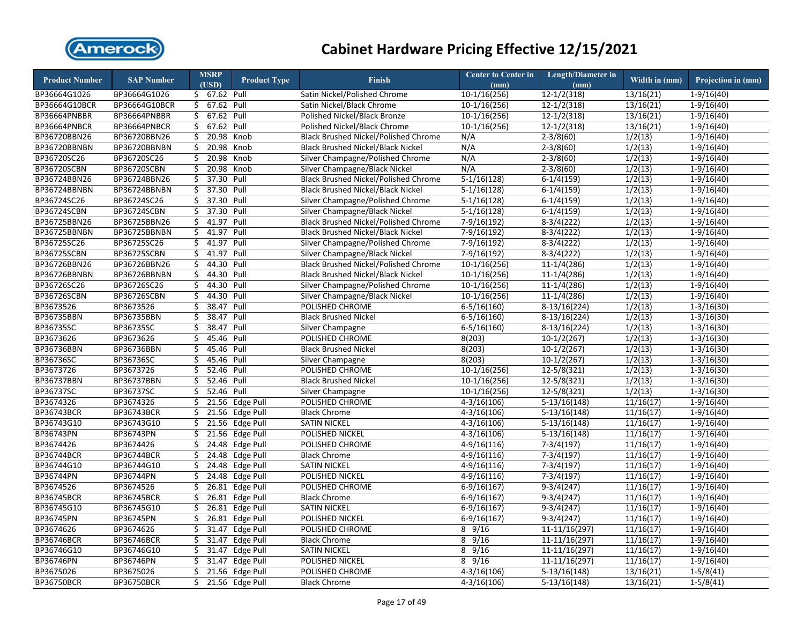

| \$ 67.62 Pull<br>Satin Nickel/Polished Chrome<br>$10-1/16(256)$<br>$12 - 1/2(318)$<br>13/16(21)<br>$1-9/16(40)$<br>BP36664G1026<br>BP36664G1026<br>67.62 Pull<br>$10-1/16(256)$<br>$12-1/2(318)$<br>13/16(21)<br>BP36664G10BCR<br>BP36664G10BCR<br>\$<br>Satin Nickel/Black Chrome<br>$1-9/16(40)$<br>$$67.62$ Pull<br>Polished Nickel/Black Bronze<br>$10-1/16(256)$<br>$12-1/2(318)$<br>13/16(21)<br>$1-9/16(40)$<br>BP36664PNBBR<br>BP36664PNBBR<br>67.62 Pull<br>10-1/16(256)<br>$12 - 1/2(318)$<br>13/16(21)<br>BP36664PNBCR<br>BP36664PNBCR<br>\$<br>Polished Nickel/Black Chrome<br>$1-9/16(40)$<br>20.98<br>BP36720BBN26<br>BP36720BBN26<br>\$<br>Knob<br>Black Brushed Nickel/Polished Chrome<br>N/A<br>$2 - 3/8(60)$<br>1/2(13)<br>$1-9/16(40)$<br>\$<br>20.98<br>$2-3/8(60)$<br>1/2(13)<br>BP36720BBNBN<br>BP36720BBNBN<br>Knob<br><b>Black Brushed Nickel/Black Nickel</b><br>N/A<br>$1-9/16(40)$<br>20.98<br>BP36720SC26<br>BP36720SC26<br>Ś.<br>Knob<br>Silver Champagne/Polished Chrome<br>N/A<br>$2 - 3/8(60)$<br>1/2(13)<br>$1-9/16(40)$<br>\$<br>20.98<br>Knob<br>N/A<br>$\frac{1}{2(13)}$<br>BP36720SCBN<br>BP36720SCBN<br>Silver Champagne/Black Nickel<br>$2 - 3/8(60)$<br>$\overline{1-9/1}6(40)$<br>37.30 Pull<br>\$<br><b>Black Brushed Nickel/Polished Chrome</b><br>$5-1/16(128)$<br>$6-1/4(159)$<br>1/2(13)<br>BP36724BBN26<br>BP36724BBN26<br>$1-9/16(40)$<br>37.30 Pull<br>Ś.<br>1/2(13)<br>BP36724BBNBN<br>BP36724BBNBN<br><b>Black Brushed Nickel/Black Nickel</b><br>$5-1/16(128)$<br>$6-1/4(159)$<br>$1-9/16(40)$<br>\$<br>37.30 Pull<br>1/2(13)<br>BP36724SC26<br>BP36724SC26<br>Silver Champagne/Polished Chrome<br>$5-1/16(128)$<br>$6-1/4(159)$<br>$1-9/16(40)$<br>37.30 Pull<br>BP36724SCBN<br>Ś.<br>1/2(13)<br>BP36724SCBN<br>Silver Champagne/Black Nickel<br>$5-1/16(128)$<br>$6-1/4(159)$<br>$1-9/16(40)$<br>BP36725BBN26<br>BP36725BBN26<br>\$<br>41.97<br>Pull<br>Black Brushed Nickel/Polished Chrome<br>$7-9/16(192)$<br>$8-3/4(222)$<br>1/2(13)<br>$1-9/16(40)$<br>\$<br>41.97<br>BP36725BBNBN<br>BP36725BBNBN<br>Pull<br><b>Black Brushed Nickel/Black Nickel</b><br>7-9/16(192)<br>$8-3/4(222)$<br>1/2(13)<br>$1-9/16(40)$<br>BP36725SC26<br>BP36725SC26<br>\$<br>41.97<br>Pull<br>Silver Champagne/Polished Chrome<br>$7-9/16(192)$<br>$8-3/4(222)$<br>1/2(13)<br>$1-9/16(40)$<br>BP36725SCBN<br>BP36725SCBN<br>\$ 41.97 Pull<br>$7 - 9/16(192)$<br>1/2(13)<br>Silver Champagne/Black Nickel<br>$8-3/4(222)$<br>$1-9/16(40)$<br>1/2(13)<br>BP36726BBN26<br>BP36726BBN26<br>\$<br>44.30 Pull<br><b>Black Brushed Nickel/Polished Chrome</b><br>$10-1/16(256)$<br>$11-1/4(286)$<br>$1-9/16(40)$<br>\$<br>44.30 Pull<br>$11-1/4(286)$<br>1/2(13)<br>$1-9/16(40)$<br>BP36726BBNBN<br>BP36726BBNBN<br><b>Black Brushed Nickel/Black Nickel</b><br>$10-1/16(256)$<br>44.30 Pull<br>1/2(13)<br>BP36726SC26<br>BP36726SC26<br>\$<br>Silver Champagne/Polished Chrome<br>$10-1/16(256)$<br>$11-1/4(286)$<br>$1-9/16(40)$<br>$$44.30$ Pull<br>BP36726SCBN<br>BP36726SCBN<br>$10-1/16(256)$<br>$11-1/4(286)$<br>1/2(13)<br>Silver Champagne/Black Nickel<br>$1-9/16(40)$<br>38.47<br>BP3673526<br>BP3673526<br>\$<br>Pull<br>POLISHED CHROME<br>$6 - 5/16(160)$<br>$\overline{8-13/16(224)}$<br>1/2(13)<br>$1 - 3/16(30)$<br>BP36735BBN<br>38.47<br>BP36735BBN<br>Ś.<br>Pull<br><b>Black Brushed Nickel</b><br>$6 - 5/16(160)$<br>$8-13/16(224)$<br>1/2(13)<br>$1 - 3/16(30)$<br>BP36735SC<br>BP36735SC<br>38.47<br>1/2(13)<br>\$<br>Pull<br>Silver Champagne<br>$6 - 5/16(160)$<br>$8-13/16(224)$<br>$1-3/16(30)$<br>BP3673626<br>BP3673626<br>Ś<br>45.46<br>Pull<br>POLISHED CHROME<br>8(203)<br>$10-1/2(267)$<br>1/2(13)<br>$1-3/16(30)$<br>45.46<br>BP36736BBN<br>BP36736BBN<br>\$<br>Pull<br><b>Black Brushed Nickel</b><br>8(203)<br>$10-1/2(267)$<br>1/2(13)<br>$1 - 3/16(30)$<br>BP36736SC<br>BP36736SC<br>Ś<br>45.46 Pull<br>8(203)<br>$10-1/2(267)$<br>1/2(13)<br>Silver Champagne<br>$1 - 3/16(30)$<br>52.46 Pull<br>BP3673726<br>BP3673726<br>Ś.<br>POLISHED CHROME<br>10-1/16(256)<br>$12 - 5/8(321)$<br>$\frac{1}{2(13)}$<br>$1 - 3/16(30)$<br>52.46<br>BP36737BBN<br>\$<br>Pull<br>$12 - 5/8(321)$<br>1/2(13)<br>BP36737BBN<br><b>Black Brushed Nickel</b><br>$10-1/16(256)$<br>$1 - 3/16(30)$<br><b>BP36737SC</b><br>52.46 Pull<br>BP36737SC<br>\$<br>Silver Champagne<br>$10-1/16(256)$<br>12-5/8(321)<br>1/2(13)<br>$1 - 3/16(30)$<br>BP3674326<br>BP3674326<br>\$<br>21.56<br>Edge Pull<br>POLISHED CHROME<br>$4-3/16(106)$<br>$5-13/16(148)$<br>11/16(17)<br>$1-9/16(40)$<br>BP36743BCR<br>$\overline{21.56}$<br><b>BP36743BCR</b><br>\$<br>Edge Pull<br><b>Black Chrome</b><br>$4 - 3/16(106)$<br>$5-13/16(148)$<br>11/16(17)<br>$1-9/16(40)$<br>BP36743G10<br>BP36743G10<br>\$<br>21.56 Edge Pull<br>$4 - 3/16(106)$<br>$5-13/16(148)$<br>11/16(17)<br>$1-9/16(40)$<br><b>SATIN NICKEL</b><br>BP36743PN<br>BP36743PN<br>\$<br>21.56 Edge Pull<br>POLISHED NICKEL<br>$4 - 3/16(106)$<br>$5-13/16(148)$<br>$\overline{11/1}6(17)$<br>$1-9/16(40)$<br>BP3674426<br>BP3674426<br>24.48 Edge Pull<br>\$<br>POLISHED CHROME<br>$4-9/16(116)$<br>$7-3/4(197)$<br>11/16(17)<br>$1-9/16(40)$<br>BP36744BCR<br>BP36744BCR<br>\$<br>24.48 Edge Pull<br>$4-9/16(116)$<br>11/16(17)<br><b>Black Chrome</b><br>$7-3/4(197)$<br>$1-9/16(40)$<br>BP36744G10<br>BP36744G10<br>\$<br>24.48 Edge Pull<br><b>SATIN NICKEL</b><br>$4-9/16(116)$<br>$7-3/4(197)$<br>11/16(17)<br>$1-9/16(40)$<br>BP36744PN<br>\$<br>24.48<br>Edge Pull<br>$4-9/16(116)$<br>BP36744PN<br>POLISHED NICKEL<br>$7-3/4(197)$<br>11/16(17)<br>$1-9/16(40)$<br>BP3674526<br>BP3674526<br>\$<br>26.81<br>Edge Pull<br>$6-9/16(167)$<br>POLISHED CHROME<br>$9-3/4(247)$<br>11/16(17)<br>$1-9/16(40)$<br><b>BP36745BCR</b><br><b>BP36745BCR</b><br>Ś.<br>26.81<br>Edge Pull<br>$6-9/16(167)$<br>$9-3/4(247)$<br>11/16(17)<br>$1-9/16(40)$<br><b>Black Chrome</b><br>\$<br>26.81<br>Edge Pull<br>BP36745G10<br>BP36745G10<br><b>SATIN NICKEL</b><br>$6-9/16(167)$<br>$9-3/4(247)$<br>11/16(17)<br>$1-9/16(40)$<br>BP36745PN<br>BP36745PN<br>\$<br>26.81<br><b>Edge Pull</b><br>POLISHED NICKEL<br>$6-9/16(167)$<br>$9-3/4(247)$<br>11/16(17)<br>$1-9/16(40)$<br>31.47<br>BP3674626<br>BP3674626<br>\$<br>Edge Pull<br>POLISHED CHROME<br>$8 \frac{9}{16}$<br>11-11/16(297)<br>11/16(17)<br>$1-9/16(40)$<br><b>BP36746BCR</b><br>31.47<br>$8 \frac{9}{16}$<br><b>BP36746BCR</b><br>\$<br>Edge Pull<br><b>Black Chrome</b><br>11-11/16(297)<br>11/16(17)<br>$1-9/16(40)$<br>\$<br>BP36746G10<br>31.47<br>Edge Pull<br>$8 \frac{9}{16}$<br>BP36746G10<br><b>SATIN NICKEL</b><br>11-11/16(297)<br>11/16(17)<br>$1-9/16(40)$<br>31.47<br>$8 \frac{9}{16}$<br>BP36746PN<br>BP36746PN<br>\$<br>Edge Pull<br>POLISHED NICKEL<br>$11-11/16(297)$<br>11/16(17)<br>$1-9/16(40)$<br>BP3675026<br>$\frac{1}{5}$ 21.56 Edge Pull<br>BP3675026<br>POLISHED CHROME<br>$4 - 3/16(106)$<br>$5-13/16(148)$<br>13/16(21)<br>$1-5/8(41)$<br><b>BP36750BCR</b><br>\$<br>21.56 Edge Pull<br>$5-13/16(148)$<br>13/16(21)<br>$1-5/8(41)$<br><b>BP36750BCR</b><br><b>Black Chrome</b><br>$4 - 3/16(106)$ | <b>Product Number</b> | <b>SAP Number</b> | <b>MSRP</b><br>(USD) | <b>Product Type</b> | <b>Finish</b> | <b>Center to Center in</b><br>(mm) | <b>Length/Diameter in</b><br>(mm) | Width in (mm) | Projection in (mm) |
|--------------------------------------------------------------------------------------------------------------------------------------------------------------------------------------------------------------------------------------------------------------------------------------------------------------------------------------------------------------------------------------------------------------------------------------------------------------------------------------------------------------------------------------------------------------------------------------------------------------------------------------------------------------------------------------------------------------------------------------------------------------------------------------------------------------------------------------------------------------------------------------------------------------------------------------------------------------------------------------------------------------------------------------------------------------------------------------------------------------------------------------------------------------------------------------------------------------------------------------------------------------------------------------------------------------------------------------------------------------------------------------------------------------------------------------------------------------------------------------------------------------------------------------------------------------------------------------------------------------------------------------------------------------------------------------------------------------------------------------------------------------------------------------------------------------------------------------------------------------------------------------------------------------------------------------------------------------------------------------------------------------------------------------------------------------------------------------------------------------------------------------------------------------------------------------------------------------------------------------------------------------------------------------------------------------------------------------------------------------------------------------------------------------------------------------------------------------------------------------------------------------------------------------------------------------------------------------------------------------------------------------------------------------------------------------------------------------------------------------------------------------------------------------------------------------------------------------------------------------------------------------------------------------------------------------------------------------------------------------------------------------------------------------------------------------------------------------------------------------------------------------------------------------------------------------------------------------------------------------------------------------------------------------------------------------------------------------------------------------------------------------------------------------------------------------------------------------------------------------------------------------------------------------------------------------------------------------------------------------------------------------------------------------------------------------------------------------------------------------------------------------------------------------------------------------------------------------------------------------------------------------------------------------------------------------------------------------------------------------------------------------------------------------------------------------------------------------------------------------------------------------------------------------------------------------------------------------------------------------------------------------------------------------------------------------------------------------------------------------------------------------------------------------------------------------------------------------------------------------------------------------------------------------------------------------------------------------------------------------------------------------------------------------------------------------------------------------------------------------------------------------------------------------------------------------------------------------------------------------------------------------------------------------------------------------------------------------------------------------------------------------------------------------------------------------------------------------------------------------------------------------------------------------------------------------------------------------------------------------------------------------------------------------------------------------------------------------------------------------------------------------------------------------------------------------------------------------------------------------------------------------------------------------------------------------------------------------------------------------------------------------------------------------------------------------------------------------------------------------------------------------------------------------------------------------------------------------------------------------------------------------------------------------------------------------------------------------------------------------------------------------------------------------------------------------------------------------------------------------------------------------------------------------------------------------------------------------------------------------------------------------------------------------------------------------------------------------------------------------------------------------------------------------------------------------------------------------------------------------------------------------------------------------------------------------------------------------------------------------------------------------------------------------------------------------------------------------------------------------------------------------------------------------------------------------------------------------------------------------------------------------------------------------------------------------------------------------------------------------------------------------------------------------------------------------------------------------------|-----------------------|-------------------|----------------------|---------------------|---------------|------------------------------------|-----------------------------------|---------------|--------------------|
|                                                                                                                                                                                                                                                                                                                                                                                                                                                                                                                                                                                                                                                                                                                                                                                                                                                                                                                                                                                                                                                                                                                                                                                                                                                                                                                                                                                                                                                                                                                                                                                                                                                                                                                                                                                                                                                                                                                                                                                                                                                                                                                                                                                                                                                                                                                                                                                                                                                                                                                                                                                                                                                                                                                                                                                                                                                                                                                                                                                                                                                                                                                                                                                                                                                                                                                                                                                                                                                                                                                                                                                                                                                                                                                                                                                                                                                                                                                                                                                                                                                                                                                                                                                                                                                                                                                                                                                                                                                                                                                                                                                                                                                                                                                                                                                                                                                                                                                                                                                                                                                                                                                                                                                                                                                                                                                                                                                                                                                                                                                                                                                                                                                                                                                                                                                                                                                                                                                                                                                                                                                                                                                                                                                                                                                                                                                                                                                                                                                                                                                                                                                                                                                                                                                                                                                                                                                                                                                                                                                                                                                                                            |                       |                   |                      |                     |               |                                    |                                   |               |                    |
|                                                                                                                                                                                                                                                                                                                                                                                                                                                                                                                                                                                                                                                                                                                                                                                                                                                                                                                                                                                                                                                                                                                                                                                                                                                                                                                                                                                                                                                                                                                                                                                                                                                                                                                                                                                                                                                                                                                                                                                                                                                                                                                                                                                                                                                                                                                                                                                                                                                                                                                                                                                                                                                                                                                                                                                                                                                                                                                                                                                                                                                                                                                                                                                                                                                                                                                                                                                                                                                                                                                                                                                                                                                                                                                                                                                                                                                                                                                                                                                                                                                                                                                                                                                                                                                                                                                                                                                                                                                                                                                                                                                                                                                                                                                                                                                                                                                                                                                                                                                                                                                                                                                                                                                                                                                                                                                                                                                                                                                                                                                                                                                                                                                                                                                                                                                                                                                                                                                                                                                                                                                                                                                                                                                                                                                                                                                                                                                                                                                                                                                                                                                                                                                                                                                                                                                                                                                                                                                                                                                                                                                                                            |                       |                   |                      |                     |               |                                    |                                   |               |                    |
|                                                                                                                                                                                                                                                                                                                                                                                                                                                                                                                                                                                                                                                                                                                                                                                                                                                                                                                                                                                                                                                                                                                                                                                                                                                                                                                                                                                                                                                                                                                                                                                                                                                                                                                                                                                                                                                                                                                                                                                                                                                                                                                                                                                                                                                                                                                                                                                                                                                                                                                                                                                                                                                                                                                                                                                                                                                                                                                                                                                                                                                                                                                                                                                                                                                                                                                                                                                                                                                                                                                                                                                                                                                                                                                                                                                                                                                                                                                                                                                                                                                                                                                                                                                                                                                                                                                                                                                                                                                                                                                                                                                                                                                                                                                                                                                                                                                                                                                                                                                                                                                                                                                                                                                                                                                                                                                                                                                                                                                                                                                                                                                                                                                                                                                                                                                                                                                                                                                                                                                                                                                                                                                                                                                                                                                                                                                                                                                                                                                                                                                                                                                                                                                                                                                                                                                                                                                                                                                                                                                                                                                                                            |                       |                   |                      |                     |               |                                    |                                   |               |                    |
|                                                                                                                                                                                                                                                                                                                                                                                                                                                                                                                                                                                                                                                                                                                                                                                                                                                                                                                                                                                                                                                                                                                                                                                                                                                                                                                                                                                                                                                                                                                                                                                                                                                                                                                                                                                                                                                                                                                                                                                                                                                                                                                                                                                                                                                                                                                                                                                                                                                                                                                                                                                                                                                                                                                                                                                                                                                                                                                                                                                                                                                                                                                                                                                                                                                                                                                                                                                                                                                                                                                                                                                                                                                                                                                                                                                                                                                                                                                                                                                                                                                                                                                                                                                                                                                                                                                                                                                                                                                                                                                                                                                                                                                                                                                                                                                                                                                                                                                                                                                                                                                                                                                                                                                                                                                                                                                                                                                                                                                                                                                                                                                                                                                                                                                                                                                                                                                                                                                                                                                                                                                                                                                                                                                                                                                                                                                                                                                                                                                                                                                                                                                                                                                                                                                                                                                                                                                                                                                                                                                                                                                                                            |                       |                   |                      |                     |               |                                    |                                   |               |                    |
|                                                                                                                                                                                                                                                                                                                                                                                                                                                                                                                                                                                                                                                                                                                                                                                                                                                                                                                                                                                                                                                                                                                                                                                                                                                                                                                                                                                                                                                                                                                                                                                                                                                                                                                                                                                                                                                                                                                                                                                                                                                                                                                                                                                                                                                                                                                                                                                                                                                                                                                                                                                                                                                                                                                                                                                                                                                                                                                                                                                                                                                                                                                                                                                                                                                                                                                                                                                                                                                                                                                                                                                                                                                                                                                                                                                                                                                                                                                                                                                                                                                                                                                                                                                                                                                                                                                                                                                                                                                                                                                                                                                                                                                                                                                                                                                                                                                                                                                                                                                                                                                                                                                                                                                                                                                                                                                                                                                                                                                                                                                                                                                                                                                                                                                                                                                                                                                                                                                                                                                                                                                                                                                                                                                                                                                                                                                                                                                                                                                                                                                                                                                                                                                                                                                                                                                                                                                                                                                                                                                                                                                                                            |                       |                   |                      |                     |               |                                    |                                   |               |                    |
|                                                                                                                                                                                                                                                                                                                                                                                                                                                                                                                                                                                                                                                                                                                                                                                                                                                                                                                                                                                                                                                                                                                                                                                                                                                                                                                                                                                                                                                                                                                                                                                                                                                                                                                                                                                                                                                                                                                                                                                                                                                                                                                                                                                                                                                                                                                                                                                                                                                                                                                                                                                                                                                                                                                                                                                                                                                                                                                                                                                                                                                                                                                                                                                                                                                                                                                                                                                                                                                                                                                                                                                                                                                                                                                                                                                                                                                                                                                                                                                                                                                                                                                                                                                                                                                                                                                                                                                                                                                                                                                                                                                                                                                                                                                                                                                                                                                                                                                                                                                                                                                                                                                                                                                                                                                                                                                                                                                                                                                                                                                                                                                                                                                                                                                                                                                                                                                                                                                                                                                                                                                                                                                                                                                                                                                                                                                                                                                                                                                                                                                                                                                                                                                                                                                                                                                                                                                                                                                                                                                                                                                                                            |                       |                   |                      |                     |               |                                    |                                   |               |                    |
|                                                                                                                                                                                                                                                                                                                                                                                                                                                                                                                                                                                                                                                                                                                                                                                                                                                                                                                                                                                                                                                                                                                                                                                                                                                                                                                                                                                                                                                                                                                                                                                                                                                                                                                                                                                                                                                                                                                                                                                                                                                                                                                                                                                                                                                                                                                                                                                                                                                                                                                                                                                                                                                                                                                                                                                                                                                                                                                                                                                                                                                                                                                                                                                                                                                                                                                                                                                                                                                                                                                                                                                                                                                                                                                                                                                                                                                                                                                                                                                                                                                                                                                                                                                                                                                                                                                                                                                                                                                                                                                                                                                                                                                                                                                                                                                                                                                                                                                                                                                                                                                                                                                                                                                                                                                                                                                                                                                                                                                                                                                                                                                                                                                                                                                                                                                                                                                                                                                                                                                                                                                                                                                                                                                                                                                                                                                                                                                                                                                                                                                                                                                                                                                                                                                                                                                                                                                                                                                                                                                                                                                                                            |                       |                   |                      |                     |               |                                    |                                   |               |                    |
|                                                                                                                                                                                                                                                                                                                                                                                                                                                                                                                                                                                                                                                                                                                                                                                                                                                                                                                                                                                                                                                                                                                                                                                                                                                                                                                                                                                                                                                                                                                                                                                                                                                                                                                                                                                                                                                                                                                                                                                                                                                                                                                                                                                                                                                                                                                                                                                                                                                                                                                                                                                                                                                                                                                                                                                                                                                                                                                                                                                                                                                                                                                                                                                                                                                                                                                                                                                                                                                                                                                                                                                                                                                                                                                                                                                                                                                                                                                                                                                                                                                                                                                                                                                                                                                                                                                                                                                                                                                                                                                                                                                                                                                                                                                                                                                                                                                                                                                                                                                                                                                                                                                                                                                                                                                                                                                                                                                                                                                                                                                                                                                                                                                                                                                                                                                                                                                                                                                                                                                                                                                                                                                                                                                                                                                                                                                                                                                                                                                                                                                                                                                                                                                                                                                                                                                                                                                                                                                                                                                                                                                                                            |                       |                   |                      |                     |               |                                    |                                   |               |                    |
|                                                                                                                                                                                                                                                                                                                                                                                                                                                                                                                                                                                                                                                                                                                                                                                                                                                                                                                                                                                                                                                                                                                                                                                                                                                                                                                                                                                                                                                                                                                                                                                                                                                                                                                                                                                                                                                                                                                                                                                                                                                                                                                                                                                                                                                                                                                                                                                                                                                                                                                                                                                                                                                                                                                                                                                                                                                                                                                                                                                                                                                                                                                                                                                                                                                                                                                                                                                                                                                                                                                                                                                                                                                                                                                                                                                                                                                                                                                                                                                                                                                                                                                                                                                                                                                                                                                                                                                                                                                                                                                                                                                                                                                                                                                                                                                                                                                                                                                                                                                                                                                                                                                                                                                                                                                                                                                                                                                                                                                                                                                                                                                                                                                                                                                                                                                                                                                                                                                                                                                                                                                                                                                                                                                                                                                                                                                                                                                                                                                                                                                                                                                                                                                                                                                                                                                                                                                                                                                                                                                                                                                                                            |                       |                   |                      |                     |               |                                    |                                   |               |                    |
|                                                                                                                                                                                                                                                                                                                                                                                                                                                                                                                                                                                                                                                                                                                                                                                                                                                                                                                                                                                                                                                                                                                                                                                                                                                                                                                                                                                                                                                                                                                                                                                                                                                                                                                                                                                                                                                                                                                                                                                                                                                                                                                                                                                                                                                                                                                                                                                                                                                                                                                                                                                                                                                                                                                                                                                                                                                                                                                                                                                                                                                                                                                                                                                                                                                                                                                                                                                                                                                                                                                                                                                                                                                                                                                                                                                                                                                                                                                                                                                                                                                                                                                                                                                                                                                                                                                                                                                                                                                                                                                                                                                                                                                                                                                                                                                                                                                                                                                                                                                                                                                                                                                                                                                                                                                                                                                                                                                                                                                                                                                                                                                                                                                                                                                                                                                                                                                                                                                                                                                                                                                                                                                                                                                                                                                                                                                                                                                                                                                                                                                                                                                                                                                                                                                                                                                                                                                                                                                                                                                                                                                                                            |                       |                   |                      |                     |               |                                    |                                   |               |                    |
|                                                                                                                                                                                                                                                                                                                                                                                                                                                                                                                                                                                                                                                                                                                                                                                                                                                                                                                                                                                                                                                                                                                                                                                                                                                                                                                                                                                                                                                                                                                                                                                                                                                                                                                                                                                                                                                                                                                                                                                                                                                                                                                                                                                                                                                                                                                                                                                                                                                                                                                                                                                                                                                                                                                                                                                                                                                                                                                                                                                                                                                                                                                                                                                                                                                                                                                                                                                                                                                                                                                                                                                                                                                                                                                                                                                                                                                                                                                                                                                                                                                                                                                                                                                                                                                                                                                                                                                                                                                                                                                                                                                                                                                                                                                                                                                                                                                                                                                                                                                                                                                                                                                                                                                                                                                                                                                                                                                                                                                                                                                                                                                                                                                                                                                                                                                                                                                                                                                                                                                                                                                                                                                                                                                                                                                                                                                                                                                                                                                                                                                                                                                                                                                                                                                                                                                                                                                                                                                                                                                                                                                                                            |                       |                   |                      |                     |               |                                    |                                   |               |                    |
|                                                                                                                                                                                                                                                                                                                                                                                                                                                                                                                                                                                                                                                                                                                                                                                                                                                                                                                                                                                                                                                                                                                                                                                                                                                                                                                                                                                                                                                                                                                                                                                                                                                                                                                                                                                                                                                                                                                                                                                                                                                                                                                                                                                                                                                                                                                                                                                                                                                                                                                                                                                                                                                                                                                                                                                                                                                                                                                                                                                                                                                                                                                                                                                                                                                                                                                                                                                                                                                                                                                                                                                                                                                                                                                                                                                                                                                                                                                                                                                                                                                                                                                                                                                                                                                                                                                                                                                                                                                                                                                                                                                                                                                                                                                                                                                                                                                                                                                                                                                                                                                                                                                                                                                                                                                                                                                                                                                                                                                                                                                                                                                                                                                                                                                                                                                                                                                                                                                                                                                                                                                                                                                                                                                                                                                                                                                                                                                                                                                                                                                                                                                                                                                                                                                                                                                                                                                                                                                                                                                                                                                                                            |                       |                   |                      |                     |               |                                    |                                   |               |                    |
|                                                                                                                                                                                                                                                                                                                                                                                                                                                                                                                                                                                                                                                                                                                                                                                                                                                                                                                                                                                                                                                                                                                                                                                                                                                                                                                                                                                                                                                                                                                                                                                                                                                                                                                                                                                                                                                                                                                                                                                                                                                                                                                                                                                                                                                                                                                                                                                                                                                                                                                                                                                                                                                                                                                                                                                                                                                                                                                                                                                                                                                                                                                                                                                                                                                                                                                                                                                                                                                                                                                                                                                                                                                                                                                                                                                                                                                                                                                                                                                                                                                                                                                                                                                                                                                                                                                                                                                                                                                                                                                                                                                                                                                                                                                                                                                                                                                                                                                                                                                                                                                                                                                                                                                                                                                                                                                                                                                                                                                                                                                                                                                                                                                                                                                                                                                                                                                                                                                                                                                                                                                                                                                                                                                                                                                                                                                                                                                                                                                                                                                                                                                                                                                                                                                                                                                                                                                                                                                                                                                                                                                                                            |                       |                   |                      |                     |               |                                    |                                   |               |                    |
|                                                                                                                                                                                                                                                                                                                                                                                                                                                                                                                                                                                                                                                                                                                                                                                                                                                                                                                                                                                                                                                                                                                                                                                                                                                                                                                                                                                                                                                                                                                                                                                                                                                                                                                                                                                                                                                                                                                                                                                                                                                                                                                                                                                                                                                                                                                                                                                                                                                                                                                                                                                                                                                                                                                                                                                                                                                                                                                                                                                                                                                                                                                                                                                                                                                                                                                                                                                                                                                                                                                                                                                                                                                                                                                                                                                                                                                                                                                                                                                                                                                                                                                                                                                                                                                                                                                                                                                                                                                                                                                                                                                                                                                                                                                                                                                                                                                                                                                                                                                                                                                                                                                                                                                                                                                                                                                                                                                                                                                                                                                                                                                                                                                                                                                                                                                                                                                                                                                                                                                                                                                                                                                                                                                                                                                                                                                                                                                                                                                                                                                                                                                                                                                                                                                                                                                                                                                                                                                                                                                                                                                                                            |                       |                   |                      |                     |               |                                    |                                   |               |                    |
|                                                                                                                                                                                                                                                                                                                                                                                                                                                                                                                                                                                                                                                                                                                                                                                                                                                                                                                                                                                                                                                                                                                                                                                                                                                                                                                                                                                                                                                                                                                                                                                                                                                                                                                                                                                                                                                                                                                                                                                                                                                                                                                                                                                                                                                                                                                                                                                                                                                                                                                                                                                                                                                                                                                                                                                                                                                                                                                                                                                                                                                                                                                                                                                                                                                                                                                                                                                                                                                                                                                                                                                                                                                                                                                                                                                                                                                                                                                                                                                                                                                                                                                                                                                                                                                                                                                                                                                                                                                                                                                                                                                                                                                                                                                                                                                                                                                                                                                                                                                                                                                                                                                                                                                                                                                                                                                                                                                                                                                                                                                                                                                                                                                                                                                                                                                                                                                                                                                                                                                                                                                                                                                                                                                                                                                                                                                                                                                                                                                                                                                                                                                                                                                                                                                                                                                                                                                                                                                                                                                                                                                                                            |                       |                   |                      |                     |               |                                    |                                   |               |                    |
|                                                                                                                                                                                                                                                                                                                                                                                                                                                                                                                                                                                                                                                                                                                                                                                                                                                                                                                                                                                                                                                                                                                                                                                                                                                                                                                                                                                                                                                                                                                                                                                                                                                                                                                                                                                                                                                                                                                                                                                                                                                                                                                                                                                                                                                                                                                                                                                                                                                                                                                                                                                                                                                                                                                                                                                                                                                                                                                                                                                                                                                                                                                                                                                                                                                                                                                                                                                                                                                                                                                                                                                                                                                                                                                                                                                                                                                                                                                                                                                                                                                                                                                                                                                                                                                                                                                                                                                                                                                                                                                                                                                                                                                                                                                                                                                                                                                                                                                                                                                                                                                                                                                                                                                                                                                                                                                                                                                                                                                                                                                                                                                                                                                                                                                                                                                                                                                                                                                                                                                                                                                                                                                                                                                                                                                                                                                                                                                                                                                                                                                                                                                                                                                                                                                                                                                                                                                                                                                                                                                                                                                                                            |                       |                   |                      |                     |               |                                    |                                   |               |                    |
|                                                                                                                                                                                                                                                                                                                                                                                                                                                                                                                                                                                                                                                                                                                                                                                                                                                                                                                                                                                                                                                                                                                                                                                                                                                                                                                                                                                                                                                                                                                                                                                                                                                                                                                                                                                                                                                                                                                                                                                                                                                                                                                                                                                                                                                                                                                                                                                                                                                                                                                                                                                                                                                                                                                                                                                                                                                                                                                                                                                                                                                                                                                                                                                                                                                                                                                                                                                                                                                                                                                                                                                                                                                                                                                                                                                                                                                                                                                                                                                                                                                                                                                                                                                                                                                                                                                                                                                                                                                                                                                                                                                                                                                                                                                                                                                                                                                                                                                                                                                                                                                                                                                                                                                                                                                                                                                                                                                                                                                                                                                                                                                                                                                                                                                                                                                                                                                                                                                                                                                                                                                                                                                                                                                                                                                                                                                                                                                                                                                                                                                                                                                                                                                                                                                                                                                                                                                                                                                                                                                                                                                                                            |                       |                   |                      |                     |               |                                    |                                   |               |                    |
|                                                                                                                                                                                                                                                                                                                                                                                                                                                                                                                                                                                                                                                                                                                                                                                                                                                                                                                                                                                                                                                                                                                                                                                                                                                                                                                                                                                                                                                                                                                                                                                                                                                                                                                                                                                                                                                                                                                                                                                                                                                                                                                                                                                                                                                                                                                                                                                                                                                                                                                                                                                                                                                                                                                                                                                                                                                                                                                                                                                                                                                                                                                                                                                                                                                                                                                                                                                                                                                                                                                                                                                                                                                                                                                                                                                                                                                                                                                                                                                                                                                                                                                                                                                                                                                                                                                                                                                                                                                                                                                                                                                                                                                                                                                                                                                                                                                                                                                                                                                                                                                                                                                                                                                                                                                                                                                                                                                                                                                                                                                                                                                                                                                                                                                                                                                                                                                                                                                                                                                                                                                                                                                                                                                                                                                                                                                                                                                                                                                                                                                                                                                                                                                                                                                                                                                                                                                                                                                                                                                                                                                                                            |                       |                   |                      |                     |               |                                    |                                   |               |                    |
|                                                                                                                                                                                                                                                                                                                                                                                                                                                                                                                                                                                                                                                                                                                                                                                                                                                                                                                                                                                                                                                                                                                                                                                                                                                                                                                                                                                                                                                                                                                                                                                                                                                                                                                                                                                                                                                                                                                                                                                                                                                                                                                                                                                                                                                                                                                                                                                                                                                                                                                                                                                                                                                                                                                                                                                                                                                                                                                                                                                                                                                                                                                                                                                                                                                                                                                                                                                                                                                                                                                                                                                                                                                                                                                                                                                                                                                                                                                                                                                                                                                                                                                                                                                                                                                                                                                                                                                                                                                                                                                                                                                                                                                                                                                                                                                                                                                                                                                                                                                                                                                                                                                                                                                                                                                                                                                                                                                                                                                                                                                                                                                                                                                                                                                                                                                                                                                                                                                                                                                                                                                                                                                                                                                                                                                                                                                                                                                                                                                                                                                                                                                                                                                                                                                                                                                                                                                                                                                                                                                                                                                                                            |                       |                   |                      |                     |               |                                    |                                   |               |                    |
|                                                                                                                                                                                                                                                                                                                                                                                                                                                                                                                                                                                                                                                                                                                                                                                                                                                                                                                                                                                                                                                                                                                                                                                                                                                                                                                                                                                                                                                                                                                                                                                                                                                                                                                                                                                                                                                                                                                                                                                                                                                                                                                                                                                                                                                                                                                                                                                                                                                                                                                                                                                                                                                                                                                                                                                                                                                                                                                                                                                                                                                                                                                                                                                                                                                                                                                                                                                                                                                                                                                                                                                                                                                                                                                                                                                                                                                                                                                                                                                                                                                                                                                                                                                                                                                                                                                                                                                                                                                                                                                                                                                                                                                                                                                                                                                                                                                                                                                                                                                                                                                                                                                                                                                                                                                                                                                                                                                                                                                                                                                                                                                                                                                                                                                                                                                                                                                                                                                                                                                                                                                                                                                                                                                                                                                                                                                                                                                                                                                                                                                                                                                                                                                                                                                                                                                                                                                                                                                                                                                                                                                                                            |                       |                   |                      |                     |               |                                    |                                   |               |                    |
|                                                                                                                                                                                                                                                                                                                                                                                                                                                                                                                                                                                                                                                                                                                                                                                                                                                                                                                                                                                                                                                                                                                                                                                                                                                                                                                                                                                                                                                                                                                                                                                                                                                                                                                                                                                                                                                                                                                                                                                                                                                                                                                                                                                                                                                                                                                                                                                                                                                                                                                                                                                                                                                                                                                                                                                                                                                                                                                                                                                                                                                                                                                                                                                                                                                                                                                                                                                                                                                                                                                                                                                                                                                                                                                                                                                                                                                                                                                                                                                                                                                                                                                                                                                                                                                                                                                                                                                                                                                                                                                                                                                                                                                                                                                                                                                                                                                                                                                                                                                                                                                                                                                                                                                                                                                                                                                                                                                                                                                                                                                                                                                                                                                                                                                                                                                                                                                                                                                                                                                                                                                                                                                                                                                                                                                                                                                                                                                                                                                                                                                                                                                                                                                                                                                                                                                                                                                                                                                                                                                                                                                                                            |                       |                   |                      |                     |               |                                    |                                   |               |                    |
|                                                                                                                                                                                                                                                                                                                                                                                                                                                                                                                                                                                                                                                                                                                                                                                                                                                                                                                                                                                                                                                                                                                                                                                                                                                                                                                                                                                                                                                                                                                                                                                                                                                                                                                                                                                                                                                                                                                                                                                                                                                                                                                                                                                                                                                                                                                                                                                                                                                                                                                                                                                                                                                                                                                                                                                                                                                                                                                                                                                                                                                                                                                                                                                                                                                                                                                                                                                                                                                                                                                                                                                                                                                                                                                                                                                                                                                                                                                                                                                                                                                                                                                                                                                                                                                                                                                                                                                                                                                                                                                                                                                                                                                                                                                                                                                                                                                                                                                                                                                                                                                                                                                                                                                                                                                                                                                                                                                                                                                                                                                                                                                                                                                                                                                                                                                                                                                                                                                                                                                                                                                                                                                                                                                                                                                                                                                                                                                                                                                                                                                                                                                                                                                                                                                                                                                                                                                                                                                                                                                                                                                                                            |                       |                   |                      |                     |               |                                    |                                   |               |                    |
|                                                                                                                                                                                                                                                                                                                                                                                                                                                                                                                                                                                                                                                                                                                                                                                                                                                                                                                                                                                                                                                                                                                                                                                                                                                                                                                                                                                                                                                                                                                                                                                                                                                                                                                                                                                                                                                                                                                                                                                                                                                                                                                                                                                                                                                                                                                                                                                                                                                                                                                                                                                                                                                                                                                                                                                                                                                                                                                                                                                                                                                                                                                                                                                                                                                                                                                                                                                                                                                                                                                                                                                                                                                                                                                                                                                                                                                                                                                                                                                                                                                                                                                                                                                                                                                                                                                                                                                                                                                                                                                                                                                                                                                                                                                                                                                                                                                                                                                                                                                                                                                                                                                                                                                                                                                                                                                                                                                                                                                                                                                                                                                                                                                                                                                                                                                                                                                                                                                                                                                                                                                                                                                                                                                                                                                                                                                                                                                                                                                                                                                                                                                                                                                                                                                                                                                                                                                                                                                                                                                                                                                                                            |                       |                   |                      |                     |               |                                    |                                   |               |                    |
|                                                                                                                                                                                                                                                                                                                                                                                                                                                                                                                                                                                                                                                                                                                                                                                                                                                                                                                                                                                                                                                                                                                                                                                                                                                                                                                                                                                                                                                                                                                                                                                                                                                                                                                                                                                                                                                                                                                                                                                                                                                                                                                                                                                                                                                                                                                                                                                                                                                                                                                                                                                                                                                                                                                                                                                                                                                                                                                                                                                                                                                                                                                                                                                                                                                                                                                                                                                                                                                                                                                                                                                                                                                                                                                                                                                                                                                                                                                                                                                                                                                                                                                                                                                                                                                                                                                                                                                                                                                                                                                                                                                                                                                                                                                                                                                                                                                                                                                                                                                                                                                                                                                                                                                                                                                                                                                                                                                                                                                                                                                                                                                                                                                                                                                                                                                                                                                                                                                                                                                                                                                                                                                                                                                                                                                                                                                                                                                                                                                                                                                                                                                                                                                                                                                                                                                                                                                                                                                                                                                                                                                                                            |                       |                   |                      |                     |               |                                    |                                   |               |                    |
|                                                                                                                                                                                                                                                                                                                                                                                                                                                                                                                                                                                                                                                                                                                                                                                                                                                                                                                                                                                                                                                                                                                                                                                                                                                                                                                                                                                                                                                                                                                                                                                                                                                                                                                                                                                                                                                                                                                                                                                                                                                                                                                                                                                                                                                                                                                                                                                                                                                                                                                                                                                                                                                                                                                                                                                                                                                                                                                                                                                                                                                                                                                                                                                                                                                                                                                                                                                                                                                                                                                                                                                                                                                                                                                                                                                                                                                                                                                                                                                                                                                                                                                                                                                                                                                                                                                                                                                                                                                                                                                                                                                                                                                                                                                                                                                                                                                                                                                                                                                                                                                                                                                                                                                                                                                                                                                                                                                                                                                                                                                                                                                                                                                                                                                                                                                                                                                                                                                                                                                                                                                                                                                                                                                                                                                                                                                                                                                                                                                                                                                                                                                                                                                                                                                                                                                                                                                                                                                                                                                                                                                                                            |                       |                   |                      |                     |               |                                    |                                   |               |                    |
|                                                                                                                                                                                                                                                                                                                                                                                                                                                                                                                                                                                                                                                                                                                                                                                                                                                                                                                                                                                                                                                                                                                                                                                                                                                                                                                                                                                                                                                                                                                                                                                                                                                                                                                                                                                                                                                                                                                                                                                                                                                                                                                                                                                                                                                                                                                                                                                                                                                                                                                                                                                                                                                                                                                                                                                                                                                                                                                                                                                                                                                                                                                                                                                                                                                                                                                                                                                                                                                                                                                                                                                                                                                                                                                                                                                                                                                                                                                                                                                                                                                                                                                                                                                                                                                                                                                                                                                                                                                                                                                                                                                                                                                                                                                                                                                                                                                                                                                                                                                                                                                                                                                                                                                                                                                                                                                                                                                                                                                                                                                                                                                                                                                                                                                                                                                                                                                                                                                                                                                                                                                                                                                                                                                                                                                                                                                                                                                                                                                                                                                                                                                                                                                                                                                                                                                                                                                                                                                                                                                                                                                                                            |                       |                   |                      |                     |               |                                    |                                   |               |                    |
|                                                                                                                                                                                                                                                                                                                                                                                                                                                                                                                                                                                                                                                                                                                                                                                                                                                                                                                                                                                                                                                                                                                                                                                                                                                                                                                                                                                                                                                                                                                                                                                                                                                                                                                                                                                                                                                                                                                                                                                                                                                                                                                                                                                                                                                                                                                                                                                                                                                                                                                                                                                                                                                                                                                                                                                                                                                                                                                                                                                                                                                                                                                                                                                                                                                                                                                                                                                                                                                                                                                                                                                                                                                                                                                                                                                                                                                                                                                                                                                                                                                                                                                                                                                                                                                                                                                                                                                                                                                                                                                                                                                                                                                                                                                                                                                                                                                                                                                                                                                                                                                                                                                                                                                                                                                                                                                                                                                                                                                                                                                                                                                                                                                                                                                                                                                                                                                                                                                                                                                                                                                                                                                                                                                                                                                                                                                                                                                                                                                                                                                                                                                                                                                                                                                                                                                                                                                                                                                                                                                                                                                                                            |                       |                   |                      |                     |               |                                    |                                   |               |                    |
|                                                                                                                                                                                                                                                                                                                                                                                                                                                                                                                                                                                                                                                                                                                                                                                                                                                                                                                                                                                                                                                                                                                                                                                                                                                                                                                                                                                                                                                                                                                                                                                                                                                                                                                                                                                                                                                                                                                                                                                                                                                                                                                                                                                                                                                                                                                                                                                                                                                                                                                                                                                                                                                                                                                                                                                                                                                                                                                                                                                                                                                                                                                                                                                                                                                                                                                                                                                                                                                                                                                                                                                                                                                                                                                                                                                                                                                                                                                                                                                                                                                                                                                                                                                                                                                                                                                                                                                                                                                                                                                                                                                                                                                                                                                                                                                                                                                                                                                                                                                                                                                                                                                                                                                                                                                                                                                                                                                                                                                                                                                                                                                                                                                                                                                                                                                                                                                                                                                                                                                                                                                                                                                                                                                                                                                                                                                                                                                                                                                                                                                                                                                                                                                                                                                                                                                                                                                                                                                                                                                                                                                                                            |                       |                   |                      |                     |               |                                    |                                   |               |                    |
|                                                                                                                                                                                                                                                                                                                                                                                                                                                                                                                                                                                                                                                                                                                                                                                                                                                                                                                                                                                                                                                                                                                                                                                                                                                                                                                                                                                                                                                                                                                                                                                                                                                                                                                                                                                                                                                                                                                                                                                                                                                                                                                                                                                                                                                                                                                                                                                                                                                                                                                                                                                                                                                                                                                                                                                                                                                                                                                                                                                                                                                                                                                                                                                                                                                                                                                                                                                                                                                                                                                                                                                                                                                                                                                                                                                                                                                                                                                                                                                                                                                                                                                                                                                                                                                                                                                                                                                                                                                                                                                                                                                                                                                                                                                                                                                                                                                                                                                                                                                                                                                                                                                                                                                                                                                                                                                                                                                                                                                                                                                                                                                                                                                                                                                                                                                                                                                                                                                                                                                                                                                                                                                                                                                                                                                                                                                                                                                                                                                                                                                                                                                                                                                                                                                                                                                                                                                                                                                                                                                                                                                                                            |                       |                   |                      |                     |               |                                    |                                   |               |                    |
|                                                                                                                                                                                                                                                                                                                                                                                                                                                                                                                                                                                                                                                                                                                                                                                                                                                                                                                                                                                                                                                                                                                                                                                                                                                                                                                                                                                                                                                                                                                                                                                                                                                                                                                                                                                                                                                                                                                                                                                                                                                                                                                                                                                                                                                                                                                                                                                                                                                                                                                                                                                                                                                                                                                                                                                                                                                                                                                                                                                                                                                                                                                                                                                                                                                                                                                                                                                                                                                                                                                                                                                                                                                                                                                                                                                                                                                                                                                                                                                                                                                                                                                                                                                                                                                                                                                                                                                                                                                                                                                                                                                                                                                                                                                                                                                                                                                                                                                                                                                                                                                                                                                                                                                                                                                                                                                                                                                                                                                                                                                                                                                                                                                                                                                                                                                                                                                                                                                                                                                                                                                                                                                                                                                                                                                                                                                                                                                                                                                                                                                                                                                                                                                                                                                                                                                                                                                                                                                                                                                                                                                                                            |                       |                   |                      |                     |               |                                    |                                   |               |                    |
|                                                                                                                                                                                                                                                                                                                                                                                                                                                                                                                                                                                                                                                                                                                                                                                                                                                                                                                                                                                                                                                                                                                                                                                                                                                                                                                                                                                                                                                                                                                                                                                                                                                                                                                                                                                                                                                                                                                                                                                                                                                                                                                                                                                                                                                                                                                                                                                                                                                                                                                                                                                                                                                                                                                                                                                                                                                                                                                                                                                                                                                                                                                                                                                                                                                                                                                                                                                                                                                                                                                                                                                                                                                                                                                                                                                                                                                                                                                                                                                                                                                                                                                                                                                                                                                                                                                                                                                                                                                                                                                                                                                                                                                                                                                                                                                                                                                                                                                                                                                                                                                                                                                                                                                                                                                                                                                                                                                                                                                                                                                                                                                                                                                                                                                                                                                                                                                                                                                                                                                                                                                                                                                                                                                                                                                                                                                                                                                                                                                                                                                                                                                                                                                                                                                                                                                                                                                                                                                                                                                                                                                                                            |                       |                   |                      |                     |               |                                    |                                   |               |                    |
|                                                                                                                                                                                                                                                                                                                                                                                                                                                                                                                                                                                                                                                                                                                                                                                                                                                                                                                                                                                                                                                                                                                                                                                                                                                                                                                                                                                                                                                                                                                                                                                                                                                                                                                                                                                                                                                                                                                                                                                                                                                                                                                                                                                                                                                                                                                                                                                                                                                                                                                                                                                                                                                                                                                                                                                                                                                                                                                                                                                                                                                                                                                                                                                                                                                                                                                                                                                                                                                                                                                                                                                                                                                                                                                                                                                                                                                                                                                                                                                                                                                                                                                                                                                                                                                                                                                                                                                                                                                                                                                                                                                                                                                                                                                                                                                                                                                                                                                                                                                                                                                                                                                                                                                                                                                                                                                                                                                                                                                                                                                                                                                                                                                                                                                                                                                                                                                                                                                                                                                                                                                                                                                                                                                                                                                                                                                                                                                                                                                                                                                                                                                                                                                                                                                                                                                                                                                                                                                                                                                                                                                                                            |                       |                   |                      |                     |               |                                    |                                   |               |                    |
|                                                                                                                                                                                                                                                                                                                                                                                                                                                                                                                                                                                                                                                                                                                                                                                                                                                                                                                                                                                                                                                                                                                                                                                                                                                                                                                                                                                                                                                                                                                                                                                                                                                                                                                                                                                                                                                                                                                                                                                                                                                                                                                                                                                                                                                                                                                                                                                                                                                                                                                                                                                                                                                                                                                                                                                                                                                                                                                                                                                                                                                                                                                                                                                                                                                                                                                                                                                                                                                                                                                                                                                                                                                                                                                                                                                                                                                                                                                                                                                                                                                                                                                                                                                                                                                                                                                                                                                                                                                                                                                                                                                                                                                                                                                                                                                                                                                                                                                                                                                                                                                                                                                                                                                                                                                                                                                                                                                                                                                                                                                                                                                                                                                                                                                                                                                                                                                                                                                                                                                                                                                                                                                                                                                                                                                                                                                                                                                                                                                                                                                                                                                                                                                                                                                                                                                                                                                                                                                                                                                                                                                                                            |                       |                   |                      |                     |               |                                    |                                   |               |                    |
|                                                                                                                                                                                                                                                                                                                                                                                                                                                                                                                                                                                                                                                                                                                                                                                                                                                                                                                                                                                                                                                                                                                                                                                                                                                                                                                                                                                                                                                                                                                                                                                                                                                                                                                                                                                                                                                                                                                                                                                                                                                                                                                                                                                                                                                                                                                                                                                                                                                                                                                                                                                                                                                                                                                                                                                                                                                                                                                                                                                                                                                                                                                                                                                                                                                                                                                                                                                                                                                                                                                                                                                                                                                                                                                                                                                                                                                                                                                                                                                                                                                                                                                                                                                                                                                                                                                                                                                                                                                                                                                                                                                                                                                                                                                                                                                                                                                                                                                                                                                                                                                                                                                                                                                                                                                                                                                                                                                                                                                                                                                                                                                                                                                                                                                                                                                                                                                                                                                                                                                                                                                                                                                                                                                                                                                                                                                                                                                                                                                                                                                                                                                                                                                                                                                                                                                                                                                                                                                                                                                                                                                                                            |                       |                   |                      |                     |               |                                    |                                   |               |                    |
|                                                                                                                                                                                                                                                                                                                                                                                                                                                                                                                                                                                                                                                                                                                                                                                                                                                                                                                                                                                                                                                                                                                                                                                                                                                                                                                                                                                                                                                                                                                                                                                                                                                                                                                                                                                                                                                                                                                                                                                                                                                                                                                                                                                                                                                                                                                                                                                                                                                                                                                                                                                                                                                                                                                                                                                                                                                                                                                                                                                                                                                                                                                                                                                                                                                                                                                                                                                                                                                                                                                                                                                                                                                                                                                                                                                                                                                                                                                                                                                                                                                                                                                                                                                                                                                                                                                                                                                                                                                                                                                                                                                                                                                                                                                                                                                                                                                                                                                                                                                                                                                                                                                                                                                                                                                                                                                                                                                                                                                                                                                                                                                                                                                                                                                                                                                                                                                                                                                                                                                                                                                                                                                                                                                                                                                                                                                                                                                                                                                                                                                                                                                                                                                                                                                                                                                                                                                                                                                                                                                                                                                                                            |                       |                   |                      |                     |               |                                    |                                   |               |                    |
|                                                                                                                                                                                                                                                                                                                                                                                                                                                                                                                                                                                                                                                                                                                                                                                                                                                                                                                                                                                                                                                                                                                                                                                                                                                                                                                                                                                                                                                                                                                                                                                                                                                                                                                                                                                                                                                                                                                                                                                                                                                                                                                                                                                                                                                                                                                                                                                                                                                                                                                                                                                                                                                                                                                                                                                                                                                                                                                                                                                                                                                                                                                                                                                                                                                                                                                                                                                                                                                                                                                                                                                                                                                                                                                                                                                                                                                                                                                                                                                                                                                                                                                                                                                                                                                                                                                                                                                                                                                                                                                                                                                                                                                                                                                                                                                                                                                                                                                                                                                                                                                                                                                                                                                                                                                                                                                                                                                                                                                                                                                                                                                                                                                                                                                                                                                                                                                                                                                                                                                                                                                                                                                                                                                                                                                                                                                                                                                                                                                                                                                                                                                                                                                                                                                                                                                                                                                                                                                                                                                                                                                                                            |                       |                   |                      |                     |               |                                    |                                   |               |                    |
|                                                                                                                                                                                                                                                                                                                                                                                                                                                                                                                                                                                                                                                                                                                                                                                                                                                                                                                                                                                                                                                                                                                                                                                                                                                                                                                                                                                                                                                                                                                                                                                                                                                                                                                                                                                                                                                                                                                                                                                                                                                                                                                                                                                                                                                                                                                                                                                                                                                                                                                                                                                                                                                                                                                                                                                                                                                                                                                                                                                                                                                                                                                                                                                                                                                                                                                                                                                                                                                                                                                                                                                                                                                                                                                                                                                                                                                                                                                                                                                                                                                                                                                                                                                                                                                                                                                                                                                                                                                                                                                                                                                                                                                                                                                                                                                                                                                                                                                                                                                                                                                                                                                                                                                                                                                                                                                                                                                                                                                                                                                                                                                                                                                                                                                                                                                                                                                                                                                                                                                                                                                                                                                                                                                                                                                                                                                                                                                                                                                                                                                                                                                                                                                                                                                                                                                                                                                                                                                                                                                                                                                                                            |                       |                   |                      |                     |               |                                    |                                   |               |                    |
|                                                                                                                                                                                                                                                                                                                                                                                                                                                                                                                                                                                                                                                                                                                                                                                                                                                                                                                                                                                                                                                                                                                                                                                                                                                                                                                                                                                                                                                                                                                                                                                                                                                                                                                                                                                                                                                                                                                                                                                                                                                                                                                                                                                                                                                                                                                                                                                                                                                                                                                                                                                                                                                                                                                                                                                                                                                                                                                                                                                                                                                                                                                                                                                                                                                                                                                                                                                                                                                                                                                                                                                                                                                                                                                                                                                                                                                                                                                                                                                                                                                                                                                                                                                                                                                                                                                                                                                                                                                                                                                                                                                                                                                                                                                                                                                                                                                                                                                                                                                                                                                                                                                                                                                                                                                                                                                                                                                                                                                                                                                                                                                                                                                                                                                                                                                                                                                                                                                                                                                                                                                                                                                                                                                                                                                                                                                                                                                                                                                                                                                                                                                                                                                                                                                                                                                                                                                                                                                                                                                                                                                                                            |                       |                   |                      |                     |               |                                    |                                   |               |                    |
|                                                                                                                                                                                                                                                                                                                                                                                                                                                                                                                                                                                                                                                                                                                                                                                                                                                                                                                                                                                                                                                                                                                                                                                                                                                                                                                                                                                                                                                                                                                                                                                                                                                                                                                                                                                                                                                                                                                                                                                                                                                                                                                                                                                                                                                                                                                                                                                                                                                                                                                                                                                                                                                                                                                                                                                                                                                                                                                                                                                                                                                                                                                                                                                                                                                                                                                                                                                                                                                                                                                                                                                                                                                                                                                                                                                                                                                                                                                                                                                                                                                                                                                                                                                                                                                                                                                                                                                                                                                                                                                                                                                                                                                                                                                                                                                                                                                                                                                                                                                                                                                                                                                                                                                                                                                                                                                                                                                                                                                                                                                                                                                                                                                                                                                                                                                                                                                                                                                                                                                                                                                                                                                                                                                                                                                                                                                                                                                                                                                                                                                                                                                                                                                                                                                                                                                                                                                                                                                                                                                                                                                                                            |                       |                   |                      |                     |               |                                    |                                   |               |                    |
|                                                                                                                                                                                                                                                                                                                                                                                                                                                                                                                                                                                                                                                                                                                                                                                                                                                                                                                                                                                                                                                                                                                                                                                                                                                                                                                                                                                                                                                                                                                                                                                                                                                                                                                                                                                                                                                                                                                                                                                                                                                                                                                                                                                                                                                                                                                                                                                                                                                                                                                                                                                                                                                                                                                                                                                                                                                                                                                                                                                                                                                                                                                                                                                                                                                                                                                                                                                                                                                                                                                                                                                                                                                                                                                                                                                                                                                                                                                                                                                                                                                                                                                                                                                                                                                                                                                                                                                                                                                                                                                                                                                                                                                                                                                                                                                                                                                                                                                                                                                                                                                                                                                                                                                                                                                                                                                                                                                                                                                                                                                                                                                                                                                                                                                                                                                                                                                                                                                                                                                                                                                                                                                                                                                                                                                                                                                                                                                                                                                                                                                                                                                                                                                                                                                                                                                                                                                                                                                                                                                                                                                                                            |                       |                   |                      |                     |               |                                    |                                   |               |                    |
|                                                                                                                                                                                                                                                                                                                                                                                                                                                                                                                                                                                                                                                                                                                                                                                                                                                                                                                                                                                                                                                                                                                                                                                                                                                                                                                                                                                                                                                                                                                                                                                                                                                                                                                                                                                                                                                                                                                                                                                                                                                                                                                                                                                                                                                                                                                                                                                                                                                                                                                                                                                                                                                                                                                                                                                                                                                                                                                                                                                                                                                                                                                                                                                                                                                                                                                                                                                                                                                                                                                                                                                                                                                                                                                                                                                                                                                                                                                                                                                                                                                                                                                                                                                                                                                                                                                                                                                                                                                                                                                                                                                                                                                                                                                                                                                                                                                                                                                                                                                                                                                                                                                                                                                                                                                                                                                                                                                                                                                                                                                                                                                                                                                                                                                                                                                                                                                                                                                                                                                                                                                                                                                                                                                                                                                                                                                                                                                                                                                                                                                                                                                                                                                                                                                                                                                                                                                                                                                                                                                                                                                                                            |                       |                   |                      |                     |               |                                    |                                   |               |                    |
|                                                                                                                                                                                                                                                                                                                                                                                                                                                                                                                                                                                                                                                                                                                                                                                                                                                                                                                                                                                                                                                                                                                                                                                                                                                                                                                                                                                                                                                                                                                                                                                                                                                                                                                                                                                                                                                                                                                                                                                                                                                                                                                                                                                                                                                                                                                                                                                                                                                                                                                                                                                                                                                                                                                                                                                                                                                                                                                                                                                                                                                                                                                                                                                                                                                                                                                                                                                                                                                                                                                                                                                                                                                                                                                                                                                                                                                                                                                                                                                                                                                                                                                                                                                                                                                                                                                                                                                                                                                                                                                                                                                                                                                                                                                                                                                                                                                                                                                                                                                                                                                                                                                                                                                                                                                                                                                                                                                                                                                                                                                                                                                                                                                                                                                                                                                                                                                                                                                                                                                                                                                                                                                                                                                                                                                                                                                                                                                                                                                                                                                                                                                                                                                                                                                                                                                                                                                                                                                                                                                                                                                                                            |                       |                   |                      |                     |               |                                    |                                   |               |                    |
|                                                                                                                                                                                                                                                                                                                                                                                                                                                                                                                                                                                                                                                                                                                                                                                                                                                                                                                                                                                                                                                                                                                                                                                                                                                                                                                                                                                                                                                                                                                                                                                                                                                                                                                                                                                                                                                                                                                                                                                                                                                                                                                                                                                                                                                                                                                                                                                                                                                                                                                                                                                                                                                                                                                                                                                                                                                                                                                                                                                                                                                                                                                                                                                                                                                                                                                                                                                                                                                                                                                                                                                                                                                                                                                                                                                                                                                                                                                                                                                                                                                                                                                                                                                                                                                                                                                                                                                                                                                                                                                                                                                                                                                                                                                                                                                                                                                                                                                                                                                                                                                                                                                                                                                                                                                                                                                                                                                                                                                                                                                                                                                                                                                                                                                                                                                                                                                                                                                                                                                                                                                                                                                                                                                                                                                                                                                                                                                                                                                                                                                                                                                                                                                                                                                                                                                                                                                                                                                                                                                                                                                                                            |                       |                   |                      |                     |               |                                    |                                   |               |                    |
|                                                                                                                                                                                                                                                                                                                                                                                                                                                                                                                                                                                                                                                                                                                                                                                                                                                                                                                                                                                                                                                                                                                                                                                                                                                                                                                                                                                                                                                                                                                                                                                                                                                                                                                                                                                                                                                                                                                                                                                                                                                                                                                                                                                                                                                                                                                                                                                                                                                                                                                                                                                                                                                                                                                                                                                                                                                                                                                                                                                                                                                                                                                                                                                                                                                                                                                                                                                                                                                                                                                                                                                                                                                                                                                                                                                                                                                                                                                                                                                                                                                                                                                                                                                                                                                                                                                                                                                                                                                                                                                                                                                                                                                                                                                                                                                                                                                                                                                                                                                                                                                                                                                                                                                                                                                                                                                                                                                                                                                                                                                                                                                                                                                                                                                                                                                                                                                                                                                                                                                                                                                                                                                                                                                                                                                                                                                                                                                                                                                                                                                                                                                                                                                                                                                                                                                                                                                                                                                                                                                                                                                                                            |                       |                   |                      |                     |               |                                    |                                   |               |                    |
|                                                                                                                                                                                                                                                                                                                                                                                                                                                                                                                                                                                                                                                                                                                                                                                                                                                                                                                                                                                                                                                                                                                                                                                                                                                                                                                                                                                                                                                                                                                                                                                                                                                                                                                                                                                                                                                                                                                                                                                                                                                                                                                                                                                                                                                                                                                                                                                                                                                                                                                                                                                                                                                                                                                                                                                                                                                                                                                                                                                                                                                                                                                                                                                                                                                                                                                                                                                                                                                                                                                                                                                                                                                                                                                                                                                                                                                                                                                                                                                                                                                                                                                                                                                                                                                                                                                                                                                                                                                                                                                                                                                                                                                                                                                                                                                                                                                                                                                                                                                                                                                                                                                                                                                                                                                                                                                                                                                                                                                                                                                                                                                                                                                                                                                                                                                                                                                                                                                                                                                                                                                                                                                                                                                                                                                                                                                                                                                                                                                                                                                                                                                                                                                                                                                                                                                                                                                                                                                                                                                                                                                                                            |                       |                   |                      |                     |               |                                    |                                   |               |                    |
|                                                                                                                                                                                                                                                                                                                                                                                                                                                                                                                                                                                                                                                                                                                                                                                                                                                                                                                                                                                                                                                                                                                                                                                                                                                                                                                                                                                                                                                                                                                                                                                                                                                                                                                                                                                                                                                                                                                                                                                                                                                                                                                                                                                                                                                                                                                                                                                                                                                                                                                                                                                                                                                                                                                                                                                                                                                                                                                                                                                                                                                                                                                                                                                                                                                                                                                                                                                                                                                                                                                                                                                                                                                                                                                                                                                                                                                                                                                                                                                                                                                                                                                                                                                                                                                                                                                                                                                                                                                                                                                                                                                                                                                                                                                                                                                                                                                                                                                                                                                                                                                                                                                                                                                                                                                                                                                                                                                                                                                                                                                                                                                                                                                                                                                                                                                                                                                                                                                                                                                                                                                                                                                                                                                                                                                                                                                                                                                                                                                                                                                                                                                                                                                                                                                                                                                                                                                                                                                                                                                                                                                                                            |                       |                   |                      |                     |               |                                    |                                   |               |                    |
|                                                                                                                                                                                                                                                                                                                                                                                                                                                                                                                                                                                                                                                                                                                                                                                                                                                                                                                                                                                                                                                                                                                                                                                                                                                                                                                                                                                                                                                                                                                                                                                                                                                                                                                                                                                                                                                                                                                                                                                                                                                                                                                                                                                                                                                                                                                                                                                                                                                                                                                                                                                                                                                                                                                                                                                                                                                                                                                                                                                                                                                                                                                                                                                                                                                                                                                                                                                                                                                                                                                                                                                                                                                                                                                                                                                                                                                                                                                                                                                                                                                                                                                                                                                                                                                                                                                                                                                                                                                                                                                                                                                                                                                                                                                                                                                                                                                                                                                                                                                                                                                                                                                                                                                                                                                                                                                                                                                                                                                                                                                                                                                                                                                                                                                                                                                                                                                                                                                                                                                                                                                                                                                                                                                                                                                                                                                                                                                                                                                                                                                                                                                                                                                                                                                                                                                                                                                                                                                                                                                                                                                                                            |                       |                   |                      |                     |               |                                    |                                   |               |                    |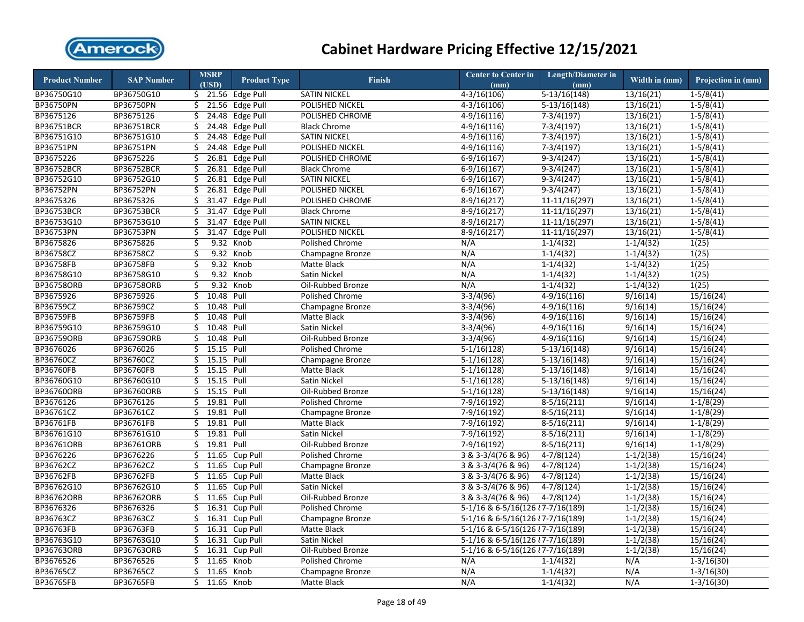

| <b>Product Number</b> | <b>SAP Number</b> | <b>MSRP</b> | <b>Product Type</b> | <b>Finish</b>       | <b>Center to Center in</b>          | Length/Diameter in        | Width in $(mm)$ | Projection in (mm) |
|-----------------------|-------------------|-------------|---------------------|---------------------|-------------------------------------|---------------------------|-----------------|--------------------|
|                       |                   | (USD)       |                     |                     | (mm)                                | (mm)                      |                 |                    |
| BP36750G10            | BP36750G10        |             | $$21.56$ Edge Pull  | <b>SATIN NICKEL</b> | $4 - 3/16(106)$                     | $5-13/16(148)$            | 13/16(21)       | $1-5/8(41)$        |
| BP36750PN             | BP36750PN         | \$          | 21.56<br>Edge Pull  | POLISHED NICKEL     | $4 - 3/16(106)$                     | $5-13/16(148)$            | 13/16(21)       | $1-5/8(41)$        |
| BP3675126             | BP3675126         | Ś.          | 24.48<br>Edge Pull  | POLISHED CHROME     | $4 - 9/16(116)$                     | $7-3/4(197)$              | 13/16(21)       | $1-5/8(41)$        |
| BP36751BCR            | BP36751BCR        | \$          | 24.48 Edge Pull     | <b>Black Chrome</b> | $4-9/16(116)$                       | $7-3/4(197)$              | 13/16(21)       | $1-5/8(41)$        |
| BP36751G10            | BP36751G10        | Ś.          | 24.48<br>Edge Pull  | <b>SATIN NICKEL</b> | $4-9/16(116)$                       | $7-3/4(197)$              | 13/16(21)       | $1-5/8(41)$        |
| BP36751PN             | BP36751PN         | \$          | 24.48<br>Edge Pull  | POLISHED NICKEL     | $4-9/16(116)$                       | $7-3/4(197)$              | 13/16(21)       | $1-5/8(41)$        |
| BP3675226             | BP3675226         | \$          | 26.81<br>Edge Pull  | POLISHED CHROME     | $6-9/16(167)$                       | $9-3/4(247)$              | 13/16(21)       | $1-5/8(41)$        |
| <b>BP36752BCR</b>     | <b>BP36752BCR</b> | \$          | 26.81<br>Edge Pull  | <b>Black Chrome</b> | $6-9/16(167)$                       | $9-3/4(247)$              | 13/16(21)       | $1 - 5/8(41)$      |
| BP36752G10            | BP36752G10        | \$          | 26.81<br>Edge Pull  | <b>SATIN NICKEL</b> | $6-9/16(167)$                       | $9-3/4(247)$              | 13/16(21)       | $1 - 5/8(41)$      |
| BP36752PN             | BP36752PN         | \$          | 26.81<br>Edge Pull  | POLISHED NICKEL     | $6-9/16(167)$                       | $9-3/4(247)$              | 13/16(21)       | $1 - 5/8(41)$      |
| BP3675326             | BP3675326         | \$          | 31.47<br>Edge Pull  | POLISHED CHROME     | $8-9/16(217)$                       | $11-11/16(297)$           | 13/16(21)       | $1-5/8(41)$        |
| <b>BP36753BCR</b>     | <b>BP36753BCR</b> | \$          | 31.47<br>Edge Pull  | <b>Black Chrome</b> | $8-9/16(217)$                       | $11-11/16(297)$           | 13/16(21)       | $1 - 5/8(41)$      |
| BP36753G10            | BP36753G10        | \$          | 31.47<br>Edge Pull  | <b>SATIN NICKEL</b> | $8-9/16(217)$                       | $11-11/16(297)$           | 13/16(21)       | $1-5/8(41)$        |
| <b>BP36753PN</b>      | BP36753PN         | \$          | 31.47<br>Edge Pull  | POLISHED NICKEL     | $8-9/16(217)$                       | 11-11/16(297)             | 13/16(21)       | $1-5/8(41)$        |
| BP3675826             | BP3675826         | \$          | 9.32 Knob           | Polished Chrome     | N/A                                 | $1-1/4(32)$               | $1-1/4(32)$     | 1(25)              |
| BP36758CZ             | BP36758CZ         | \$          | 9.32 Knob           | Champagne Bronze    | N/A                                 | $1-1/4(32)$               | $1-1/4(32)$     | 1(25)              |
| <b>BP36758FB</b>      | <b>BP36758FB</b>  | \$          | 9.32<br>Knob        | Matte Black         | N/A                                 | $1-1/4(32)$               | $1-1/4(32)$     | 1(25)              |
| BP36758G10            | BP36758G10        | \$          | 9.32 Knob           | Satin Nickel        | N/A                                 | $1-1/4(32)$               | $1-1/4(32)$     | 1(25)              |
| BP36758ORB            | BP36758ORB        | \$          | 9.32 Knob           | Oil-Rubbed Bronze   | N/A                                 | $1-1/4(32)$               | $1-1/4(32)$     | 1(25)              |
| BP3675926             | BP3675926         | Ś.          | 10.48 Pull          | Polished Chrome     | $3-3/4(96)$                         | $4-9/16(116)$             | 9/16(14)        | 15/16(24)          |
| BP36759CZ             | BP36759CZ         | \$          | 10.48<br>Pull       | Champagne Bronze    | $3-3/4(96)$                         | $4-9/16(116)$             | 9/16(14)        | 15/16(24)          |
| BP36759FB             | BP36759FB         | Ś           | 10.48<br>Pull       | Matte Black         | $3-3/4(96)$                         | $4-9/16(116)$             | 9/16(14)        | 15/16(24)          |
| BP36759G10            | BP36759G10        | \$          | 10.48<br>Pull       | Satin Nickel        | $3-3/4(96)$                         | $4-9/16(116)$             | 9/16(14)        | 15/16(24)          |
| <b>BP36759ORB</b>     | BP36759ORB        | Ś.          | 10.48<br>Pull       | Oil-Rubbed Bronze   | $3-3/4(96)$                         | $4-9/16(116)$             | 9/16(14)        | 15/16(24)          |
| BP3676026             | BP3676026         | \$          | 15.15 Pull          | Polished Chrome     | $5-1/16(128)$                       | $5-13/16(148)$            | 9/16(14)        | 15/16(24)          |
| BP36760CZ             | BP36760CZ         | \$          | 15.15<br>Pull       | Champagne Bronze    | $5-1/16(128)$                       | $5-13/16(148)$            | 9/16(14)        | 15/16(24)          |
| BP36760FB             | BP36760FB         | \$          | 15.15<br>Pull       | Matte Black         | $5-1/16(128)$                       | $5-13/16(148)$            | 9/16(14)        | 15/16(24)          |
| BP36760G10            | BP36760G10        | \$          | 15.15<br>Pull       | Satin Nickel        | $5-1/16(128)$                       | $5-13/16(148)$            | 9/16(14)        | 15/16(24)          |
| BP36760ORB            | BP36760ORB        | Ś.          | 15.15<br>Pull       | Oil-Rubbed Bronze   | $5-1/16(128)$                       | $\overline{5-13/16(148)}$ | 9/16(14)        | 15/16(24)          |
| BP3676126             | BP3676126         | \$          | 19.81<br>Pull       | Polished Chrome     | $7-9/16(192)$                       | $8-5/16(211)$             | 9/16(14)        | $1-1/8(29)$        |
| BP36761CZ             | BP36761CZ         | \$          | 19.81<br>Pull       | Champagne Bronze    | 7-9/16(192)                         | $8-5/16(211)$             | 9/16(14)        | $1-1/8(29)$        |
| BP36761FB             | BP36761FB         | \$          | 19.81<br>Pull       | Matte Black         | $7-9/16(192)$                       | $8-5/16(211)$             | 9/16(14)        | $1-1/8(29)$        |
| BP36761G10            | BP36761G10        | \$          | 19.81 Pull          | Satin Nickel        | $7-9/16(192)$                       | $8-5/16(211)$             | 9/16(14)        | $1-1/8(29)$        |
| BP36761ORB            | BP36761ORB        | \$          | 19.81<br>Pull       | Oil-Rubbed Bronze   | $7-9/16(192)$                       | $8-5/16(211)$             | 9/16(14)        | $1-1/8(29)$        |
| BP3676226             | BP3676226         | Ś           | 11.65<br>Cup Pull   | Polished Chrome     | 3 & 3-3/4(76 & 96)                  | $4-7/8(124)$              | $1-1/2(38)$     | 15/16(24)          |
| BP36762CZ             | BP36762CZ         | \$          | 11.65<br>Cup Pull   | Champagne Bronze    | 3 & 3-3/4(76 & 96)                  | $4-7/8(124)$              | $1-1/2(38)$     | 15/16(24)          |
| BP36762FB             | BP36762FB         | Ś.          | 11.65<br>Cup Pull   | Matte Black         | 3 & 3-3/4(76 & 96)                  | $4 - 7/8(124)$            | $1-1/2(38)$     | 15/16(24)          |
| BP36762G10            | BP36762G10        | \$          | 11.65 Cup Pull      | Satin Nickel        | 3 & 3-3/4(76 & 96)                  | $4 - 7/8(124)$            | $1-1/2(38)$     | 15/16(24)          |
| BP36762ORB            | BP36762ORB        | Ś           | 11.65<br>Cup Pull   | Oil-Rubbed Bronze   | 3 & 3-3/4(76 & 96)                  | $4 - 7/8(124)$            | $1-1/2(38)$     | 15/16(24)          |
| BP3676326             | BP3676326         | \$          | 16.31 Cup Pull      | Polished Chrome     | 5-1/16 & 6-5/16(126 $\{7-7/16(189)$ |                           | $1-1/2(38)$     | 15/16(24)          |
| BP36763CZ             | BP36763CZ         | \$          | 16.31 Cup Pull      | Champagne Bronze    | 5-1/16 & 6-5/16(126 $\{7-7/16(189)$ |                           | $1-1/2(38)$     | 15/16(24)          |
| BP36763FB             | BP36763FB         | \$          | 16.31 Cup Pull      | Matte Black         | 5-1/16 & 6-5/16(126 $\{7-7/16(189)$ |                           | $1-1/2(38)$     | 15/16(24)          |
| BP36763G10            | BP36763G10        | \$          | 16.31 Cup Pull      | Satin Nickel        | 5-1/16 & 6-5/16(126 $\{7-7/16(189)$ |                           | $1-1/2(38)$     | 15/16(24)          |
| BP36763ORB            | BP36763ORB        | \$          | 16.31 Cup Pull      | Oil-Rubbed Bronze   | 5-1/16 & 6-5/16(126 $\{7-7/16(189)$ |                           | $1 - 1/2(38)$   | 15/16(24)          |
| BP3676526             | BP3676526         | Ś.          | 11.65 Knob          | Polished Chrome     | N/A                                 | $1 - 1/4(32)$             | N/A             | $1-3/16(30)$       |
| BP36765CZ             | BP36765CZ         | \$          | 11.65<br>Knob       | Champagne Bronze    | N/A                                 | $1 - 1/4(32)$             | N/A             | $1 - 3/16(30)$     |
| BP36765FB             | BP36765FB         | Ś.          | 11.65 Knob          | Matte Black         | N/A                                 | $1-1/4(32)$               | N/A             | $1 - 3/16(30)$     |
|                       |                   |             |                     |                     |                                     |                           |                 |                    |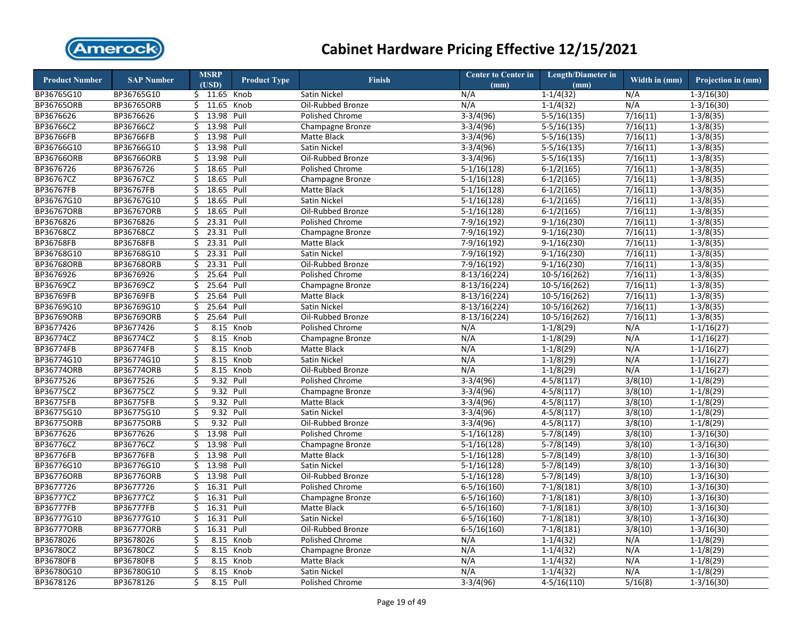

| <b>Product Number</b> | <b>SAP Number</b> | <b>MSRP</b><br>(USD) | <b>Product Type</b> | <b>Finish</b>          | <b>Center to Center in</b><br>(mm) | <b>Length/Diameter in</b><br>(mm) | Width in (mm) | Projection in (mm) |
|-----------------------|-------------------|----------------------|---------------------|------------------------|------------------------------------|-----------------------------------|---------------|--------------------|
| BP36765G10            | BP36765G10        | $$11.65$ Knob        |                     | Satin Nickel           | N/A                                | $1 - 1/4(32)$                     | N/A           | $1-3/16(30)$       |
| <b>BP36765ORB</b>     | <b>BP36765ORB</b> | \$11.65              | Knob                | Oil-Rubbed Bronze      | N/A                                | $1-1/4(32)$                       | N/A           | $1-3/16(30)$       |
| BP3676626             | BP3676626         | 13.98 Pull<br>Ś.     |                     | Polished Chrome        | $3-3/4(96)$                        | $5-5/16(135)$                     | 7/16(11)      | $1-3/8(35)$        |
| BP36766CZ             | BP36766CZ         | 13.98<br>\$          | Pull                | Champagne Bronze       | $3-3/4(96)$                        | $5-5/16(135)$                     | 7/16(11)      | $1-3/8(35)$        |
| BP36766FB             | BP36766FB         | 13.98<br>Ś.          | Pull                | Matte Black            | $3-3/4(96)$                        | $5-5/16(135)$                     | 7/16(11)      | $1 - 3/8(35)$      |
| BP36766G10            | BP36766G10        | 13.98<br>\$          | Pull                | Satin Nickel           | $3-3/4(96)$                        | $5-5/16(135)$                     | 7/16(11)      | $1 - 3/8(35)$      |
| BP36766ORB            | <b>BP36766ORB</b> | 13.98 Pull<br>Ś.     |                     | Oil-Rubbed Bronze      | $3-3/4(96)$                        | $5-5/16(135)$                     | 7/16(11)      | $1-3/8(35)$        |
| BP3676726             | BP3676726         | 18.65 Pull<br>\$     |                     | <b>Polished Chrome</b> | $5-1/16(128)$                      | $6-1/2(165)$                      | 7/16(11)      | $1 - 3/8(35)$      |
| BP36767CZ             | BP36767CZ         | 18.65<br>\$          | Pull                | Champagne Bronze       | $5-1/16(128)$                      | $6-1/2(165)$                      | 7/16(11)      | $1-3/8(35)$        |
| BP36767FB             | BP36767FB         | 18.65<br>\$          | Pull                | Matte Black            | $5-1/16(128)$                      | $6-1/2(165)$                      | 7/16(11)      | $1 - 3/8(35)$      |
| BP36767G10            | BP36767G10        | \$<br>18.65          | Pull                | Satin Nickel           | $5-1/16(128)$                      | $6-1/2(165)$                      | 7/16(11)      | $1-3/8(35)$        |
| BP36767ORB            | BP36767ORB        | 18.65<br>\$          | Pull                | Oil-Rubbed Bronze      | $5-1/16(128)$                      | $6-1/2(165)$                      | 7/16(11)      | $1 - 3/8(35)$      |
| BP3676826             | BP3676826         | Ś<br>23.31           | Pull                | Polished Chrome        | $7-9/16(192)$                      | $9-1/16(230)$                     | 7/16(11)      | $1-3/8(35)$        |
| BP36768CZ             | BP36768CZ         | \$<br>23.31          | Pull                | Champagne Bronze       | $7-9/16(192)$                      | $9-1/16(230)$                     | 7/16(11)      | $1-3/8(35)$        |
| <b>BP36768FB</b>      | <b>BP36768FB</b>  | 23.31 Pull<br>\$     |                     | Matte Black            | $7-9/16(192)$                      | $9-1/16(230)$                     | 7/16(11)      | $1-3/8(35)$        |
| BP36768G10            | BP36768G10        | 23.31<br>\$          | Pull                | Satin Nickel           | $7-9/16(192)$                      | $9-1/16(230)$                     | 7/16(11)      | $1-3/8(35)$        |
| <b>BP36768ORB</b>     | <b>BP36768ORB</b> | 23.31<br>\$          | Pull                | Oil-Rubbed Bronze      | 7-9/16(192)                        | $9-1/16(230)$                     | 7/16(11)      | $1-3/8(35)$        |
| BP3676926             | BP3676926         | 25.64 Pull<br>\$     |                     | Polished Chrome        | $8-13/16(224)$                     | $10-5/16(262)$                    | 7/16(11)      | $1-3/8(35)$        |
| BP36769CZ             | BP36769CZ         | 25.64 Pull<br>\$     |                     | Champagne Bronze       | $8-13/16(224)$                     | $10-5/16(262)$                    | 7/16(11)      | $1-3/8(35)$        |
| BP36769FB             | BP36769FB         | 25.64<br>\$          | Pull                | Matte Black            | $8-13/16(224)$                     | 10-5/16(262)                      | 7/16(11)      | $1 - 3/8(35)$      |
| BP36769G10            | BP36769G10        | 25.64<br>\$          | Pull                | Satin Nickel           | $8-13/16(224)$                     | 10-5/16(262)                      | 7/16(11)      | $1 - 3/8(35)$      |
| <b>BP36769ORB</b>     | BP36769ORB        | 25.64<br>\$          | Pull                | Oil-Rubbed Bronze      | $8-13/16(224)$                     | $10-5/16(262)$                    | 7/16(11)      | $1-3/8(35)$        |
| BP3677426             | BP3677426         | \$                   | 8.15 Knob           | Polished Chrome        | N/A                                | $1-1/8(29)$                       | N/A           | $1 - 1/16(27)$     |
| BP36774CZ             | BP36774CZ         | \$<br>8.15           | Knob                | Champagne Bronze       | N/A                                | $1-1/8(29)$                       | N/A           | $1 - 1/16(27)$     |
| BP36774FB             | BP36774FB         | \$<br>8.15           | Knob                | Matte Black            | N/A                                | $1-1/8(29)$                       | N/A           | $1 - 1/16(27)$     |
| BP36774G10            | BP36774G10        | \$<br>8.15           | Knob                | Satin Nickel           | N/A                                | $1-1/8(29)$                       | N/A           | $1-1/16(27)$       |
| BP36774ORB            | <b>BP36774ORB</b> | \$<br>8.15           | Knob                | Oil-Rubbed Bronze      | N/A                                | $1-1/8(29)$                       | N/A           | $1-1/16(27)$       |
| BP3677526             | BP3677526         | \$                   | 9.32 Pull           | Polished Chrome        | $3-3/4(96)$                        | $4-5/8(117)$                      | 3/8(10)       | $1-1/8(29)$        |
| BP36775CZ             | BP36775CZ         | \$                   | 9.32 Pull           | Champagne Bronze       | $3-3/4(96)$                        | $4-5/8(117)$                      | 3/8(10)       | $1-1/8(29)$        |
| <b>BP36775FB</b>      | <b>BP36775FB</b>  | \$<br>9.32           | Pull                | Matte Black            | $3-3/4(96)$                        | $4-5/8(117)$                      | 3/8(10)       | $1-1/8(29)$        |
| BP36775G10            | BP36775G10        | \$                   | 9.32 Pull           | Satin Nickel           | $3-3/4(96)$                        | $4-5/8(117)$                      | 3/8(10)       | $1-1/8(29)$        |
| <b>BP36775ORB</b>     | <b>BP36775ORB</b> | \$                   | 9.32 Pull           | Oil-Rubbed Bronze      | $3-3/4(96)$                        | $4-5/8(117)$                      | 3/8(10)       | $1-1/8(29)$        |
| BP3677626             | BP3677626         | \$<br>13.98 Pull     |                     | Polished Chrome        | $5-1/16(128)$                      | $5-7/8(149)$                      | 3/8(10)       | $1-3/16(30)$       |
| BP36776CZ             | BP36776CZ         | 13.98<br>\$          | Pull                | Champagne Bronze       | $5-1/16(128)$                      | $5-7/8(149)$                      | 3/8(10)       | $1-3/16(30)$       |
| <b>BP36776FB</b>      | BP36776FB         | 13.98 Pull<br>Ś.     |                     | Matte Black            | $5-1/16(128)$                      | $5-7/8(149)$                      | 3/8(10)       | $1-3/16(30)$       |
| BP36776G10            | BP36776G10        | 13.98 Pull<br>\$     |                     | Satin Nickel           | $5-1/16(128)$                      | $5-7/8(149)$                      | 3/8(10)       | $1 - 3/16(30)$     |
| <b>BP36776ORB</b>     | <b>BP36776ORB</b> | 13.98<br>Ś.          | Pull                | Oil-Rubbed Bronze      | $5-1/16(128)$                      | $5-7/8(149)$                      | 3/8(10)       | $1-3/16(30)$       |
| BP3677726             | BP3677726         | 16.31<br>\$          | Pull                | Polished Chrome        | $6 - 5/16(160)$                    | $7-1/8(181)$                      | 3/8(10)       | $1 - 3/16(30)$     |
| BP36777CZ             | BP36777CZ         | 16.31<br>\$          | Pull                | Champagne Bronze       | $6 - 5/16(160)$                    | $7-1/8(181)$                      | 3/8(10)       | $1 - 3/16(30)$     |
| <b>BP36777FB</b>      | <b>BP36777FB</b>  | 16.31<br>\$          | Pull                | Matte Black            | $6 - 5/16(160)$                    | $7-1/8(181)$                      | 3/8(10)       | $1 - 3/16(30)$     |
| BP36777G10            | BP36777G10        | 16.31<br>Ś.          | Pull                | Satin Nickel           | $6 - 5/16(160)$                    | $7-1/8(181)$                      | 3/8(10)       | $1-3/16(30)$       |
| <b>BP36777ORB</b>     | <b>BP36777ORB</b> | \$<br>16.31          | Pull                | Oil-Rubbed Bronze      | $6 - 5/16(160)$                    | $7-1/8(181)$                      | 3/8(10)       | $1-3/16(30)$       |
| BP3678026             | BP3678026         | Ś<br>8.15            | Knob                | Polished Chrome        | N/A                                | $1-1/4(32)$                       | N/A           | $1-1/8(29)$        |
| BP36780CZ             |                   |                      | Knob                |                        | N/A                                | $1-1/4(32)$                       |               | $1-1/8(29)$        |
| <b>BP36780FB</b>      | BP36780CZ         | \$<br>8.15           |                     | Champagne Bronze       | N/A                                |                                   | N/A<br>N/A    |                    |
|                       | BP36780FB         | \$<br>8.15           | Knob                | Matte Black            |                                    | $1 - 1/4(32)$                     | N/A           | $1-1/8(29)$        |
| BP36780G10            | BP36780G10        | \$                   | 8.15 Knob           | Satin Nickel           | N/A                                | $1-1/4(32)$                       |               | $1-1/8(29)$        |
| BP3678126             | BP3678126         | \$                   | 8.15 Pull           | Polished Chrome        | $3-3/4(96)$                        | $4 - 5/16(110)$                   | 5/16(8)       | $1-3/16(30)$       |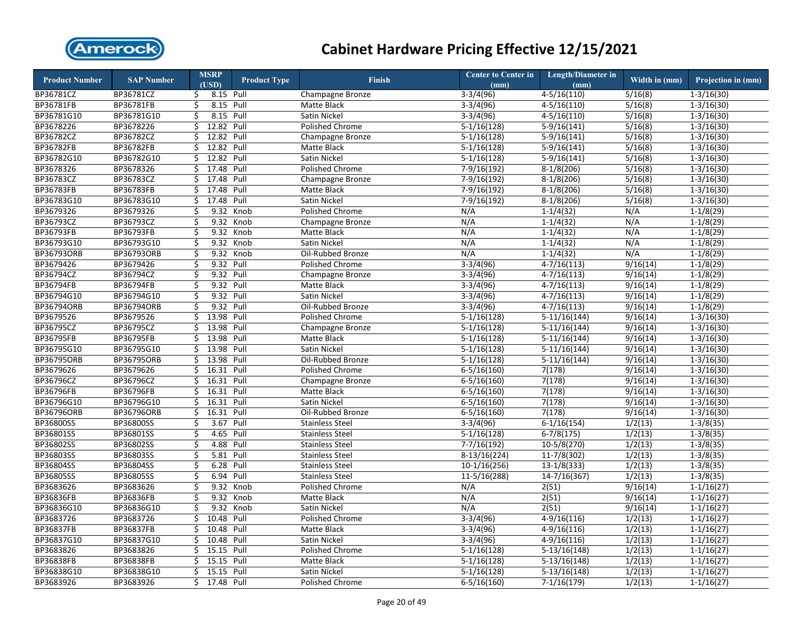

| <b>Product Number</b> | <b>SAP Number</b> | <b>MSRP</b><br>(USD) |                    | <b>Product Type</b> | <b>Finish</b>          | <b>Center to Center in</b><br>(mm) | <b>Length/Diameter in</b><br>(mm) | Width in (mm)      | Projection in (mm)      |
|-----------------------|-------------------|----------------------|--------------------|---------------------|------------------------|------------------------------------|-----------------------------------|--------------------|-------------------------|
| BP36781CZ             | BP36781CZ         | \$                   | 8.15 Pull          |                     | Champagne Bronze       | $3-3/4(96)$                        | $4 - 5/16(110)$                   | 5/16(8)            | $1-3/16(30)$            |
| BP36781FB             | BP36781FB         | \$                   | 8.15 Pull          |                     | Matte Black            | $3-3/4(96)$                        | $4 - 5/16(110)$                   | 5/16(8)            | $1 - 3/16(30)$          |
| BP36781G10            | BP36781G10        | Ś.                   | 8.15 Pull          |                     | Satin Nickel           | $3-3/4(96)$                        | $4 - 5/16(110)$                   | 5/16(8)            | $1 - 3/16(30)$          |
| BP3678226             | BP3678226         | \$                   | 12.82 Pull         |                     | Polished Chrome        | $5-1/16(128)$                      | $5-9/16(141)$                     | 5/16(8)            | $1-3/16(30)$            |
| BP36782CZ             | BP36782CZ         | Ś.                   | 12.82              | Pull                | Champagne Bronze       | $5-1/16(128)$                      | $5-9/16(141)$                     | 5/16(8)            | $1 - 3/16(30)$          |
| BP36782FB             | BP36782FB         | \$                   | 12.82              | Pull                | Matte Black            | $5-1/16(128)$                      | $5-9/16(141)$                     | 5/16(8)            | $\overline{1-3/1}6(30)$ |
| BP36782G10            | BP36782G10        | \$                   | 12.82              | Pull                | Satin Nickel           | $5-1/16(128)$                      | $5-9/16(141)$                     | 5/16(8)            | $1-3/16(30)$            |
| BP3678326             | BP3678326         | \$                   | 17.48              | Pull                | Polished Chrome        | 7-9/16(192)                        | $8-1/8(206)$                      | 5/16(8)            | $1 - 3/16(30)$          |
| BP36783CZ             | BP36783CZ         | Ś.                   | 17.48              | Pull                | Champagne Bronze       | 7-9/16(192)                        | $8-1/8(206)$                      | 5/16(8)            | $1 - 3/16(30)$          |
| <b>BP36783FB</b>      | BP36783FB         | \$                   | 17.48              | Pull                | Matte Black            | 7-9/16(192)                        | $8-1/8(206)$                      | 5/16(8)            | $1 - 3/16(30)$          |
| BP36783G10            | BP36783G10        | \$                   | 17.48              | Pull                | Satin Nickel           | 7-9/16(192)                        | $8-1/8(206)$                      | 5/16(8)            | $1 - 3/16(30)$          |
| BP3679326             | BP3679326         | \$                   | 9.32               | Knob                | <b>Polished Chrome</b> | N/A                                | $1 - 1/4(32)$                     | N/A                | $1-1/8(29)$             |
| BP36793CZ             | BP36793CZ         | \$                   | 9.32               | Knob                | Champagne Bronze       | N/A                                | $1-1/4(32)$                       | N/A                | $1-1/8(29)$             |
| BP36793FB             | BP36793FB         | \$                   | 9.32               | Knob                | Matte Black            | N/A                                | $1-1/4(32)$                       | N/A                | $1-1/8(29)$             |
| BP36793G10            | BP36793G10        | \$                   | 9.32               | Knob                | Satin Nickel           | N/A                                | $1-1/4(32)$                       | N/A                | $1-1/8(29)$             |
| <b>BP36793ORB</b>     | BP36793ORB        | \$                   | 9.32 Knob          |                     | Oil-Rubbed Bronze      | N/A                                | $1-1/4(32)$                       | N/A                | $1-1/8(29)$             |
| BP3679426             | BP3679426         | \$                   | 9.32 Pull          |                     | Polished Chrome        | $3-3/4(96)$                        | $4-7/16(113)$                     | 9/16(14)           | $1-1/8(29)$             |
| BP36794CZ             | BP36794CZ         | \$                   | 9.32 Pull          |                     | Champagne Bronze       | $3-3/4(96)$                        | $4 - 7/16(113)$                   | 9/16(14)           | $1-1/8(29)$             |
| <b>BP36794FB</b>      | BP36794FB         | \$                   | 9.32 Pull          |                     | Matte Black            | $3-3/4(96)$                        | $4-7/16(113)$                     | 9/16(14)           | $1-1/8(29)$             |
| BP36794G10            | BP36794G10        | Ś.                   | 9.32 Pull          |                     | Satin Nickel           | $3-3/4(96)$                        | $4 - 7/16(113)$                   | 9/16(14)           | $1-1/8(29)$             |
| BP36794ORB            | BP36794ORB        | \$                   | 9.32 Pull          |                     | Oil-Rubbed Bronze      | $3-3/4(96)$                        | $4-7/16(113)$                     | 9/16(14)           | $1-1/8(29)$             |
| BP3679526             | BP3679526         | Ś.                   | 13.98              | Pull                | Polished Chrome        | $5-1/16(128)$                      | $5-11/16(144)$                    | 9/16(14)           | $1-3/16(30)$            |
| BP36795CZ             | BP36795CZ         | \$                   | 13.98 Pull         |                     | Champagne Bronze       | $5-1/16(128)$                      | $5-11/16(144)$                    | 9/16(14)           | $1 - 3/16(30)$          |
| <b>BP36795FB</b>      | BP36795FB         | Ś.                   | 13.98              | Pull                | Matte Black            | $5-1/16(128)$                      | $5-11/16(144)$                    | 9/16(14)           | $1 - 3/16(30)$          |
| BP36795G10            | BP36795G10        | \$                   | 13.98              | Pull                | Satin Nickel           | $5-1/16(128)$                      | $5-11/16(144)$                    | 9/16(14)           | $1 - 3/16(30)$          |
| BP36795ORB            | BP36795ORB        | \$                   | 13.98              | Pull                | Oil-Rubbed Bronze      | $5-1/16(128)$                      | $5-11/16(144)$                    | 9/16(14)           | $1-3/16(30)$            |
| BP3679626             | BP3679626         | \$                   | 16.31              | Pull                | Polished Chrome        | $6 - 5/16(160)$                    | 7(178)                            | $\frac{9}{16(14)}$ | $1 - 3/16(30)$          |
| BP36796CZ             | BP36796CZ         | Ś.                   | 16.31              | Pull                | Champagne Bronze       | $6 - 5/16(160)$                    | 7(178)                            | 9/16(14)           | $1-3/16(30)$            |
| BP36796FB             | BP36796FB         | \$                   | 16.31              | Pull                | Matte Black            | $6 - 5/16(160)$                    | 7(178)                            | 9/16(14)           | $1-3/16(30)$            |
| BP36796G10            | BP36796G10        | \$                   | 16.31              | Pull                | Satin Nickel           | $6 - 5/16(160)$                    | 7(178)                            | 9/16(14)           | $1-3/16(30)$            |
| BP36796ORB            | BP36796ORB        | \$                   | 16.31              | Pull                | Oil-Rubbed Bronze      | $6 - 5/16(160)$                    | 7(178)                            | 9/16(14)           | $\overline{1-3/1}6(30)$ |
| BP36800SS             | BP36800SS         | \$                   | 3.67               | Pull                | <b>Stainless Steel</b> | $3-3/4(96)$                        | $6-1/16(154)$                     | 1/2(13)            | $1-3/8(35)$             |
| BP36801SS             | BP36801SS         | \$                   | 4.65 Pull          |                     | Stainless Steel        | $5-1/16(128)$                      | $6-7/8(175)$                      | 1/2(13)            | $1-3/8(35)$             |
| BP36802SS             | BP36802SS         | \$                   | 4.88               | Pull                | <b>Stainless Steel</b> | $7-7/16(192)$                      | $10-5/8(270)$                     | 1/2(13)            | $1-3/8(35)$             |
| BP36803SS             | BP36803SS         | \$                   | 5.81               | Pull                | <b>Stainless Steel</b> | $8-13/16(224)$                     | $11-7/8(302)$                     | 1/2(13)            | $1-3/8(35)$             |
| BP36804SS             | BP36804SS         | \$                   | 6.28               | Pull                | <b>Stainless Steel</b> | $10-1/16(256)$                     | $13-1/8(333)$                     | 1/2(13)            | $1-3/8(35)$             |
| BP36805SS             | BP36805SS         | \$                   | 6.94 Pull          |                     | <b>Stainless Steel</b> | 11-5/16(288)                       | 14-7/16(367)                      | 1/2(13)            | $1-3/8(35)$             |
| BP3683626             | BP3683626         | \$                   | 9.32               | Knob                | Polished Chrome        | N/A                                | 2(51)                             | 9/16(14)           | $1 - 1/16(27)$          |
| <b>BP36836FB</b>      | BP36836FB         | Ś.                   | 9.32               | Knob                | Matte Black            | N/A                                | 2(51)                             | 9/16(14)           | $1-1/16(27)$            |
| BP36836G10            | BP36836G10        | \$                   | 9.32               | Knob                | Satin Nickel           | N/A                                | 2(51)                             | 9/16(14)           | $1-1/16(27)$            |
| BP3683726             | BP3683726         | \$                   | 10.48 Pull         |                     | Polished Chrome        | $3-3/4(96)$                        | $4-9/16(116)$                     | 1/2(13)            | $1 - 1/16(27)$          |
| <b>BP36837FB</b>      | BP36837FB         | \$                   | 10.48              | Pull                | Matte Black            | $3-3/4(96)$                        | $4-9/16(116)$                     | 1/2(13)            | $1 - 1/16(27)$          |
| BP36837G10            | BP36837G10        | \$                   | 10.48              | Pull                | Satin Nickel           | $3-3/4(96)$                        | $4-9/16(116)$                     | 1/2(13)            | $1 - 1/16(27)$          |
| BP3683826             | BP3683826         | \$                   | $\overline{15.15}$ | Pull                | Polished Chrome        | $5-1/16(128)$                      | $5-13/16(148)$                    | 1/2(13)            | $1-1/16(27)$            |
| BP36838FB             | BP36838FB         | \$                   | 15.15              | Pull                | Matte Black            | $5-1/16(128)$                      | $5-13/16(148)$                    | 1/2(13)            | $1-1/16(27)$            |
| BP36838G10            | BP36838G10        | Ś.                   | 15.15              | Pull                | Satin Nickel           | $5-1/16(128)$                      | $5-13/16(148)$                    | 1/2(13)            | $1-1/16(27)$            |
| BP3683926             | BP3683926         | Ś.                   | 17.48              | Pull                | <b>Polished Chrome</b> | $6 - 5/16(160)$                    | $7-1/16(179)$                     | 1/2(13)            | $1-1/16(27)$            |
|                       |                   |                      |                    |                     |                        |                                    |                                   |                    |                         |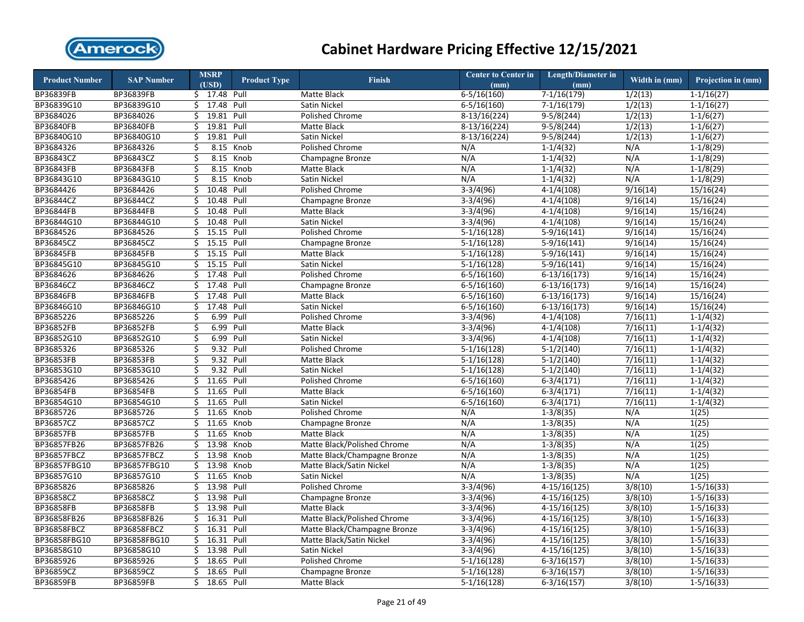

| <b>Product Number</b> | <b>SAP Number</b> |    | <b>MSRP</b>    | <b>Product Type</b> | <b>Finish</b>                | <b>Center to Center in</b> | <b>Length/Diameter in</b> | Width in (mm)         | Projection in (mm) |
|-----------------------|-------------------|----|----------------|---------------------|------------------------------|----------------------------|---------------------------|-----------------------|--------------------|
|                       |                   |    | (USD)          |                     |                              | (mm)                       | (mm)                      |                       |                    |
| BP36839FB             | BP36839FB         |    | \$ 17.48 Pull  |                     | Matte Black                  | $6 - 5/16(160)$            | $7-1/16(179)$             | 1/2(13)               | $1-1/16(27)$       |
| BP36839G10            | BP36839G10        |    | $$ 17.48$ Pull |                     | Satin Nickel                 | $6 - 5/16(160)$            | $7-1/16(179)$             | 1/2(13)               | $1 - 1/16(27)$     |
| BP3684026             | BP3684026         | Ś. | 19.81          | Pull                | Polished Chrome              | 8-13/16(224)               | $9 - 5/8(244)$            | 1/2(13)               | $1-1/6(27)$        |
| BP36840FB             | BP36840FB         | \$ | 19.81          | Pull                | Matte Black                  | $8-13/16(224)$             | $9-5/8(244)$              | 1/2(13)               | $1-1/6(27)$        |
| BP36840G10            | BP36840G10        | Ś. | 19.81          | Pull                | Satin Nickel                 | 8-13/16(224)               | $9-5/8(244)$              | 1/2(13)               | $1-1/6(27)$        |
| BP3684326             | BP3684326         | \$ | 8.15           | Knob                | Polished Chrome              | N/A                        | $1 - 1/4(32)$             | N/A                   | $1-1/8(29)$        |
| BP36843CZ             | BP36843CZ         | \$ | 8.15           | Knob                | Champagne Bronze             | N/A                        | $1 - 1/4(32)$             | N/A                   | $1-1/8(29)$        |
| BP36843FB             | BP36843FB         | \$ | 8.15           | Knob                | Matte Black                  | N/A                        | $1 - 1/4(32)$             | N/A                   | $1-1/8(29)$        |
| BP36843G10            | BP36843G10        | \$ | 8.15           | Knob                | <b>Satin Nickel</b>          | N/A                        | $1 - 1/4(32)$             | N/A                   | $1-1/8(29)$        |
| BP3684426             | BP3684426         | \$ | 10.48          | Pull                | Polished Chrome              | $3-3/4(96)$                | $4-1/4(108)$              | 9/16(14)              | 15/16(24)          |
| BP36844CZ             | BP36844CZ         | \$ | 10.48          | Pull                | Champagne Bronze             | $3-3/4(96)$                | $4-1/4(108)$              | 9/16(14)              | 15/16(24)          |
| BP36844FB             | BP36844FB         | Ś. | 10.48          | Pull                | Matte Black                  | $3-3/4(96)$                | $4-1/4(108)$              | 9/16(14)              | 15/16(24)          |
| BP36844G10            | BP36844G10        | \$ | 10.48          | Pull                | Satin Nickel                 | $3-3/4(96)$                | $4-1/4(108)$              | 9/16(14)              | 15/16(24)          |
| BP3684526             | BP3684526         | \$ | 15.15          | Pull                | Polished Chrome              | $5-1/16(128)$              | $5-9/16(141)$             | 9/16(14)              | 15/16(24)          |
| BP36845CZ             | BP36845CZ         | \$ | 15.15          | Pull                | Champagne Bronze             | $5-1/16(128)$              | $5-9/16(141)$             | 9/16(14)              | 15/16(24)          |
| BP36845FB             | BP36845FB         | \$ | 15.15 Pull     |                     | Matte Black                  | $5-1/16(128)$              | $5-9/16(141)$             | 9/16(14)              | 15/16(24)          |
| BP36845G10            | BP36845G10        | \$ | 15.15          | Pull                | Satin Nickel                 | $5-1/16(128)$              | $5-9/16(141)$             | 9/16(14)              | 15/16(24)          |
| BP3684626             | BP3684626         | \$ | 17.48          | Pull                | Polished Chrome              | $6-5/16(160)$              | $6-13/16(173)$            | 9/16(14)              | 15/16(24)          |
| BP36846CZ             | BP36846CZ         | \$ | 17.48          | Pull                | Champagne Bronze             | $6 - 5/16(160)$            | $6-13/16(173)$            | 9/16(14)              | 15/16(24)          |
| BP36846FB             | BP36846FB         | Ś. | 17.48          | Pull                | Matte Black                  | $6 - 5/16(160)$            | $6-13/16(173)$            | 9/16(14)              | 15/16(24)          |
| BP36846G10            | BP36846G10        | \$ | 17.48          | Pull                | Satin Nickel                 | $6 - 5/16(160)$            | $6-13/16(173)$            | 9/16(14)              | 15/16(24)          |
| BP3685226             | BP3685226         | Ś  | 6.99           | Pull                | Polished Chrome              | $3-3/4(96)$                | $4-1/4(108)$              | 7/16(11)              | $1-1/4(32)$        |
| BP36852FB             | BP36852FB         | \$ | 6.99           | Pull                | Matte Black                  | $3-3/4(96)$                | $4-1/4(108)$              | 7/16(11)              | $1 - 1/4(32)$      |
| BP36852G10            | BP36852G10        | \$ | 6.99           | Pull                | Satin Nickel                 | $3-3/4(96)$                | $4-1/4(108)$              | 7/16(11)              | $1-1/4(32)$        |
| BP3685326             | BP3685326         | \$ | 9.32 Pull      |                     | Polished Chrome              | $5-1/16(128)$              | $5-1/2(140)$              | 7/16(11)              | $1 - 1/4(32)$      |
| <b>BP36853FB</b>      | BP36853FB         | \$ | 9.32           | Pull                | Matte Black                  | $5-1/16(128)$              | $5-1/2(140)$              | 7/16(11)              | $1-1/4(32)$        |
| BP36853G10            | BP36853G10        | \$ | 9.32           | Pull                | Satin Nickel                 | $5-1/16(128)$              | $5-1/2(140)$              | $\overline{7/16(11)}$ | $1 - 1/4(32)$      |
| BP3685426             | BP3685426         | \$ | 11.65          | Pull                | <b>Polished Chrome</b>       | $6 - 5/16(160)$            | $6-3/4(171)$              | 7/16(11)              | $1-1/4(32)$        |
| BP36854FB             | BP36854FB         | \$ | 11.65          | Pull                | <b>Matte Black</b>           | $6 - 5/16(160)$            | $6-3/4(171)$              | 7/16(11)              | $1-1/4(32)$        |
| BP36854G10            | BP36854G10        | \$ | 11.65          | Pull                | Satin Nickel                 | $6 - 5/16(160)$            | $6 - 3/4(171)$            | 7/16(11)              | $1-1/4(32)$        |
| BP3685726             | BP3685726         | Ś. | 11.65          | Knob                | Polished Chrome              | N/A                        | $1-3/8(35)$               | N/A                   | 1(25)              |
| BP36857CZ             | BP36857CZ         | \$ | 11.65          | Knob                | Champagne Bronze             | N/A                        | $1-3/8(35)$               | N/A                   | 1(25)              |
| BP36857FB             | BP36857FB         | Ś. | 11.65          | Knob                | Matte Black                  | N/A                        | $1-3/8(35)$               | N/A                   | 1(25)              |
| BP36857FB26           | BP36857FB26       | \$ | 13.98          | Knob                | Matte Black/Polished Chrome  | N/A                        | $1-3/8(35)$               | N/A                   | 1(25)              |
| BP36857FBCZ           | BP36857FBCZ       | \$ | 13.98          | Knob                | Matte Black/Champagne Bronze | N/A                        | $1-3/8(35)$               | N/A                   | 1(25)              |
| BP36857FBG10          | BP36857FBG10      | \$ | 13.98          | Knob                | Matte Black/Satin Nickel     | N/A                        | $1-3/8(35)$               | N/A                   | 1(25)              |
| BP36857G10            | BP36857G10        | Ś. | 11.65          | Knob                | Satin Nickel                 | N/A                        | $1-3/8(35)$               | N/A                   | 1(25)              |
| BP3685826             | BP3685826         | \$ | 13.98          | Pull                | <b>Polished Chrome</b>       | $3-3/4(96)$                | $4-15/16(125)$            | 3/8(10)               | $1-5/16(33)$       |
| BP36858CZ             | BP36858CZ         | Ś  | 13.98          | Pull                | Champagne Bronze             | $3-3/4(96)$                | $4-15/16(125)$            | 3/8(10)               | $1 - 5/16(33)$     |
| BP36858FB             | BP36858FB         | \$ | 13.98          | Pull                | Matte Black                  | $3-3/4(96)$                | $4-15/16(125)$            | 3/8(10)               | $1-5/16(33)$       |
| BP36858FB26           | BP36858FB26       | Ś. | 16.31          | Pull                | Matte Black/Polished Chrome  | $3-3/4(96)$                | $4-15/16(125)$            | 3/8(10)               | $1 - 5/16(33)$     |
| BP36858FBCZ           | BP36858FBCZ       | Ś. | 16.31          | Pull                | Matte Black/Champagne Bronze | $3-3/4(96)$                | $4-15/16(125)$            | 3/8(10)               | $1 - 5/16(33)$     |
| BP36858FBG10          | BP36858FBG10      | \$ | 16.31          | Pull                | Matte Black/Satin Nickel     | $3-3/4(96)$                | $4-15/16(125)$            | 3/8(10)               | $1 - 5/16(33)$     |
| BP36858G10            | BP36858G10        | \$ | 13.98          | Pull                | Satin Nickel                 | $3-3/4(96)$                | $4-15/16(125)$            | 3/8(10)               | $1 - 5/16(33)$     |
| BP3685926             | BP3685926         | \$ | 18.65          | Pull                | Polished Chrome              | $5-1/16(128)$              | $6-3/16(157)$             | 3/8(10)               | $1-5/16(33)$       |
| BP36859CZ             | BP36859CZ         | Ś. | 18.65          | Pull                | Champagne Bronze             | $5-1/16(128)$              | $6 - 3/16(157)$           | 3/8(10)               | $1 - 5/16(33)$     |
| <b>BP36859FB</b>      | BP36859FB         | Ś. | 18.65          | Pull                | Matte Black                  | $5-1/16(128)$              | $6 - 3/16(157)$           | 3/8(10)               | $1 - 5/16(33)$     |
|                       |                   |    |                |                     |                              |                            |                           |                       |                    |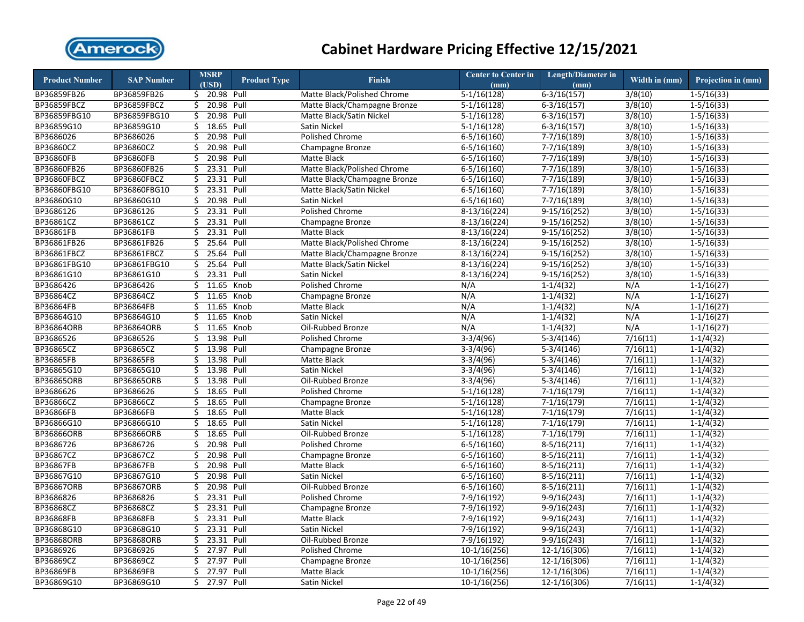

| <b>Product Number</b> | <b>SAP Number</b>  |    | <b>MSRP</b>            | <b>Product Type</b> | <b>Finish</b>                      | <b>Center to Center in</b> | <b>Length/Diameter in</b> | Width in (mm) | Projection in (mm) |
|-----------------------|--------------------|----|------------------------|---------------------|------------------------------------|----------------------------|---------------------------|---------------|--------------------|
|                       |                    |    | (USD)<br>\$ 20.98 Pull |                     | Matte Black/Polished Chrome        | (mm)<br>$5-1/16(128)$      | (mm)                      | 3/8(10)       |                    |
| BP36859FB26           | BP36859FB26        |    |                        |                     |                                    |                            | $6-3/16(157)$             |               | $1-5/16(33)$       |
| BP36859FBCZ           | <b>BP36859FBCZ</b> | \$ | 20.98 Pull<br>20.98    |                     | Matte Black/Champagne Bronze       | $5-1/16(128)$              | $6 - 3/16(157)$           | 3/8(10)       | $1-5/16(33)$       |
| BP36859FBG10          | BP36859FBG10       | \$ |                        | Pull                | Matte Black/Satin Nickel           | $5-1/16(128)$              | $6 - 3/16(157)$           | 3/8(10)       | $1-5/16(33)$       |
| BP36859G10            | BP36859G10         | \$ | 18.65                  | Pull                | Satin Nickel                       | $5-1/16(128)$              | $6-3/16(157)$             | 3/8(10)       | $1 - 5/16(33)$     |
| BP3686026             | BP3686026          | \$ | 20.98                  | Pull                | Polished Chrome                    | $6-5/16(160)$              | $7-7/16(189)$             | 3/8(10)       | $1 - 5/16(33)$     |
| BP36860CZ             | BP36860CZ          | \$ | 20.98                  | Pull                | Champagne Bronze                   | $6 - 5/16(160)$            | $7-7/16(189)$             | 3/8(10)       | $1 - 5/16(33)$     |
| BP36860FB             | BP36860FB          | Ś  | 20.98                  | Pull                | Matte Black                        | $6 - 5/16(160)$            | $7 - 7/16(189)$           | 3/8(10)       | $1-5/16(33)$       |
| BP36860FB26           | BP36860FB26        | \$ | 23.31                  | Pull                | <b>Matte Black/Polished Chrome</b> | $6 - 5/16(160)$            | $7-7/16(189)$             | 3/8(10)       | $1-5/16(33)$       |
| BP36860FBCZ           | BP36860FBCZ        | Ś. | 23.31                  | Pull                | Matte Black/Champagne Bronze       | $6-5/16(160)$              | $7 - 7/16(189)$           | 3/8(10)       | $1 - 5/16(33)$     |
| BP36860FBG10          | BP36860FBG10       | Ś. | 23.31                  | Pull                | Matte Black/Satin Nickel           | $6 - 5/16(160)$            | $7-7/16(189)$             | 3/8(10)       | $1 - 5/16(33)$     |
| BP36860G10            | BP36860G10         | \$ | 20.98 Pull             |                     | Satin Nickel                       | $6 - 5/16(160)$            | $7-7/16(189)$             | 3/8(10)       | $1 - 5/16(33)$     |
| BP3686126             | BP3686126          | Ś. | 23.31 Pull             |                     | <b>Polished Chrome</b>             | $8-13/16(224)$             | $9-15/16(252)$            | 3/8(10)       | $1 - 5/16(33)$     |
| BP36861CZ             | BP36861CZ          | Ś. | 23.31                  | Pull                | Champagne Bronze                   | $8-13/16(224)$             | $9-15/16(252)$            | 3/8(10)       | $1-5/16(33)$       |
| BP36861FB             | BP36861FB          | \$ | 23.31                  | Pull                | Matte Black                        | $8-13/16(224)$             | $9-15/16(252)$            | 3/8(10)       | $1-5/16(33)$       |
| BP36861FB26           | BP36861FB26        | \$ | 25.64                  | Pull                | Matte Black/Polished Chrome        | $8-13/16(224)$             | $9-15/16(252)$            | 3/8(10)       | $1-5/16(33)$       |
| BP36861FBCZ           | <b>BP36861FBCZ</b> | \$ | 25.64                  | Pull                | Matte Black/Champagne Bronze       | $8-13/16(224)$             | $9-15/16(252)$            | 3/8(10)       | $1-5/16(33)$       |
| BP36861FBG10          | BP36861FBG10       | \$ | 25.64                  | Pull                | Matte Black/Satin Nickel           | $8-13/16(224)$             | $9-15/16(252)$            | 3/8(10)       | $1-5/16(33)$       |
| BP36861G10            | BP36861G10         | Ś. | 23.31 Pull             |                     | Satin Nickel                       | $8-13/16(224)$             | $9-15/16(252)$            | 3/8(10)       | $1-5/16(33)$       |
| BP3686426             | BP3686426          | \$ | 11.65                  | Knob                | Polished Chrome                    | N/A                        | $1-1/4(32)$               | N/A           | $1-1/16(27)$       |
| BP36864CZ             | BP36864CZ          |    | \$11.65                | Knob                | Champagne Bronze                   | N/A                        | $1-1/4(32)$               | N/A           | $1 - 1/16(27)$     |
| BP36864FB             | BP36864FB          |    | \$11.65                | Knob                | Matte Black                        | N/A                        | $1-1/4(32)$               | N/A           | $1 - 1/16(27)$     |
| BP36864G10            | BP36864G10         | Ś. | 11.65                  | Knob                | Satin Nickel                       | N/A                        | $1 - 1/4(32)$             | N/A           | $1 - 1/16(27)$     |
| BP36864ORB            | BP36864ORB         | \$ | 11.65                  | Knob                | Oil-Rubbed Bronze                  | N/A                        | $1-1/4(32)$               | N/A           | $1-1/16(27)$       |
| BP3686526             | BP3686526          | Ś. | 13.98                  | Pull                | Polished Chrome                    | $3-3/4(96)$                | $5-3/4(146)$              | 7/16(11)      | $1-1/4(32)$        |
| BP36865CZ             | BP36865CZ          | \$ | 13.98                  | Pull                | Champagne Bronze                   | $3-3/4(96)$                | $5-3/4(146)$              | 7/16(11)      | $1 - 1/4(32)$      |
| BP36865FB             | BP36865FB          | Ś. | 13.98                  | Pull                | Matte Black                        | $3-3/4(96)$                | $5-3/4(146)$              | 7/16(11)      | $1-1/4(32)$        |
| BP36865G10            | BP36865G10         | Ś. | 13.98                  | Pull                | Satin Nickel                       | $3-3/4(96)$                | $5-3/4(146)$              | 7/16(11)      | $1 - 1/4(32)$      |
| BP36865ORB            | BP36865ORB         | \$ | 13.98                  | Pull                | Oil-Rubbed Bronze                  | $3-3/4(96)$                | $5-3/4(146)$              | 7/16(11)      | $1-1/4(32)$        |
| BP3686626             | BP3686626          | \$ | 18.65                  | Pull                | Polished Chrome                    | $5-1/16(128)$              | $7-1/16(179)$             | 7/16(11)      | $1-1/4(32)$        |
| BP36866CZ             | BP36866CZ          | Ś. | 18.65                  | Pull                | Champagne Bronze                   | $5-1/16(128)$              | $7-1/16(179)$             | 7/16(11)      | $1-1/4(32)$        |
| BP36866FB             | BP36866FB          | \$ | 18.65                  | Pull                | Matte Black                        | $5-1/16(128)$              | $7-1/16(179)$             | 7/16(11)      | $1-1/4(32)$        |
| BP36866G10            | BP36866G10         | \$ | 18.65                  | Pull                | Satin Nickel                       | $5-1/16(128)$              | $7-1/16(179)$             | 7/16(11)      | $1-1/4(32)$        |
| BP36866ORB            | BP36866ORB         | Ś. | 18.65 Pull             |                     | Oil-Rubbed Bronze                  | $5-1/16(128)$              | $7-1/16(179)$             | 7/16(11)      | $1-1/4(32)$        |
| BP3686726             | BP3686726          | \$ | 20.98                  | Pull                | Polished Chrome                    | $6-5/16(160)$              | $8-5/16(211)$             | 7/16(11)      | $1-1/4(32)$        |
| BP36867CZ             | BP36867CZ          | \$ | 20.98 Pull             |                     | Champagne Bronze                   | $6-5/16(160)$              | $8-5/16(211)$             | 7/16(11)      | $1-1/4(32)$        |
| <b>BP36867FB</b>      | BP36867FB          | \$ | 20.98 Pull             |                     | Matte Black                        | $6 - 5/16(160)$            | $8-5/16(211)$             | 7/16(11)      | $1-1/4(32)$        |
| BP36867G10            | BP36867G10         | \$ | 20.98                  | Pull                | Satin Nickel                       | $6-5/16(160)$              | $8-5/16(211)$             | 7/16(11)      | $1-1/4(32)$        |
| BP36867ORB            | BP36867ORB         | \$ | 20.98                  | Pull                | Oil-Rubbed Bronze                  | $6-5/16(160)$              | $8-5/16(211)$             | 7/16(11)      | $1-1/4(32)$        |
| BP3686826             | BP3686826          | Ś. | 23.31                  | Pull                | <b>Polished Chrome</b>             | 7-9/16(192)                | 9-9/16(243)               | 7/16(11)      | $1-1/4(32)$        |
| BP36868CZ             | BP36868CZ          | \$ | 23.31                  | Pull                | Champagne Bronze                   | $7-9/16(192)$              | $9-9/16(243)$             | 7/16(11)      | $1-1/4(32)$        |
| <b>BP36868FB</b>      | BP36868FB          | \$ | 23.31 Pull             |                     | Matte Black                        | 7-9/16(192)                | $9-9/16(243)$             | 7/16(11)      | $1-1/4(32)$        |
| BP36868G10            | BP36868G10         | Ś. | 23.31                  | Pull                | Satin Nickel                       | 7-9/16(192)                | $9-9/16(243)$             | 7/16(11)      | $1-1/4(32)$        |
| BP36868ORB            | BP36868ORB         | Ś. | 23.31                  | Pull                | Oil-Rubbed Bronze                  | $7-9/16(192)$              | $9-9/16(243)$             | 7/16(11)      | $1-1/4(32)$        |
| BP3686926             | BP3686926          | Ś. | $\overline{27.97}$     | Pull                | <b>Polished Chrome</b>             | $10-1/16(256)$             | 12-1/16(306)              | 7/16(11)      | $1 - 1/4(32)$      |
| BP36869CZ             | BP36869CZ          | \$ | 27.97                  | Pull                | Champagne Bronze                   | $10-1/16(256)$             | $12-1/16(306)$            | 7/16(11)      | $1-1/4(32)$        |
| BP36869FB             | BP36869FB          | \$ | 27.97                  | Pull                | Matte Black                        | $10-1/16(256)$             | 12-1/16(306)              | 7/16(11)      | $1-1/4(32)$        |
| BP36869G10            | BP36869G10         | Ś. | 27.97                  | Pull                | Satin Nickel                       | 10-1/16(256)               | $12 - 1/16(306)$          | 7/16(11)      | $1-1/4(32)$        |
|                       |                    |    |                        |                     |                                    |                            |                           |               |                    |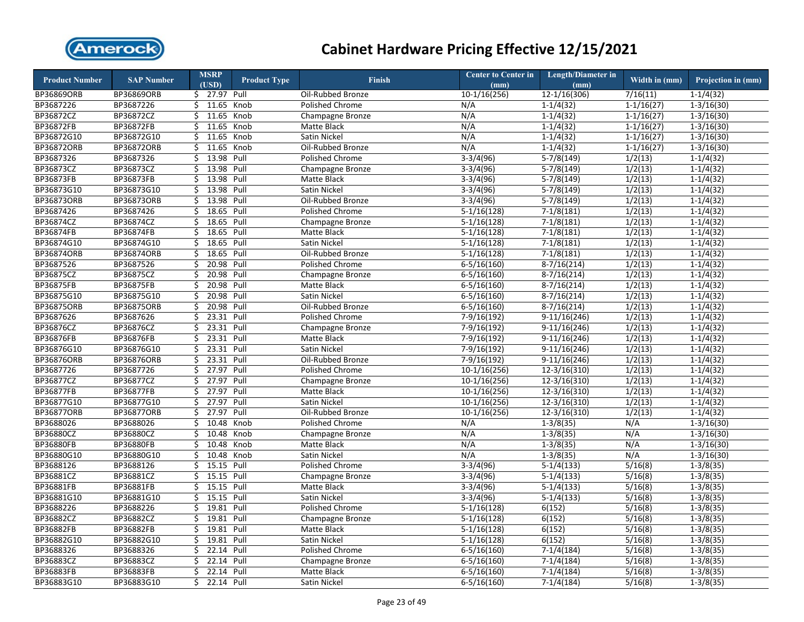

| <b>Product Number</b> | <b>SAP Number</b> | <b>MSRP</b>      | <b>Product Type</b> | <b>Finish</b>          | <b>Center to Center in</b> | <b>Length/Diameter in</b> | Width in $(mm)$ | Projection in (mm) |
|-----------------------|-------------------|------------------|---------------------|------------------------|----------------------------|---------------------------|-----------------|--------------------|
|                       |                   | (USD)            |                     |                        | (mm)                       | (mm)                      |                 |                    |
| BP36869ORB            | BP36869ORB        | \$27.97          | Pull                | Oil-Rubbed Bronze      | $10-1/16(256)$             | 12-1/16(306)              | 7/16(11)        | $1-1/4(32)$        |
| BP3687226             | BP3687226         | \$11.65          | Knob                | Polished Chrome        | N/A                        | $1 - 1/4(32)$             | $1 - 1/16(27)$  | $1 - 3/16(30)$     |
| BP36872CZ             | BP36872CZ         | Ś.<br>11.65      | Knob                | Champagne Bronze       | N/A                        | $1-1/4(32)$               | $1-1/16(27)$    | $1 - 3/16(30)$     |
| BP36872FB             | BP36872FB         | \$<br>11.65      | Knob                | Matte Black            | N/A                        | $1-1/4(32)$               | $1-1/16(27)$    | $1-3/16(30)$       |
| BP36872G10            | BP36872G10        | 11.65<br>Ś.      | Knob                | Satin Nickel           | N/A                        | $1 - 1/4(32)$             | $1 - 1/16(27)$  | $1 - 3/16(30)$     |
| BP36872ORB            | BP36872ORB        | Ś.<br>11.65      | Knob                | Oil-Rubbed Bronze      | N/A                        | $1-1/4(32)$               | $1 - 1/16(27)$  | $1 - 3/16(30)$     |
| BP3687326             | BP3687326         | 13.98<br>\$      | Pull                | Polished Chrome        | $3-3/4(96)$                | $5-7/8(149)$              | 1/2(13)         | $1-1/4(32)$        |
| BP36873CZ             | BP36873CZ         | 13.98<br>\$      | Pull                | Champagne Bronze       | $3-3/4(96)$                | $5-7/8(149)$              | 1/2(13)         | $1-1/4(32)$        |
| BP36873FB             | BP36873FB         | \$<br>13.98      | Pull                | Matte Black            | $3-3/4(96)$                | $5-7/8(149)$              | 1/2(13)         | $1-1/4(32)$        |
| BP36873G10            | BP36873G10        | \$<br>13.98      | Pull                | Satin Nickel           | $3-3/4(96)$                | $5-7/8(149)$              | 1/2(13)         | $1-1/4(32)$        |
| <b>BP36873ORB</b>     | BP36873ORB        | 13.98<br>\$      | Pull                | Oil-Rubbed Bronze      | $3-3/4(96)$                | $5-7/8(149)$              | 1/2(13)         | $1-1/4(32)$        |
| BP3687426             | BP3687426         | \$<br>18.65      | Pull                | Polished Chrome        | $5-1/16(128)$              | $7-1/8(181)$              | 1/2(13)         | $1-1/4(32)$        |
| BP36874CZ             | BP36874CZ         | 18.65<br>Ś       | Pull                | Champagne Bronze       | $5-1/16(128)$              | $7-1/8(181)$              | 1/2(13)         | $1-1/4(32)$        |
| <b>BP36874FB</b>      | BP36874FB         | \$<br>18.65      | Pull                | Matte Black            | $5-1/16(128)$              | $7-1/8(181)$              | 1/2(13)         | $1-1/4(32)$        |
| BP36874G10            | BP36874G10        | \$<br>18.65      | Pull                | Satin Nickel           | $5-1/16(128)$              | $7-1/8(181)$              | 1/2(13)         | $1-1/4(32)$        |
| BP36874ORB            | BP36874ORB        | 18.65<br>\$      | Pull                | Oil-Rubbed Bronze      | $5-1/16(128)$              | $7-1/8(181)$              | 1/2(13)         | $1-1/4(32)$        |
| BP3687526             | BP3687526         | 20.98<br>Ś       | Pull                | Polished Chrome        | $6 - 5/16(160)$            | $8-7/16(214)$             | 1/2(13)         | $1-1/4(32)$        |
| BP36875CZ             | BP36875CZ         | 20.98<br>\$      | Pull                | Champagne Bronze       | $6-5/16(160)$              | $8-7/16(214)$             | 1/2(13)         | $1-1/4(32)$        |
| BP36875FB             | BP36875FB         | 20.98<br>\$      | Pull                | Matte Black            | $6 - 5/16(160)$            | $8-7/16(214)$             | 1/2(13)         | $1-1/4(32)$        |
| BP36875G10            | BP36875G10        | 20.98<br>Ś.      | Pull                | Satin Nickel           | $6 - 5/16(160)$            | $8-7/16(214)$             | 1/2(13)         | $1 - 1/4(32)$      |
| <b>BP36875ORB</b>     | BP36875ORB        | 20.98<br>\$      | Pull                | Oil-Rubbed Bronze      | $6 - 5/16(160)$            | $8-7/16(214)$             | 1/2(13)         | $1-1/4(32)$        |
| BP3687626             | BP3687626         | Ś.<br>23.31      | Pull                | <b>Polished Chrome</b> | 7-9/16(192)                | $9-11/16(246)$            | 1/2(13)         | $1-1/4(32)$        |
| BP36876CZ             | BP36876CZ         | \$<br>23.31      | Pull                | Champagne Bronze       | 7-9/16(192)                | $9-11/16(246)$            | 1/2(13)         | $1-1/4(32)$        |
| BP36876FB             | BP36876FB         | 23.31<br>\$      | Pull                | Matte Black            | 7-9/16(192)                | $9-11/16(246)$            | 1/2(13)         | $1 - 1/4(32)$      |
| BP36876G10            | BP36876G10        | 23.31<br>Ś.      | Pull                | Satin Nickel           | 7-9/16(192)                | $9-11/16(246)$            | 1/2(13)         | $1-1/4(32)$        |
| <b>BP36876ORB</b>     | BP36876ORB        | \$<br>23.31      | Pull                | Oil-Rubbed Bronze      | $7-9/16(192)$              | $9-11/16(246)$            | 1/2(13)         | $1-1/4(32)$        |
| BP3687726             | BP3687726         | 27.97<br>\$      | Pull                | Polished Chrome        | $10-1/16(256)$             | 12-3/16(310)              | 1/2(13)         | $1-1/4(32)$        |
| BP36877CZ             | BP36877CZ         | 27.97<br>Ś.      | Pull                | Champagne Bronze       | $10-1/16(256)$             | $12 - 3/16(310)$          | 1/2(13)         | $1-1/4(32)$        |
| <b>BP36877FB</b>      | <b>BP36877FB</b>  | \$<br>27.97      | Pull                | Matte Black            | $10-1/16(256)$             | $12 - 3/16(310)$          | 1/2(13)         | $1-1/4(32)$        |
| BP36877G10            | BP36877G10        | 27.97<br>\$      | Pull                | Satin Nickel           | $10-1/16(256)$             | 12-3/16(310)              | 1/2(13)         | $1-1/4(32)$        |
| <b>BP36877ORB</b>     | <b>BP36877ORB</b> | \$<br>27.97      | Pull                | Oil-Rubbed Bronze      | $10-1/16(256)$             | $12 - 3/16(310)$          | 1/2(13)         | $1-1/4(32)$        |
| BP3688026             | BP3688026         | 10.48<br>\$      | Knob                | Polished Chrome        | N/A                        | $1-3/8(35)$               | N/A             | $1-3/16(30)$       |
| BP36880CZ             | BP36880CZ         | 10.48<br>Ś       | Knob                | Champagne Bronze       | N/A                        | $1 - 3/8(35)$             | N/A             | $1-3/16(30)$       |
| BP36880FB             | BP36880FB         | \$<br>10.48      | Knob                | Matte Black            | N/A                        | $1-3/8(35)$               | N/A             | $1 - 3/16(30)$     |
| BP36880G10            | BP36880G10        | 10.48<br>\$      | Knob                | Satin Nickel           | N/A                        | $1-3/8(35)$               | N/A             | $1 - 3/16(30)$     |
| BP3688126             | BP3688126         | 15.15<br>\$      | Pull                | Polished Chrome        | $3-3/4(96)$                | $5-1/4(133)$              | 5/16(8)         | $1-3/8(35)$        |
| BP36881CZ             | BP36881CZ         | 15.15<br>Ś.      | Pull                | Champagne Bronze       | $3-3/4(96)$                | $5-1/4(133)$              | 5/16(8)         | $1 - 3/8(35)$      |
| BP36881FB             | BP36881FB         | 15.15<br>\$      | Pull                | Matte Black            | $3-3/4(96)$                | $5-1/4(133)$              | 5/16(8)         | $1 - 3/8(35)$      |
| BP36881G10            | BP36881G10        | Ś.<br>15.15      | Pull                | Satin Nickel           | $3-3/4(96)$                | $5-1/4(133)$              | 5/16(8)         | $1-3/8(35)$        |
| BP3688226             | BP3688226         | 19.81<br>\$      | Pull                | Polished Chrome        | $5-1/16(128)$              | 6(152)                    | 5/16(8)         | $1 - 3/8(35)$      |
| BP36882CZ             | BP36882CZ         | Ś.<br>19.81      | Pull                | Champagne Bronze       | $5-1/16(128)$              | 6(152)                    | 5/16(8)         | $1 - 3/8(35)$      |
| BP36882FB             | BP36882FB         | 19.81<br>Ś.      | Pull                | Matte Black            | $5-1/16(128)$              | 6(152)                    | 5/16(8)         | $1 - 3/8(35)$      |
| BP36882G10            | BP36882G10        | \$<br>19.81      | Pull                | Satin Nickel           | $5-1/16(128)$              | 6(152)                    | 5/16(8)         | $1 - 3/8(35)$      |
| BP3688326             | BP3688326         | 22.14<br>\$      | Pull                | Polished Chrome        | $6 - 5/16(160)$            | $7 - 1/4(184)$            | 5/16(8)         | $1 - 3/8(35)$      |
| BP36883CZ             | BP36883CZ         | Ś<br>22.14       | Pull                | Champagne Bronze       | $6 - 5/16(160)$            | $7-1/4(184)$              | 5/16(8)         | $1-3/8(35)$        |
| <b>BP36883FB</b>      | BP36883FB         | \$<br>22.14 Pull |                     | Matte Black            | $6 - 5/16(160)$            | $7-1/4(184)$              | 5/16(8)         | $1 - 3/8(35)$      |
| BP36883G10            | BP36883G10        | 22.14 Pull<br>Ś. |                     | Satin Nickel           | $6 - 5/16(160)$            | $7-1/4(184)$              | 5/16(8)         | $1-3/8(35)$        |
|                       |                   |                  |                     |                        |                            |                           |                 |                    |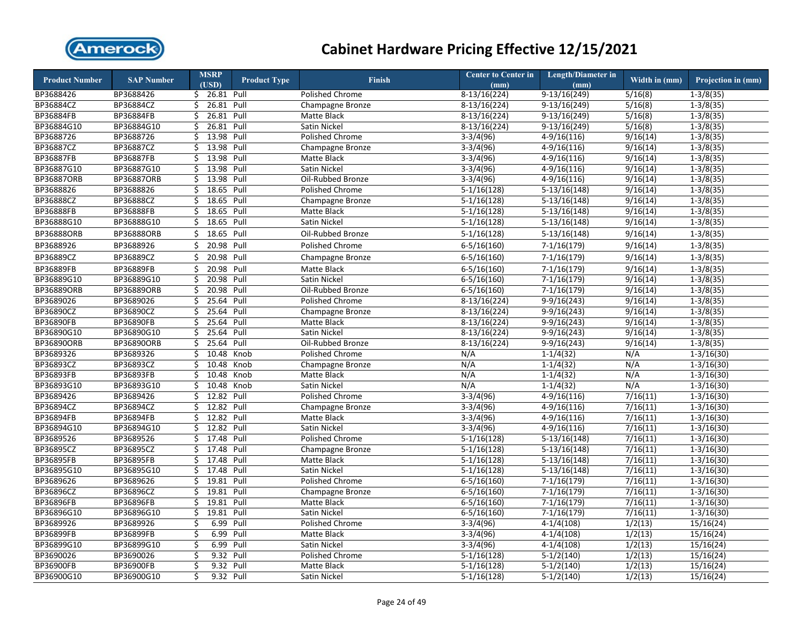

| <b>Product Number</b> | <b>SAP Number</b> | <b>MSRP</b>            | <b>Product Type</b> | <b>Finish</b>          | <b>Center to Center in</b> | <b>Length/Diameter in</b> | Width in (mm)         | Projection in (mm) |
|-----------------------|-------------------|------------------------|---------------------|------------------------|----------------------------|---------------------------|-----------------------|--------------------|
| BP3688426             | BP3688426         | (USD)<br>\$ 26.81 Pull |                     | <b>Polished Chrome</b> | (mm)<br>$8-13/16(224)$     | (mm)<br>$9-13/16(249)$    | 5/16(8)               | $1 - 3/8(35)$      |
| BP36884CZ             | BP36884CZ         | 26.81<br>\$            | Pull                | Champagne Bronze       | $8-13/16(224)$             | $9-13/16(249)$            | 5/16(8)               | $1-3/8(35)$        |
| BP36884FB             | BP36884FB         | 26.81<br>Ś.            | Pull                |                        | $8-13/16(224)$             | $9-13/16(249)$            | 5/16(8)               | $1-3/8(35)$        |
|                       |                   |                        |                     | Matte Black            |                            |                           |                       |                    |
| BP36884G10            | BP36884G10        | 26.81<br>\$            | Pull                | Satin Nickel           | $8-13/16(224)$             | $9-13/16(249)$            | 5/16(8)               | $1 - 3/8(35)$      |
| BP3688726             | BP3688726         | 13.98<br>Ś.            | Pull                | Polished Chrome        | $3-3/4(96)$                | $4-9/16(116)$             | 9/16(14)              | $1-3/8(35)$        |
| BP36887CZ             | BP36887CZ         | 13.98<br>\$            | Pull                | Champagne Bronze       | $3-3/4(96)$                | $4-9/16(116)$             | 9/16(14)              | $1 - 3/8(35)$      |
| BP36887FB             | BP36887FB         | \$<br>13.98            | Pull                | Matte Black            | $3-3/4(96)$                | $4-9/16(116)$             | 9/16(14)              | $1-3/8(35)$        |
| BP36887G10            | BP36887G10        | 13.98<br>Ś.            | Pull                | Satin Nickel           | $3-3/4(96)$                | $4-9/16(116)$             | 9/16(14)              | $1-3/8(35)$        |
| <b>BP36887ORB</b>     | BP36887ORB        | Ś.<br>13.98            | Pull                | Oil-Rubbed Bronze      | $3-3/4(96)$                | $4-9/16(116)$             | 9/16(14)              | $1-3/8(35)$        |
| BP3688826             | BP3688826         | \$<br>18.65            | Pull                | Polished Chrome        | $5-1/16(128)$              | $5-13/16(148)$            | 9/16(14)              | $1-3/8(35)$        |
| BP36888CZ             | BP36888CZ         | \$<br>18.65            | Pull                | Champagne Bronze       | $5-1/16(128)$              | $5-13/16(148)$            | 9/16(14)              | $1-3/8(35)$        |
| <b>BP36888FB</b>      | BP36888FB         | 18.65<br>Ś.            | Pull                | Matte Black            | $5-1/16(128)$              | $5-13/16(148)$            | 9/16(14)              | $1-3/8(35)$        |
| BP36888G10            | BP36888G10        | 18.65<br>\$            | Pull                | Satin Nickel           | $5-1/16(128)$              | $5-13/16(148)$            | 9/16(14)              | $1-3/8(35)$        |
| <b>BP36888ORB</b>     | <b>BP36888ORB</b> | 18.65<br>\$            | Pull                | Oil-Rubbed Bronze      | $5-1/16(128)$              | $5-13/16(148)$            | 9/16(14)              | $1 - 3/8(35)$      |
| BP3688926             | BP3688926         | Ś<br>20.98             | Pull                | Polished Chrome        | $6 - 5/16(160)$            | $7-1/16(179)$             | 9/16(14)              | $1-3/8(35)$        |
| BP36889CZ             | BP36889CZ         | \$<br>20.98 Pull       |                     | Champagne Bronze       | $6 - 5/16(160)$            | $7-1/16(179)$             | 9/16(14)              | $1 - 3/8(35)$      |
| BP36889FB             | BP36889FB         | \$<br>20.98 Pull       |                     | Matte Black            | $6 - 5/16(160)$            | $7-1/16(179)$             | 9/16(14)              | $1-3/8(35)$        |
| BP36889G10            | BP36889G10        | 20.98<br>Ś             | Pull                | Satin Nickel           | $6 - 5/16(160)$            | $7-1/16(179)$             | 9/16(14)              | $1 - 3/8(35)$      |
| BP36889ORB            | BP36889ORB        | 20.98<br>\$            | Pull                | Oil-Rubbed Bronze      | $6 - 5/16(160)$            | $7-1/16(179)$             | 9/16(14)              | $1 - 3/8(35)$      |
| BP3689026             | BP3689026         | 25.64<br>Ś.            | Pull                | <b>Polished Chrome</b> | 8-13/16(224)               | $9-9/16(243)$             | 9/16(14)              | $1-3/8(35)$        |
| BP36890CZ             | BP36890CZ         | 25.64<br>\$            | Pull                | Champagne Bronze       | $8-13/16(224)$             | $9-9/16(243)$             | 9/16(14)              | $1-3/8(35)$        |
| <b>BP36890FB</b>      | <b>BP36890FB</b>  | 25.64<br>\$            | Pull                | Matte Black            | $8-13/16(224)$             | $9-9/16(243)$             | 9/16(14)              | $1-3/8(35)$        |
| BP36890G10            | BP36890G10        | 25.64<br>\$            | Pull                | Satin Nickel           | $8-13/16(224)$             | $9-9/16(243)$             | 9/16(14)              | $1 - 3/8(35)$      |
| <b>BP36890ORB</b>     | BP36890ORB        | 25.64<br>Ś             | Pull                | Oil-Rubbed Bronze      | $8-13/16(224)$             | $9-9/16(243)$             | 9/16(14)              | $1-3/8(35)$        |
| BP3689326             | BP3689326         | 10.48<br>\$            | Knob                | Polished Chrome        | N/A                        | $1-1/4(32)$               | N/A                   | $1 - 3/16(30)$     |
| BP36893CZ             | BP36893CZ         | Ś<br>10.48             | Knob                | Champagne Bronze       | N/A                        | $1-1/4(32)$               | N/A                   | $1-3/16(30)$       |
| BP36893FB             | BP36893FB         | \$<br>10.48            | Knob                | Matte Black            | N/A                        | $1-1/4(32)$               | N/A                   | $1-3/16(30)$       |
| BP36893G10            | BP36893G10        | 10.48<br>\$            | Knob                | Satin Nickel           | N/A                        | $1-1/4(32)$               | N/A                   | $1-3/16(30)$       |
| BP3689426             | BP3689426         | 12.82<br>\$            | Pull                | Polished Chrome        | $3-3/4(96)$                | $4-9/16(116)$             | 7/16(11)              | $1-3/16(30)$       |
| BP36894CZ             | BP36894CZ         | 12.82 Pull<br>\$       |                     | Champagne Bronze       | $3-3/4(96)$                | $4-9/16(116)$             | 7/16(11)              | $1 - 3/16(30)$     |
| <b>BP36894FB</b>      | BP36894FB         | 12.82<br>Ś.            | Pull                | Matte Black            | $3-3/4(96)$                | $4-9/16(116)$             | 7/16(11)              | $1-3/16(30)$       |
| BP36894G10            | BP36894G10        | Ś.<br>12.82            | Pull                | Satin Nickel           | $3-3/4(96)$                | $4-9/16(116)$             | 7/16(11)              | $1 - 3/16(30)$     |
| BP3689526             | BP3689526         | Ś.<br>17.48            | Pull                | <b>Polished Chrome</b> | $5-1/16(128)$              | $5-13/16(148)$            | 7/16(11)              | $1 - 3/16(30)$     |
| BP36895CZ             | BP36895CZ         | 17.48<br>\$            | Pull                | Champagne Bronze       | $5-1/16(128)$              | $5-13/16(148)$            | $\overline{7/16(11)}$ | $1 - 3/16(30)$     |
| <b>BP36895FB</b>      | BP36895FB         | Ś.<br>17.48            | Pull                | Matte Black            | $5-1/16(128)$              | $5-13/16(148)$            | 7/16(11)              | $1-3/16(30)$       |
| BP36895G10            | BP36895G10        | \$<br>17.48            | Pull                | Satin Nickel           | $5-1/16(128)$              | $5-13/16(148)$            | 7/16(11)              | $1-3/16(30)$       |
| BP3689626             | BP3689626         | \$<br>19.81            | Pull                | Polished Chrome        | $6 - 5/16(160)$            | $7-1/16(179)$             | 7/16(11)              | $1 - 3/16(30)$     |
|                       |                   |                        |                     |                        |                            |                           |                       |                    |
| BP36896CZ             | BP36896CZ         | 19.81<br>\$            | Pull                | Champagne Bronze       | $6 - 5/16(160)$            | $7-1/16(179)$             | 7/16(11)              | $1 - 3/16(30)$     |
| <b>BP36896FB</b>      | BP36896FB         | 19.81<br>\$            | Pull                | Matte Black            | $6 - 5/16(160)$            | $7-1/16(179)$             | 7/16(11)              | $1 - 3/16(30)$     |
| BP36896G10            | BP36896G10        | 19.81<br>\$            | Pull                | Satin Nickel           | $6 - 5/16(160)$            | $7-1/16(179)$             | 7/16(11)              | $1 - 3/16(30)$     |
| BP3689926             | BP3689926         | 6.99<br>\$             | Pull                | Polished Chrome        | $3-3/4(96)$                | $4-1/4(108)$              | 1/2(13)               | 15/16(24)          |
| BP36899FB             | BP36899FB         | \$<br>6.99             | Pull                | Matte Black            | $3-3/4(96)$                | $4-1/4(108)$              | 1/2(13)               | 15/16(24)          |
| BP36899G10            | BP36899G10        | \$<br>6.99             | Pull                | Satin Nickel           | $3-3/4(96)$                | $4-1/4(108)$              | 1/2(13)               | 15/16(24)          |
| BP3690026             | BP3690026         | \$<br>9.32             | Pull                | Polished Chrome        | $5-1/16(128)$              | $5-1/2(140)$              | 1/2(13)               | 15/16(24)          |
| BP36900FB             | BP36900FB         | \$<br>9.32             | Pull                | Matte Black            | $5-1/16(128)$              | $5-1/2(140)$              | 1/2(13)               | 15/16(24)          |
| BP36900G10            | BP36900G10        | 9.32<br>Ś              | Pull                | Satin Nickel           | $5-1/16(128)$              | $5-1/2(140)$              | 1/2(13)               | 15/16(24)          |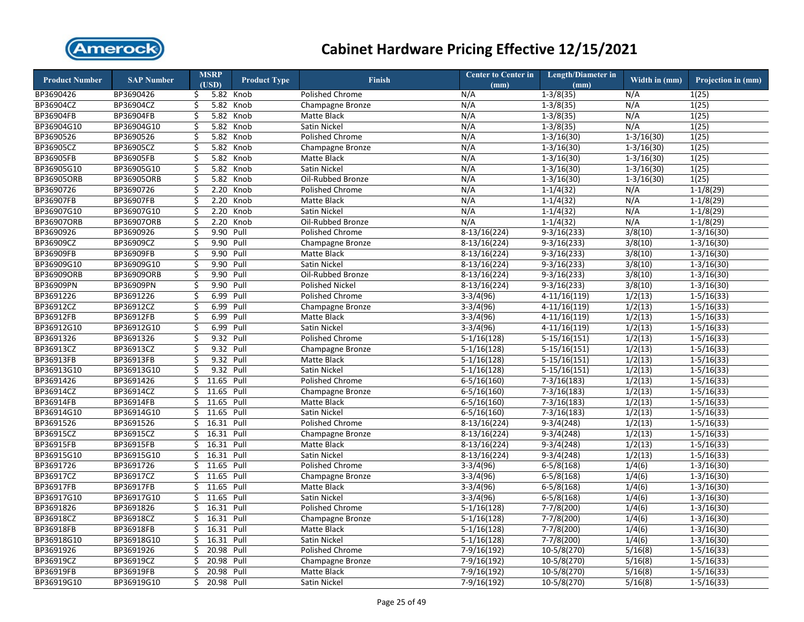

| <b>Product Number</b> | <b>SAP Number</b> |         | <b>MSRP</b><br>(USD) | <b>Product Type</b> | <b>Finish</b>          | <b>Center to Center in</b> | <b>Length/Diameter in</b> | Width in (mm)  | Projection in (mm) |
|-----------------------|-------------------|---------|----------------------|---------------------|------------------------|----------------------------|---------------------------|----------------|--------------------|
| BP3690426             | BP3690426         | \$      |                      | 5.82 Knob           | Polished Chrome        | (mm)<br>N/A                | (mm)<br>$1-3/8(35)$       | N/A            | 1(25)              |
| BP36904CZ             | BP36904CZ         |         |                      | 5.82 Knob           |                        | N/A                        | $1 - 3/8(35)$             | N/A            | 1(25)              |
| BP36904FB             | BP36904FB         | \$<br>Ś |                      | 5.82 Knob           | Champagne Bronze       | N/A                        | $1 - 3/8(35)$             | N/A            | 1(25)              |
|                       |                   |         |                      |                     | Matte Black            |                            | $1-3/8(35)$               |                |                    |
| BP36904G10            | BP36904G10        | \$      | 5.82                 | Knob                | Satin Nickel           | N/A                        |                           | N/A            | 1(25)              |
| BP3690526             | BP3690526         | \$      | 5.82                 | Knob                | Polished Chrome        | N/A                        | $1-3/16(30)$              | $1-3/16(30)$   | 1(25)              |
| BP36905CZ             | BP36905CZ         | \$      | 5.82                 | Knob                | Champagne Bronze       | N/A                        | $1-3/16(30)$              | $1-3/16(30)$   | 1(25)              |
| <b>BP36905FB</b>      | BP36905FB         | \$      |                      | 5.82 Knob           | Matte Black            | N/A                        | $1-3/16(30)$              | $1 - 3/16(30)$ | 1(25)              |
| BP36905G10            | BP36905G10        | \$      | 5.82                 | Knob                | Satin Nickel           | N/A                        | $1 - 3/16(30)$            | $1 - 3/16(30)$ | 1(25)              |
| BP36905ORB            | BP36905ORB        | \$      | 5.82                 | Knob                | Oil-Rubbed Bronze      | N/A                        | $1-3/16(30)$              | $1 - 3/16(30)$ | 1(25)              |
| BP3690726             | BP3690726         | \$      | 2.20                 | Knob                | Polished Chrome        | N/A                        | $1 - 1/4(32)$             | N/A            | $1-1/8(29)$        |
| BP36907FB             | BP36907FB         | \$      | 2.20                 | Knob                | Matte Black            | N/A                        | $1-1/4(32)$               | N/A            | $1-1/8(29)$        |
| BP36907G10            | BP36907G10        | \$      | 2.20                 | Knob                | <b>Satin Nickel</b>    | N/A                        | $1-1/4(32)$               | N/A            | $1-1/8(29)$        |
| BP36907ORB            | BP36907ORB        | \$      | 2.20                 | Knob                | Oil-Rubbed Bronze      | N/A                        | $1-1/4(32)$               | N/A            | $1-1/8(29)$        |
| BP3690926             | BP3690926         | \$      | 9.90                 | Pull                | Polished Chrome        | $8-13/16(224)$             | $9-3/16(233)$             | 3/8(10)        | $1-3/16(30)$       |
| BP36909CZ             | BP36909CZ         | \$      | 9.90                 | Pull                | Champagne Bronze       | $8-13/16(224)$             | $9-3/16(233)$             | 3/8(10)        | $1-3/16(30)$       |
| BP36909FB             | BP36909FB         | \$      | 9.90                 | Pull                | Matte Black            | $8-13/16(224)$             | $9-3/16(233)$             | 3/8(10)        | $1-3/16(30)$       |
| BP36909G10            | BP36909G10        | \$      | 9.90                 | Pull                | Satin Nickel           | $8-13/16(224)$             | $9-3/16(233)$             | 3/8(10)        | $1-3/16(30)$       |
| BP36909ORB            | BP36909ORB        | \$      | 9.90                 | Pull                | Oil-Rubbed Bronze      | $8-13/16(224)$             | $9-3/16(233)$             | 3/8(10)        | $1-3/16(30)$       |
| BP36909PN             | BP36909PN         | \$      | 9.90                 | Pull                | <b>Polished Nickel</b> | $8-13/16(224)$             | $9-3/16(233)$             | 3/8(10)        | $1 - 3/16(30)$     |
| BP3691226             | BP3691226         | Ś       | 6.99                 | Pull                | Polished Chrome        | $3-3/4(96)$                | $4-11/16(119)$            | 1/2(13)        | $1-5/16(33)$       |
| BP36912CZ             | BP36912CZ         | \$      | 6.99                 | Pull                | Champagne Bronze       | $3-3/4(96)$                | $4-11/16(119)$            | 1/2(13)        | $1-5/16(33)$       |
| BP36912FB             | BP36912FB         | \$      | 6.99                 | Pull                | Matte Black            | $3-3/4(96)$                | $4-11/16(119)$            | 1/2(13)        | $1 - 5/16(33)$     |
| BP36912G10            | BP36912G10        | \$      | 6.99                 | Pull                | Satin Nickel           | $3-3/4(96)$                | $4-11/16(119)$            | 1/2(13)        | $1-5/16(33)$       |
| BP3691326             | BP3691326         | \$      | 9.32 Pull            |                     | Polished Chrome        | $5-1/16(128)$              | $5-15/16(151)$            | 1/2(13)        | $1 - 5/16(33)$     |
| BP36913CZ             | BP36913CZ         | \$      | 9.32                 | Pull                | Champagne Bronze       | $5-1/16(128)$              | $5-15/16(151)$            | 1/2(13)        | $1 - 5/16(33)$     |
| BP36913FB             | BP36913FB         | \$      | 9.32                 | Pull                | Matte Black            | $5-1/16(128)$              | $5-15/16(151)$            | 1/2(13)        | $1-5/16(33)$       |
| BP36913G10            | BP36913G10        | \$      | 9.32                 | Pull                | Satin Nickel           | $5-1/16(128)$              | $5-15/16(151)$            | 1/2(13)        | $1 - 5/16(33)$     |
| BP3691426             | BP3691426         | \$      | 11.65                | Pull                | Polished Chrome        | $6 - 5/16(160)$            | $7-3/16(183)$             | 1/2(13)        | $1-5/16(33)$       |
| BP36914CZ             | BP36914CZ         | \$      | 11.65                | Pull                | Champagne Bronze       | $6 - 5/16(160)$            | $7-3/16(183)$             | 1/2(13)        | $1-5/16(33)$       |
| BP36914FB             | BP36914FB         | \$      | 11.65                | Pull                | Matte Black            | $6 - 5/16(160)$            | $7-3/16(183)$             | 1/2(13)        | $1-5/16(33)$       |
| BP36914G10            | BP36914G10        | Ś.      | 11.65                | Pull                | Satin Nickel           | $6-5/16(160)$              | $7-3/16(183)$             | 1/2(13)        | $1-5/16(33)$       |
| BP3691526             | BP3691526         | Ś       | 16.31                | Pull                | Polished Chrome        | $8-13/16(224)$             | $9-3/4(248)$              | 1/2(13)        | $1-5/16(33)$       |
| BP36915CZ             | BP36915CZ         | Ś.      | 16.31 Pull           |                     | Champagne Bronze       | $8-13/16(224)$             | $9-3/4(248)$              | 1/2(13)        | $1 - 5/16(33)$     |
| BP36915FB             | BP36915FB         | Ś       | 16.31                | Pull                | Matte Black            | $8-13/16(224)$             | $9-3/4(248)$              | 1/2(13)        | $1-5/16(33)$       |
| BP36915G10            | BP36915G10        | Ś       | 16.31                | Pull                | Satin Nickel           | $8-13/16(224)$             | $9-3/4(248)$              | 1/2(13)        | $1-5/16(33)$       |
| BP3691726             | BP3691726         | \$      | 11.65                | Pull                | Polished Chrome        | $3-3/4(96)$                | $6 - 5/8(168)$            | 1/4(6)         | $1-3/16(30)$       |
| BP36917CZ             | BP36917CZ         | \$      | 11.65                | Pull                | Champagne Bronze       | $3-3/4(96)$                | $6 - 5/8(168)$            | 1/4(6)         | $1 - 3/16(30)$     |
| BP36917FB             | BP36917FB         | \$      | 11.65                | Pull                | Matte Black            | $3-3/4(96)$                | $6 - 5/8(168)$            | 1/4(6)         | $1 - 3/16(30)$     |
| BP36917G10            | BP36917G10        | Ś       | 11.65                | Pull                | Satin Nickel           | $3-3/4(96)$                | $6-5/8(168)$              | 1/4(6)         | $1-3/16(30)$       |
| BP3691826             | BP3691826         | \$      | 16.31                | Pull                | Polished Chrome        | $5-1/16(128)$              | $7-7/8(200)$              | 1/4(6)         | $1-3/16(30)$       |
| BP36918CZ             | BP36918CZ         | \$      | 16.31                | Pull                | Champagne Bronze       | $5-1/16(128)$              | $7-7/8(200)$              | 1/4(6)         | $1 - 3/16(30)$     |
| BP36918FB             | BP36918FB         | \$      | 16.31                | Pull                | Matte Black            | $5-1/16(128)$              | $7-7/8(200)$              | 1/4(6)         | $1 - 3/16(30)$     |
| BP36918G10            | BP36918G10        | \$      | 16.31                | Pull                | Satin Nickel           | $5-1/16(128)$              | $7-7/8(200)$              | 1/4(6)         | $1 - 3/16(30)$     |
| BP3691926             | BP3691926         | \$      | 20.98                | Pull                | Polished Chrome        | 7-9/16(192)                | 10-5/8(270)               | 5/16(8)        | $1 - 5/16(33)$     |
| BP36919CZ             | BP36919CZ         | Ś       | 20.98                | Pull                | Champagne Bronze       | $7-9/16(192)$              | $10-5/8(270)$             | 5/16(8)        | $1-5/16(33)$       |
| BP36919FB             | BP36919FB         | Ś       | 20.98                | Pull                | Matte Black            | 7-9/16(192)                | 10-5/8(270)               | 5/16(8)        | $1 - 5/16(33)$     |
| BP36919G10            | BP36919G10        | Ś.      | 20.98                | Pull                | Satin Nickel           | $7-9/16(192)$              | 10-5/8(270)               | 5/16(8)        | $1 - 5/16(33)$     |
|                       |                   |         |                      |                     |                        |                            |                           |                |                    |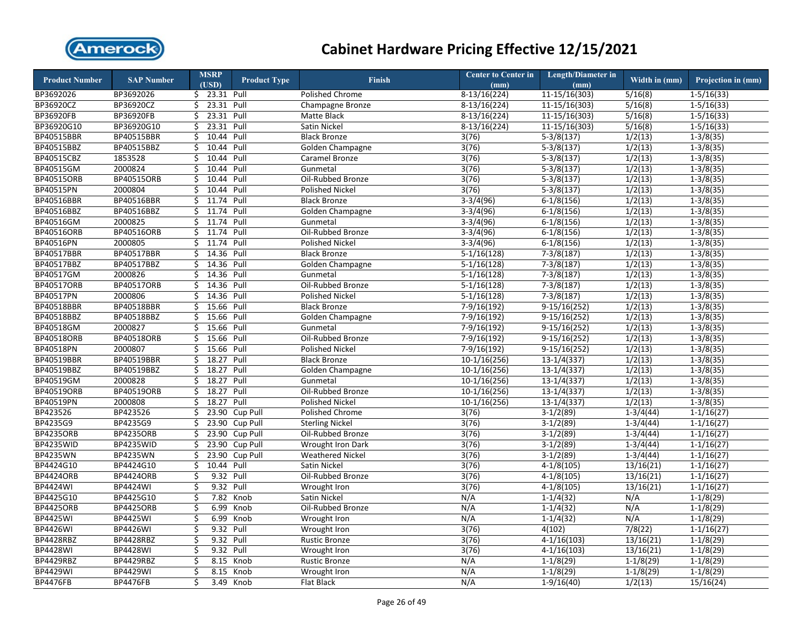

| <b>Product Number</b> | <b>SAP Number</b> |    | <b>MSRP</b><br>(USD) | <b>Product Type</b> | <b>Finish</b>            | <b>Center to Center in</b><br>(mm) | <b>Length/Diameter in</b><br>(mm) | Width in (mm) | Projection in (mm) |
|-----------------------|-------------------|----|----------------------|---------------------|--------------------------|------------------------------------|-----------------------------------|---------------|--------------------|
| BP3692026             | BP3692026         |    | $$23.31$ Pull        |                     | <b>Polished Chrome</b>   | $8-13/16(224)$                     | $11-15/16(303)$                   | 5/16(8)       | $1-5/16(33)$       |
| BP36920CZ             | BP36920CZ         | \$ | 23.31 Pull           |                     | Champagne Bronze         | $8-13/16(224)$                     | $11-15/16(303)$                   | 5/16(8)       | $1-5/16(33)$       |
| BP36920FB             | BP36920FB         | \$ | 23.31                | Pull                | Matte Black              | $8-13/16(224)$                     | $11-15/16(303)$                   | 5/16(8)       | $1-5/16(33)$       |
| BP36920G10            | BP36920G10        | \$ | 23.31                | Pull                | Satin Nickel             | $8-13/16(224)$                     | 11-15/16(303)                     | 5/16(8)       | $1 - 5/16(33)$     |
| BP40515BBR            | BP40515BBR        | \$ | 10.44 Pull           |                     | <b>Black Bronze</b>      | 3(76)                              | $5-3/8(137)$                      | 1/2(13)       | $1-3/8(35)$        |
| BP40515BBZ            | BP40515BBZ        | \$ | 10.44 Pull           |                     | Golden Champagne         | 3(76)                              | $5-3/8(137)$                      | 1/2(13)       | $1 - 3/8(35)$      |
| BP40515CBZ            | 1853528           | Ś  | 10.44                | Pull                | Caramel Bronze           | 3(76)                              | $5-3/8(137)$                      | 1/2(13)       | $1-3/8(35)$        |
| BP40515GM             | 2000824           | \$ | 10.44                | Pull                | Gunmetal                 | 3(76)                              | $5-3/8(137)$                      | 1/2(13)       | $1-3/8(35)$        |
| BP40515ORB            | BP40515ORB        | \$ | 10.44 Pull           |                     | Oil-Rubbed Bronze        | 3(76)                              | $5-3/8(137)$                      | 1/2(13)       | $1-3/8(35)$        |
| BP40515PN             | 2000804           | \$ | 10.44                | Pull                | <b>Polished Nickel</b>   | 3(76)                              | $5-3/8(137)$                      | 1/2(13)       | $1-3/8(35)$        |
| BP40516BBR            | BP40516BBR        | Ś. | 11.74 Pull           |                     | <b>Black Bronze</b>      | $3-3/4(96)$                        | $6-1/8(156)$                      | 1/2(13)       | $1 - 3/8(35)$      |
| BP40516BBZ            | BP40516BBZ        | \$ | 11.74 Pull           |                     | Golden Champagne         | $3-3/4(96)$                        | $6-1/8(156)$                      | 1/2(13)       | $1 - 3/8(35)$      |
| BP40516GM             | 2000825           | \$ | 11.74                | Pull                | Gunmetal                 | $3-3/4(96)$                        | $6-1/8(156)$                      | 1/2(13)       | $1-3/8(35)$        |
| BP40516ORB            | BP40516ORB        | \$ | 11.74                | Pull                | Oil-Rubbed Bronze        | $3-3/4(96)$                        | $6-1/8(156)$                      | 1/2(13)       | $1-3/8(35)$        |
| BP40516PN             | 2000805           | \$ | 11.74                | Pull                | Polished Nickel          | $3-3/4(96)$                        | $6-1/8(156)$                      | 1/2(13)       | $1-3/8(35)$        |
| BP40517BBR            | BP40517BBR        | \$ | 14.36 Pull           |                     | <b>Black Bronze</b>      | $5-1/16(128)$                      | $7-3/8(187)$                      | 1/2(13)       | $1-3/8(35)$        |
| BP40517BBZ            | BP40517BBZ        | \$ | 14.36                | Pull                | Golden Champagne         | $5-1/16(128)$                      | $7-3/8(187)$                      | 1/2(13)       | $1-3/8(35)$        |
| BP40517GM             | 2000826           | \$ | 14.36 Pull           |                     | Gunmetal                 | $5-1/16(128)$                      | $7-3/8(187)$                      | 1/2(13)       | $1-3/8(35)$        |
| BP40517ORB            | BP40517ORB        | \$ | 14.36 Pull           |                     | Oil-Rubbed Bronze        | $5-1/16(128)$                      | $7-3/8(187)$                      | 1/2(13)       | $1-3/8(35)$        |
| BP40517PN             | 2000806           | Ś. | 14.36 Pull           |                     | <b>Polished Nickel</b>   | $5-1/16(128)$                      | $7-3/8(187)$                      | 1/2(13)       | $1-3/8(35)$        |
| BP40518BBR            | BP40518BBR        | \$ | 15.66                | Pull                | <b>Black Bronze</b>      | 7-9/16(192)                        | $9-15/16(252)$                    | 1/2(13)       | $1-3/8(35)$        |
| BP40518BBZ            | BP40518BBZ        | Ś. | 15.66                | Pull                | Golden Champagne         | 7-9/16(192)                        | $9-15/16(252)$                    | 1/2(13)       | $1-3/8(35)$        |
| BP40518GM             | 2000827           | \$ | 15.66 Pull           |                     | Gunmetal                 | 7-9/16(192)                        | $9-15/16(252)$                    | 1/2(13)       | $1 - 3/8(35)$      |
| BP40518ORB            | BP40518ORB        | \$ | 15.66 Pull           |                     | Oil-Rubbed Bronze        | 7-9/16(192)                        | $9-15/16(252)$                    | 1/2(13)       | $1-3/8(35)$        |
| BP40518PN             | 2000807           | \$ | 15.66 Pull           |                     | Polished Nickel          | 7-9/16(192)                        | $9-15/16(252)$                    | 1/2(13)       | $1-3/8(35)$        |
| BP40519BBR            | BP40519BBR        | Ś  | 18.27                | Pull                | <b>Black Bronze</b>      | $10-1/16(256)$                     | $13-1/4(337)$                     | 1/2(13)       | $1-3/8(35)$        |
| BP40519BBZ            | BP40519BBZ        | \$ | 18.27 Pull           |                     | <b>Golden Champagne</b>  | $10-1/16(256)$                     | $13-1/4(337)$                     | 1/2(13)       | $1 - 3/8(35)$      |
| BP40519GM             | 2000828           | \$ | 18.27                | Pull                | Gunmetal                 | $10-1/16(256)$                     | $13-1/4(337)$                     | 1/2(13)       | $1-3/8(35)$        |
| BP40519ORB            | BP40519ORB        | Ś. | 18.27                | Pull                | Oil-Rubbed Bronze        | $10-1/16(256)$                     | $13-1/4(337)$                     | 1/2(13)       | $1-3/8(35)$        |
| BP40519PN             | 2000808           | Ś  | 18.27                | Pull                | Polished Nickel          | $10-1/16(256)$                     | $13-1/4(337)$                     | 1/2(13)       | $1-3/8(35)$        |
| BP423526              | BP423526          | Ś  | 23.90                | Cup Pull            | Polished Chrome          | 3(76)                              | $3-1/2(89)$                       | $1-3/4(44)$   | $1-1/16(27)$       |
| BP4235G9              | BP4235G9          | \$ | 23.90                | Cup Pull            | <b>Sterling Nickel</b>   | 3(76)                              | $3-1/2(89)$                       | $1-3/4(44)$   | $1-1/16(27)$       |
| <b>BP4235ORB</b>      | <b>BP4235ORB</b>  | \$ | 23.90                | Cup Pull            | Oil-Rubbed Bronze        | 3(76)                              | $3-1/2(89)$                       | $1-3/4(44)$   | $1 - 1/16(27)$     |
| <b>BP4235WID</b>      | BP4235WID         | \$ | 23.90                | Cup Pull            | <b>Wrought Iron Dark</b> | 3(76)                              | $3-1/2(89)$                       | $1-3/4(44)$   | $1-1/16(27)$       |
| <b>BP4235WN</b>       | BP4235WN          | Ś  | 23.90                | Cup Pull            | <b>Weathered Nickel</b>  | 3(76)                              | $3-1/2(89)$                       | $1-3/4(44)$   | $1-1/16(27)$       |
| BP4424G10             | BP4424G10         | \$ | 10.44 Pull           |                     | Satin Nickel             | 3(76)                              | $4-1/8(105)$                      | 13/16(21)     | $1 - 1/16(27)$     |
| <b>BP4424ORB</b>      | <b>BP4424ORB</b>  | \$ | 9.32 Pull            |                     | Oil-Rubbed Bronze        | 3(76)                              | $4-1/8(105)$                      | 13/16(21)     | $1 - 1/16(27)$     |
| <b>BP4424WI</b>       | <b>BP4424WI</b>   | \$ | 9.32                 | Pull                | Wrought Iron             | 3(76)                              | $4-1/8(105)$                      | 13/16(21)     | $1 - 1/16(27)$     |
| BP4425G10             | BP4425G10         | \$ | 7.82                 | Knob                | Satin Nickel             | N/A                                | $1-1/4(32)$                       | N/A           | $1-1/8(29)$        |
| <b>BP4425ORB</b>      | <b>BP4425ORB</b>  | \$ | 6.99                 | Knob                | Oil-Rubbed Bronze        | N/A                                | $1 - 1/4(32)$                     | N/A           | $1-1/8(29)$        |
| <b>BP4425WI</b>       | <b>BP4425WI</b>   | \$ | 6.99                 | Knob                | Wrought Iron             | N/A                                | $1-1/4(32)$                       | N/A           | $1-1/8(29)$        |
| <b>BP4426WI</b>       | <b>BP4426WI</b>   | \$ | 9.32 Pull            |                     | Wrought Iron             | 3(76)                              | 4(102)                            | 7/8(22)       | $1 - 1/16(27)$     |
| <b>BP4428RBZ</b>      | BP4428RBZ         | \$ | 9.32                 | Pull                | <b>Rustic Bronze</b>     | 3(76)                              | $4-1/16(103)$                     | 13/16(21)     | $1-1/8(29)$        |
| <b>BP4428WI</b>       | <b>BP4428WI</b>   | \$ | 9.32 Pull            |                     | Wrought Iron             | 3(76)                              | $4-1/16(103)$                     | 13/16(21)     | $1-1/8(29)$        |
| BP4429RBZ             | BP4429RBZ         | \$ | 8.15                 | Knob                | <b>Rustic Bronze</b>     | N/A                                | $1-1/8(29)$                       | $1-1/8(29)$   | $1-1/8(29)$        |
| <b>BP4429WI</b>       | <b>BP4429WI</b>   | Ś  | 8.15                 | Knob                | Wrought Iron             | N/A                                | $1-1/8(29)$                       | $1-1/8(29)$   | $1-1/8(29)$        |
| <b>BP4476FB</b>       | <b>BP4476FB</b>   | \$ | 3.49                 | Knob                | Flat Black               | N/A                                | $1-9/16(40)$                      | 1/2(13)       | 15/16(24)          |
|                       |                   |    |                      |                     |                          |                                    |                                   |               |                    |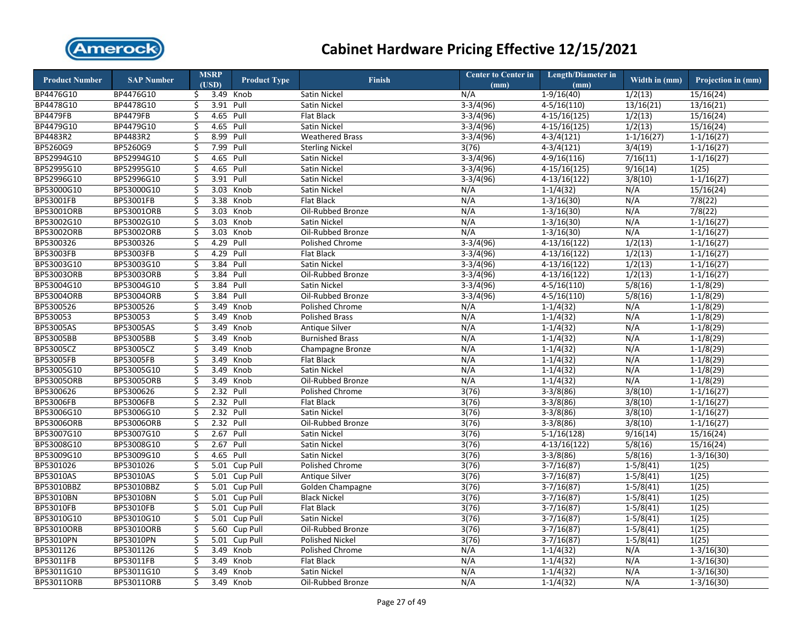

| (USD)<br>BP4476G10<br>BP4476G10<br>3.49 Knob<br>N/A<br>$1-9/16(40)$<br>1/2(13)<br>15/16(24)<br>Satin Nickel<br>\$<br>BP4478G10<br>BP4478G10<br>3.91<br>$3-3/4(96)$<br>$4-5/16(110)$<br>\$<br>Pull<br>Satin Nickel<br>13/16(21)<br>13/16(21)<br><b>BP4479FB</b><br><b>BP4479FB</b><br>\$<br>4.65<br>Pull<br>$3-3/4(96)$<br>$4-15/16(125)$<br>1/2(13)<br>15/16(24)<br>Flat Black<br>BP4479G10<br>BP4479G10<br>4.65<br>Pull<br>$3-3/4(96)$<br>$4-15/16(125)$<br>1/2(13)<br>15/16(24)<br>\$<br>Satin Nickel<br>BP4483R2<br>\$<br>8.99<br>$3-3/4(96)$<br>BP4483R2<br>Pull<br><b>Weathered Brass</b><br>$4 - 3/4(121)$<br>$1-1/16(27)$<br>$1 - 1/16(27)$<br>BP5260G9<br>BP5260G9<br>7.99<br>Pull<br>3/4(19)<br>\$<br>3(76)<br>$4 - 3/4(121)$<br>$1 - 1/16(27)$<br><b>Sterling Nickel</b><br>BP52994G10<br>7/16(11)<br>BP52994G10<br>Ś<br>4.65<br>Pull<br>$3-3/4(96)$<br>$4-9/16(116)$<br>$1-1/16(27)$<br>Satin Nickel<br>BP52995G10<br>\$<br>4.65 Pull<br>BP52995G10<br>Satin Nickel<br>$3-3/4(96)$<br>$4-15/16(125)$<br>9/16(14)<br>1(25)<br>3.91<br>BP52996G10<br>BP52996G10<br>\$<br>Pull<br>$3-3/4(96)$<br>$4-13/16(122)$<br>3/8(10)<br>$1-1/16(27)$<br>Satin Nickel<br>BP53000G10<br>BP53000G10<br>\$<br>3.03<br>Knob<br>N/A<br>Satin Nickel<br>N/A<br>$1 - 1/4(32)$<br>15/16(24)<br>BP53001FB<br>\$<br>3.38<br>$1-3/16(30)$<br>N/A<br>7/8(22)<br>BP53001FB<br>Knob<br>Flat Black<br>N/A<br>BP53001ORB<br>\$<br>3.03<br>Knob<br>N/A<br>N/A<br>7/8(22)<br>BP53001ORB<br>Oil-Rubbed Bronze<br>$1 - 3/16(30)$<br>N/A<br>BP53002G10<br>BP53002G10<br>\$<br>3.03<br>Knob<br><b>Satin Nickel</b><br>N/A<br>$1-3/16(30)$<br>$1-1/16(27)$<br>BP53002ORB<br>\$<br>N/A<br>BP53002ORB<br>3.03<br>Knob<br>Oil-Rubbed Bronze<br>N/A<br>$1 - 3/16(30)$<br>$1-1/16(27)$<br>BP5300326<br>BP5300326<br>\$<br>4.29<br>Pull<br>$3-3/4(96)$<br>$4-13/16(122)$<br>1/2(13)<br>$1-1/16(27)$<br><b>Polished Chrome</b><br>BP53003FB<br>BP53003FB<br>\$<br>4.29 Pull<br>Flat Black<br>$3-3/4(96)$<br>$4-13/16(122)$<br>1/2(13)<br>$1-1/16(27)$<br>BP53003G10<br>BP53003G10<br>3.84<br>$3-3/4(96)$<br>$4-13/16(122)$<br>1/2(13)<br>\$<br>Pull<br>Satin Nickel<br>$1-1/16(27)$<br>BP53003ORB<br>BP53003ORB<br>\$<br>3.84<br>Pull<br>$3-3/4(96)$<br>$4-13/16(122)$<br>1/2(13)<br>Oil-Rubbed Bronze<br>$1 - 1/16(27)$<br>$4-5/16(110)$<br>5/8(16)<br>BP53004G10<br>BP53004G10<br>\$<br>3.84<br>Pull<br>Satin Nickel<br>$3-3/4(96)$<br>$1-1/8(29)$<br>BP53004ORB<br>\$<br>3.84<br>Pull<br>$3-3/4(96)$<br>$4-5/16(110)$<br>5/8(16)<br>$1-1/8(29)$<br>Oil-Rubbed Bronze<br>BP5300526<br>\$<br>3.49<br>Knob<br>$1-1/4(32)$<br>N/A<br>$1-1/8(29)$<br>Polished Chrome<br>N/A<br>BP530053<br>$1-1/4(32)$<br>N/A<br>\$<br>3.49<br>Knob<br><b>Polished Brass</b><br>N/A<br>$1-1/8(29)$<br><b>BP53005AS</b><br>BP53005AS<br>\$<br>3.49<br>Knob<br><b>Antique Silver</b><br>N/A<br>$1-1/4(32)$<br>N/A<br>$1-1/8(29)$<br><b>BP53005BB</b><br>BP53005BB<br>\$<br>3.49<br>Knob<br><b>Burnished Brass</b><br>N/A<br>$1-1/4(32)$<br>N/A<br>$1-1/8(29)$<br>\$<br>3.49<br>N/A<br>BP53005CZ<br>BP53005CZ<br>Knob<br>N/A<br>$1-1/4(32)$<br>$1-1/8(29)$<br>Champagne Bronze<br>BP53005FB<br>BP53005FB<br>\$<br>3.49<br>Knob<br>N/A<br>$1-1/4(32)$<br>N/A<br>$1-1/8(29)$<br>Flat Black<br>BP53005G10<br>BP53005G10<br>\$<br>3.49<br>Satin Nickel<br>N/A<br>$1-1/4(32)$<br>N/A<br>Knob<br>$1 - 1/8(29)$<br>N/A<br>BP53005ORB<br>\$<br>N/A<br>$1-1/4(32)$<br>$1-1/8(29)$<br><b>BP53005ORB</b><br>3.49<br>Knob<br>Oil-Rubbed Bronze<br>2.32<br>$3-3/8(86)$<br>3/8(10)<br>BP5300626<br>BP5300626<br>\$<br>Pull<br><b>Polished Chrome</b><br>3(76)<br>$1-1/16(27)$<br>BP53006FB<br>BP53006FB<br>\$<br>2.32<br>Pull<br><b>Flat Black</b><br>3(76)<br>$3-3/8(86)$<br>3/8(10)<br>$1-1/16(27)$<br>BP53006G10<br>2.32<br>BP53006G10<br>\$<br>Pull<br>Satin Nickel<br>3(76)<br>$3-3/8(86)$<br>3/8(10)<br>$1-1/16(27)$<br><b>BP53006ORB</b><br><b>BP53006ORB</b><br>\$<br>2.32<br>Pull<br>$3-3/8(86)$<br>3/8(10)<br>$1-1/16(27)$<br>Oil-Rubbed Bronze<br>3(76)<br>\$<br>2.67 Pull<br>BP53007G10<br>BP53007G10<br>3(76)<br>$5-1/16(128)$<br>9/16(14)<br>15/16(24)<br>Satin Nickel<br>BP53008G10<br>BP53008G10<br>2.67<br>Pull<br>$4-13/16(122)$<br>5/8(16)<br>\$<br>Satin Nickel<br>3(76)<br>15/16(24)<br>BP53009G10<br>BP53009G10<br>\$<br>4.65<br>Pull<br>3(76)<br>$3-3/8(86)$<br>5/8(16)<br>Satin Nickel<br>$1 - 3/16(30)$<br>BP5301026<br>BP5301026<br>\$<br>5.01<br>Cup Pull<br><b>Polished Chrome</b><br>3(76)<br>$3-7/16(87)$<br>$1-5/8(41)$<br>1(25)<br>BP53010AS<br>BP53010AS<br>\$<br>5.01<br>$Cup$ Pull<br>$3-7/16(87)$<br>$1-5/8(41)$<br>1(25)<br><b>Antique Silver</b><br>3(76)<br>BP53010BBZ<br>\$<br>5.01 Cup Pull<br>$3-7/16(87)$<br>$1-5/8(41)$<br>1(25)<br>Golden Champagne<br>3(76)<br>BP53010BN<br>Ś<br>5.01 Cup Pull<br><b>Black Nickel</b><br>3(76)<br>$3-7/16(87)$<br>$1-5/8(41)$<br>1(25)<br><b>BP53010FB</b><br>\$<br>5.01 Cup Pull<br>BP53010FB<br>Flat Black<br>3(76)<br>$3-7/16(87)$<br>$1 - 5/8(41)$<br>1(25)<br>BP53010G10<br>BP53010G10<br>\$<br>5.01 Cup Pull<br>$3-7/16(87)$<br>$1-5/8(41)$<br>1(25)<br><b>Satin Nickel</b><br>3(76)<br>BP53010ORB<br>\$<br>5.60 Cup Pull<br>3(76)<br>$3-7/16(87)$<br>$1-5/8(41)$<br>1(25)<br>Oil-Rubbed Bronze<br>BP53010PN<br>\$<br>1(25)<br>BP53010PN<br>5.01<br>Cup Pull<br><b>Polished Nickel</b><br>3(76)<br>$3-7/16(87)$<br>$1 - 5/8(41)$<br>BP5301126<br>\$<br>N/A<br>N/A<br>BP5301126<br>3.49<br>Knob<br>Polished Chrome<br>$1 - 1/4(32)$<br>$1 - 3/16(30)$<br>N/A<br>BP53011FB<br>\$<br>3.49<br>Knob<br><b>Flat Black</b><br>N/A<br>$1-1/4(32)$<br>$1-3/16(30)$<br>BP53011G10<br>N/A<br>BP53011G10<br>\$<br>3.49<br>Knob<br>Satin Nickel<br>N/A<br>$1 - 1/4(32)$<br>$1 - 3/16(30)$<br>BP53011ORB<br>BP53011ORB<br>Ś<br>3.49<br>N/A<br>$1-1/4(32)$<br>N/A<br>Knob<br>Oil-Rubbed Bronze<br>$1 - 3/16(30)$ | <b>Product Number</b> | <b>SAP Number</b> | <b>MSRP</b> | <b>Product Type</b> | <b>Finish</b> | <b>Center to Center in</b> | <b>Length/Diameter in</b> | Width in $(mm)$ | Projection in (mm) |
|-------------------------------------------------------------------------------------------------------------------------------------------------------------------------------------------------------------------------------------------------------------------------------------------------------------------------------------------------------------------------------------------------------------------------------------------------------------------------------------------------------------------------------------------------------------------------------------------------------------------------------------------------------------------------------------------------------------------------------------------------------------------------------------------------------------------------------------------------------------------------------------------------------------------------------------------------------------------------------------------------------------------------------------------------------------------------------------------------------------------------------------------------------------------------------------------------------------------------------------------------------------------------------------------------------------------------------------------------------------------------------------------------------------------------------------------------------------------------------------------------------------------------------------------------------------------------------------------------------------------------------------------------------------------------------------------------------------------------------------------------------------------------------------------------------------------------------------------------------------------------------------------------------------------------------------------------------------------------------------------------------------------------------------------------------------------------------------------------------------------------------------------------------------------------------------------------------------------------------------------------------------------------------------------------------------------------------------------------------------------------------------------------------------------------------------------------------------------------------------------------------------------------------------------------------------------------------------------------------------------------------------------------------------------------------------------------------------------------------------------------------------------------------------------------------------------------------------------------------------------------------------------------------------------------------------------------------------------------------------------------------------------------------------------------------------------------------------------------------------------------------------------------------------------------------------------------------------------------------------------------------------------------------------------------------------------------------------------------------------------------------------------------------------------------------------------------------------------------------------------------------------------------------------------------------------------------------------------------------------------------------------------------------------------------------------------------------------------------------------------------------------------------------------------------------------------------------------------------------------------------------------------------------------------------------------------------------------------------------------------------------------------------------------------------------------------------------------------------------------------------------------------------------------------------------------------------------------------------------------------------------------------------------------------------------------------------------------------------------------------------------------------------------------------------------------------------------------------------------------------------------------------------------------------------------------------------------------------------------------------------------------------------------------------------------------------------------------------------------------------------------------------------------------------------------------------------------------------------------------------------------------------------------------------------------------------------------------------------------------------------------------------------------------------------------------------------------------------------------------------------------------------------------------------------------------------------------------------------------------------------------------------------------------------------------------------------------------------------------------------------------------------------------------------------------------------------------------------------------------------------------------------------------------------------------------------------------------------------------------------------------------------------------------------------------------------------------------------------------------------------------------------------------------------------------------------|-----------------------|-------------------|-------------|---------------------|---------------|----------------------------|---------------------------|-----------------|--------------------|
|                                                                                                                                                                                                                                                                                                                                                                                                                                                                                                                                                                                                                                                                                                                                                                                                                                                                                                                                                                                                                                                                                                                                                                                                                                                                                                                                                                                                                                                                                                                                                                                                                                                                                                                                                                                                                                                                                                                                                                                                                                                                                                                                                                                                                                                                                                                                                                                                                                                                                                                                                                                                                                                                                                                                                                                                                                                                                                                                                                                                                                                                                                                                                                                                                                                                                                                                                                                                                                                                                                                                                                                                                                                                                                                                                                                                                                                                                                                                                                                                                                                                                                                                                                                                                                                                                                                                                                                                                                                                                                                                                                                                                                                                                                                                                                                                                                                                                                                                                                                                                                                                                                                                                                                                                                                                                                                                                                                                                                                                                                                                                                                                                                                                                                                                                                                                                   |                       |                   |             |                     |               | (mm)                       | (mm)                      |                 |                    |
|                                                                                                                                                                                                                                                                                                                                                                                                                                                                                                                                                                                                                                                                                                                                                                                                                                                                                                                                                                                                                                                                                                                                                                                                                                                                                                                                                                                                                                                                                                                                                                                                                                                                                                                                                                                                                                                                                                                                                                                                                                                                                                                                                                                                                                                                                                                                                                                                                                                                                                                                                                                                                                                                                                                                                                                                                                                                                                                                                                                                                                                                                                                                                                                                                                                                                                                                                                                                                                                                                                                                                                                                                                                                                                                                                                                                                                                                                                                                                                                                                                                                                                                                                                                                                                                                                                                                                                                                                                                                                                                                                                                                                                                                                                                                                                                                                                                                                                                                                                                                                                                                                                                                                                                                                                                                                                                                                                                                                                                                                                                                                                                                                                                                                                                                                                                                                   |                       |                   |             |                     |               |                            |                           |                 |                    |
|                                                                                                                                                                                                                                                                                                                                                                                                                                                                                                                                                                                                                                                                                                                                                                                                                                                                                                                                                                                                                                                                                                                                                                                                                                                                                                                                                                                                                                                                                                                                                                                                                                                                                                                                                                                                                                                                                                                                                                                                                                                                                                                                                                                                                                                                                                                                                                                                                                                                                                                                                                                                                                                                                                                                                                                                                                                                                                                                                                                                                                                                                                                                                                                                                                                                                                                                                                                                                                                                                                                                                                                                                                                                                                                                                                                                                                                                                                                                                                                                                                                                                                                                                                                                                                                                                                                                                                                                                                                                                                                                                                                                                                                                                                                                                                                                                                                                                                                                                                                                                                                                                                                                                                                                                                                                                                                                                                                                                                                                                                                                                                                                                                                                                                                                                                                                                   |                       |                   |             |                     |               |                            |                           |                 |                    |
|                                                                                                                                                                                                                                                                                                                                                                                                                                                                                                                                                                                                                                                                                                                                                                                                                                                                                                                                                                                                                                                                                                                                                                                                                                                                                                                                                                                                                                                                                                                                                                                                                                                                                                                                                                                                                                                                                                                                                                                                                                                                                                                                                                                                                                                                                                                                                                                                                                                                                                                                                                                                                                                                                                                                                                                                                                                                                                                                                                                                                                                                                                                                                                                                                                                                                                                                                                                                                                                                                                                                                                                                                                                                                                                                                                                                                                                                                                                                                                                                                                                                                                                                                                                                                                                                                                                                                                                                                                                                                                                                                                                                                                                                                                                                                                                                                                                                                                                                                                                                                                                                                                                                                                                                                                                                                                                                                                                                                                                                                                                                                                                                                                                                                                                                                                                                                   |                       |                   |             |                     |               |                            |                           |                 |                    |
|                                                                                                                                                                                                                                                                                                                                                                                                                                                                                                                                                                                                                                                                                                                                                                                                                                                                                                                                                                                                                                                                                                                                                                                                                                                                                                                                                                                                                                                                                                                                                                                                                                                                                                                                                                                                                                                                                                                                                                                                                                                                                                                                                                                                                                                                                                                                                                                                                                                                                                                                                                                                                                                                                                                                                                                                                                                                                                                                                                                                                                                                                                                                                                                                                                                                                                                                                                                                                                                                                                                                                                                                                                                                                                                                                                                                                                                                                                                                                                                                                                                                                                                                                                                                                                                                                                                                                                                                                                                                                                                                                                                                                                                                                                                                                                                                                                                                                                                                                                                                                                                                                                                                                                                                                                                                                                                                                                                                                                                                                                                                                                                                                                                                                                                                                                                                                   |                       |                   |             |                     |               |                            |                           |                 |                    |
|                                                                                                                                                                                                                                                                                                                                                                                                                                                                                                                                                                                                                                                                                                                                                                                                                                                                                                                                                                                                                                                                                                                                                                                                                                                                                                                                                                                                                                                                                                                                                                                                                                                                                                                                                                                                                                                                                                                                                                                                                                                                                                                                                                                                                                                                                                                                                                                                                                                                                                                                                                                                                                                                                                                                                                                                                                                                                                                                                                                                                                                                                                                                                                                                                                                                                                                                                                                                                                                                                                                                                                                                                                                                                                                                                                                                                                                                                                                                                                                                                                                                                                                                                                                                                                                                                                                                                                                                                                                                                                                                                                                                                                                                                                                                                                                                                                                                                                                                                                                                                                                                                                                                                                                                                                                                                                                                                                                                                                                                                                                                                                                                                                                                                                                                                                                                                   |                       |                   |             |                     |               |                            |                           |                 |                    |
|                                                                                                                                                                                                                                                                                                                                                                                                                                                                                                                                                                                                                                                                                                                                                                                                                                                                                                                                                                                                                                                                                                                                                                                                                                                                                                                                                                                                                                                                                                                                                                                                                                                                                                                                                                                                                                                                                                                                                                                                                                                                                                                                                                                                                                                                                                                                                                                                                                                                                                                                                                                                                                                                                                                                                                                                                                                                                                                                                                                                                                                                                                                                                                                                                                                                                                                                                                                                                                                                                                                                                                                                                                                                                                                                                                                                                                                                                                                                                                                                                                                                                                                                                                                                                                                                                                                                                                                                                                                                                                                                                                                                                                                                                                                                                                                                                                                                                                                                                                                                                                                                                                                                                                                                                                                                                                                                                                                                                                                                                                                                                                                                                                                                                                                                                                                                                   |                       |                   |             |                     |               |                            |                           |                 |                    |
|                                                                                                                                                                                                                                                                                                                                                                                                                                                                                                                                                                                                                                                                                                                                                                                                                                                                                                                                                                                                                                                                                                                                                                                                                                                                                                                                                                                                                                                                                                                                                                                                                                                                                                                                                                                                                                                                                                                                                                                                                                                                                                                                                                                                                                                                                                                                                                                                                                                                                                                                                                                                                                                                                                                                                                                                                                                                                                                                                                                                                                                                                                                                                                                                                                                                                                                                                                                                                                                                                                                                                                                                                                                                                                                                                                                                                                                                                                                                                                                                                                                                                                                                                                                                                                                                                                                                                                                                                                                                                                                                                                                                                                                                                                                                                                                                                                                                                                                                                                                                                                                                                                                                                                                                                                                                                                                                                                                                                                                                                                                                                                                                                                                                                                                                                                                                                   |                       |                   |             |                     |               |                            |                           |                 |                    |
|                                                                                                                                                                                                                                                                                                                                                                                                                                                                                                                                                                                                                                                                                                                                                                                                                                                                                                                                                                                                                                                                                                                                                                                                                                                                                                                                                                                                                                                                                                                                                                                                                                                                                                                                                                                                                                                                                                                                                                                                                                                                                                                                                                                                                                                                                                                                                                                                                                                                                                                                                                                                                                                                                                                                                                                                                                                                                                                                                                                                                                                                                                                                                                                                                                                                                                                                                                                                                                                                                                                                                                                                                                                                                                                                                                                                                                                                                                                                                                                                                                                                                                                                                                                                                                                                                                                                                                                                                                                                                                                                                                                                                                                                                                                                                                                                                                                                                                                                                                                                                                                                                                                                                                                                                                                                                                                                                                                                                                                                                                                                                                                                                                                                                                                                                                                                                   |                       |                   |             |                     |               |                            |                           |                 |                    |
|                                                                                                                                                                                                                                                                                                                                                                                                                                                                                                                                                                                                                                                                                                                                                                                                                                                                                                                                                                                                                                                                                                                                                                                                                                                                                                                                                                                                                                                                                                                                                                                                                                                                                                                                                                                                                                                                                                                                                                                                                                                                                                                                                                                                                                                                                                                                                                                                                                                                                                                                                                                                                                                                                                                                                                                                                                                                                                                                                                                                                                                                                                                                                                                                                                                                                                                                                                                                                                                                                                                                                                                                                                                                                                                                                                                                                                                                                                                                                                                                                                                                                                                                                                                                                                                                                                                                                                                                                                                                                                                                                                                                                                                                                                                                                                                                                                                                                                                                                                                                                                                                                                                                                                                                                                                                                                                                                                                                                                                                                                                                                                                                                                                                                                                                                                                                                   |                       |                   |             |                     |               |                            |                           |                 |                    |
|                                                                                                                                                                                                                                                                                                                                                                                                                                                                                                                                                                                                                                                                                                                                                                                                                                                                                                                                                                                                                                                                                                                                                                                                                                                                                                                                                                                                                                                                                                                                                                                                                                                                                                                                                                                                                                                                                                                                                                                                                                                                                                                                                                                                                                                                                                                                                                                                                                                                                                                                                                                                                                                                                                                                                                                                                                                                                                                                                                                                                                                                                                                                                                                                                                                                                                                                                                                                                                                                                                                                                                                                                                                                                                                                                                                                                                                                                                                                                                                                                                                                                                                                                                                                                                                                                                                                                                                                                                                                                                                                                                                                                                                                                                                                                                                                                                                                                                                                                                                                                                                                                                                                                                                                                                                                                                                                                                                                                                                                                                                                                                                                                                                                                                                                                                                                                   |                       |                   |             |                     |               |                            |                           |                 |                    |
|                                                                                                                                                                                                                                                                                                                                                                                                                                                                                                                                                                                                                                                                                                                                                                                                                                                                                                                                                                                                                                                                                                                                                                                                                                                                                                                                                                                                                                                                                                                                                                                                                                                                                                                                                                                                                                                                                                                                                                                                                                                                                                                                                                                                                                                                                                                                                                                                                                                                                                                                                                                                                                                                                                                                                                                                                                                                                                                                                                                                                                                                                                                                                                                                                                                                                                                                                                                                                                                                                                                                                                                                                                                                                                                                                                                                                                                                                                                                                                                                                                                                                                                                                                                                                                                                                                                                                                                                                                                                                                                                                                                                                                                                                                                                                                                                                                                                                                                                                                                                                                                                                                                                                                                                                                                                                                                                                                                                                                                                                                                                                                                                                                                                                                                                                                                                                   |                       |                   |             |                     |               |                            |                           |                 |                    |
|                                                                                                                                                                                                                                                                                                                                                                                                                                                                                                                                                                                                                                                                                                                                                                                                                                                                                                                                                                                                                                                                                                                                                                                                                                                                                                                                                                                                                                                                                                                                                                                                                                                                                                                                                                                                                                                                                                                                                                                                                                                                                                                                                                                                                                                                                                                                                                                                                                                                                                                                                                                                                                                                                                                                                                                                                                                                                                                                                                                                                                                                                                                                                                                                                                                                                                                                                                                                                                                                                                                                                                                                                                                                                                                                                                                                                                                                                                                                                                                                                                                                                                                                                                                                                                                                                                                                                                                                                                                                                                                                                                                                                                                                                                                                                                                                                                                                                                                                                                                                                                                                                                                                                                                                                                                                                                                                                                                                                                                                                                                                                                                                                                                                                                                                                                                                                   |                       |                   |             |                     |               |                            |                           |                 |                    |
|                                                                                                                                                                                                                                                                                                                                                                                                                                                                                                                                                                                                                                                                                                                                                                                                                                                                                                                                                                                                                                                                                                                                                                                                                                                                                                                                                                                                                                                                                                                                                                                                                                                                                                                                                                                                                                                                                                                                                                                                                                                                                                                                                                                                                                                                                                                                                                                                                                                                                                                                                                                                                                                                                                                                                                                                                                                                                                                                                                                                                                                                                                                                                                                                                                                                                                                                                                                                                                                                                                                                                                                                                                                                                                                                                                                                                                                                                                                                                                                                                                                                                                                                                                                                                                                                                                                                                                                                                                                                                                                                                                                                                                                                                                                                                                                                                                                                                                                                                                                                                                                                                                                                                                                                                                                                                                                                                                                                                                                                                                                                                                                                                                                                                                                                                                                                                   |                       |                   |             |                     |               |                            |                           |                 |                    |
|                                                                                                                                                                                                                                                                                                                                                                                                                                                                                                                                                                                                                                                                                                                                                                                                                                                                                                                                                                                                                                                                                                                                                                                                                                                                                                                                                                                                                                                                                                                                                                                                                                                                                                                                                                                                                                                                                                                                                                                                                                                                                                                                                                                                                                                                                                                                                                                                                                                                                                                                                                                                                                                                                                                                                                                                                                                                                                                                                                                                                                                                                                                                                                                                                                                                                                                                                                                                                                                                                                                                                                                                                                                                                                                                                                                                                                                                                                                                                                                                                                                                                                                                                                                                                                                                                                                                                                                                                                                                                                                                                                                                                                                                                                                                                                                                                                                                                                                                                                                                                                                                                                                                                                                                                                                                                                                                                                                                                                                                                                                                                                                                                                                                                                                                                                                                                   |                       |                   |             |                     |               |                            |                           |                 |                    |
|                                                                                                                                                                                                                                                                                                                                                                                                                                                                                                                                                                                                                                                                                                                                                                                                                                                                                                                                                                                                                                                                                                                                                                                                                                                                                                                                                                                                                                                                                                                                                                                                                                                                                                                                                                                                                                                                                                                                                                                                                                                                                                                                                                                                                                                                                                                                                                                                                                                                                                                                                                                                                                                                                                                                                                                                                                                                                                                                                                                                                                                                                                                                                                                                                                                                                                                                                                                                                                                                                                                                                                                                                                                                                                                                                                                                                                                                                                                                                                                                                                                                                                                                                                                                                                                                                                                                                                                                                                                                                                                                                                                                                                                                                                                                                                                                                                                                                                                                                                                                                                                                                                                                                                                                                                                                                                                                                                                                                                                                                                                                                                                                                                                                                                                                                                                                                   |                       |                   |             |                     |               |                            |                           |                 |                    |
|                                                                                                                                                                                                                                                                                                                                                                                                                                                                                                                                                                                                                                                                                                                                                                                                                                                                                                                                                                                                                                                                                                                                                                                                                                                                                                                                                                                                                                                                                                                                                                                                                                                                                                                                                                                                                                                                                                                                                                                                                                                                                                                                                                                                                                                                                                                                                                                                                                                                                                                                                                                                                                                                                                                                                                                                                                                                                                                                                                                                                                                                                                                                                                                                                                                                                                                                                                                                                                                                                                                                                                                                                                                                                                                                                                                                                                                                                                                                                                                                                                                                                                                                                                                                                                                                                                                                                                                                                                                                                                                                                                                                                                                                                                                                                                                                                                                                                                                                                                                                                                                                                                                                                                                                                                                                                                                                                                                                                                                                                                                                                                                                                                                                                                                                                                                                                   |                       |                   |             |                     |               |                            |                           |                 |                    |
|                                                                                                                                                                                                                                                                                                                                                                                                                                                                                                                                                                                                                                                                                                                                                                                                                                                                                                                                                                                                                                                                                                                                                                                                                                                                                                                                                                                                                                                                                                                                                                                                                                                                                                                                                                                                                                                                                                                                                                                                                                                                                                                                                                                                                                                                                                                                                                                                                                                                                                                                                                                                                                                                                                                                                                                                                                                                                                                                                                                                                                                                                                                                                                                                                                                                                                                                                                                                                                                                                                                                                                                                                                                                                                                                                                                                                                                                                                                                                                                                                                                                                                                                                                                                                                                                                                                                                                                                                                                                                                                                                                                                                                                                                                                                                                                                                                                                                                                                                                                                                                                                                                                                                                                                                                                                                                                                                                                                                                                                                                                                                                                                                                                                                                                                                                                                                   |                       |                   |             |                     |               |                            |                           |                 |                    |
|                                                                                                                                                                                                                                                                                                                                                                                                                                                                                                                                                                                                                                                                                                                                                                                                                                                                                                                                                                                                                                                                                                                                                                                                                                                                                                                                                                                                                                                                                                                                                                                                                                                                                                                                                                                                                                                                                                                                                                                                                                                                                                                                                                                                                                                                                                                                                                                                                                                                                                                                                                                                                                                                                                                                                                                                                                                                                                                                                                                                                                                                                                                                                                                                                                                                                                                                                                                                                                                                                                                                                                                                                                                                                                                                                                                                                                                                                                                                                                                                                                                                                                                                                                                                                                                                                                                                                                                                                                                                                                                                                                                                                                                                                                                                                                                                                                                                                                                                                                                                                                                                                                                                                                                                                                                                                                                                                                                                                                                                                                                                                                                                                                                                                                                                                                                                                   |                       |                   |             |                     |               |                            |                           |                 |                    |
|                                                                                                                                                                                                                                                                                                                                                                                                                                                                                                                                                                                                                                                                                                                                                                                                                                                                                                                                                                                                                                                                                                                                                                                                                                                                                                                                                                                                                                                                                                                                                                                                                                                                                                                                                                                                                                                                                                                                                                                                                                                                                                                                                                                                                                                                                                                                                                                                                                                                                                                                                                                                                                                                                                                                                                                                                                                                                                                                                                                                                                                                                                                                                                                                                                                                                                                                                                                                                                                                                                                                                                                                                                                                                                                                                                                                                                                                                                                                                                                                                                                                                                                                                                                                                                                                                                                                                                                                                                                                                                                                                                                                                                                                                                                                                                                                                                                                                                                                                                                                                                                                                                                                                                                                                                                                                                                                                                                                                                                                                                                                                                                                                                                                                                                                                                                                                   |                       |                   |             |                     |               |                            |                           |                 |                    |
|                                                                                                                                                                                                                                                                                                                                                                                                                                                                                                                                                                                                                                                                                                                                                                                                                                                                                                                                                                                                                                                                                                                                                                                                                                                                                                                                                                                                                                                                                                                                                                                                                                                                                                                                                                                                                                                                                                                                                                                                                                                                                                                                                                                                                                                                                                                                                                                                                                                                                                                                                                                                                                                                                                                                                                                                                                                                                                                                                                                                                                                                                                                                                                                                                                                                                                                                                                                                                                                                                                                                                                                                                                                                                                                                                                                                                                                                                                                                                                                                                                                                                                                                                                                                                                                                                                                                                                                                                                                                                                                                                                                                                                                                                                                                                                                                                                                                                                                                                                                                                                                                                                                                                                                                                                                                                                                                                                                                                                                                                                                                                                                                                                                                                                                                                                                                                   | <b>BP53004ORB</b>     |                   |             |                     |               |                            |                           |                 |                    |
|                                                                                                                                                                                                                                                                                                                                                                                                                                                                                                                                                                                                                                                                                                                                                                                                                                                                                                                                                                                                                                                                                                                                                                                                                                                                                                                                                                                                                                                                                                                                                                                                                                                                                                                                                                                                                                                                                                                                                                                                                                                                                                                                                                                                                                                                                                                                                                                                                                                                                                                                                                                                                                                                                                                                                                                                                                                                                                                                                                                                                                                                                                                                                                                                                                                                                                                                                                                                                                                                                                                                                                                                                                                                                                                                                                                                                                                                                                                                                                                                                                                                                                                                                                                                                                                                                                                                                                                                                                                                                                                                                                                                                                                                                                                                                                                                                                                                                                                                                                                                                                                                                                                                                                                                                                                                                                                                                                                                                                                                                                                                                                                                                                                                                                                                                                                                                   | BP5300526             |                   |             |                     |               |                            |                           |                 |                    |
|                                                                                                                                                                                                                                                                                                                                                                                                                                                                                                                                                                                                                                                                                                                                                                                                                                                                                                                                                                                                                                                                                                                                                                                                                                                                                                                                                                                                                                                                                                                                                                                                                                                                                                                                                                                                                                                                                                                                                                                                                                                                                                                                                                                                                                                                                                                                                                                                                                                                                                                                                                                                                                                                                                                                                                                                                                                                                                                                                                                                                                                                                                                                                                                                                                                                                                                                                                                                                                                                                                                                                                                                                                                                                                                                                                                                                                                                                                                                                                                                                                                                                                                                                                                                                                                                                                                                                                                                                                                                                                                                                                                                                                                                                                                                                                                                                                                                                                                                                                                                                                                                                                                                                                                                                                                                                                                                                                                                                                                                                                                                                                                                                                                                                                                                                                                                                   | BP530053              |                   |             |                     |               |                            |                           |                 |                    |
|                                                                                                                                                                                                                                                                                                                                                                                                                                                                                                                                                                                                                                                                                                                                                                                                                                                                                                                                                                                                                                                                                                                                                                                                                                                                                                                                                                                                                                                                                                                                                                                                                                                                                                                                                                                                                                                                                                                                                                                                                                                                                                                                                                                                                                                                                                                                                                                                                                                                                                                                                                                                                                                                                                                                                                                                                                                                                                                                                                                                                                                                                                                                                                                                                                                                                                                                                                                                                                                                                                                                                                                                                                                                                                                                                                                                                                                                                                                                                                                                                                                                                                                                                                                                                                                                                                                                                                                                                                                                                                                                                                                                                                                                                                                                                                                                                                                                                                                                                                                                                                                                                                                                                                                                                                                                                                                                                                                                                                                                                                                                                                                                                                                                                                                                                                                                                   |                       |                   |             |                     |               |                            |                           |                 |                    |
|                                                                                                                                                                                                                                                                                                                                                                                                                                                                                                                                                                                                                                                                                                                                                                                                                                                                                                                                                                                                                                                                                                                                                                                                                                                                                                                                                                                                                                                                                                                                                                                                                                                                                                                                                                                                                                                                                                                                                                                                                                                                                                                                                                                                                                                                                                                                                                                                                                                                                                                                                                                                                                                                                                                                                                                                                                                                                                                                                                                                                                                                                                                                                                                                                                                                                                                                                                                                                                                                                                                                                                                                                                                                                                                                                                                                                                                                                                                                                                                                                                                                                                                                                                                                                                                                                                                                                                                                                                                                                                                                                                                                                                                                                                                                                                                                                                                                                                                                                                                                                                                                                                                                                                                                                                                                                                                                                                                                                                                                                                                                                                                                                                                                                                                                                                                                                   |                       |                   |             |                     |               |                            |                           |                 |                    |
|                                                                                                                                                                                                                                                                                                                                                                                                                                                                                                                                                                                                                                                                                                                                                                                                                                                                                                                                                                                                                                                                                                                                                                                                                                                                                                                                                                                                                                                                                                                                                                                                                                                                                                                                                                                                                                                                                                                                                                                                                                                                                                                                                                                                                                                                                                                                                                                                                                                                                                                                                                                                                                                                                                                                                                                                                                                                                                                                                                                                                                                                                                                                                                                                                                                                                                                                                                                                                                                                                                                                                                                                                                                                                                                                                                                                                                                                                                                                                                                                                                                                                                                                                                                                                                                                                                                                                                                                                                                                                                                                                                                                                                                                                                                                                                                                                                                                                                                                                                                                                                                                                                                                                                                                                                                                                                                                                                                                                                                                                                                                                                                                                                                                                                                                                                                                                   |                       |                   |             |                     |               |                            |                           |                 |                    |
|                                                                                                                                                                                                                                                                                                                                                                                                                                                                                                                                                                                                                                                                                                                                                                                                                                                                                                                                                                                                                                                                                                                                                                                                                                                                                                                                                                                                                                                                                                                                                                                                                                                                                                                                                                                                                                                                                                                                                                                                                                                                                                                                                                                                                                                                                                                                                                                                                                                                                                                                                                                                                                                                                                                                                                                                                                                                                                                                                                                                                                                                                                                                                                                                                                                                                                                                                                                                                                                                                                                                                                                                                                                                                                                                                                                                                                                                                                                                                                                                                                                                                                                                                                                                                                                                                                                                                                                                                                                                                                                                                                                                                                                                                                                                                                                                                                                                                                                                                                                                                                                                                                                                                                                                                                                                                                                                                                                                                                                                                                                                                                                                                                                                                                                                                                                                                   |                       |                   |             |                     |               |                            |                           |                 |                    |
|                                                                                                                                                                                                                                                                                                                                                                                                                                                                                                                                                                                                                                                                                                                                                                                                                                                                                                                                                                                                                                                                                                                                                                                                                                                                                                                                                                                                                                                                                                                                                                                                                                                                                                                                                                                                                                                                                                                                                                                                                                                                                                                                                                                                                                                                                                                                                                                                                                                                                                                                                                                                                                                                                                                                                                                                                                                                                                                                                                                                                                                                                                                                                                                                                                                                                                                                                                                                                                                                                                                                                                                                                                                                                                                                                                                                                                                                                                                                                                                                                                                                                                                                                                                                                                                                                                                                                                                                                                                                                                                                                                                                                                                                                                                                                                                                                                                                                                                                                                                                                                                                                                                                                                                                                                                                                                                                                                                                                                                                                                                                                                                                                                                                                                                                                                                                                   |                       |                   |             |                     |               |                            |                           |                 |                    |
|                                                                                                                                                                                                                                                                                                                                                                                                                                                                                                                                                                                                                                                                                                                                                                                                                                                                                                                                                                                                                                                                                                                                                                                                                                                                                                                                                                                                                                                                                                                                                                                                                                                                                                                                                                                                                                                                                                                                                                                                                                                                                                                                                                                                                                                                                                                                                                                                                                                                                                                                                                                                                                                                                                                                                                                                                                                                                                                                                                                                                                                                                                                                                                                                                                                                                                                                                                                                                                                                                                                                                                                                                                                                                                                                                                                                                                                                                                                                                                                                                                                                                                                                                                                                                                                                                                                                                                                                                                                                                                                                                                                                                                                                                                                                                                                                                                                                                                                                                                                                                                                                                                                                                                                                                                                                                                                                                                                                                                                                                                                                                                                                                                                                                                                                                                                                                   |                       |                   |             |                     |               |                            |                           |                 |                    |
|                                                                                                                                                                                                                                                                                                                                                                                                                                                                                                                                                                                                                                                                                                                                                                                                                                                                                                                                                                                                                                                                                                                                                                                                                                                                                                                                                                                                                                                                                                                                                                                                                                                                                                                                                                                                                                                                                                                                                                                                                                                                                                                                                                                                                                                                                                                                                                                                                                                                                                                                                                                                                                                                                                                                                                                                                                                                                                                                                                                                                                                                                                                                                                                                                                                                                                                                                                                                                                                                                                                                                                                                                                                                                                                                                                                                                                                                                                                                                                                                                                                                                                                                                                                                                                                                                                                                                                                                                                                                                                                                                                                                                                                                                                                                                                                                                                                                                                                                                                                                                                                                                                                                                                                                                                                                                                                                                                                                                                                                                                                                                                                                                                                                                                                                                                                                                   |                       |                   |             |                     |               |                            |                           |                 |                    |
|                                                                                                                                                                                                                                                                                                                                                                                                                                                                                                                                                                                                                                                                                                                                                                                                                                                                                                                                                                                                                                                                                                                                                                                                                                                                                                                                                                                                                                                                                                                                                                                                                                                                                                                                                                                                                                                                                                                                                                                                                                                                                                                                                                                                                                                                                                                                                                                                                                                                                                                                                                                                                                                                                                                                                                                                                                                                                                                                                                                                                                                                                                                                                                                                                                                                                                                                                                                                                                                                                                                                                                                                                                                                                                                                                                                                                                                                                                                                                                                                                                                                                                                                                                                                                                                                                                                                                                                                                                                                                                                                                                                                                                                                                                                                                                                                                                                                                                                                                                                                                                                                                                                                                                                                                                                                                                                                                                                                                                                                                                                                                                                                                                                                                                                                                                                                                   |                       |                   |             |                     |               |                            |                           |                 |                    |
|                                                                                                                                                                                                                                                                                                                                                                                                                                                                                                                                                                                                                                                                                                                                                                                                                                                                                                                                                                                                                                                                                                                                                                                                                                                                                                                                                                                                                                                                                                                                                                                                                                                                                                                                                                                                                                                                                                                                                                                                                                                                                                                                                                                                                                                                                                                                                                                                                                                                                                                                                                                                                                                                                                                                                                                                                                                                                                                                                                                                                                                                                                                                                                                                                                                                                                                                                                                                                                                                                                                                                                                                                                                                                                                                                                                                                                                                                                                                                                                                                                                                                                                                                                                                                                                                                                                                                                                                                                                                                                                                                                                                                                                                                                                                                                                                                                                                                                                                                                                                                                                                                                                                                                                                                                                                                                                                                                                                                                                                                                                                                                                                                                                                                                                                                                                                                   |                       |                   |             |                     |               |                            |                           |                 |                    |
|                                                                                                                                                                                                                                                                                                                                                                                                                                                                                                                                                                                                                                                                                                                                                                                                                                                                                                                                                                                                                                                                                                                                                                                                                                                                                                                                                                                                                                                                                                                                                                                                                                                                                                                                                                                                                                                                                                                                                                                                                                                                                                                                                                                                                                                                                                                                                                                                                                                                                                                                                                                                                                                                                                                                                                                                                                                                                                                                                                                                                                                                                                                                                                                                                                                                                                                                                                                                                                                                                                                                                                                                                                                                                                                                                                                                                                                                                                                                                                                                                                                                                                                                                                                                                                                                                                                                                                                                                                                                                                                                                                                                                                                                                                                                                                                                                                                                                                                                                                                                                                                                                                                                                                                                                                                                                                                                                                                                                                                                                                                                                                                                                                                                                                                                                                                                                   |                       |                   |             |                     |               |                            |                           |                 |                    |
|                                                                                                                                                                                                                                                                                                                                                                                                                                                                                                                                                                                                                                                                                                                                                                                                                                                                                                                                                                                                                                                                                                                                                                                                                                                                                                                                                                                                                                                                                                                                                                                                                                                                                                                                                                                                                                                                                                                                                                                                                                                                                                                                                                                                                                                                                                                                                                                                                                                                                                                                                                                                                                                                                                                                                                                                                                                                                                                                                                                                                                                                                                                                                                                                                                                                                                                                                                                                                                                                                                                                                                                                                                                                                                                                                                                                                                                                                                                                                                                                                                                                                                                                                                                                                                                                                                                                                                                                                                                                                                                                                                                                                                                                                                                                                                                                                                                                                                                                                                                                                                                                                                                                                                                                                                                                                                                                                                                                                                                                                                                                                                                                                                                                                                                                                                                                                   |                       |                   |             |                     |               |                            |                           |                 |                    |
|                                                                                                                                                                                                                                                                                                                                                                                                                                                                                                                                                                                                                                                                                                                                                                                                                                                                                                                                                                                                                                                                                                                                                                                                                                                                                                                                                                                                                                                                                                                                                                                                                                                                                                                                                                                                                                                                                                                                                                                                                                                                                                                                                                                                                                                                                                                                                                                                                                                                                                                                                                                                                                                                                                                                                                                                                                                                                                                                                                                                                                                                                                                                                                                                                                                                                                                                                                                                                                                                                                                                                                                                                                                                                                                                                                                                                                                                                                                                                                                                                                                                                                                                                                                                                                                                                                                                                                                                                                                                                                                                                                                                                                                                                                                                                                                                                                                                                                                                                                                                                                                                                                                                                                                                                                                                                                                                                                                                                                                                                                                                                                                                                                                                                                                                                                                                                   |                       |                   |             |                     |               |                            |                           |                 |                    |
|                                                                                                                                                                                                                                                                                                                                                                                                                                                                                                                                                                                                                                                                                                                                                                                                                                                                                                                                                                                                                                                                                                                                                                                                                                                                                                                                                                                                                                                                                                                                                                                                                                                                                                                                                                                                                                                                                                                                                                                                                                                                                                                                                                                                                                                                                                                                                                                                                                                                                                                                                                                                                                                                                                                                                                                                                                                                                                                                                                                                                                                                                                                                                                                                                                                                                                                                                                                                                                                                                                                                                                                                                                                                                                                                                                                                                                                                                                                                                                                                                                                                                                                                                                                                                                                                                                                                                                                                                                                                                                                                                                                                                                                                                                                                                                                                                                                                                                                                                                                                                                                                                                                                                                                                                                                                                                                                                                                                                                                                                                                                                                                                                                                                                                                                                                                                                   |                       |                   |             |                     |               |                            |                           |                 |                    |
|                                                                                                                                                                                                                                                                                                                                                                                                                                                                                                                                                                                                                                                                                                                                                                                                                                                                                                                                                                                                                                                                                                                                                                                                                                                                                                                                                                                                                                                                                                                                                                                                                                                                                                                                                                                                                                                                                                                                                                                                                                                                                                                                                                                                                                                                                                                                                                                                                                                                                                                                                                                                                                                                                                                                                                                                                                                                                                                                                                                                                                                                                                                                                                                                                                                                                                                                                                                                                                                                                                                                                                                                                                                                                                                                                                                                                                                                                                                                                                                                                                                                                                                                                                                                                                                                                                                                                                                                                                                                                                                                                                                                                                                                                                                                                                                                                                                                                                                                                                                                                                                                                                                                                                                                                                                                                                                                                                                                                                                                                                                                                                                                                                                                                                                                                                                                                   |                       |                   |             |                     |               |                            |                           |                 |                    |
|                                                                                                                                                                                                                                                                                                                                                                                                                                                                                                                                                                                                                                                                                                                                                                                                                                                                                                                                                                                                                                                                                                                                                                                                                                                                                                                                                                                                                                                                                                                                                                                                                                                                                                                                                                                                                                                                                                                                                                                                                                                                                                                                                                                                                                                                                                                                                                                                                                                                                                                                                                                                                                                                                                                                                                                                                                                                                                                                                                                                                                                                                                                                                                                                                                                                                                                                                                                                                                                                                                                                                                                                                                                                                                                                                                                                                                                                                                                                                                                                                                                                                                                                                                                                                                                                                                                                                                                                                                                                                                                                                                                                                                                                                                                                                                                                                                                                                                                                                                                                                                                                                                                                                                                                                                                                                                                                                                                                                                                                                                                                                                                                                                                                                                                                                                                                                   |                       |                   |             |                     |               |                            |                           |                 |                    |
|                                                                                                                                                                                                                                                                                                                                                                                                                                                                                                                                                                                                                                                                                                                                                                                                                                                                                                                                                                                                                                                                                                                                                                                                                                                                                                                                                                                                                                                                                                                                                                                                                                                                                                                                                                                                                                                                                                                                                                                                                                                                                                                                                                                                                                                                                                                                                                                                                                                                                                                                                                                                                                                                                                                                                                                                                                                                                                                                                                                                                                                                                                                                                                                                                                                                                                                                                                                                                                                                                                                                                                                                                                                                                                                                                                                                                                                                                                                                                                                                                                                                                                                                                                                                                                                                                                                                                                                                                                                                                                                                                                                                                                                                                                                                                                                                                                                                                                                                                                                                                                                                                                                                                                                                                                                                                                                                                                                                                                                                                                                                                                                                                                                                                                                                                                                                                   | BP53010BBZ            |                   |             |                     |               |                            |                           |                 |                    |
|                                                                                                                                                                                                                                                                                                                                                                                                                                                                                                                                                                                                                                                                                                                                                                                                                                                                                                                                                                                                                                                                                                                                                                                                                                                                                                                                                                                                                                                                                                                                                                                                                                                                                                                                                                                                                                                                                                                                                                                                                                                                                                                                                                                                                                                                                                                                                                                                                                                                                                                                                                                                                                                                                                                                                                                                                                                                                                                                                                                                                                                                                                                                                                                                                                                                                                                                                                                                                                                                                                                                                                                                                                                                                                                                                                                                                                                                                                                                                                                                                                                                                                                                                                                                                                                                                                                                                                                                                                                                                                                                                                                                                                                                                                                                                                                                                                                                                                                                                                                                                                                                                                                                                                                                                                                                                                                                                                                                                                                                                                                                                                                                                                                                                                                                                                                                                   | BP53010BN             |                   |             |                     |               |                            |                           |                 |                    |
|                                                                                                                                                                                                                                                                                                                                                                                                                                                                                                                                                                                                                                                                                                                                                                                                                                                                                                                                                                                                                                                                                                                                                                                                                                                                                                                                                                                                                                                                                                                                                                                                                                                                                                                                                                                                                                                                                                                                                                                                                                                                                                                                                                                                                                                                                                                                                                                                                                                                                                                                                                                                                                                                                                                                                                                                                                                                                                                                                                                                                                                                                                                                                                                                                                                                                                                                                                                                                                                                                                                                                                                                                                                                                                                                                                                                                                                                                                                                                                                                                                                                                                                                                                                                                                                                                                                                                                                                                                                                                                                                                                                                                                                                                                                                                                                                                                                                                                                                                                                                                                                                                                                                                                                                                                                                                                                                                                                                                                                                                                                                                                                                                                                                                                                                                                                                                   |                       |                   |             |                     |               |                            |                           |                 |                    |
|                                                                                                                                                                                                                                                                                                                                                                                                                                                                                                                                                                                                                                                                                                                                                                                                                                                                                                                                                                                                                                                                                                                                                                                                                                                                                                                                                                                                                                                                                                                                                                                                                                                                                                                                                                                                                                                                                                                                                                                                                                                                                                                                                                                                                                                                                                                                                                                                                                                                                                                                                                                                                                                                                                                                                                                                                                                                                                                                                                                                                                                                                                                                                                                                                                                                                                                                                                                                                                                                                                                                                                                                                                                                                                                                                                                                                                                                                                                                                                                                                                                                                                                                                                                                                                                                                                                                                                                                                                                                                                                                                                                                                                                                                                                                                                                                                                                                                                                                                                                                                                                                                                                                                                                                                                                                                                                                                                                                                                                                                                                                                                                                                                                                                                                                                                                                                   |                       |                   |             |                     |               |                            |                           |                 |                    |
|                                                                                                                                                                                                                                                                                                                                                                                                                                                                                                                                                                                                                                                                                                                                                                                                                                                                                                                                                                                                                                                                                                                                                                                                                                                                                                                                                                                                                                                                                                                                                                                                                                                                                                                                                                                                                                                                                                                                                                                                                                                                                                                                                                                                                                                                                                                                                                                                                                                                                                                                                                                                                                                                                                                                                                                                                                                                                                                                                                                                                                                                                                                                                                                                                                                                                                                                                                                                                                                                                                                                                                                                                                                                                                                                                                                                                                                                                                                                                                                                                                                                                                                                                                                                                                                                                                                                                                                                                                                                                                                                                                                                                                                                                                                                                                                                                                                                                                                                                                                                                                                                                                                                                                                                                                                                                                                                                                                                                                                                                                                                                                                                                                                                                                                                                                                                                   | BP53010ORB            |                   |             |                     |               |                            |                           |                 |                    |
|                                                                                                                                                                                                                                                                                                                                                                                                                                                                                                                                                                                                                                                                                                                                                                                                                                                                                                                                                                                                                                                                                                                                                                                                                                                                                                                                                                                                                                                                                                                                                                                                                                                                                                                                                                                                                                                                                                                                                                                                                                                                                                                                                                                                                                                                                                                                                                                                                                                                                                                                                                                                                                                                                                                                                                                                                                                                                                                                                                                                                                                                                                                                                                                                                                                                                                                                                                                                                                                                                                                                                                                                                                                                                                                                                                                                                                                                                                                                                                                                                                                                                                                                                                                                                                                                                                                                                                                                                                                                                                                                                                                                                                                                                                                                                                                                                                                                                                                                                                                                                                                                                                                                                                                                                                                                                                                                                                                                                                                                                                                                                                                                                                                                                                                                                                                                                   |                       |                   |             |                     |               |                            |                           |                 |                    |
|                                                                                                                                                                                                                                                                                                                                                                                                                                                                                                                                                                                                                                                                                                                                                                                                                                                                                                                                                                                                                                                                                                                                                                                                                                                                                                                                                                                                                                                                                                                                                                                                                                                                                                                                                                                                                                                                                                                                                                                                                                                                                                                                                                                                                                                                                                                                                                                                                                                                                                                                                                                                                                                                                                                                                                                                                                                                                                                                                                                                                                                                                                                                                                                                                                                                                                                                                                                                                                                                                                                                                                                                                                                                                                                                                                                                                                                                                                                                                                                                                                                                                                                                                                                                                                                                                                                                                                                                                                                                                                                                                                                                                                                                                                                                                                                                                                                                                                                                                                                                                                                                                                                                                                                                                                                                                                                                                                                                                                                                                                                                                                                                                                                                                                                                                                                                                   |                       |                   |             |                     |               |                            |                           |                 |                    |
|                                                                                                                                                                                                                                                                                                                                                                                                                                                                                                                                                                                                                                                                                                                                                                                                                                                                                                                                                                                                                                                                                                                                                                                                                                                                                                                                                                                                                                                                                                                                                                                                                                                                                                                                                                                                                                                                                                                                                                                                                                                                                                                                                                                                                                                                                                                                                                                                                                                                                                                                                                                                                                                                                                                                                                                                                                                                                                                                                                                                                                                                                                                                                                                                                                                                                                                                                                                                                                                                                                                                                                                                                                                                                                                                                                                                                                                                                                                                                                                                                                                                                                                                                                                                                                                                                                                                                                                                                                                                                                                                                                                                                                                                                                                                                                                                                                                                                                                                                                                                                                                                                                                                                                                                                                                                                                                                                                                                                                                                                                                                                                                                                                                                                                                                                                                                                   | BP53011FB             |                   |             |                     |               |                            |                           |                 |                    |
|                                                                                                                                                                                                                                                                                                                                                                                                                                                                                                                                                                                                                                                                                                                                                                                                                                                                                                                                                                                                                                                                                                                                                                                                                                                                                                                                                                                                                                                                                                                                                                                                                                                                                                                                                                                                                                                                                                                                                                                                                                                                                                                                                                                                                                                                                                                                                                                                                                                                                                                                                                                                                                                                                                                                                                                                                                                                                                                                                                                                                                                                                                                                                                                                                                                                                                                                                                                                                                                                                                                                                                                                                                                                                                                                                                                                                                                                                                                                                                                                                                                                                                                                                                                                                                                                                                                                                                                                                                                                                                                                                                                                                                                                                                                                                                                                                                                                                                                                                                                                                                                                                                                                                                                                                                                                                                                                                                                                                                                                                                                                                                                                                                                                                                                                                                                                                   |                       |                   |             |                     |               |                            |                           |                 |                    |
|                                                                                                                                                                                                                                                                                                                                                                                                                                                                                                                                                                                                                                                                                                                                                                                                                                                                                                                                                                                                                                                                                                                                                                                                                                                                                                                                                                                                                                                                                                                                                                                                                                                                                                                                                                                                                                                                                                                                                                                                                                                                                                                                                                                                                                                                                                                                                                                                                                                                                                                                                                                                                                                                                                                                                                                                                                                                                                                                                                                                                                                                                                                                                                                                                                                                                                                                                                                                                                                                                                                                                                                                                                                                                                                                                                                                                                                                                                                                                                                                                                                                                                                                                                                                                                                                                                                                                                                                                                                                                                                                                                                                                                                                                                                                                                                                                                                                                                                                                                                                                                                                                                                                                                                                                                                                                                                                                                                                                                                                                                                                                                                                                                                                                                                                                                                                                   |                       |                   |             |                     |               |                            |                           |                 |                    |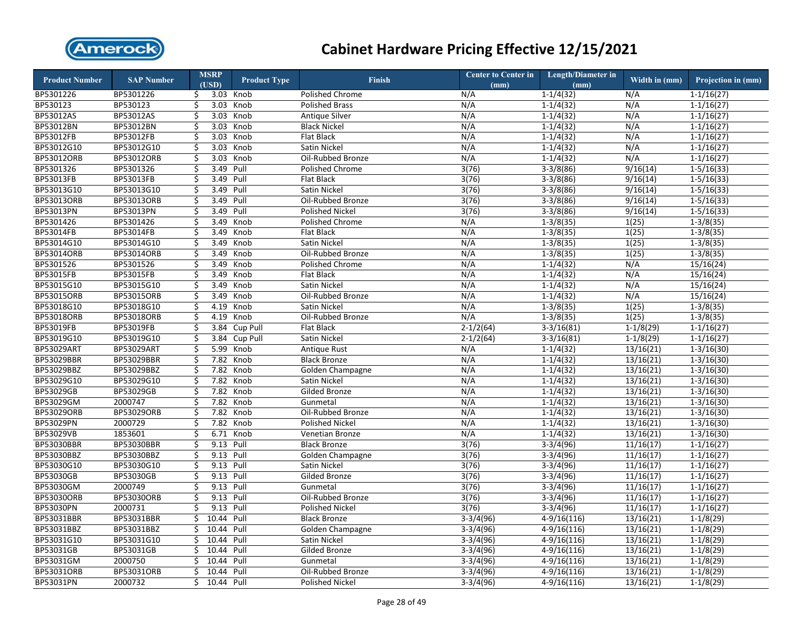

| <b>Product Number</b> | <b>SAP Number</b> |                         | <b>MSRP</b> | <b>Product Type</b> | <b>Finish</b>          | <b>Center to Center in</b> | Length/Diameter in | Width in (mm) | Projection in (mm) |
|-----------------------|-------------------|-------------------------|-------------|---------------------|------------------------|----------------------------|--------------------|---------------|--------------------|
|                       |                   |                         | (USD)       |                     |                        | (mm)                       | (mm)               |               |                    |
| BP5301226             | BP5301226         | \$                      |             | 3.03 Knob           | Polished Chrome        | N/A                        | $1-1/4(32)$        | N/A           | $1 - 1/16(27)$     |
| BP530123              | BP530123          | \$                      | 3.03        | Knob                | <b>Polished Brass</b>  | N/A                        | $1 - 1/4(32)$      | N/A           | $1 - 1/16(27)$     |
| BP53012AS             | BP53012AS         | Ś.                      | 3.03        | Knob                | <b>Antique Silver</b>  | N/A                        | $1 - 1/4(32)$      | N/A           | $1 - 1/16(27)$     |
| BP53012BN             | BP53012BN         | \$                      | 3.03        | Knob                | <b>Black Nickel</b>    | N/A                        | $1-1/4(32)$        | N/A           | $1-1/16(27)$       |
| BP53012FB             | BP53012FB         | \$                      | 3.03        | Knob                | <b>Flat Black</b>      | N/A                        | $1 - 1/4(32)$      | N/A           | $1-1/16(27)$       |
| BP53012G10            | BP53012G10        | \$                      | 3.03        | Knob                | Satin Nickel           | N/A                        | $1-1/4(32)$        | N/A           | $1 - 1/16(27)$     |
| BP53012ORB            | BP53012ORB        | $\overline{\mathsf{S}}$ | 3.03        | Knob                | Oil-Rubbed Bronze      | N/A                        | $1-1/4(32)$        | N/A           | $1 - 1/16(27)$     |
| BP5301326             | BP5301326         | \$                      | 3.49        | Pull                | Polished Chrome        | 3(76)                      | $3-3/8(86)$        | 9/16(14)      | $1 - 5/16(33)$     |
| BP53013FB             | BP53013FB         | \$                      | 3.49        | Pull                | <b>Flat Black</b>      | 3(76)                      | $3-3/8(86)$        | 9/16(14)      | $1 - 5/16(33)$     |
| BP53013G10            | BP53013G10        | \$                      | 3.49        | Pull                | Satin Nickel           | 3(76)                      | $3-3/8(86)$        | 9/16(14)      | $1-5/16(33)$       |
| BP53013ORB            | <b>BP53013ORB</b> | \$                      | 3.49        | Pull                | Oil-Rubbed Bronze      | 3(76)                      | $3-3/8(86)$        | 9/16(14)      | $1-5/16(33)$       |
| <b>BP53013PN</b>      | BP53013PN         | \$                      | 3.49        | Pull                | <b>Polished Nickel</b> | 3(76)                      | $3-3/8(86)$        | 9/16(14)      | $1-5/16(33)$       |
| BP5301426             | BP5301426         | \$                      | 3.49        | Knob                | Polished Chrome        | N/A                        | $1-3/8(35)$        | 1(25)         | $1-3/8(35)$        |
| BP53014FB             | BP53014FB         | \$                      | 3.49        | Knob                | <b>Flat Black</b>      | N/A                        | $1-3/8(35)$        | 1(25)         | $1-3/8(35)$        |
| BP53014G10            | BP53014G10        | \$                      | 3.49        | Knob                | Satin Nickel           | N/A                        | $1-3/8(35)$        | 1(25)         | $1-3/8(35)$        |
| BP53014ORB            | <b>BP53014ORB</b> | \$                      | 3.49        | Knob                | Oil-Rubbed Bronze      | N/A                        | $1-3/8(35)$        | 1(25)         | $1-3/8(35)$        |
| BP5301526             | BP5301526         | \$                      | 3.49        | Knob                | Polished Chrome        | N/A                        | $1-1/4(32)$        | N/A           | 15/16(24)          |
| <b>BP53015FB</b>      | BP53015FB         | \$                      | 3.49        | Knob                | Flat Black             | N/A                        | $1 - 1/4(32)$      | N/A           | 15/16(24)          |
| BP53015G10            | BP53015G10        | \$                      | 3.49        | Knob                | Satin Nickel           | N/A                        | $1-1/4(32)$        | N/A           | 15/16(24)          |
| BP53015ORB            | <b>BP53015ORB</b> | \$                      | 3.49        | Knob                | Oil-Rubbed Bronze      | N/A                        | $1 - 1/4(32)$      | N/A           | 15/16(24)          |
| BP53018G10            | BP53018G10        | \$                      | 4.19        | Knob                | Satin Nickel           | N/A                        | $1 - 3/8(35)$      | 1(25)         | $1-3/8(35)$        |
| <b>BP53018ORB</b>     | <b>BP53018ORB</b> | \$                      | 4.19        | Knob                | Oil-Rubbed Bronze      | N/A                        | $1 - 3/8(35)$      | 1(25)         | $1 - 3/8(35)$      |
| BP53019FB             | BP53019FB         | \$                      | 3.84        | Cup Pull            | Flat Black             | $2 - 1/2(64)$              | $3-3/16(81)$       | $1-1/8(29)$   | $1 - 1/16(27)$     |
| BP53019G10            | BP53019G10        | \$                      |             | 3.84 Cup Pull       | Satin Nickel           | $2 - 1/2(64)$              | $3-3/16(81)$       | $1-1/8(29)$   | $1 - 1/16(27)$     |
| <b>BP53029ART</b>     | <b>BP53029ART</b> | \$                      |             | 5.99 Knob           | <b>Antique Rust</b>    | N/A                        | $1 - 1/4(32)$      | 13/16(21)     | $1 - 3/16(30)$     |
| BP53029BBR            | BP53029BBR        | \$                      |             | 7.82 Knob           | <b>Black Bronze</b>    | N/A                        | $1 - 1/4(32)$      | 13/16(21)     | $1 - 3/16(30)$     |
| BP53029BBZ            | BP53029BBZ        | \$                      | 7.82        | Knob                | Golden Champagne       | N/A                        | $1 - 1/4(32)$      | 13/16(21)     | $1 - 3/16(30)$     |
| BP53029G10            | BP53029G10        | \$                      | 7.82        | Knob                | Satin Nickel           | N/A                        | $1-1/4(32)$        | 13/16(21)     | $1-3/16(30)$       |
| BP53029GB             | BP53029GB         | \$                      |             | 7.82 Knob           | <b>Gilded Bronze</b>   | N/A                        | $1-1/4(32)$        | 13/16(21)     | $1-3/16(30)$       |
| BP53029GM             | 2000747           | \$                      | 7.82        | Knob                | Gunmetal               | N/A                        | $1-1/4(32)$        | 13/16(21)     | $1-3/16(30)$       |
| BP53029ORB            | BP53029ORB        | \$                      |             | 7.82 Knob           | Oil-Rubbed Bronze      | N/A                        | $1-1/4(32)$        | 13/16(21)     | $1-3/16(30)$       |
| <b>BP53029PN</b>      | 2000729           | \$                      |             | 7.82 Knob           | <b>Polished Nickel</b> | N/A                        | $1-1/4(32)$        | 13/16(21)     | $1 - 3/16(30)$     |
| BP53029VB             | 1853601           | \$                      |             | 6.71 Knob           | Venetian Bronze        | N/A                        | $1 - 1/4(32)$      | 13/16(21)     | $1-3/16(30)$       |
| <b>BP53030BBR</b>     | BP53030BBR        | \$                      | 9.13        | Pull                | <b>Black Bronze</b>    | 3(76)                      | $3-3/4(96)$        | 11/16(17)     | $1 - 1/16(27)$     |
| BP53030BBZ            | BP53030BBZ        | \$                      | 9.13 Pull   |                     | Golden Champagne       | 3(76)                      | $3-3/4(96)$        | 11/16(17)     | $1 - 1/16(27)$     |
| BP53030G10            | BP53030G10        | \$                      | 9.13 Pull   |                     | Satin Nickel           | 3(76)                      | $3-3/4(96)$        | 11/16(17)     | $1-1/16(27)$       |
| BP53030GB             | BP53030GB         | \$                      | 9.13 Pull   |                     | Gilded Bronze          | 3(76)                      | $3-3/4(96)$        | 11/16(17)     | $1 - 1/16(27)$     |
| BP53030GM             | 2000749           | \$                      | 9.13 Pull   |                     | Gunmetal               | 3(76)                      | $3-3/4(96)$        | 11/16(17)     | $1 - 1/16(27)$     |
| <b>BP53030ORB</b>     | <b>BP53030ORB</b> | \$                      | 9.13        | Pull                | Oil-Rubbed Bronze      | 3(76)                      | $3-3/4(96)$        | 11/16(17)     | $1-1/16(27)$       |
| BP53030PN             | 2000731           | \$                      | 9.13 Pull   |                     | <b>Polished Nickel</b> | 3(76)                      | $3-3/4(96)$        | 11/16(17)     | $1 - 1/16(27)$     |
| BP53031BBR            | BP53031BBR        | \$                      | 10.44       | Pull                | <b>Black Bronze</b>    | $3-3/4(96)$                | $4-9/16(116)$      | 13/16(21)     | $1-1/8(29)$        |
| BP53031BBZ            | BP53031BBZ        | Ś.                      | 10.44 Pull  |                     | Golden Champagne       | $3-3/4(96)$                | $4-9/16(116)$      | 13/16(21)     | $1-1/8(29)$        |
| BP53031G10            | BP53031G10        | \$                      | 10.44       | Pull                | Satin Nickel           | $3-3/4(96)$                | $4-9/16(116)$      | 13/16(21)     | $1-1/8(29)$        |
| BP53031GB             | BP53031GB         | \$                      | 10.44       | Pull                | Gilded Bronze          | $3-3/4(96)$                | $4-9/16(116)$      | 13/16(21)     | $1-1/8(29)$        |
| BP53031GM             | 2000750           | Ś                       | 10.44       | Pull                | Gunmetal               | $3-3/4(96)$                | $4-9/16(116)$      | 13/16(21)     | $1-1/8(29)$        |
| BP53031ORB            | BP53031ORB        | Ś                       | 10.44       | Pull                | Oil-Rubbed Bronze      | $3-3/4(96)$                | $4-9/16(116)$      | 13/16(21)     | $1-1/8(29)$        |
| BP53031PN             | 2000732           | Ś.                      | 10.44 Pull  |                     | <b>Polished Nickel</b> | $3-3/4(96)$                | $4-9/16(116)$      | 13/16(21)     | $1-1/8(29)$        |
|                       |                   |                         |             |                     |                        |                            |                    |               |                    |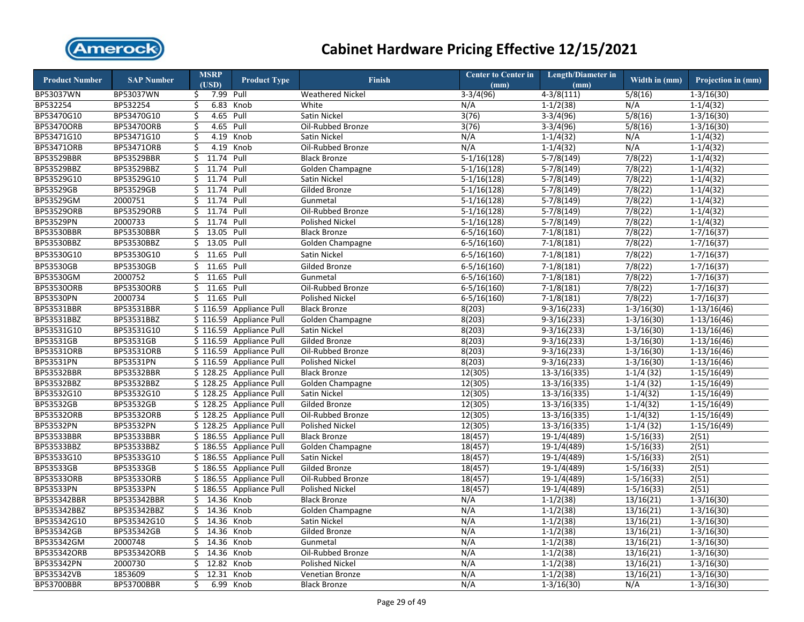

| <b>Product Number</b>   | <b>SAP Number</b>       | <b>MSRP</b><br>(USD) | <b>Product Type</b>                                | <b>Finish</b>                           | <b>Center to Center in</b> | <b>Length/Diameter in</b>      | Width in $(mm)$                | Projection in (mm)             |
|-------------------------|-------------------------|----------------------|----------------------------------------------------|-----------------------------------------|----------------------------|--------------------------------|--------------------------------|--------------------------------|
| BP53037WN               | BP53037WN               | 7.99<br>\$.          | Pull                                               | <b>Weathered Nickel</b>                 | (mm)<br>$3-3/4(96)$        | (mm)<br>$4-3/8(111)$           | 5/8(16)                        | $1 - 3/16(30)$                 |
| BP532254                | BP532254                | \$                   | 6.83 Knob                                          | White                                   | N/A                        | $1-1/2(38)$                    | N/A                            | $1-1/4(32)$                    |
| BP53470G10              | BP53470G10              | 4.65 Pull<br>\$      |                                                    | Satin Nickel                            | 3(76)                      | $3-3/4(96)$                    | 5/8(16)                        | $1-3/16(30)$                   |
| <b>BP53470ORB</b>       | BP53470ORB              | 4.65<br>\$           | Pull                                               | Oil-Rubbed Bronze                       | 3(76)                      | $3-3/4(96)$                    | 5/8(16)                        | $1 - 3/16(30)$                 |
| BP53471G10              | BP53471G10              | 4.19<br>\$           | Knob                                               | Satin Nickel                            | N/A                        | $1-1/4(32)$                    | N/A                            | $1-1/4(32)$                    |
| BP53471ORB              | BP53471ORB              | \$                   | 4.19 Knob                                          | Oil-Rubbed Bronze                       | N/A                        | $1-1/4(32)$                    | N/A                            | $1 - 1/4(32)$                  |
| <b>BP53529BBR</b>       | BP53529BBR              | 11.74<br>\$          | Pull                                               | <b>Black Bronze</b>                     | $5-1/16(128)$              | $5-7/8(149)$                   | 7/8(22)                        | $1-1/4(32)$                    |
| BP53529BBZ              | BP53529BBZ              | \$<br>11.74 Pull     |                                                    | Golden Champagne                        | $5-1/16(128)$              | $5-7/8(149)$                   | 7/8(22)                        | $1 - 1/4(32)$                  |
| BP53529G10              | BP53529G10              | 11.74<br>\$          | Pull                                               | Satin Nickel                            | $5-1/16(128)$              | $5-7/8(149)$                   | 7/8(22)                        | $1-1/4(32)$                    |
| BP53529GB               | BP53529GB               | 11.74 Pull<br>\$     |                                                    | Gilded Bronze                           | $5-1/16(128)$              | $5-7/8(149)$                   | 7/8(22)                        | $1-1/4(32)$                    |
| <b>BP53529GM</b>        | 2000751                 | 11.74<br>Ś.          | Pull                                               | Gunmetal                                | $5-1/16(128)$              | $5-7/8(149)$                   | 7/8(22)                        | $1-1/4(32)$                    |
| <b>BP53529ORB</b>       | <b>BP53529ORB</b>       | 11.74 Pull<br>\$     |                                                    | Oil-Rubbed Bronze                       | $5-1/16(128)$              | $5-7/8(149)$                   | 7/8(22)                        | $1 - 1/4(32)$                  |
| BP53529PN               | 2000733                 | Ś.<br>11.74          | Pull                                               | <b>Polished Nickel</b>                  | $5-1/16(128)$              | $5-7/8(149)$                   | 7/8(22)                        | $1-1/4(32)$                    |
| <b>BP53530BBR</b>       | <b>BP53530BBR</b>       | 13.05<br>\$          | Pull                                               | <b>Black Bronze</b>                     | $6 - 5/16(160)$            | $7-1/8(181)$                   | 7/8(22)                        | $1 - 7/16(37)$                 |
| BP53530BBZ              | BP53530BBZ              | 13.05<br>\$          | Pull                                               | Golden Champagne                        | $6-5/16(160)$              | $7-1/8(181)$                   | 7/8(22)                        | $1-7/16(37)$                   |
| BP53530G10              | BP53530G10              | 11.65 Pull<br>Ś.     |                                                    | Satin Nickel                            | $6 - 5/16(160)$            | $7-1/8(181)$                   | 7/8(22)                        | $1 - 7/16(37)$                 |
|                         |                         |                      |                                                    |                                         |                            |                                |                                |                                |
| BP53530GB               | BP53530GB               | 11.65 Pull<br>\$     |                                                    | Gilded Bronze                           | $6 - 5/16(160)$            | $7-1/8(181)$                   | 7/8(22)                        | $1 - 7/16(37)$                 |
| BP53530GM               | 2000752                 | 11.65<br>\$          | Pull                                               | Gunmetal                                | $6 - 5/16(160)$            | $7-1/8(181)$                   | 7/8(22)                        | $1 - 7/16(37)$                 |
| <b>BP53530ORB</b>       | <b>BP53530ORB</b>       | 11.65 Pull<br>\$     |                                                    | Oil-Rubbed Bronze                       | $6 - 5/16(160)$            | $7-1/8(181)$                   | 7/8(22)                        | $1 - 7/16(37)$                 |
| BP53530PN               | 2000734                 | 11.65<br>Ś.          | Pull                                               | <b>Polished Nickel</b>                  | $6 - 5/16(160)$            | $7-1/8(181)$                   | 7/8(22)                        | $1-7/16(37)$                   |
| BP53531BBR              | BP53531BBR              |                      | \$116.59 Appliance Pull                            | <b>Black Bronze</b>                     | 8(203)                     | $9-3/16(233)$                  | $1 - 3/16(30)$                 | $1-13/16(46)$                  |
| BP53531BBZ              | BP53531BBZ              |                      | \$116.59 Appliance Pull                            | Golden Champagne                        | 8(203)                     | $9-3/16(233)$                  | $1-3/16(30)$                   | $1-13/16(46)$                  |
| BP53531G10<br>BP53531GB | BP53531G10<br>BP53531GB |                      | \$116.59 Appliance Pull                            | Satin Nickel<br><b>Gilded Bronze</b>    | 8(203)                     | $9-3/16(233)$                  | $1 - 3/16(30)$                 | $1-13/16(46)$                  |
| <b>BP53531ORB</b>       | BP53531ORB              |                      | \$116.59 Appliance Pull<br>\$116.59 Appliance Pull | Oil-Rubbed Bronze                       | 8(203)                     | $9-3/16(233)$                  | $1-3/16(30)$                   | $1-13/16(46)$<br>$1-13/16(46)$ |
| BP53531PN               | BP53531PN               |                      | \$116.59 Appliance Pull                            | <b>Polished Nickel</b>                  | 8(203)<br>8(203)           | $9-3/16(233)$<br>$9-3/16(233)$ | $1 - 3/16(30)$<br>$1-3/16(30)$ |                                |
| <b>BP53532BBR</b>       | <b>BP53532BBR</b>       |                      | \$128.25 Appliance Pull                            |                                         |                            | $13-3/16(335)$                 | $1-1/4(32)$                    | $1-13/16(46)$<br>$1-15/16(49)$ |
| BP53532BBZ              | BP53532BBZ              |                      | \$128.25 Appliance Pull                            | <b>Black Bronze</b><br>Golden Champagne | 12(305)<br>12(305)         | $13-3/16(335)$                 | $1-1/4(32)$                    |                                |
| BP53532G10              | BP53532G10              |                      | \$128.25 Appliance Pull                            | Satin Nickel                            |                            | $13-3/16(335)$                 |                                | $1-15/16(49)$                  |
| BP53532GB               | BP53532GB               |                      | \$128.25 Appliance Pull                            | Gilded Bronze                           | 12(305)<br>12(305)         | $13-3/16(335)$                 | $1 - 1/4(32)$<br>$1-1/4(32)$   | $1-15/16(49)$<br>$1-15/16(49)$ |
| <b>BP53532ORB</b>       | BP53532ORB              |                      | \$128.25 Appliance Pull                            | Oil-Rubbed Bronze                       | 12(305)                    | 13-3/16(335)                   | $1-1/4(32)$                    | $1-15/16(49)$                  |
| <b>BP53532PN</b>        | <b>BP53532PN</b>        |                      | \$128.25 Appliance Pull                            | <b>Polished Nickel</b>                  | 12(305)                    | $13-3/16(335)$                 | $1-1/4(32)$                    | $1-15/16(49)$                  |
| <b>BP53533BBR</b>       | <b>BP53533BBR</b>       |                      | \$186.55 Appliance Pull                            | <b>Black Bronze</b>                     | 18(457)                    | 19-1/4(489)                    | $1 - 5/16(33)$                 | 2(51)                          |
| BP53533BBZ              | BP53533BBZ              |                      | \$186.55 Appliance Pull                            | Golden Champagne                        | 18(457)                    | 19-1/4(489)                    | $1 - 5/16(33)$                 | 2(51)                          |
| BP53533G10              | BP53533G10              |                      | \$186.55 Appliance Pull                            | Satin Nickel                            | 18(457)                    | 19-1/4(489)                    | $1 - 5/16(33)$                 | 2(51)                          |
| BP53533GB               | BP53533GB               |                      | \$186.55 Appliance Pull                            | Gilded Bronze                           | 18(457)                    | 19-1/4(489)                    | $1 - 5/16(33)$                 | 2(51)                          |
| <b>BP53533ORB</b>       | BP53533ORB              |                      | \$186.55 Appliance Pull                            | Oil-Rubbed Bronze                       | 18(457)                    | 19-1/4(489)                    | $1 - 5/16(33)$                 | 2(51)                          |
| BP53533PN               | BP53533PN               |                      | \$186.55 Appliance Pull                            | <b>Polished Nickel</b>                  | 18(457)                    | 19-1/4(489)                    | $1 - 5/16(33)$                 | 2(51)                          |
| BP535342BBR             | BP535342BBR             | 14.36 Knob<br>Ś.     |                                                    | <b>Black Bronze</b>                     | N/A                        | $1-1/2(38)$                    | 13/16(21)                      | $1-3/16(30)$                   |
| BP535342BBZ             | BP535342BBZ             | 14.36 Knob<br>\$     |                                                    | <b>Golden Champagne</b>                 | N/A                        | $1 - 1/2(38)$                  | 13/16(21)                      | $1 - 3/16(30)$                 |
| BP535342G10             | BP535342G10             | 14.36 Knob<br>Ś.     |                                                    | Satin Nickel                            | N/A                        | $1-1/2(38)$                    | 13/16(21)                      | $1-3/16(30)$                   |
| BP535342GB              | BP535342GB              | 14.36<br>\$          | Knob                                               | Gilded Bronze                           | N/A                        | $1 - 1/2(38)$                  | 13/16(21)                      | $1 - 3/16(30)$                 |
| BP535342GM              | 2000748                 | 14.36<br>Ś.          | Knob                                               | Gunmetal                                | N/A                        | $1-1/2(38)$                    | 13/16(21)                      | $1-3/16(30)$                   |
| BP535342ORB             | BP535342ORB             | 14.36<br>\$          | Knob                                               | Oil-Rubbed Bronze                       | N/A                        | $1-1/2(38)$                    | 13/16(21)                      | $1-3/16(30)$                   |
| BP535342PN              | 2000730                 | 12.82<br>Ś.          | Knob                                               | <b>Polished Nickel</b>                  | N/A                        | $1-1/2(38)$                    | 13/16(21)                      | $1-3/16(30)$                   |
| BP535342VB              | 1853609                 | 12.31<br>\$          | Knob                                               | <b>Venetian Bronze</b>                  | N/A                        | $1 - 1/2(38)$                  | 13/16(21)                      | $1-3/16(30)$                   |
| <b>BP53700BBR</b>       | <b>BP53700BBR</b>       | \$<br>6.99           | Knob                                               | <b>Black Bronze</b>                     | N/A                        | $1-3/16(30)$                   | N/A                            | $1 - 3/16(30)$                 |
|                         |                         |                      |                                                    |                                         |                            |                                |                                |                                |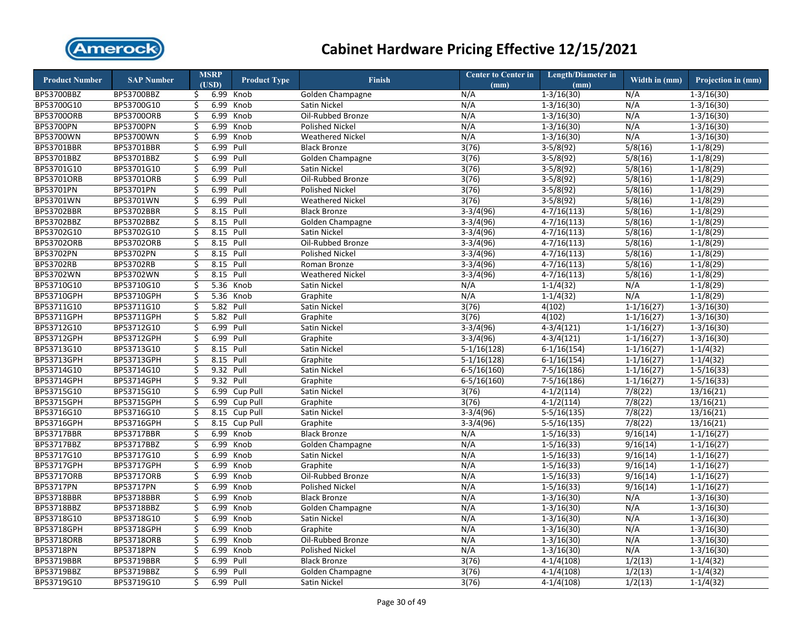

| <b>Product Number</b> | <b>SAP Number</b> |          | <b>MSRP</b><br>(USD) | <b>Product Type</b> | <b>Finish</b>           | Center to Center in<br>(mm) | Length/Diameter in<br>(mm) | Width in (mm)  | Projection in (mm) |
|-----------------------|-------------------|----------|----------------------|---------------------|-------------------------|-----------------------------|----------------------------|----------------|--------------------|
| BP53700BBZ            | BP53700BBZ        | \$.      | 6.99                 | Knob                | Golden Champagne        | N/A                         | $1 - 3/16(30)$             | N/A            | $1 - 3/16(30)$     |
| BP53700G10            | BP53700G10        | \$       | 6.99                 | Knob                | Satin Nickel            | N/A                         | $1 - 3/16(30)$             | N/A            | $1 - 3/16(30)$     |
| <b>BP53700ORB</b>     | <b>BP53700ORB</b> | Ś.       | 6.99                 | Knob                | Oil-Rubbed Bronze       | N/A                         | $1 - 3/16(30)$             | N/A            | $1 - 3/16(30)$     |
| <b>BP53700PN</b>      | BP53700PN         | \$       | 6.99                 | Knob                | <b>Polished Nickel</b>  | N/A                         | $1-3/16(30)$               | N/A            | $1-3/16(30)$       |
| BP53700WN             | BP53700WN         | \$       | 6.99                 | Knob                | <b>Weathered Nickel</b> | N/A                         | $1 - 3/16(30)$             | N/A            | $1 - 3/16(30)$     |
| BP53701BBR            | BP53701BBR        | \$       | 6.99                 | Pull                | <b>Black Bronze</b>     | 3(76)                       | $3-5/8(92)$                | 5/8(16)        | $1-1/8(29)$        |
| BP53701BBZ            | BP53701BBZ        | \$       | 6.99                 | Pull                | Golden Champagne        | 3(76)                       | $3-5/8(92)$                | 5/8(16)        | $1-1/8(29)$        |
| BP53701G10            | BP53701G10        | \$       | 6.99                 | Pull                | Satin Nickel            | 3(76)                       | $3-5/8(92)$                | 5/8(16)        | $1-1/8(29)$        |
| BP53701ORB            | BP53701ORB        | \$       | 6.99                 | Pull                | Oil-Rubbed Bronze       | 3(76)                       | $3-5/8(92)$                | 5/8(16)        | $1-1/8(29)$        |
| BP53701PN             | BP53701PN         | \$       | 6.99                 | Pull                | <b>Polished Nickel</b>  | 3(76)                       | $3-5/8(92)$                | 5/8(16)        | $1-1/8(29)$        |
| BP53701WN             | BP53701WN         | \$       | 6.99                 | Pull                | <b>Weathered Nickel</b> | 3(76)                       | $3-5/8(92)$                | 5/8(16)        | $1-1/8(29)$        |
| BP53702BBR            | BP53702BBR        | \$       | 8.15 Pull            |                     | <b>Black Bronze</b>     | $3-3/4(96)$                 | $4-7/16(113)$              | 5/8(16)        | $1-1/8(29)$        |
| BP53702BBZ            | BP53702BBZ        | \$       | 8.15                 | Pull                | Golden Champagne        | $3-3/4(96)$                 | $4-7/16(113)$              | 5/8(16)        | $1-1/8(29)$        |
| BP53702G10            | BP53702G10        | \$       | 8.15 Pull            |                     | Satin Nickel            | $3-3/4(96)$                 | $4-7/16(113)$              | 5/8(16)        | $1-1/8(29)$        |
| BP53702ORB            | BP53702ORB        | \$       | 8.15 Pull            |                     | Oil-Rubbed Bronze       | $3-3/4(96)$                 | $4-7/16(113)$              | 5/8(16)        | $1-1/8(29)$        |
| BP53702PN             | BP53702PN         | \$       | 8.15 Pull            |                     | <b>Polished Nickel</b>  | $3-3/4(96)$                 | $4-7/16(113)$              | 5/8(16)        | $1-1/8(29)$        |
| BP53702RB             | BP53702RB         |          | 8.15                 | Pull                | Roman Bronze            | $3-3/4(96)$                 | $4-7/16(113)$              | 5/8(16)        | $1-1/8(29)$        |
| BP53702WN             | BP53702WN         | \$<br>\$ | 8.15                 | Pull                | <b>Weathered Nickel</b> | $3-3/4(96)$                 |                            | 5/8(16)        |                    |
|                       |                   |          |                      |                     |                         |                             | $4 - 7/16(113)$            |                | $1-1/8(29)$        |
| BP53710G10            | BP53710G10        | \$       |                      | 5.36 Knob           | Satin Nickel            | N/A                         | $1 - 1/4(32)$              | N/A            | $1-1/8(29)$        |
| BP53710GPH            | BP53710GPH        | \$       | 5.36                 | Knob                | Graphite                | N/A                         | $1-1/4(32)$                | N/A            | $1-1/8(29)$        |
| BP53711G10            | BP53711G10        | \$       | 5.82 Pull            |                     | Satin Nickel            | 3(76)                       | 4(102)                     | $1 - 1/16(27)$ | $1 - 3/16(30)$     |
| BP53711GPH            | BP53711GPH        | \$       | 5.82                 | Pull                | Graphite                | 3(76)                       | 4(102)                     | $1 - 1/16(27)$ | $1 - 3/16(30)$     |
| BP53712G10            | BP53712G10        | \$       | 6.99                 | Pull                | Satin Nickel            | $3-3/4(96)$                 | $4-3/4(121)$               | $1 - 1/16(27)$ | $1 - 3/16(30)$     |
| BP53712GPH            | BP53712GPH        | \$       | 6.99                 | Pull                | Graphite                | $3-3/4(96)$                 | $4-3/4(121)$               | $1-1/16(27)$   | $1 - 3/16(30)$     |
| BP53713G10            | BP53713G10        | \$       | 8.15 Pull            |                     | Satin Nickel            | $5-1/16(128)$               | $6-1/16(154)$              | $1 - 1/16(27)$ | $1-1/4(32)$        |
| BP53713GPH            | BP53713GPH        | \$       | 8.15                 | Pull                | Graphite                | $5-1/16(128)$               | $6-1/16(154)$              | $1 - 1/16(27)$ | $1-1/4(32)$        |
| BP53714G10            | BP53714G10        | \$       | 9.32 Pull            |                     | Satin Nickel            | $6 - 5/16(160)$             | $7-5/16(186)$              | $1-1/16(27)$   | $1 - 5/16(33)$     |
| <b>BP53714GPH</b>     | BP53714GPH        | \$       | 9.32                 | Pull                | Graphite                | $6 - 5/16(160)$             | $7-5/16(186)$              | $1-1/16(27)$   | $1-5/16(33)$       |
| BP53715G10            | BP53715G10        | \$       | 6.99                 | Cup Pull            | Satin Nickel            | 3(76)                       | $4-1/2(114)$               | 7/8(22)        | 13/16(21)          |
| BP53715GPH            | BP53715GPH        | \$       | 6.99                 | Cup Pull            | Graphite                | 3(76)                       | $4-1/2(114)$               | 7/8(22)        | 13/16(21)          |
| BP53716G10            | BP53716G10        | \$       |                      | 8.15 Cup Pull       | Satin Nickel            | $3-3/4(96)$                 | $5-5/16(135)$              | 7/8(22)        | 13/16(21)          |
| <b>BP53716GPH</b>     | <b>BP53716GPH</b> | \$       | 8.15                 | Cup Pull            | Graphite                | $3-3/4(96)$                 | $5-5/16(135)$              | 7/8(22)        | 13/16(21)          |
| <b>BP53717BBR</b>     | <b>BP53717BBR</b> | \$       | 6.99                 | Knob                | <b>Black Bronze</b>     | N/A                         | $1 - 5/16(33)$             | 9/16(14)       | $1-1/16(27)$       |
| BP53717BBZ            | BP53717BBZ        | \$       | 6.99                 | Knob                | Golden Champagne        | N/A                         | $1 - 5/16(33)$             | 9/16(14)       | $1-1/16(27)$       |
| BP53717G10            | BP53717G10        | \$       | 6.99                 | Knob                | Satin Nickel            | N/A                         | $1 - 5/16(33)$             | 9/16(14)       | $1 - 1/16(27)$     |
| BP53717GPH            | BP53717GPH        | \$       | 6.99                 | Knob                | Graphite                | N/A                         | $1-5/16(33)$               | 9/16(14)       | $1-1/16(27)$       |
| <b>BP53717ORB</b>     | BP53717ORB        | \$       | 6.99                 | Knob                | Oil-Rubbed Bronze       | N/A                         | $1 - 5/16(33)$             | 9/16(14)       | $1 - 1/16(27)$     |
| BP53717PN             | BP53717PN         | \$       | 6.99                 | Knob                | Polished Nickel         | N/A                         | $1 - 5/16(33)$             | 9/16(14)       | $1 - 1/16(27)$     |
| <b>BP53718BBR</b>     | <b>BP53718BBR</b> | \$       | 6.99                 | Knob                | <b>Black Bronze</b>     | N/A                         | $1-3/16(30)$               | N/A            | $1-3/16(30)$       |
| BP53718BBZ            | BP53718BBZ        | \$       | 6.99                 | Knob                | Golden Champagne        | N/A                         | $1 - 3/16(30)$             | N/A            | $1 - 3/16(30)$     |
| BP53718G10            | BP53718G10        | \$       | 6.99                 | Knob                | Satin Nickel            | N/A                         | $1-3/16(30)$               | N/A            | $1 - 3/16(30)$     |
| BP53718GPH            | BP53718GPH        | \$       | 6.99                 | Knob                | Graphite                | N/A                         | $1 - 3/16(30)$             | N/A            | $1 - 3/16(30)$     |
| <b>BP53718ORB</b>     | <b>BP53718ORB</b> | \$       | 6.99                 | Knob                | Oil-Rubbed Bronze       | N/A                         | $1 - 3/16(30)$             | N/A            | $1 - 3/16(30)$     |
| BP53718PN             | BP53718PN         | \$       | 6.99                 | Knob                | Polished Nickel         | N/A                         | $1 - 3/16(30)$             | N/A            | $1 - 3/16(30)$     |
| BP53719BBR            | BP53719BBR        | \$       | 6.99                 | Pull                | <b>Black Bronze</b>     | 3(76)                       | $4-1/4(108)$               | 1/2(13)        | $1-1/4(32)$        |
| BP53719BBZ            | BP53719BBZ        | \$       | 6.99                 | Pull                | Golden Champagne        | 3(76)                       | $4-1/4(108)$               | 1/2(13)        | $1-1/4(32)$        |
| BP53719G10            | BP53719G10        | \$       | 6.99                 | Pull                | Satin Nickel            | 3(76)                       | $4-1/4(108)$               | 1/2(13)        | $1-1/4(32)$        |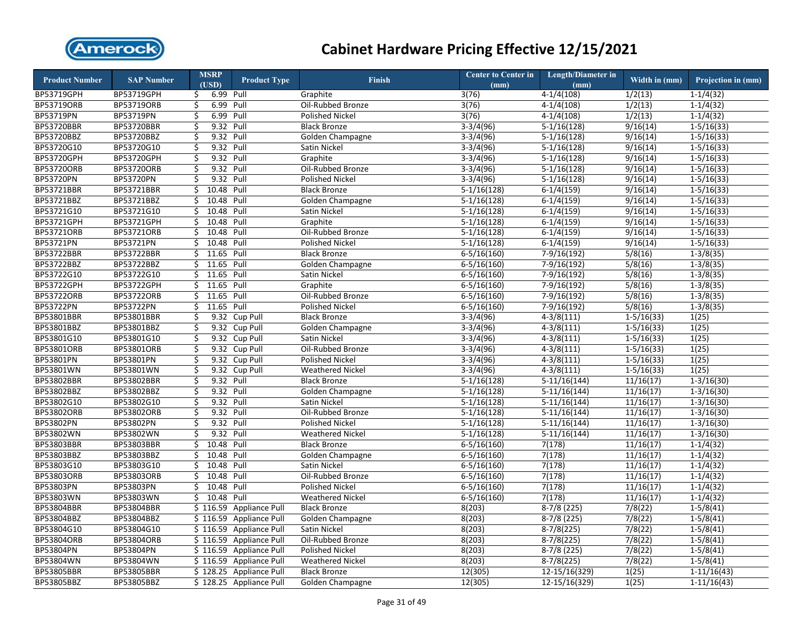

| <b>Product Number</b> | <b>SAP Number</b> | <b>MSRP</b>      | <b>Product Type</b>     | <b>Finish</b>           | <b>Center to Center in</b> | <b>Length/Diameter in</b> | Width in (mm)         | Projection in (mm)        |
|-----------------------|-------------------|------------------|-------------------------|-------------------------|----------------------------|---------------------------|-----------------------|---------------------------|
|                       |                   | (USD)            |                         |                         | (mm)                       | (mm)                      |                       |                           |
| BP53719GPH            | BP53719GPH        | 6.99 Pull<br>\$. |                         | Graphite                | 3(76)                      | $4-1/4(108)$              | 1/2(13)               | $1-1/4(32)$               |
| BP53719ORB            | BP53719ORB        | 6.99<br>\$       | Pull                    | Oil-Rubbed Bronze       | 3(76)                      | $4-1/4(108)$              | 1/2(13)               | $1-1/4(32)$               |
| BP53719PN             | BP53719PN         | 6.99 Pull<br>\$  |                         | <b>Polished Nickel</b>  | 3(76)                      | $4-1/4(108)$              | 1/2(13)               | $1-1/4(32)$               |
| <b>BP53720BBR</b>     | <b>BP53720BBR</b> | 9.32 Pull<br>\$  |                         | <b>Black Bronze</b>     | $3-3/4(96)$                | $5-1/16(128)$             | 9/16(14)              | $1 - 5/16(33)$            |
| BP53720BBZ            | BP53720BBZ        | 9.32 Pull<br>\$  |                         | Golden Champagne        | $3-3/4(96)$                | $5-1/16(128)$             | 9/16(14)              | $1 - 5/16(33)$            |
| BP53720G10            | BP53720G10        | 9.32 Pull<br>\$  |                         | Satin Nickel            | $3-3/4(96)$                | $5-1/16(128)$             | 9/16(14)              | $1 - 5/16(33)$            |
| <b>BP53720GPH</b>     | BP53720GPH        | 9.32 Pull<br>Ś.  |                         | Graphite                | $3-3/4(96)$                | $5-1/16(128)$             | 9/16(14)              | $1-5/16(33)$              |
| BP53720ORB            | <b>BP53720ORB</b> | \$<br>9.32 Pull  |                         | Oil-Rubbed Bronze       | $3-3/4(96)$                | $5-1/16(128)$             | $\overline{9}/16(14)$ | $1 - 5/16(33)$            |
| BP53720PN             | BP53720PN         | 9.32 Pull<br>\$  |                         | <b>Polished Nickel</b>  | $3-3/4(96)$                | $5-1/16(128)$             | 9/16(14)              | $1 - 5/16(33)$            |
| BP53721BBR            | BP53721BBR        | \$<br>10.48 Pull |                         | <b>Black Bronze</b>     | $5-1/16(128)$              | $6-1/4(159)$              | 9/16(14)              | $1 - 5/16(33)$            |
| BP53721BBZ            | BP53721BBZ        | 10.48<br>\$      | Pull                    | Golden Champagne        | $5-1/16(128)$              | $6-1/4(159)$              | 9/16(14)              | $1 - 5/16(33)$            |
| BP53721G10            | BP53721G10        | \$<br>10.48 Pull |                         | Satin Nickel            | $5-1/16(128)$              | $6-1/4(159)$              | 9/16(14)              | $1 - 5/16(33)$            |
| BP53721GPH            | BP53721GPH        | 10.48<br>\$      | Pull                    | Graphite                | $5-1/16(128)$              | $6-1/4(159)$              | 9/16(14)              | $1-5/16(33)$              |
| BP53721ORB            | BP53721ORB        | 10.48<br>\$      | Pull                    | Oil-Rubbed Bronze       | $5-1/16(128)$              | $6-1/4(159)$              | 9/16(14)              | $1-5/16(33)$              |
| BP53721PN             | BP53721PN         | \$<br>10.48      | Pull                    | <b>Polished Nickel</b>  | $5-1/16(128)$              | $6-1/4(159)$              | 9/16(14)              | $1-5/16(33)$              |
| <b>BP53722BBR</b>     | BP53722BBR        | Ś.<br>11.65 Pull |                         | <b>Black Bronze</b>     | $6 - 5/16(160)$            | $7-9/16(192)$             | 5/8(16)               | $1-3/8(35)$               |
| BP53722BBZ            | BP53722BBZ        | 11.65<br>\$      | Pull                    | Golden Champagne        | $6-5/16(160)$              | 7-9/16(192)               | 5/8(16)               | $1-3/8(35)$               |
| BP53722G10            | BP53722G10        | 11.65 Pull<br>\$ |                         | Satin Nickel            | $6 - 5/16(160)$            | $7-9/16(192)$             | 5/8(16)               | $1 - 3/8(35)$             |
| <b>BP53722GPH</b>     | BP53722GPH        | 11.65 Pull<br>\$ |                         | Graphite                | $6-5/16(160)$              | 7-9/16(192)               | 5/8(16)               | $1-3/8(35)$               |
| <b>BP53722ORB</b>     | BP53722ORB        | 11.65 Pull<br>Ś. |                         | Oil-Rubbed Bronze       | $6-5/16(160)$              | 7-9/16(192)               | 5/8(16)               | $1 - 3/8(35)$             |
| BP53722PN             | BP53722PN         | 11.65 Pull<br>\$ |                         | Polished Nickel         | $6-5/16(160)$              | 7-9/16(192)               | 5/8(16)               | $1-3/8(35)$               |
| BP53801BBR            | BP53801BBR        | Ś.               | 9.32 Cup Pull           | <b>Black Bronze</b>     | $3-3/4(96)$                | $4 - 3/8(111)$            | $1-5/16(33)$          | 1(25)                     |
| BP53801BBZ            | BP53801BBZ        | \$               | 9.32 Cup Pull           | Golden Champagne        | $3-3/4(96)$                | $4-3/8(111)$              | $1 - 5/16(33)$        | 1(25)                     |
| BP53801G10            | BP53801G10        | Ś.               | 9.32 Cup Pull           | <b>Satin Nickel</b>     | $3-3/4(96)$                | $4-3/8(111)$              | $1-5/16(33)$          | 1(25)                     |
| BP53801ORB            | BP53801ORB        | \$               | 9.32 Cup Pull           | Oil-Rubbed Bronze       | $3-3/4(96)$                | $4 - 3/8(111)$            | $1-5/16(33)$          | 1(25)                     |
| BP53801PN             | BP53801PN         | \$               | 9.32 Cup Pull           | <b>Polished Nickel</b>  | $3-3/4(96)$                | $4 - 3/8(111)$            | $1-5/16(33)$          | 1(25)                     |
| BP53801WN             | BP53801WN         | \$               | 9.32 Cup Pull           | <b>Weathered Nickel</b> | $3-3/4(96)$                | $4 - 3/8(111)$            | $1 - 5/16(33)$        | 1(25)                     |
| BP53802BBR            | BP53802BBR        | 9.32 Pull<br>\$  |                         | <b>Black Bronze</b>     | $5-1/16(128)$              | $5-11/16(144)$            | 11/16(17)             | $1 - 3/16(30)$            |
| BP53802BBZ            | BP53802BBZ        | 9.32 Pull<br>\$  |                         | Golden Champagne        | $5-1/16(128)$              | $5-11/16(144)$            | 11/16(17)             | $1 - 3/16(30)$            |
| BP53802G10            | BP53802G10        | 9.32 Pull<br>\$  |                         | <b>Satin Nickel</b>     | $5-1/16(128)$              | $5-11/16(144)$            | 11/16(17)             | $1-3/16(30)$              |
| <b>BP53802ORB</b>     | BP53802ORB        | 9.32 Pull<br>\$  |                         | Oil-Rubbed Bronze       | $5-1/16(128)$              | $5-11/16(144)$            | 11/16(17)             | $1-3/16(30)$              |
| BP53802PN             | BP53802PN         | \$<br>9.32 Pull  |                         | <b>Polished Nickel</b>  | $5-1/16(128)$              | $5-11/16(144)$            | 11/16(17)             | $1-3/16(30)$              |
| BP53802WN             | BP53802WN         | \$<br>9.32 Pull  |                         | <b>Weathered Nickel</b> | $5-1/16(128)$              | $5-11/16(144)$            | 11/16(17)             | $1 - 3/16(30)$            |
| <b>BP53803BBR</b>     | <b>BP53803BBR</b> | 10.48 Pull<br>\$ |                         | <b>Black Bronze</b>     | $6 - 5/16(160)$            | 7(178)                    | 11/16(17)             | $1 - 1/4(32)$             |
| BP53803BBZ            | BP53803BBZ        | 10.48 Pull<br>\$ |                         | Golden Champagne        | $6-5/16(160)$              | 7(178)                    | 11/16(17)             | $1-1/4(32)$               |
| BP53803G10            | BP53803G10        | 10.48 Pull<br>\$ |                         | Satin Nickel            | $6-5/16(160)$              | 7(178)                    | 11/16(17)             | $1-1/4(32)$               |
| BP53803ORB            | BP53803ORB        | 10.48 Pull<br>Ś. |                         | Oil-Rubbed Bronze       | $6 - 5/16(160)$            | 7(178)                    | 11/16(17)             | $1-1/4(32)$               |
| BP53803PN             | BP53803PN         | 10.48 Pull<br>\$ |                         | <b>Polished Nickel</b>  | $6 - 5/16(160)$            | 7(178)                    | 11/16(17)             | $1 - 1/4(32)$             |
| BP53803WN             | BP53803WN         | 10.48 Pull<br>Ś  |                         | <b>Weathered Nickel</b> | $6 - 5/16(160)$            | 7(178)                    | 11/16(17)             | $1 - 1/4(32)$             |
| BP53804BBR            | BP53804BBR        |                  | \$116.59 Appliance Pull | <b>Black Bronze</b>     | 8(203)                     | $8-7/8(225)$              | 7/8(22)               | $1 - 5/8(41)$             |
| BP53804BBZ            | BP53804BBZ        |                  | \$116.59 Appliance Pull | Golden Champagne        | 8(203)                     | $8-7/8(225)$              | 7/8(22)               | $1 - 5/8(41)$             |
| BP53804G10            | BP53804G10        |                  | \$116.59 Appliance Pull | Satin Nickel            | 8(203)                     | $8-7/8(225)$              | 7/8(22)               | $1 - 5/8(41)$             |
| <b>BP53804ORB</b>     | <b>BP53804ORB</b> |                  | \$116.59 Appliance Pull | Oil-Rubbed Bronze       | 8(203)                     | $8-7/8(225)$              | 7/8(22)               | $1 - 5/8(41)$             |
| BP53804PN             | BP53804PN         |                  | \$116.59 Appliance Pull | <b>Polished Nickel</b>  | 8(203)                     | $8-7/8(225)$              | 7/8(22)               | $1 - 5/8(41)$             |
| BP53804WN             | BP53804WN         |                  | \$116.59 Appliance Pull | <b>Weathered Nickel</b> | 8(203)                     | $8-7/8(225)$              | 7/8(22)               | $1-5/8(41)$               |
| <b>BP53805BBR</b>     | <b>BP53805BBR</b> |                  | \$128.25 Appliance Pull | <b>Black Bronze</b>     | 12(305)                    | 12-15/16(329)             | 1(25)                 | $\overline{1}$ -11/16(43) |
| BP53805BBZ            | BP53805BBZ        |                  | \$128.25 Appliance Pull | Golden Champagne        | 12(305)                    | 12-15/16(329)             | 1(25)                 | $1-11/16(43)$             |
|                       |                   |                  |                         |                         |                            |                           |                       |                           |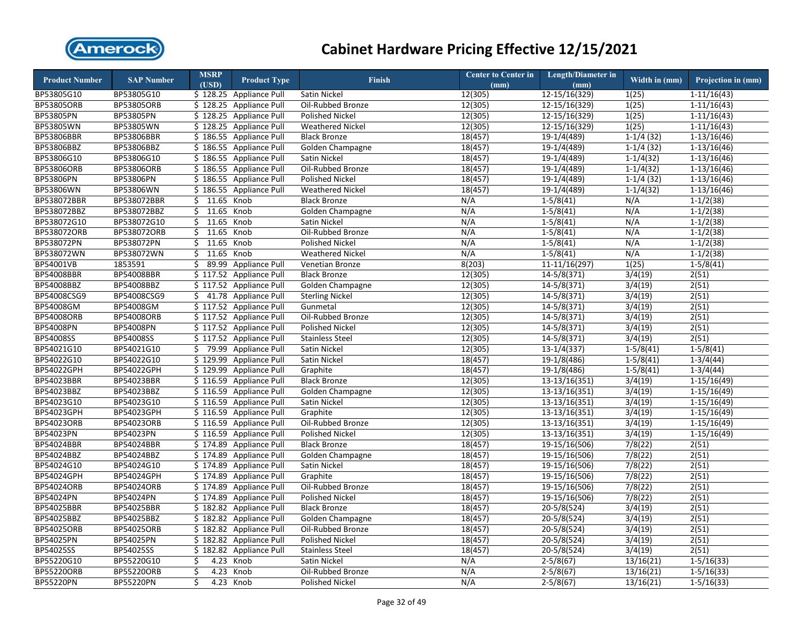

| <b>Product Number</b> | <b>SAP Number</b> | <b>MSRP</b><br>(USD) | <b>Product Type</b>     | <b>Finish</b>           | <b>Center to Center in</b><br>(mm) | <b>Length/Diameter in</b><br>(mm) | Width in (mm) | Projection in (mm) |
|-----------------------|-------------------|----------------------|-------------------------|-------------------------|------------------------------------|-----------------------------------|---------------|--------------------|
| BP53805G10            | BP53805G10        |                      | \$128.25 Appliance Pull | <b>Satin Nickel</b>     | 12(305)                            | 12-15/16(329)                     | 1(25)         | $1-11/16(43)$      |
| BP53805ORB            | BP53805ORB        | \$128.25             | <b>Appliance Pull</b>   | Oil-Rubbed Bronze       | 12(305)                            | 12-15/16(329)                     | 1(25)         | $1-11/16(43)$      |
| BP53805PN             | BP53805PN         |                      | \$128.25 Appliance Pull | <b>Polished Nickel</b>  | 12(305)                            | 12-15/16(329)                     | 1(25)         | $1-11/16(43)$      |
| BP53805WN             | BP53805WN         |                      | \$128.25 Appliance Pull | <b>Weathered Nickel</b> | 12(305)                            | 12-15/16(329)                     | 1(25)         | $1-11/16(43)$      |
| BP53806BBR            | <b>BP53806BBR</b> |                      | \$186.55 Appliance Pull | <b>Black Bronze</b>     | 18(457)                            | 19-1/4(489)                       | $1-1/4(32)$   | $1-13/16(46)$      |
| BP53806BBZ            | BP53806BBZ        |                      | \$186.55 Appliance Pull | Golden Champagne        | 18(457)                            | $19-1/4(489)$                     | $1-1/4(32)$   | $1-13/16(46)$      |
| BP53806G10            | BP53806G10        |                      | \$186.55 Appliance Pull | Satin Nickel            | 18(457)                            | 19-1/4(489)                       | $1-1/4(32)$   | $1-13/16(46)$      |
| <b>BP53806ORB</b>     | BP53806ORB        |                      | \$186.55 Appliance Pull | Oil-Rubbed Bronze       | 18(457)                            | 19-1/4(489)                       | $1 - 1/4(32)$ | $1-13/16(46)$      |
| BP53806PN             | BP53806PN         |                      | \$186.55 Appliance Pull | <b>Polished Nickel</b>  | 18(457)                            | 19-1/4(489)                       | $1-1/4(32)$   | $1-13/16(46)$      |
| BP53806WN             | BP53806WN         |                      | \$186.55 Appliance Pull | <b>Weathered Nickel</b> | 18(457)                            | 19-1/4(489)                       | $1-1/4(32)$   | $1-13/16(46)$      |
| BP538072BBR           | BP538072BBR       | $$11.65$ Knob        |                         | <b>Black Bronze</b>     | N/A                                | $1-5/8(41)$                       | N/A           | $1 - 1/2(38)$      |
| BP538072BBZ           | BP538072BBZ       | $$11.65$ Knob        |                         | Golden Champagne        | N/A                                | $1-5/8(41)$                       | N/A           | $1-1/2(38)$        |
| BP538072G10           | BP538072G10       | 11.65<br>\$          | Knob                    | Satin Nickel            | N/A                                | $1-5/8(41)$                       | N/A           | $1 - 1/2(38)$      |
| BP538072ORB           | BP538072ORB       | \$11.65              | Knob                    | Oil-Rubbed Bronze       | N/A                                | $1-5/8(41)$                       | N/A           | $1-1/2(38)$        |
| BP538072PN            | BP538072PN        | 11.65<br>\$          | Knob                    | <b>Polished Nickel</b>  | N/A                                | $1-5/8(41)$                       | N/A           | $1-1/2(38)$        |
| BP538072WN            | BP538072WN        | $$11.65$ Knob        |                         | <b>Weathered Nickel</b> | N/A                                | $1 - 5/8(41)$                     | N/A           | $1-1/2(38)$        |
| BP54001VB             | 1853591           | 89.99<br>\$          | <b>Appliance Pull</b>   | Venetian Bronze         | 8(203)                             | $11-11/16(297)$                   | 1(25)         | $1-5/8(41)$        |
| <b>BP54008BBR</b>     | BP54008BBR        |                      | \$117.52 Appliance Pull | <b>Black Bronze</b>     | 12(305)                            | 14-5/8(371)                       | 3/4(19)       | 2(51)              |
| BP54008BBZ            | BP54008BBZ        |                      | \$117.52 Appliance Pull | Golden Champagne        | 12(305)                            | $14 - 5/8(371)$                   | 3/4(19)       | 2(51)              |
| BP54008CSG9           | BP54008CSG9       |                      | $$41.78$ Appliance Pull | <b>Sterling Nickel</b>  | 12(305)                            | 14-5/8(371)                       | 3/4(19)       | 2(51)              |
| BP54008GM             | BP54008GM         |                      | \$117.52 Appliance Pull | Gunmetal                | 12(305)                            | 14-5/8(371)                       | 3/4(19)       | 2(51)              |
| <b>BP54008ORB</b>     | BP54008ORB        |                      | \$117.52 Appliance Pull | Oil-Rubbed Bronze       | 12(305)                            | $14 - 5/8(371)$                   | 3/4(19)       | 2(51)              |
| BP54008PN             | BP54008PN         |                      | \$117.52 Appliance Pull | <b>Polished Nickel</b>  | 12(305)                            | $14 - 5/8(371)$                   | 3/4(19)       | 2(51)              |
| BP54008SS             | BP54008SS         |                      | \$117.52 Appliance Pull | <b>Stainless Steel</b>  | 12(305)                            | 14-5/8(371)                       | 3/4(19)       | 2(51)              |
| BP54021G10            | BP54021G10        |                      | \$79.99 Appliance Pull  | Satin Nickel            | 12(305)                            | $13-1/4(337)$                     | $1 - 5/8(41)$ | $1 - 5/8(41)$      |
| BP54022G10            | BP54022G10        |                      | \$129.99 Appliance Pull | Satin Nickel            | 18(457)                            | 19-1/8(486)                       | $1-5/8(41)$   | $1-3/4(44)$        |
| BP54022GPH            | BP54022GPH        |                      | \$129.99 Appliance Pull | Graphite                | 18(457)                            | 19-1/8(486)                       | $1 - 5/8(41)$ | $1 - 3/4(44)$      |
| BP54023BBR            | BP54023BBR        |                      | \$116.59 Appliance Pull | <b>Black Bronze</b>     | 12(305)                            | $13-13/16(351)$                   | 3/4(19)       | $1-15/16(49)$      |
| BP54023BBZ            | BP54023BBZ        |                      | \$116.59 Appliance Pull | Golden Champagne        | 12(305)                            | $13-13/16(351)$                   | 3/4(19)       | $1-15/16(49)$      |
| BP54023G10            | BP54023G10        |                      | \$116.59 Appliance Pull | Satin Nickel            | 12(305)                            | 13-13/16(351)                     | 3/4(19)       | $1-15/16(49)$      |
| BP54023GPH            | BP54023GPH        |                      | \$116.59 Appliance Pull | Graphite                | 12(305)                            | $13-13/16(351)$                   | 3/4(19)       | $1-15/16(49)$      |
| BP54023ORB            | BP54023ORB        |                      | \$116.59 Appliance Pull | Oil-Rubbed Bronze       | 12(305)                            | $13-13/16(351)$                   | 3/4(19)       | $1-15/16(49)$      |
| BP54023PN             | BP54023PN         |                      | \$116.59 Appliance Pull | Polished Nickel         | $\overline{12(305)}$               | $13-13/16(351)$                   | 3/4(19)       | $1-15/16(49)$      |
| BP54024BBR            | BP54024BBR        |                      | \$174.89 Appliance Pull | <b>Black Bronze</b>     | 18(457)                            | 19-15/16(506)                     | 7/8(22)       | 2(51)              |
| BP54024BBZ            | BP54024BBZ        |                      | \$174.89 Appliance Pull | Golden Champagne        | 18(457)                            | 19-15/16(506)                     | 7/8(22)       | 2(51)              |
| BP54024G10            | BP54024G10        |                      | \$174.89 Appliance Pull | Satin Nickel            | 18(457)                            | 19-15/16(506)                     | 7/8(22)       | 2(51)              |
| <b>BP54024GPH</b>     | BP54024GPH        |                      | \$174.89 Appliance Pull | Graphite                | 18(457)                            | 19-15/16(506)                     | 7/8(22)       | 2(51)              |
| BP54024ORB            | BP54024ORB        |                      | \$174.89 Appliance Pull | Oil-Rubbed Bronze       | 18(457)                            | 19-15/16(506)                     | 7/8(22)       | 2(51)              |
| <b>BP54024PN</b>      | BP54024PN         |                      | \$174.89 Appliance Pull | <b>Polished Nickel</b>  | 18(457)                            | 19-15/16(506)                     | 7/8(22)       | 2(51)              |
| <b>BP54025BBR</b>     | BP54025BBR        |                      | \$182.82 Appliance Pull | <b>Black Bronze</b>     | 18(457)                            | $20 - 5/8(524)$                   | 3/4(19)       | 2(51)              |
| BP54025BBZ            | BP54025BBZ        |                      | \$182.82 Appliance Pull | Golden Champagne        | 18(457)                            | $20-5/8(524)$                     | 3/4(19)       | 2(51)              |
| <b>BP54025ORB</b>     | BP54025ORB        |                      | \$182.82 Appliance Pull | Oil-Rubbed Bronze       | 18(457)                            | $20-5/8(524)$                     | 3/4(19)       | 2(51)              |
| <b>BP54025PN</b>      | BP54025PN         |                      | \$182.82 Appliance Pull | <b>Polished Nickel</b>  | 18(457)                            | 20-5/8(524)                       | 3/4(19)       | 2(51)              |
| BP54025SS             | BP54025SS         |                      | \$182.82 Appliance Pull | <b>Stainless Steel</b>  | 18(457)                            | 20-5/8(524)                       | 3/4(19)       | 2(51)              |
| BP55220G10            | BP55220G10        | \$                   | 4.23 Knob               | Satin Nickel            | N/A                                | $2-5/8(67)$                       | 13/16(21)     | $1-5/16(33)$       |
| <b>BP55220ORB</b>     | BP55220ORB        | \$<br>4.23           | Knob                    | Oil-Rubbed Bronze       | N/A                                | $2 - 5/8(67)$                     | 13/16(21)     | $1 - 5/16(33)$     |
| <b>BP55220PN</b>      | <b>BP55220PN</b>  | \$                   | 4.23 Knob               | Polished Nickel         | N/A                                | $2-5/8(67)$                       | 13/16(21)     | $1-5/16(33)$       |
|                       |                   |                      |                         |                         |                                    |                                   |               |                    |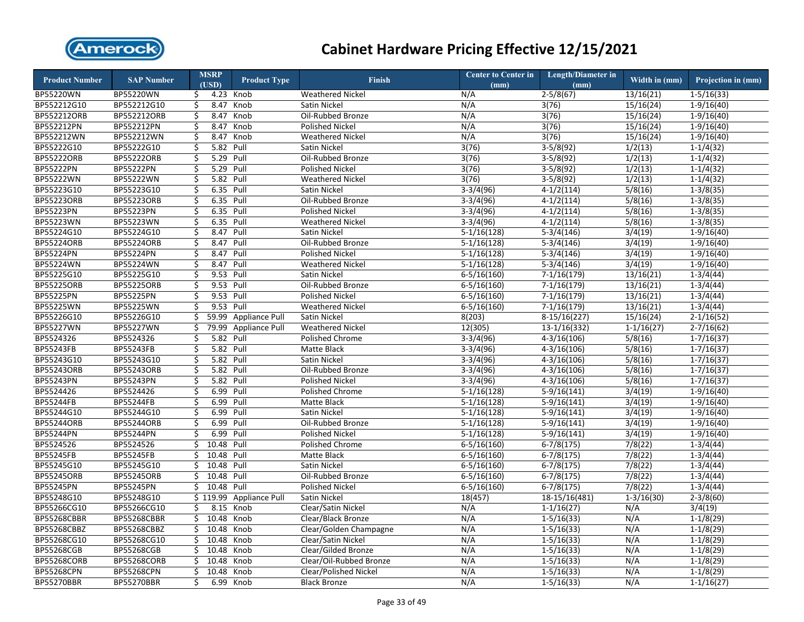

| <b>Product Number</b> | <b>SAP Number</b>  |                         | <b>MSRP</b><br>(USD) | <b>Product Type</b>   | <b>Finish</b>                | <b>Center to Center in</b><br>(mm) | <b>Length/Diameter in</b><br>(mm) | Width in (mm)  | Projection in (mm)       |
|-----------------------|--------------------|-------------------------|----------------------|-----------------------|------------------------------|------------------------------------|-----------------------------------|----------------|--------------------------|
| BP55220WN             | BP55220WN          | \$                      |                      | 4.23 Knob             | <b>Weathered Nickel</b>      | N/A                                | $2-5/8(67)$                       | 13/16(21)      | $1 - 5/16(33)$           |
| BP552212G10           | BP552212G10        | \$                      | 8.47                 | Knob                  | Satin Nickel                 | N/A                                | 3(76)                             | 15/16(24)      | $1-9/16(40)$             |
| <b>BP552212ORB</b>    | BP552212ORB        | $\varsigma$             | 8.47                 | Knob                  | Oil-Rubbed Bronze            | N/A                                | 3(76)                             | 15/16(24)      | $1-9/16(40)$             |
| BP552212PN            | BP552212PN         | \$                      | 8.47                 | Knob                  | <b>Polished Nickel</b>       | N/A                                | 3(76)                             | 15/16(24)      | $1-9/16(40)$             |
| BP552212WN            | BP552212WN         | \$                      | 8.47                 | Knob                  | <b>Weathered Nickel</b>      | N/A                                | 3(76)                             | 15/16(24)      | $1-9/16(40)$             |
| BP55222G10            | BP55222G10         | $\overline{\mathsf{S}}$ | 5.82 Pull            |                       | Satin Nickel                 | 3(76)                              | $3-5/8(92)$                       | 1/2(13)        | $1-1/4(32)$              |
| <b>BP55222ORB</b>     | BP55222ORB         | \$                      | 5.29 Pull            |                       | Oil-Rubbed Bronze            | 3(76)                              | $3-5/8(92)$                       | 1/2(13)        | $1-1/4(32)$              |
| BP55222PN             | BP55222PN          | \$                      | 5.29 Pull            |                       | <b>Polished Nickel</b>       | 3(76)                              | $3-5/8(92)$                       | 1/2(13)        | $1-1/4(32)$              |
| BP55222WN             | BP55222WN          | \$                      | 5.82                 | Pull                  | <b>Weathered Nickel</b>      | 3(76)                              | $3-5/8(92)$                       | 1/2(13)        | $1-1/4(32)$              |
| BP55223G10            | BP55223G10         | \$                      | 6.35 Pull            |                       | Satin Nickel                 | $3-3/4(96)$                        | $4-1/2(114)$                      | 5/8(16)        | $1-3/8(35)$              |
| BP55223ORB            | BP55223ORB         | \$                      | 6.35 Pull            |                       | Oil-Rubbed Bronze            | $3-3/4(96)$                        | $4-1/2(114)$                      | 5/8(16)        | $1-3/8(35)$              |
| <b>BP55223PN</b>      | <b>BP55223PN</b>   | $\overline{\mathsf{S}}$ | 6.35 Pull            |                       | <b>Polished Nickel</b>       | $3-3/4(96)$                        | $4-1/2(114)$                      | 5/8(16)        | $1-3/8(35)$              |
| BP55223WN             | BP55223WN          | \$                      | 6.35                 | Pull                  | <b>Weathered Nickel</b>      | $3-3/4(96)$                        | $4-1/2(114)$                      | 5/8(16)        | $1-3/8(35)$              |
| BP55224G10            | BP55224G10         | \$                      | 8.47 Pull            |                       | Satin Nickel                 | $5-1/16(128)$                      | $5-3/4(146)$                      | 3/4(19)        | $1-9/16(40)$             |
| <b>BP55224ORB</b>     | BP55224ORB         | \$                      | 8.47 Pull            |                       | Oil-Rubbed Bronze            | $5-1/16(128)$                      | $5-3/4(146)$                      | 3/4(19)        | $1-9/16(40)$             |
| <b>BP55224PN</b>      | BP55224PN          | \$                      | 8.47 Pull            |                       | <b>Polished Nickel</b>       | $5-1/16(128)$                      | $5-3/4(146)$                      | 3/4(19)        | $1-9/16(40)$             |
| <b>BP55224WN</b>      | BP55224WN          | \$                      | 8.47                 | Pull                  | <b>Weathered Nickel</b>      | $5-1/16(128)$                      | $5-3/4(146)$                      | 3/4(19)        | $1-9/16(40)$             |
| BP55225G10            | BP55225G10         | \$                      | 9.53 Pull            |                       | Satin Nickel                 | $6-5/16(160)$                      | $7-1/16(179)$                     | 13/16(21)      | $1-3/4(44)$              |
| <b>BP55225ORB</b>     | BP55225ORB         | \$                      | 9.53 Pull            |                       | Oil-Rubbed Bronze            | $6-5/16(160)$                      | $7-1/16(179)$                     | 13/16(21)      | $1-3/4(44)$              |
| BP55225PN             | BP55225PN          | \$                      | 9.53 Pull            |                       | <b>Polished Nickel</b>       | $6 - 5/16(160)$                    | $7-1/16(179)$                     | 13/16(21)      | $1-3/4(44)$              |
| BP55225WN             | BP55225WN          | \$                      | 9.53 Pull            |                       | <b>Weathered Nickel</b>      | $6 - 5/16(160)$                    | $7-1/16(179)$                     | 13/16(21)      | $1-3/4(44)$              |
| BP55226G10            | BP55226G10         | \$                      |                      | 59.99 Appliance Pull  | Satin Nickel                 | 8(203)                             | $8-15/16(227)$                    | 15/16(24)      | $2 - 1/16(52)$           |
| <b>BP55227WN</b>      | <b>BP55227WN</b>   | \$                      |                      | 79.99 Appliance Pull  | <b>Weathered Nickel</b>      | 12(305)                            | 13-1/16(332)                      | $1 - 1/16(27)$ | $2 - 7/16(62)$           |
| BP5524326             | BP5524326          | \$                      | 5.82 Pull            |                       | <b>Polished Chrome</b>       | $3-3/4(96)$                        | $4-3/16(106)$                     | 5/8(16)        | $\overline{1-7/1}$ 6(37) |
| <b>BP55243FB</b>      | <b>BP55243FB</b>   | $\overline{\mathsf{S}}$ | 5.82 Pull            |                       | <b>Matte Black</b>           | $3-3/4(96)$                        | $4 - 3/16(106)$                   | 5/8(16)        | $1-7/16(37)$             |
| BP55243G10            | BP55243G10         | \$                      | 5.82 Pull            |                       | Satin Nickel                 | $3-3/4(96)$                        | $4-3/16(106)$                     | 5/8(16)        | $1-7/16(37)$             |
| BP55243ORB            | BP55243ORB         | \$                      | 5.82 Pull            |                       | Oil-Rubbed Bronze            | $3-3/4(96)$                        | $4 - 3/16(106)$                   | 5/8(16)        | $1-7/16(37)$             |
| BP55243PN             | BP55243PN          | \$                      | 5.82 Pull            |                       | <b>Polished Nickel</b>       | $3-3/4(96)$                        | $4-3/16(106)$                     | 5/8(16)        | $1-7/16(37)$             |
| BP5524426             | BP5524426          | \$                      | 6.99                 | Pull                  | Polished Chrome              | $5-1/16(128)$                      | $5-9/16(141)$                     | 3/4(19)        | $1-9/16(40)$             |
| <b>BP55244FB</b>      | BP55244FB          | \$                      | 6.99                 | Pull                  | Matte Black                  | $5-1/16(128)$                      | $5-9/16(141)$                     | 3/4(19)        | $1-9/16(40)$             |
| BP55244G10            | BP55244G10         | \$                      | 6.99 Pull            |                       | Satin Nickel                 | $5-1/16(128)$                      | $5-9/16(141)$                     | 3/4(19)        | $1-9/16(40)$             |
| <b>BP55244ORB</b>     | BP55244ORB         | \$                      | 6.99                 | Pull                  | Oil-Rubbed Bronze            | $5-1/16(128)$                      | $5-9/16(141)$                     | 3/4(19)        | $1-9/16(40)$             |
| <b>BP55244PN</b>      | BP55244PN          | \$                      | 6.99 Pull            |                       | <b>Polished Nickel</b>       | $5-1/16(128)$                      | $5-9/16(141)$                     | 3/4(19)        | $1-9/16(40)$             |
| BP5524526             | BP5524526          | \$                      | 10.48 Pull           |                       | Polished Chrome              | $6-5/16(160)$                      | $6-7/8(175)$                      | 7/8(22)        | $1-3/4(44)$              |
| <b>BP55245FB</b>      | <b>BP55245FB</b>   | \$                      | 10.48 Pull           |                       | Matte Black                  | $6 - 5/16(160)$                    | $6-7/8(175)$                      | 7/8(22)        | $1-3/4(44)$              |
| BP55245G10            | BP55245G10         | \$                      | 10.48 Pull           |                       | Satin Nickel                 | $6 - 5/16(160)$                    | $6 - 7/8(175)$                    | 7/8(22)        | $1-3/4(44)$              |
| <b>BP55245ORB</b>     | <b>BP55245ORB</b>  | Ś.                      | 10.48 Pull           |                       | Oil-Rubbed Bronze            | $6 - 5/16(160)$                    | $6-7/8(175)$                      | 7/8(22)        | $1-3/4(44)$              |
| BP55245PN             | BP55245PN          | \$.                     | 10.48 Pull           |                       | <b>Polished Nickel</b>       | $6 - 5/16(160)$                    | $6-7/8(175)$                      | 7/8(22)        | $1-3/4(44)$              |
| BP55248G10            | BP55248G10         |                         | \$119.99             | <b>Appliance Pull</b> | <b>Satin Nickel</b>          | 18(457)                            | $18-15/16(481)$                   | $1-3/16(30)$   | $2 - 3/8(60)$            |
| BP55266CG10           | BP55266CG10        | \$                      |                      | 8.15 Knob             | Clear/Satin Nickel           | N/A                                | $1 - 1/16(27)$                    | N/A            | 3/4(19)                  |
| <b>BP55268CBBR</b>    | <b>BP55268CBBR</b> | \$                      | 10.48 Knob           |                       | Clear/Black Bronze           | N/A                                | $1 - 5/16(33)$                    | N/A            | $1-1/8(29)$              |
| BP55268CBBZ           | BP55268CBBZ        | \$                      | 10.48 Knob           |                       | Clear/Golden Champagne       | N/A                                | $1 - 5/16(33)$                    | N/A            | $1-1/8(29)$              |
| BP55268CG10           | BP55268CG10        | \$                      | 10.48 Knob           |                       | Clear/Satin Nickel           | N/A                                | $1-5/16(33)$                      | N/A            | $1-1/8(29)$              |
| <b>BP55268CGB</b>     | <b>BP55268CGB</b>  | \$                      | 10.48 Knob           |                       | Clear/Gilded Bronze          | N/A                                | $1 - 5/16(33)$                    | N/A            | $1-1/8(29)$              |
| <b>BP55268CORB</b>    | <b>BP55268CORB</b> | Ś.                      | 10.48                | Knob                  | Clear/Oil-Rubbed Bronze      | N/A                                | $1-5/16(33)$                      | N/A            | $1-1/8(29)$              |
| <b>BP55268CPN</b>     | <b>BP55268CPN</b>  | \$                      | 10.48                | Knob                  | <b>Clear/Polished Nickel</b> | N/A                                | $1 - 5/16(33)$                    | N/A            | $1-1/8(29)$              |
| <b>BP55270BBR</b>     | <b>BP55270BBR</b>  | \$                      |                      | 6.99 Knob             | <b>Black Bronze</b>          | N/A                                | $1-5/16(33)$                      | N/A            | $1-1/16(27)$             |
|                       |                    |                         |                      |                       |                              |                                    |                                   |                |                          |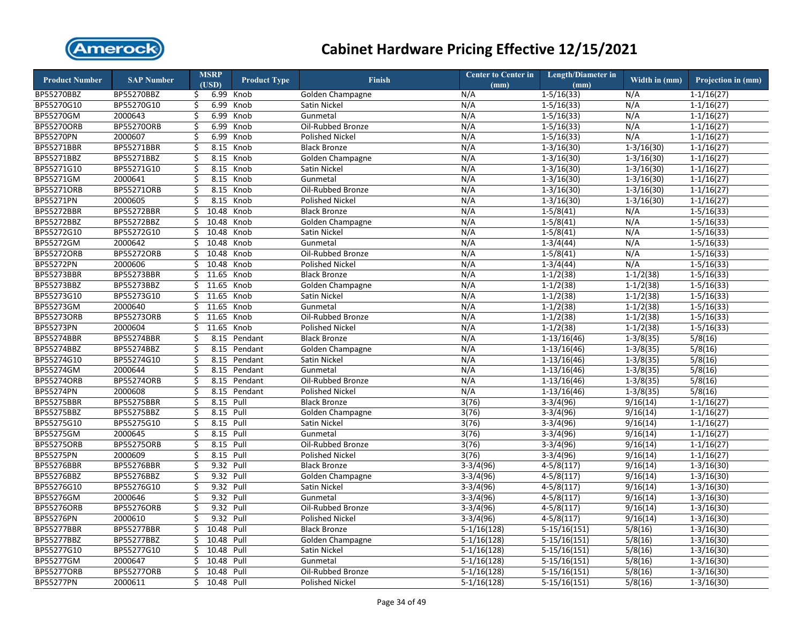

| <b>Product Number</b><br><b>SAP Number</b><br><b>Product Type</b><br><b>Finish</b><br>(USD)<br>(mm)<br>(mm)                      | Width in $(mm)$<br>Projection in (mm) |
|----------------------------------------------------------------------------------------------------------------------------------|---------------------------------------|
| BP55270BBZ<br>BP55270BBZ<br>6.99<br>N/A<br>$1 - 5/16(33)$<br>N/A<br>Knob<br>Golden Champagne<br>\$.                              | $1 - 1/16(27)$                        |
| BP55270G10<br>BP55270G10<br>\$<br>6.99<br>N/A<br>N/A<br>Knob<br>Satin Nickel<br>$1 - 5/16(33)$                                   | $1-1/16(27)$                          |
| BP55270GM<br>2000643<br>\$<br>6.99<br>Knob<br>Gunmetal<br>N/A<br>$1 - 5/16(33)$<br>N/A                                           | $1-1/16(27)$                          |
| <b>BP55270ORB</b><br><b>BP55270ORB</b><br>\$<br>6.99<br>Knob<br>Oil-Rubbed Bronze<br>N/A<br>$1 - 5/16(33)$<br>N/A                | $1 - 1/16(27)$                        |
| BP55270PN<br>2000607<br>\$<br>6.99<br>Knob<br>N/A<br>$1 - 5/16(33)$<br>N/A<br><b>Polished Nickel</b>                             | $1-1/16(27)$                          |
| BP55271BBR<br>BP55271BBR<br>\$<br>8.15 Knob<br><b>Black Bronze</b><br>N/A<br>$1-3/16(30)$<br>$1-3/16(30)$                        | $1 - 1/16(27)$                        |
| BP55271BBZ<br>BP55271BBZ<br>\$<br>8.15 Knob<br>N/A<br>Golden Champagne<br>$1 - 3/16(30)$<br>$1 - 3/16(30)$                       | $1-1/16(27)$                          |
| BP55271G10<br>BP55271G10<br>\$<br>8.15 Knob<br>N/A<br>$1-3/16(30)$<br>$1-3/16(30)$<br>Satin Nickel                               | $1 - 1/16(27)$                        |
| BP55271GM<br>\$<br>2000641<br>8.15<br>Knob<br>Gunmetal<br>N/A<br>$1 - 3/16(30)$<br>$1 - 3/16(30)$                                | $1 - 1/16(27)$                        |
| <b>BP55271ORB</b><br>BP55271ORB<br>\$<br>8.15 Knob<br>Oil-Rubbed Bronze<br>N/A<br>$1 - 3/16(30)$<br>$1 - 3/16(30)$               | $1 - 1/16(27)$                        |
| <b>BP55271PN</b><br>2000605<br>\$<br>8.15<br>Knob<br><b>Polished Nickel</b><br>N/A<br>$1-3/16(30)$<br>$1-3/16(30)$               | $1-1/16(27)$                          |
| <b>BP55272BBR</b><br>BP55272BBR<br>\$<br>10.48<br>Knob<br><b>Black Bronze</b><br>N/A<br>$1-5/8(41)$<br>N/A                       | $\overline{1-5/1}6(33)$               |
| BP55272BBZ<br>BP55272BBZ<br>10.48<br>Golden Champagne<br>$1-5/8(41)$<br>N/A<br>\$<br>Knob<br>N/A                                 | $1-5/16(33)$                          |
| BP55272G10<br>BP55272G10<br>\$<br>10.48<br>N/A<br>$1-5/8(41)$<br>N/A<br>Knob<br>Satin Nickel                                     | $1-5/16(33)$                          |
| <b>BP55272GM</b><br>2000642<br>\$<br>10.48<br>Gunmetal<br>N/A<br>N/A<br>Knob<br>$1 - 3/4(44)$                                    | $1-5/16(33)$                          |
| <b>BP55272ORB</b><br><b>BP55272ORB</b><br>\$<br>10.48<br>N/A<br>$1-5/8(41)$<br>N/A<br>Knob<br>Oil-Rubbed Bronze                  | $1-5/16(33)$                          |
| <b>BP55272PN</b><br>2000606<br>10.48<br>N/A<br>\$<br>Knob<br><b>Polished Nickel</b><br>N/A<br>$1-3/4(44)$                        | $1-5/16(33)$                          |
| <b>BP55273BBR</b><br><b>BP55273BBR</b><br>\$11.65<br>N/A<br>$1-1/2(38)$<br>$1-1/2(38)$<br>Knob<br><b>Black Bronze</b>            | $1-5/16(33)$                          |
| BP55273BBZ<br>BP55273BBZ<br>$1-1/2(38)$<br>\$<br>11.65<br>Golden Champagne<br>N/A<br>$1-1/2(38)$<br>Knob                         | $1-5/16(33)$                          |
| BP55273G10<br>\$11.65<br>BP55273G10<br>N/A<br>$1-1/2(38)$<br>$1-1/2(38)$<br>Knob<br>Satin Nickel                                 | $1-5/16(33)$                          |
| BP55273GM<br>2000640<br>\$11.65<br>N/A<br>$1-1/2(38)$<br>$1-1/2(38)$<br>Knob<br>Gunmetal                                         | $1 - 5/16(33)$                        |
| BP55273ORB<br>BP55273ORB<br>\$11.65<br>$1-1/2(38)$<br>$1-1/2(38)$<br>Knob<br>Oil-Rubbed Bronze<br>N/A                            | $1-5/16(33)$                          |
| <b>BP55273PN</b><br>11.65 Knob<br>2000604<br>\$<br><b>Polished Nickel</b><br>N/A<br>$1-1/2(38)$<br>$1-1/2(38)$                   | $1-5/16(33)$                          |
| <b>BP55274BBR</b><br><b>BP55274BBR</b><br>\$<br>8.15 Pendant<br><b>Black Bronze</b><br>N/A<br>$1-13/16(46)$<br>$1-3/8(35)$       | 5/8(16)                               |
| BP55274BBZ<br>\$<br>8.15 Pendant<br>BP55274BBZ<br>N/A<br>$1-13/16(46)$<br>$1-3/8(35)$<br>Golden Champagne                        | 5/8(16)                               |
| BP55274G10<br>BP55274G10<br>\$<br>8.15 Pendant<br>N/A<br>$1-13/16(46)$<br>$1-3/8(35)$<br>Satin Nickel                            | 5/8(16)                               |
| <b>BP55274GM</b><br>\$<br>2000644<br>8.15 Pendant<br>N/A<br>$1-13/16(46)$<br>$1-3/8(35)$<br>Gunmetal                             | 5/8(16)                               |
| <b>BP55274ORB</b><br><b>BP55274ORB</b><br>\$<br>Oil-Rubbed Bronze<br>N/A<br>$1-13/16(46)$<br>$1-3/8(35)$<br>8.15<br>Pendant      | 5/8(16)                               |
| BP55274PN<br>2000608<br>\$<br>$1-3/8(35)$<br>8.15 Pendant<br><b>Polished Nickel</b><br>N/A<br>$1-13/16(46)$                      | 5/8(16)                               |
| <b>BP55275BBR</b><br>BP55275BBR<br>\$<br>8.15 Pull<br><b>Black Bronze</b><br>3(76)<br>$3-3/4(96)$<br>9/16(14)                    | $1-1/16(27)$                          |
| BP55275BBZ<br>BP55275BBZ<br>\$<br>8.15 Pull<br>Golden Champagne<br>3(76)<br>$3-3/4(96)$<br>9/16(14)                              | $1-1/16(27)$                          |
| BP55275G10<br>BP55275G10<br>\$<br>8.15 Pull<br>3(76)<br>$3-3/4(96)$<br>9/16(14)<br>Satin Nickel                                  | $1-1/16(27)$                          |
| <b>BP55275GM</b><br>2000645<br>\$<br>8.15 Pull<br>Gunmetal<br>3(76)<br>$3-3/4(96)$<br>9/16(14)                                   | $1-1/16(27)$                          |
| <b>BP55275ORB</b><br><b>BP55275ORB</b><br>\$<br>8.15 Pull<br>Oil-Rubbed Bronze<br>3(76)<br>$3-3/4(96)$<br>9/16(14)               | $1-1/16(27)$                          |
| <b>BP55275PN</b><br>\$<br>2000609<br>8.15 Pull<br><b>Polished Nickel</b><br>3(76)<br>$3-3/4(96)$<br>9/16(14)                     | $1-1/16(27)$                          |
| <b>BP55276BBR</b><br><b>BP55276BBR</b><br>\$<br>9.32 Pull<br>$3-3/4(96)$<br>9/16(14)<br><b>Black Bronze</b><br>$4 - 5/8(117)$    | $1-3/16(30)$                          |
| <b>BP55276BBZ</b><br><b>BP55276BBZ</b><br>\$<br>9.32 Pull<br>$3-3/4(96)$<br>$4-5/8(117)$<br>9/16(14)<br>Golden Champagne         | $1-3/16(30)$                          |
| BP55276G10<br>BP55276G10<br>\$<br>9.32 Pull<br>Satin Nickel<br>$3-3/4(96)$<br>$4 - 5/8(117)$<br>9/16(14)                         | $1 - 3/16(30)$                        |
| <b>BP55276GM</b><br>2000646<br>\$<br>9.32 Pull<br>Gunmetal<br>$3-3/4(96)$<br>$4-5/8(117)$<br>9/16(14)                            | $1-3/16(30)$                          |
| <b>BP55276ORB</b><br>9.32 Pull<br><b>BP55276ORB</b><br>\$<br>Oil-Rubbed Bronze<br>$3-3/4(96)$<br>$4-5/8(117)$<br>9/16(14)        | $1-3/16(30)$                          |
| <b>BP55276PN</b><br>2000610<br>\$<br>9.32 Pull<br><b>Polished Nickel</b><br>$3-3/4(96)$<br>$4 - 5/8(117)$<br>9/16(14)            | $1 - 3/16(30)$                        |
| <b>BP55277BBR</b><br><b>BP55277BBR</b><br>\$<br>10.48 Pull<br>5/8(16)<br><b>Black Bronze</b><br>$5-1/16(128)$<br>$5-15/16(151)$  | $1 - 3/16(30)$                        |
| BP55277BBZ<br>10.48<br>5/8(16)<br>BP55277BBZ<br>\$<br>Pull<br>$5-1/16(128)$<br>$5-15/16(151)$<br>Golden Champagne                | $1-3/16(30)$                          |
| BP55277G10<br>BP55277G10<br>\$<br>10.48 Pull<br>5/8(16)<br>Satin Nickel<br>$5-1/16(128)$<br>$5-15/16(151)$                       | $1 - 3/16(30)$                        |
| <b>BP55277GM</b><br>2000647<br>Ś<br>10.48 Pull<br>Gunmetal<br>$5-1/16(128)$<br>$5-15/16(151)$<br>5/8(16)                         | $1 - 3/16(30)$                        |
| <b>BP55277ORB</b><br><b>BP55277ORB</b><br>Ś.<br>10.48<br>Pull<br>$5-1/16(128)$<br>$5-15/16(151)$<br>5/8(16)<br>Oil-Rubbed Bronze | $1 - 3/16(30)$                        |
| <b>BP55277PN</b><br>2000611<br>10.48 Pull<br>5/8(16)<br>Ś.<br><b>Polished Nickel</b><br>$5-1/16(128)$<br>$5-15/16(151)$          | $1-3/16(30)$                          |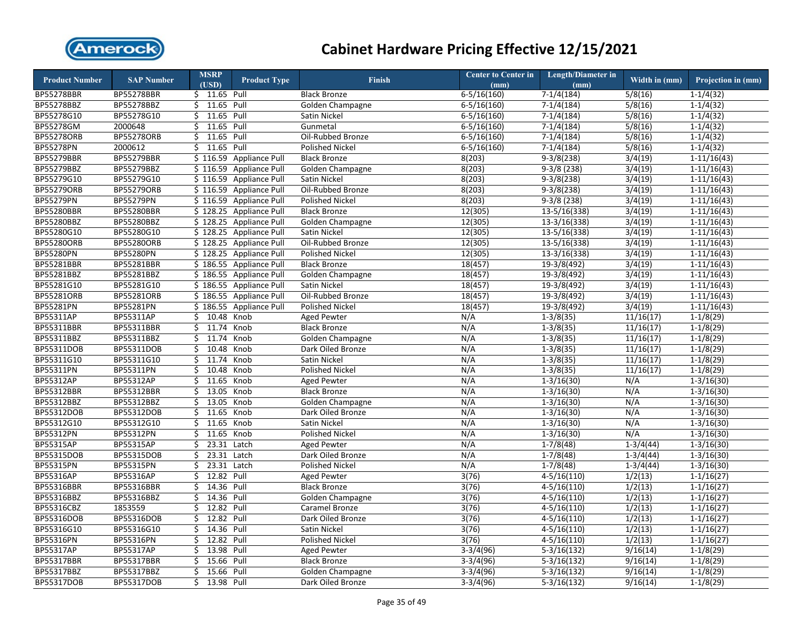

| <b>Product Number</b> | <b>SAP Number</b> | <b>MSRP</b>      | <b>Product Type</b>     | Finish                 | <b>Center to Center in</b> | <b>Length/Diameter in</b> | Width in (mm)     | Projection in (mm) |
|-----------------------|-------------------|------------------|-------------------------|------------------------|----------------------------|---------------------------|-------------------|--------------------|
|                       |                   | (USD)            |                         |                        | (mm)                       | (mm)                      |                   |                    |
| <b>BP55278BBR</b>     | <b>BP55278BBR</b> | \$ 11.65 Pull    |                         | <b>Black Bronze</b>    | $6 - 5/16(160)$            | $7-1/4(184)$              | 5/8(16)           | $1-1/4(32)$        |
| BP55278BBZ            | <b>BP55278BBZ</b> | 11.65 Pull<br>\$ |                         | Golden Champagne       | $6 - 5/16(160)$            | $7-1/4(184)$              | 5/8(16)           | $1-1/4(32)$        |
| BP55278G10            | BP55278G10        | 11.65<br>\$      | Pull                    | Satin Nickel           | $6 - 5/16(160)$            | $7-1/4(184)$              | 5/8(16)           | $1-1/4(32)$        |
| BP55278GM             | 2000648           | 11.65<br>\$      | Pull                    | Gunmetal               | $6-5/16(160)$              | $7-1/4(184)$              | 5/8(16)           | $1-1/4(32)$        |
| <b>BP55278ORB</b>     | <b>BP55278ORB</b> | 11.65<br>\$      | Pull                    | Oil-Rubbed Bronze      | $6-5/16(160)$              | $7-1/4(184)$              | 5/8(16)           | $1-1/4(32)$        |
| BP55278PN             | 2000612           | \$<br>11.65 Pull |                         | Polished Nickel        | $6 - 5/16(160)$            | $7-1/4(184)$              | 5/8(16)           | $1 - 1/4(32)$      |
| <b>BP55279BBR</b>     | <b>BP55279BBR</b> |                  | \$116.59 Appliance Pull | <b>Black Bronze</b>    | 8(203)                     | $9-3/8(238)$              | 3/4(19)           | $1-11/16(43)$      |
| <b>BP55279BBZ</b>     | BP55279BBZ        |                  | \$116.59 Appliance Pull | Golden Champagne       | 8(203)                     | $9-3/8(238)$              | 3/4(19)           | $1 - 11/16(43)$    |
| BP55279G10            | BP55279G10        |                  | \$116.59 Appliance Pull | <b>Satin Nickel</b>    | 8(203)                     | $9-3/8(238)$              | 3/4(19)           | $1-11/16(43)$      |
| <b>BP55279ORB</b>     | <b>BP55279ORB</b> |                  | \$116.59 Appliance Pull | Oil-Rubbed Bronze      | 8(203)                     | $9-3/8(238)$              | 3/4(19)           | $1 - 11/16(43)$    |
| <b>BP55279PN</b>      | <b>BP55279PN</b>  |                  | \$116.59 Appliance Pull | <b>Polished Nickel</b> | 8(203)                     | $9-3/8(238)$              | 3/4(19)           | $1 - 11/16(43)$    |
| <b>BP55280BBR</b>     | <b>BP55280BBR</b> |                  | \$128.25 Appliance Pull | <b>Black Bronze</b>    | 12(305)                    | $13-5/16(338)$            | 3/4(19)           | $1 - 11/16(43)$    |
| BP55280BBZ            | BP55280BBZ        |                  | \$128.25 Appliance Pull | Golden Champagne       | 12(305)                    | $13-3/16(338)$            | 3/4(19)           | $1-11/16(43)$      |
| BP55280G10            | BP55280G10        |                  | \$128.25 Appliance Pull | Satin Nickel           | 12(305)                    | 13-5/16(338)              | 3/4(19)           | $1-11/16(43)$      |
| <b>BP55280ORB</b>     | BP55280ORB        |                  | \$128.25 Appliance Pull | Oil-Rubbed Bronze      | 12(305)                    | $13-5/16(338)$            | 3/4(19)           | $1-11/16(43)$      |
| <b>BP55280PN</b>      | BP55280PN         |                  | \$128.25 Appliance Pull | <b>Polished Nickel</b> | 12(305)                    | $13-3/16(338)$            | 3/4(19)           | $1-11/16(43)$      |
| BP55281BBR            | BP55281BBR        |                  | \$186.55 Appliance Pull | <b>Black Bronze</b>    | 18(457)                    | $19-3/8(492)$             | 3/4(19)           | $1-11/16(43)$      |
| BP55281BBZ            | BP55281BBZ        |                  | \$186.55 Appliance Pull | Golden Champagne       | 18(457)                    | $19-3/8(492)$             | 3/4(19)           | $1-11/16(43)$      |
| BP55281G10            | BP55281G10        |                  | \$186.55 Appliance Pull | Satin Nickel           | 18(457)                    | $19-3/8(492)$             | 3/4(19)           | $1-11/16(43)$      |
| <b>BP55281ORB</b>     | <b>BP55281ORB</b> |                  | \$186.55 Appliance Pull | Oil-Rubbed Bronze      | 18(457)                    | $19-3/8(492)$             | 3/4(19)           | $1-11/16(43)$      |
| BP55281PN             | BP55281PN         |                  | \$186.55 Appliance Pull | <b>Polished Nickel</b> | 18(457)                    | $19-3/8(492)$             | 3/4(19)           | $1-11/16(43)$      |
| BP55311AP             | BP55311AP         | 10.48<br>Ś.      | Knob                    | <b>Aged Pewter</b>     | N/A                        | $1 - 3/8(35)$             | 11/16(17)         | $1-1/8(29)$        |
| BP55311BBR            | BP55311BBR        | 11.74 Knob<br>\$ |                         | <b>Black Bronze</b>    | N/A                        | $1-3/8(35)$               | 11/16(17)         | $1-1/8(29)$        |
| BP55311BBZ            | BP55311BBZ        | 11.74<br>Ś.      | Knob                    | Golden Champagne       | N/A                        | $1-3/8(35)$               | 11/16(17)         | $1-1/8(29)$        |
| BP55311DOB            | BP55311DOB        | \$<br>10.48      | Knob                    | Dark Oiled Bronze      | N/A                        | $1-3/8(35)$               | 11/16(17)         | $1-1/8(29)$        |
| BP55311G10            | BP55311G10        | \$<br>11.74      | Knob                    | Satin Nickel           | N/A                        | $1-3/8(35)$               | 11/16(17)         | $1-1/8(29)$        |
| BP55311PN             | BP55311PN         | \$<br>10.48      | Knob                    | Polished Nickel        | N/A                        | $1-3/8(35)$               | 11/16(17)         | $1-1/8(29)$        |
| BP55312AP             | BP55312AP         | \$<br>11.65      | Knob                    | <b>Aged Pewter</b>     | N/A                        | $1 - 3/16(30)$            | N/A               | $1 - 3/16(30)$     |
| BP55312BBR            | <b>BP55312BBR</b> | 13.05<br>\$      | Knob                    | <b>Black Bronze</b>    | N/A                        | $1 - 3/16(30)$            | N/A               | $1 - 3/16(30)$     |
| BP55312BBZ            | BP55312BBZ        | 13.05<br>\$      | Knob                    | Golden Champagne       | N/A                        | $1-3/16(30)$              | N/A               | $1-3/16(30)$       |
| BP55312DOB            | BP55312DOB        | 11.65<br>\$      | Knob                    | Dark Oiled Bronze      | N/A                        | $1-3/16(30)$              | N/A               | $1-3/16(30)$       |
| BP55312G10            | BP55312G10        | \$<br>11.65      | Knob                    | Satin Nickel           | N/A                        | $1-3/16(30)$              | N/A               | $1-3/16(30)$       |
| <b>BP55312PN</b>      | BP55312PN         | \$<br>11.65      | Knob                    | <b>Polished Nickel</b> | N/A                        | $1-3/16(30)$              | N/A               | $1-3/16(30)$       |
| BP55315AP             | BP55315AP         | 23.31<br>\$      | Latch                   | <b>Aged Pewter</b>     | N/A                        | $1-7/8(48)$               | $1-3/4(44)$       | $1 - 3/16(30)$     |
| BP55315DOB            | BP55315DOB        | \$<br>23.31      | Latch                   | Dark Oiled Bronze      | N/A                        | $1-7/8(48)$               | $1-3/4(44)$       | $1-3/16(30)$       |
| <b>BP55315PN</b>      | BP55315PN         | 23.31<br>\$      | Latch                   | <b>Polished Nickel</b> | N/A                        | $1-7/8(48)$               | $1-3/4(44)$       | $1-3/16(30)$       |
| BP55316AP             | BP55316AP         | 12.82<br>\$      | Pull                    | <b>Aged Pewter</b>     | 3(76)                      | $4-5/16(110)$             | 1/2(13)           | $1 - 1/16(27)$     |
| BP55316BBR            | BP55316BBR        | 14.36 Pull<br>\$ |                         | <b>Black Bronze</b>    | 3(76)                      | $4-5/16(110)$             | 1/2(13)           | $1 - 1/16(27)$     |
| BP55316BBZ            | BP55316BBZ        | 14.36<br>Ś.      | Pull                    | Golden Champagne       | 3(76)                      | $4 - 5/16(110)$           | 1/2(13)           | $1 - 1/16(27)$     |
| BP55316CBZ            | 1853559           | \$<br>12.82      | Pull                    | Caramel Bronze         | 3(76)                      | $4 - 5/16(110)$           | 1/2(13)           | $1 - 1/16(27)$     |
| <b>BP55316DOB</b>     | BP55316DOB        | 12.82 Pull<br>Ś. |                         | Dark Oiled Bronze      | 3(76)                      | $4-5/16(110)$             | 1/2(13)           | $1-1/16(27)$       |
| BP55316G10            | BP55316G10        | 14.36 Pull<br>Ś. |                         | Satin Nickel           | 3(76)                      | $4-5/16(110)$             | 1/2(13)           | $1 - 1/16(27)$     |
| BP55316PN             | BP55316PN         | 12.82<br>\$      | Pull                    | Polished Nickel        | 3(76)                      | $4 - 5/16(110)$           | 1/2(13)           | $1 - 1/16(27)$     |
| BP55317AP             | BP55317AP         | \$<br>13.98      | Pull                    | <b>Aged Pewter</b>     | $3-3/4(96)$                | $5-3/16(132)$             | $\sqrt{9/16(14)}$ | $1-1/8(29)$        |
| BP55317BBR            | BP55317BBR        | \$<br>15.66      | Pull                    | <b>Black Bronze</b>    | $3-3/4(96)$                | $5-3/16(132)$             | 9/16(14)          | $1-1/8(29)$        |
| BP55317BBZ            | BP55317BBZ        | 15.66<br>\$      | Pull                    | Golden Champagne       | $3-3/4(96)$                | $5-3/16(132)$             | 9/16(14)          | $1-1/8(29)$        |
| <b>BP55317DOB</b>     | BP55317DOB        | Ś.<br>13.98      | Pull                    | Dark Oiled Bronze      | $3-3/4(96)$                | $5-3/16(132)$             | 9/16(14)          | $1-1/8(29)$        |
|                       |                   |                  |                         |                        |                            |                           |                   |                    |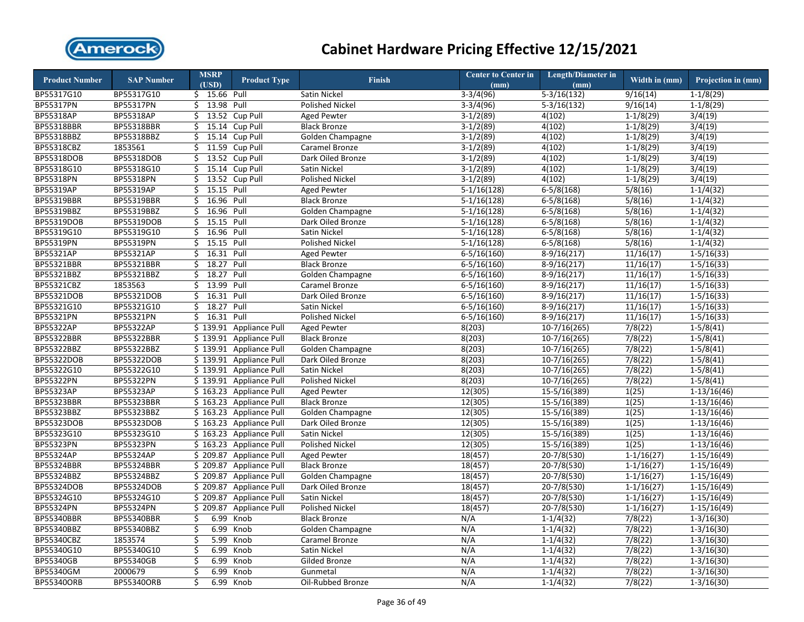

| <b>Product Number</b> | <b>SAP Number</b> | <b>MSRP</b>      | <b>Product Type</b>     | <b>Finish</b>          | <b>Center to Center in</b> | Length/Diameter in | Width in (mm)  | Projection in (mm) |
|-----------------------|-------------------|------------------|-------------------------|------------------------|----------------------------|--------------------|----------------|--------------------|
|                       |                   | (USD)            |                         |                        | (mm)                       | (mm)               |                |                    |
| BP55317G10            | BP55317G10        | \$ 15.66 Pull    |                         | Satin Nickel           | $3-3/4(96)$                | $5-3/16(132)$      | 9/16(14)       | $1-1/8(29)$        |
| BP55317PN             | BP55317PN         | $$13.98$ Pull    |                         | Polished Nickel        | $3-3/4(96)$                | $5-3/16(132)$      | 9/16(14)       | $1-1/8(29)$        |
| <b>BP55318AP</b>      | <b>BP55318AP</b>  | Ś.<br>13.52      | Cup Pull                | <b>Aged Pewter</b>     | $3-1/2(89)$                | 4(102)             | $1-1/8(29)$    | 3/4(19)            |
| <b>BP55318BBR</b>     | BP55318BBR        | \$               | 15.14 Cup Pull          | <b>Black Bronze</b>    | $3-1/2(89)$                | 4(102)             | $1-1/8(29)$    | 3/4(19)            |
| BP55318BBZ            | BP55318BBZ        | Ś.               | 15.14 Cup Pull          | Golden Champagne       | $3-1/2(89)$                | 4(102)             | $1-1/8(29)$    | 3/4(19)            |
| BP55318CBZ            | 1853561           | \$               | 11.59 Cup Pull          | Caramel Bronze         | $3-1/2(89)$                | 4(102)             | $1-1/8(29)$    | 3/4(19)            |
| <b>BP55318DOB</b>     | BP55318DOB        | 13.52<br>\$      | Cup Pull                | Dark Oiled Bronze      | $3-1/2(89)$                | 4(102)             | $1-1/8(29)$    | 3/4(19)            |
| BP55318G10            | BP55318G10        | \$               | 15.14 Cup Pull          | Satin Nickel           | $3-1/2(89)$                | 4(102)             | $1-1/8(29)$    | 3/4(19)            |
| BP55318PN             | BP55318PN         | \$               | 13.52 Cup Pull          | Polished Nickel        | $3-1/2(89)$                | 4(102)             | $1-1/8(29)$    | 3/4(19)            |
| <b>BP55319AP</b>      | BP55319AP         | \$<br>15.15      | Pull                    | <b>Aged Pewter</b>     | $5-1/16(128)$              | $6 - 5/8(168)$     | 5/8(16)        | $1-1/4(32)$        |
| <b>BP55319BBR</b>     | BP55319BBR        | \$<br>16.96 Pull |                         | <b>Black Bronze</b>    | $5-1/16(128)$              | $6-5/8(168)$       | 5/8(16)        | $1-1/4(32)$        |
| BP55319BBZ            | BP55319BBZ        | \$<br>16.96      | Pull                    | Golden Champagne       | $5-1/16(128)$              | $6-5/8(168)$       | 5/8(16)        | $1-1/4(32)$        |
| <b>BP55319DOB</b>     | BP55319DOB        | 15.15 Pull<br>\$ |                         | Dark Oiled Bronze      | $5-1/16(128)$              | $6-5/8(168)$       | 5/8(16)        | $1-1/4(32)$        |
| BP55319G10            | BP55319G10        | 16.96 Pull<br>\$ |                         | Satin Nickel           | $5-1/16(128)$              | $6-5/8(168)$       | 5/8(16)        | $1-1/4(32)$        |
| <b>BP55319PN</b>      | BP55319PN         | 15.15 Pull<br>\$ |                         | <b>Polished Nickel</b> | $5-1/16(128)$              | $6 - 5/8(168)$     | 5/8(16)        | $1-1/4(32)$        |
| <b>BP55321AP</b>      | BP55321AP         | 16.31 Pull<br>\$ |                         | <b>Aged Pewter</b>     | $6 - 5/16(160)$            | $8-9/16(217)$      | 11/16(17)      | $1-5/16(33)$       |
| <b>BP55321BBR</b>     | BP55321BBR        | 18.27<br>\$      | Pull                    | <b>Black Bronze</b>    | $6 - 5/16(160)$            | $8-9/16(217)$      | 11/16(17)      | $1-5/16(33)$       |
| BP55321BBZ            | BP55321BBZ        | 18.27 Pull<br>\$ |                         | Golden Champagne       | $6 - 5/16(160)$            | $8-9/16(217)$      | 11/16(17)      | $1 - 5/16(33)$     |
| BP55321CBZ            | 1853563           | \$<br>13.99 Pull |                         | Caramel Bronze         | $6 - 5/16(160)$            | $8-9/16(217)$      | 11/16(17)      | $1 - 5/16(33)$     |
| BP55321DOB            | BP55321DOB        | 16.31<br>\$      | Pull                    | Dark Oiled Bronze      | $6 - 5/16(160)$            | $8-9/16(217)$      | 11/16(17)      | $1-5/16(33)$       |
| BP55321G10            | BP55321G10        | 18.27 Pull<br>\$ |                         | Satin Nickel           | $6 - 5/16(160)$            | $8-9/16(217)$      | 11/16(17)      | $1 - 5/16(33)$     |
| <b>BP55321PN</b>      | BP55321PN         | 16.31<br>Ś.      | Pull                    | <b>Polished Nickel</b> | $6 - 5/16(160)$            | $8-9/16(217)$      | 11/16(17)      | $1 - 5/16(33)$     |
| <b>BP55322AP</b>      | BP55322AP         | \$139.91         | <b>Appliance Pull</b>   | <b>Aged Pewter</b>     | 8(203)                     | $10-7/16(265)$     | 7/8(22)        | $1 - 5/8(41)$      |
| <b>BP55322BBR</b>     | BP55322BBR        |                  | \$139.91 Appliance Pull | <b>Black Bronze</b>    | 8(203)                     | $10-7/16(265)$     | 7/8(22)        | $1 - 5/8(41)$      |
| BP55322BBZ            | BP55322BBZ        |                  | \$139.91 Appliance Pull | Golden Champagne       | 8(203)                     | $10-7/16(265)$     | 7/8(22)        | $1 - 5/8(41)$      |
| BP55322DOB            | BP55322DOB        |                  | \$139.91 Appliance Pull | Dark Oiled Bronze      | 8(203)                     | $10-7/16(265)$     | 7/8(22)        | $1-5/8(41)$        |
| BP55322G10            | BP55322G10        |                  | \$139.91 Appliance Pull | Satin Nickel           | 8(203)                     | 10-7/16(265)       | 7/8(22)        | $1-5/8(41)$        |
| BP55322PN             | BP55322PN         |                  | \$139.91 Appliance Pull | <b>Polished Nickel</b> | 8(203)                     | $10-7/16(265)$     | 7/8(22)        | $1-5/8(41)$        |
| <b>BP55323AP</b>      | BP55323AP         |                  | \$163.23 Appliance Pull | <b>Aged Pewter</b>     | 12(305)                    | $15-5/16(389)$     | 1(25)          | $1-13/16(46)$      |
| <b>BP55323BBR</b>     | <b>BP55323BBR</b> |                  | \$163.23 Appliance Pull | <b>Black Bronze</b>    | 12(305)                    | $15-5/16(389)$     | 1(25)          | $1-13/16(46)$      |
| BP55323BBZ            | BP55323BBZ        |                  | \$163.23 Appliance Pull | Golden Champagne       | 12(305)                    | $15-5/16(389)$     | 1(25)          | $1-13/16(46)$      |
| <b>BP55323DOB</b>     | <b>BP55323DOB</b> |                  | \$163.23 Appliance Pull | Dark Oiled Bronze      | 12(305)                    | $15-5/16(389)$     | 1(25)          | $1-13/16(46)$      |
| BP55323G10            | BP55323G10        |                  | \$163.23 Appliance Pull | Satin Nickel           | 12(305)                    | $15-5/16(389)$     | 1(25)          | $1-13/16(46)$      |
| BP55323PN             | BP55323PN         |                  | \$163.23 Appliance Pull | Polished Nickel        | 12(305)                    | 15-5/16(389)       | 1(25)          | $1-13/16(46)$      |
| <b>BP55324AP</b>      | BP55324AP         |                  | \$209.87 Appliance Pull | <b>Aged Pewter</b>     | 18(457)                    | $20 - 7/8(530)$    | $1-1/16(27)$   | $1-15/16(49)$      |
| BP55324BBR            | BP55324BBR        |                  | \$209.87 Appliance Pull | <b>Black Bronze</b>    | 18(457)                    | $20 - 7/8(530)$    | $1-1/16(27)$   | $1-15/16(49)$      |
| BP55324BBZ            | BP55324BBZ        |                  | \$209.87 Appliance Pull | Golden Champagne       | 18(457)                    | $20 - 7/8(530)$    | $1 - 1/16(27)$ | $1-15/16(49)$      |
| <b>BP55324DOB</b>     | <b>BP55324DOB</b> |                  | \$209.87 Appliance Pull | Dark Oiled Bronze      | 18(457)                    | $20 - 7/8(530)$    | $1 - 1/16(27)$ | $1-15/16(49)$      |
| BP55324G10            | BP55324G10        |                  | \$209.87 Appliance Pull | Satin Nickel           | 18(457)                    | $20 - 7/8(530)$    | $1 - 1/16(27)$ | $1-15/16(49)$      |
| <b>BP55324PN</b>      | BP55324PN         |                  | \$209.87 Appliance Pull | <b>Polished Nickel</b> | 18(457)                    | 20-7/8(530)        | $1 - 1/16(27)$ | $1-15/16(49)$      |
| BP55340BBR            | <b>BP55340BBR</b> | 6.99<br>\$       | Knob                    | <b>Black Bronze</b>    | N/A                        | $1-1/4(32)$        | 7/8(22)        | $1 - 3/16(30)$     |
| BP55340BBZ            | BP55340BBZ        | \$               | 6.99 Knob               | Golden Champagne       | N/A                        | $1 - 1/4(32)$      | 7/8(22)        | $1 - 3/16(30)$     |
| BP55340CBZ            | 1853574           | \$<br>5.99       | Knob                    | Caramel Bronze         | N/A                        |                    | 7/8(22)        |                    |
| BP55340G10            | BP55340G10        | 6.99             | Knob                    | Satin Nickel           | N/A                        | $1 - 1/4(32)$      | 7/8(22)        | $1 - 3/16(30)$     |
| <b>BP55340GB</b>      |                   | \$<br>\$         | Knob                    |                        |                            | $1 - 1/4(32)$      | 7/8(22)        | $1 - 3/16(30)$     |
|                       | BP55340GB         | 6.99             |                         | Gilded Bronze          | N/A                        | $1-1/4(32)$        |                | $1-3/16(30)$       |
| BP55340GM             | 2000679           | \$<br>6.99       | Knob                    | Gunmetal               | N/A                        | $1-1/4(32)$        | 7/8(22)        | $1 - 3/16(30)$     |
| BP55340ORB            | BP55340ORB        | \$<br>6.99       | Knob                    | Oil-Rubbed Bronze      | N/A                        | $1-1/4(32)$        | 7/8(22)        | $1-3/16(30)$       |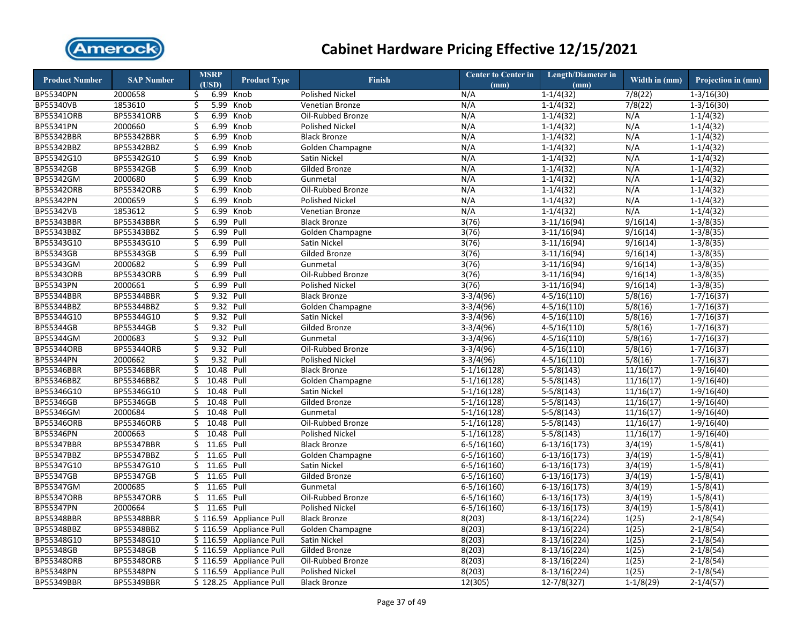

| <b>Product Number</b> | <b>SAP Number</b> | <b>MSRP</b>      | <b>Product Type</b>     | <b>Finish</b>          | Center to Center in | Length/Diameter in | Width in (mm) | Projection in (mm) |
|-----------------------|-------------------|------------------|-------------------------|------------------------|---------------------|--------------------|---------------|--------------------|
|                       |                   | (USD)            |                         |                        | (mm)                | (mm)               |               |                    |
| BP55340PN             | 2000658           | 6.99<br>\$.      | Knob                    | <b>Polished Nickel</b> | N/A                 | $1-1/4(32)$        | 7/8(22)       | $1 - 3/16(30)$     |
| BP55340VB             | 1853610           | 5.99<br>\$       | Knob                    | <b>Venetian Bronze</b> | N/A                 | $1 - 1/4(32)$      | 7/8(22)       | $1 - 3/16(30)$     |
| <b>BP55341ORB</b>     | BP55341ORB        | 6.99<br>Ś.       | Knob                    | Oil-Rubbed Bronze      | N/A                 | $1 - 1/4(32)$      | N/A           | $1-1/4(32)$        |
| BP55341PN             | 2000660           | \$<br>6.99       | Knob                    | Polished Nickel        | N/A                 | $1-1/4(32)$        | N/A           | $1-1/4(32)$        |
| <b>BP55342BBR</b>     | <b>BP55342BBR</b> | \$<br>6.99       | Knob                    | <b>Black Bronze</b>    | N/A                 | $1 - 1/4(32)$      | N/A           | $1 - 1/4(32)$      |
| BP55342BBZ            | BP55342BBZ        | \$<br>6.99       | Knob                    | Golden Champagne       | N/A                 | $1 - 1/4(32)$      | N/A           | $1 - 1/4(32)$      |
| BP55342G10            | BP55342G10        | \$<br>6.99       | Knob                    | Satin Nickel           | N/A                 | $1 - 1/4(32)$      | N/A           | $1 - 1/4(32)$      |
| BP55342GB             | BP55342GB         | \$<br>6.99       | Knob                    | Gilded Bronze          | N/A                 | $1 - 1/4(32)$      | N/A           | $1 - 1/4(32)$      |
| BP55342GM             | 2000680           | \$<br>6.99       | Knob                    | Gunmetal               | N/A                 | $1-1/4(32)$        | N/A           | $1-1/4(32)$        |
| <b>BP55342ORB</b>     | <b>BP55342ORB</b> | \$<br>6.99       | Knob                    | Oil-Rubbed Bronze      | N/A                 | $1 - 1/4(32)$      | N/A           | $1 - 1/4(32)$      |
| BP55342PN             | 2000659           | \$<br>6.99       | Knob                    | <b>Polished Nickel</b> | N/A                 | $1-1/4(32)$        | N/A           | $1-1/4(32)$        |
| BP55342VB             | 1853612           | \$<br>6.99       | Knob                    | Venetian Bronze        | N/A                 | $1-1/4(32)$        | N/A           | $1-1/4(32)$        |
| <b>BP55343BBR</b>     | <b>BP55343BBR</b> | \$<br>6.99       | Pull                    | <b>Black Bronze</b>    | 3(76)               | $3-11/16(94)$      | 9/16(14)      | $1 - 3/8(35)$      |
| BP55343BBZ            | BP55343BBZ        | \$<br>6.99       | Pull                    | Golden Champagne       | 3(76)               | $3-11/16(94)$      | 9/16(14)      | $1 - 3/8(35)$      |
| BP55343G10            | BP55343G10        | \$<br>6.99       | Pull                    | Satin Nickel           | 3(76)               | $3-11/16(94)$      | 9/16(14)      | $1 - 3/8(35)$      |
| <b>BP55343GB</b>      | BP55343GB         | \$<br>6.99       | Pull                    | Gilded Bronze          | 3(76)               | $3-11/16(94)$      | 9/16(14)      | $1 - 3/8(35)$      |
| BP55343GM             | 2000682           | \$<br>6.99       | Pull                    | Gunmetal               | 3(76)               | $3-11/16(94)$      | 9/16(14)      | $1 - 3/8(35)$      |
| BP55343ORB            | BP55343ORB        | \$<br>6.99       | Pull                    | Oil-Rubbed Bronze      | 3(76)               | $3-11/16(94)$      | 9/16(14)      | $1 - 3/8(35)$      |
| BP55343PN             | 2000661           | \$<br>6.99 Pull  |                         | <b>Polished Nickel</b> | 3(76)               | $3-11/16(94)$      | 9/16(14)      | $1-3/8(35)$        |
| BP55344BBR            | BP55344BBR        | 9.32 Pull<br>\$  |                         | <b>Black Bronze</b>    | $3-3/4(96)$         | $4 - 5/16(110)$    | 5/8(16)       | $1 - 7/16(37)$     |
| BP55344BBZ            | BP55344BBZ        | \$<br>9.32 Pull  |                         | Golden Champagne       | $3-3/4(96)$         | $4 - 5/16(110)$    | 5/8(16)       | $1 - 7/16(37)$     |
| BP55344G10            | BP55344G10        | \$<br>9.32 Pull  |                         | Satin Nickel           | $3-3/4(96)$         | $4 - 5/16(110)$    | 5/8(16)       | $1 - 7/16(37)$     |
| BP55344GB             | BP55344GB         | \$<br>9.32 Pull  |                         | Gilded Bronze          | $3-3/4(96)$         | $4 - 5/16(110)$    | 5/8(16)       | $1 - 7/16(37)$     |
| BP55344GM             | 2000683           | \$<br>9.32 Pull  |                         | Gunmetal               | $3-3/4(96)$         | $4-5/16(110)$      | 5/8(16)       | $1 - 7/16(37)$     |
| <b>BP55344ORB</b>     | <b>BP55344ORB</b> | \$<br>9.32 Pull  |                         | Oil-Rubbed Bronze      | $3-3/4(96)$         | $4 - 5/16(110)$    | 5/8(16)       | $1 - 7/16(37)$     |
| BP55344PN             | 2000662           | 9.32<br>\$       | Pull                    | <b>Polished Nickel</b> | $3-3/4(96)$         | $4 - 5/16(110)$    | 5/8(16)       | $1 - 7/16(37)$     |
| BP55346BBR            | BP55346BBR        | \$<br>10.48      | Pull                    | <b>Black Bronze</b>    | $5-1/16(128)$       | $5-5/8(143)$       | 11/16(17)     | $1-9/16(40)$       |
| BP55346BBZ            | BP55346BBZ        | \$<br>10.48      | Pull                    | Golden Champagne       | $5-1/16(128)$       | $5-5/8(143)$       | 11/16(17)     | $1-9/16(40)$       |
| BP55346G10            | BP55346G10        | \$<br>10.48      | Pull                    | Satin Nickel           | $5-1/16(128)$       | $5-5/8(143)$       | 11/16(17)     | $1-9/16(40)$       |
| BP55346GB             | BP55346GB         | Ś<br>10.48       | Pull                    | Gilded Bronze          | $5-1/16(128)$       | $5-5/8(143)$       | 11/16(17)     | $1-9/16(40)$       |
| BP55346GM             | 2000684           | \$<br>10.48      | Pull                    | Gunmetal               | $5-1/16(128)$       | $5-5/8(143)$       | 11/16(17)     | $1-9/16(40)$       |
| <b>BP55346ORB</b>     | BP55346ORB        | 10.48 Pull<br>\$ |                         | Oil-Rubbed Bronze      | $5-1/16(128)$       | $5-5/8(143)$       | 11/16(17)     | $1-9/16(40)$       |
| BP55346PN             | 2000663           | 10.48 Pull<br>Ś  |                         | <b>Polished Nickel</b> | $5-1/16(128)$       | $5-5/8(143)$       | 11/16(17)     | $1-9/16(40)$       |
| BP55347BBR            | <b>BP55347BBR</b> | 11.65<br>\$      | Pull                    | <b>Black Bronze</b>    | $6 - 5/16(160)$     | $6-13/16(173)$     | 3/4(19)       | $1-5/8(41)$        |
| BP55347BBZ            | BP55347BBZ        | 11.65<br>\$      | Pull                    | Golden Champagne       | $6 - 5/16(160)$     | $6-13/16(173)$     | 3/4(19)       | $1 - 5/8(41)$      |
| BP55347G10            | BP55347G10        | 11.65 Pull<br>\$ |                         | Satin Nickel           | $6 - 5/16(160)$     | $6-13/16(173)$     | 3/4(19)       | $1 - 5/8(41)$      |
| BP55347GB             | BP55347GB         | 11.65<br>Ś.      | Pull                    | Gilded Bronze          | $6 - 5/16(160)$     | $6-13/16(173)$     | 3/4(19)       | $1 - 5/8(41)$      |
| BP55347GM             | 2000685           | \$<br>11.65      | Pull                    | Gunmetal               | $6 - 5/16(160)$     | $6-13/16(173)$     | 3/4(19)       | $1 - 5/8(41)$      |
| BP55347ORB            | BP55347ORB        | 11.65 Pull<br>Ś. |                         | Oil-Rubbed Bronze      | $6 - 5/16(160)$     | $6-13/16(173)$     | 3/4(19)       | $1-5/8(41)$        |
| BP55347PN             | 2000664           | 11.65 Pull<br>Ś. |                         | <b>Polished Nickel</b> | $6 - 5/16(160)$     | $6-13/16(173)$     | 3/4(19)       | $1 - 5/8(41)$      |
| <b>BP55348BBR</b>     | <b>BP55348BBR</b> | \$116.59         | <b>Appliance Pull</b>   | <b>Black Bronze</b>    | 8(203)              | $8-13/16(224)$     | 1(25)         | $2 - 1/8(54)$      |
| BP55348BBZ            | BP55348BBZ        |                  | \$116.59 Appliance Pull | Golden Champagne       | 8(203)              | $8-13/16(224)$     | 1(25)         | $2 - 1/8(54)$      |
| BP55348G10            | BP55348G10        |                  | \$116.59 Appliance Pull | Satin Nickel           | 8(203)              | $8-13/16(224)$     | 1(25)         | $2 - 1/8(54)$      |
| BP55348GB             | BP55348GB         |                  | \$116.59 Appliance Pull | <b>Gilded Bronze</b>   | 8(203)              | $8-13/16(224)$     | 1(25)         | $2 - 1/8(54)$      |
| BP55348ORB            | BP55348ORB        |                  | \$116.59 Appliance Pull | Oil-Rubbed Bronze      | 8(203)              | $8-13/16(224)$     | 1(25)         | $2-1/8(54)$        |
| BP55348PN             | BP55348PN         |                  | \$116.59 Appliance Pull | <b>Polished Nickel</b> | 8(203)              | $8-13/16(224)$     | 1(25)         | $2 - 1/8(54)$      |
| <b>BP55349BBR</b>     | BP55349BBR        |                  | \$128.25 Appliance Pull | <b>Black Bronze</b>    | 12(305)             | $12 - 7/8(327)$    | $1-1/8(29)$   | $2-1/4(57)$        |
|                       |                   |                  |                         |                        |                     |                    |               |                    |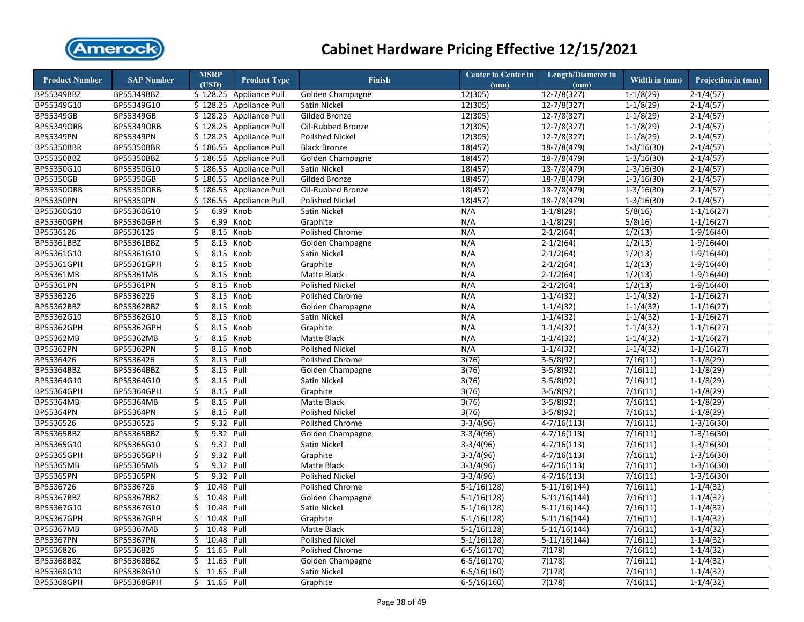

| <b>Product Number</b> | <b>SAP Number</b> | <b>MSRP</b>      | <b>Product Type</b>     | <b>Finish</b>          | <b>Center to Center in</b> | Length/Diameter in | Width in (mm)         | Projection in (mm) |
|-----------------------|-------------------|------------------|-------------------------|------------------------|----------------------------|--------------------|-----------------------|--------------------|
|                       |                   | (USD)            |                         |                        | (mm)                       | (mm)               |                       |                    |
| BP55349BBZ            | BP55349BBZ        |                  | \$128.25 Appliance Pull | Golden Champagne       | 12(305)                    | $12 - 7/8(327)$    | $1-1/8(29)$           | $2 - 1/4(57)$      |
| BP55349G10            | BP55349G10        |                  | \$128.25 Appliance Pull | Satin Nickel           | 12(305)                    | $12 - 7/8(327)$    | $1-1/8(29)$           | $2 - 1/4(57)$      |
| BP55349GB             | BP55349GB         |                  | \$128.25 Appliance Pull | <b>Gilded Bronze</b>   | 12(305)                    | 12-7/8(327)        | $1-1/8(29)$           | $2 - 1/4(57)$      |
| <b>BP55349ORB</b>     | BP55349ORB        |                  | \$128.25 Appliance Pull | Oil-Rubbed Bronze      | 12(305)                    | $12 - 7/8(327)$    | $1-1/8(29)$           | $2-1/4(57)$        |
| BP55349PN             | BP55349PN         |                  | \$128.25 Appliance Pull | <b>Polished Nickel</b> | 12(305)                    | $12 - 7/8(327)$    | $1-1/8(29)$           | $2-1/4(57)$        |
| <b>BP55350BBR</b>     | <b>BP55350BBR</b> |                  | \$186.55 Appliance Pull | <b>Black Bronze</b>    | 18(457)                    | $18-7/8(479)$      | $1 - 3/16(30)$        | $2 - 1/4(57)$      |
| BP55350BBZ            | BP55350BBZ        |                  | \$186.55 Appliance Pull | Golden Champagne       | 18(457)                    | $18-7/8(479)$      | $1-3/16(30)$          | $2 - 1/4(57)$      |
| BP55350G10            | BP55350G10        |                  | \$186.55 Appliance Pull | Satin Nickel           | 18(457)                    | $18-7/8(479)$      | $1 - 3/16(30)$        | $2 - 1/4(57)$      |
| BP55350GB             | BP55350GB         |                  | \$186.55 Appliance Pull | Gilded Bronze          | 18(457)                    | 18-7/8(479)        | $1 - 3/16(30)$        | $2 - 1/4(57)$      |
| <b>BP55350ORB</b>     | <b>BP55350ORB</b> |                  | \$186.55 Appliance Pull | Oil-Rubbed Bronze      | 18(457)                    | 18-7/8(479)        | $1 - 3/16(30)$        | $2 - 1/4(57)$      |
| BP55350PN             | BP55350PN         |                  | \$186.55 Appliance Pull | <b>Polished Nickel</b> | 18(457)                    | $18-7/8(479)$      | $1-3/16(30)$          | $2-1/4(57)$        |
| BP55360G10            | BP55360G10        | 6.99<br>\$       | Knob                    | Satin Nickel           | N/A                        | $1-1/8(29)$        | 5/8(16)               | $1-1/16(27)$       |
| BP55360GPH            | BP55360GPH        | \$<br>6.99       | Knob                    | Graphite               | N/A                        | $1-1/8(29)$        | 5/8(16)               | $1-1/16(27)$       |
| BP5536126             | BP5536126         | \$               | 8.15 Knob               | Polished Chrome        | N/A                        | $2-1/2(64)$        | 1/2(13)               | $1-9/16(40)$       |
| BP55361BBZ            | BP55361BBZ        | \$<br>8.15       | Knob                    | Golden Champagne       | N/A                        | $2-1/2(64)$        | 1/2(13)               | $1-9/16(40)$       |
| BP55361G10            | BP55361G10        | \$               | 8.15 Knob               | Satin Nickel           | N/A                        | $2-1/2(64)$        | 1/2(13)               | $1-9/16(40)$       |
| BP55361GPH            | BP55361GPH        | 8.15<br>\$       | Knob                    | Graphite               | N/A                        | $2 - 1/2(64)$      | 1/2(13)               | $1-9/16(40)$       |
| BP55361MB             | BP55361MB         | \$<br>8.15       | Knob                    | Matte Black            | N/A                        | $2-1/2(64)$        | 1/2(13)               | $1-9/16(40)$       |
| BP55361PN             | BP55361PN         | \$<br>8.15       | Knob                    | <b>Polished Nickel</b> | N/A                        | $2-1/2(64)$        | 1/2(13)               | $1-9/16(40)$       |
| BP5536226             | BP5536226         | \$               | 8.15 Knob               | Polished Chrome        | N/A                        | $1-1/4(32)$        | $1-1/4(32)$           | $1-1/16(27)$       |
| BP55362BBZ            | BP55362BBZ        | \$<br>8.15       | Knob                    | Golden Champagne       | N/A                        | $1-1/4(32)$        | $1-1/4(32)$           | $1 - 1/16(27)$     |
| BP55362G10            | BP55362G10        | \$<br>8.15       | Knob                    | Satin Nickel           | N/A                        | $1 - 1/4(32)$      | $1 - 1/4(32)$         | $1 - 1/16(27)$     |
| <b>BP55362GPH</b>     | BP55362GPH        | \$<br>8.15       | Knob                    | Graphite               | N/A                        | $1 - 1/4(32)$      | $1-1/4(32)$           | $1 - 1/16(27)$     |
| <b>BP55362MB</b>      | BP55362MB         | \$<br>8.15       | Knob                    | Matte Black            | N/A                        | $1 - 1/4(32)$      | $1-1/4(32)$           | $1-1/16(27)$       |
| <b>BP55362PN</b>      | BP55362PN         | \$               | 8.15 Knob               | Polished Nickel        | N/A                        | $1 - 1/4(32)$      | $1 - 1/4(32)$         | $1 - 1/16(27)$     |
| BP5536426             | BP5536426         | \$<br>8.15       | Pull                    | Polished Chrome        | 3(76)                      | $3-5/8(92)$        | 7/16(11)              | $1-1/8(29)$        |
| BP55364BBZ            | BP55364BBZ        | \$<br>8.15       | Pull                    | Golden Champagne       | 3(76)                      | $3-5/8(92)$        | 7/16(11)              | $1-1/8(29)$        |
| BP55364G10            | BP55364G10        | \$<br>8.15       | Pull                    | Satin Nickel           | 3(76)                      | $3-5/8(92)$        | 7/16(11)              | $1-1/8(29)$        |
| BP55364GPH            | BP55364GPH        | \$<br>8.15 Pull  |                         | Graphite               | 3(76)                      | $3-5/8(92)$        | 7/16(11)              | $1-1/8(29)$        |
| <b>BP55364MB</b>      | <b>BP55364MB</b>  | \$<br>8.15       | Pull                    | Matte Black            | 3(76)                      | $3-5/8(92)$        | 7/16(11)              | $1-1/8(29)$        |
| BP55364PN             | BP55364PN         | \$<br>8.15 Pull  |                         | Polished Nickel        | 3(76)                      | $3-5/8(92)$        | 7/16(11)              | $1-1/8(29)$        |
| BP5536526             | BP5536526         | \$<br>9.32 Pull  |                         | Polished Chrome        | $3-3/4(96)$                | $4-7/16(113)$      | 7/16(11)              | $1-3/16(30)$       |
| BP55365BBZ            | BP55365BBZ        | \$<br>9.32 Pull  |                         | Golden Champagne       | $3-3/4(96)$                | $4-7/16(113)$      | 7/16(11)              | $1 - 3/16(30)$     |
| BP55365G10            | BP55365G10        | 9.32 Pull<br>\$  |                         | Satin Nickel           | $3-3/4(96)$                | $4-7/16(113)$      | 7/16(11)              | $1-3/16(30)$       |
| <b>BP55365GPH</b>     | <b>BP55365GPH</b> | \$<br>9.32 Pull  |                         | Graphite               | $3-3/4(96)$                | $4-7/16(113)$      | 7/16(11)              | $1-3/16(30)$       |
| BP55365MB             | BP55365MB         | 9.32 Pull<br>\$  |                         | Matte Black            | $3-3/4(96)$                | $4-7/16(113)$      | 7/16(11)              | $1-3/16(30)$       |
| <b>BP55365PN</b>      | BP55365PN         | 9.32 Pull<br>Ś.  |                         | <b>Polished Nickel</b> | $3-3/4(96)$                | $4 - 7/16(113)$    | 7/16(11)              | $1 - 3/16(30)$     |
| BP5536726             | BP5536726         | 10.48 Pull<br>\$ |                         | Polished Chrome        | $5-1/16(128)$              | $5-11/16(144)$     | 7/16(11)              | $1 - 1/4(32)$      |
| BP55367BBZ            | BP55367BBZ        | 10.48<br>Ś       | Pull                    | Golden Champagne       | $5-1/16(128)$              | $5-11/16(144)$     | 7/16(11)              | $1-1/4(32)$        |
| BP55367G10            | BP55367G10        | 10.48 Pull<br>\$ |                         | Satin Nickel           | $5-1/16(128)$              | $5-11/16(144)$     | 7/16(11)              | $1 - 1/4(32)$      |
| BP55367GPH            | BP55367GPH        | 10.48<br>\$      | Pull                    | Graphite               | $5-1/16(128)$              | $5-11/16(144)$     | 7/16(11)              | $1-1/4(32)$        |
| BP55367MB             | BP55367MB         | 10.48<br>\$      | Pull                    | Matte Black            | $5-1/16(128)$              | $5-11/16(144)$     | 7/16(11)              | $1 - 1/4(32)$      |
| <b>BP55367PN</b>      | BP55367PN         | 10.48<br>\$      | Pull                    | Polished Nickel        | $5-1/16(128)$              | $5-11/16(144)$     | 7/16(11)              | $1 - 1/4(32)$      |
| BP5536826             | BP5536826         | 11.65<br>\$      | Pull                    | Polished Chrome        | $6 - 5/16(170)$            | 7(178)             | $\overline{7/16(11)}$ | $1 - 1/4(32)$      |
| BP55368BBZ            | BP55368BBZ        | Ś.<br>11.65      | Pull                    | Golden Champagne       | $6 - 5/16(170)$            | 7(178)             | 7/16(11)              | $1-1/4(32)$        |
| BP55368G10            | BP55368G10        | \$<br>11.65      | Pull                    | Satin Nickel           | $6 - 5/16(160)$            | 7(178)             | 7/16(11)              | $1 - 1/4(32)$      |
| BP55368GPH            | BP55368GPH        | Ś.<br>11.65 Pull |                         | Graphite               | $6-5/16(160)$              | 7(178)             | 7/16(11)              | $1-1/4(32)$        |
|                       |                   |                  |                         |                        |                            |                    |                       |                    |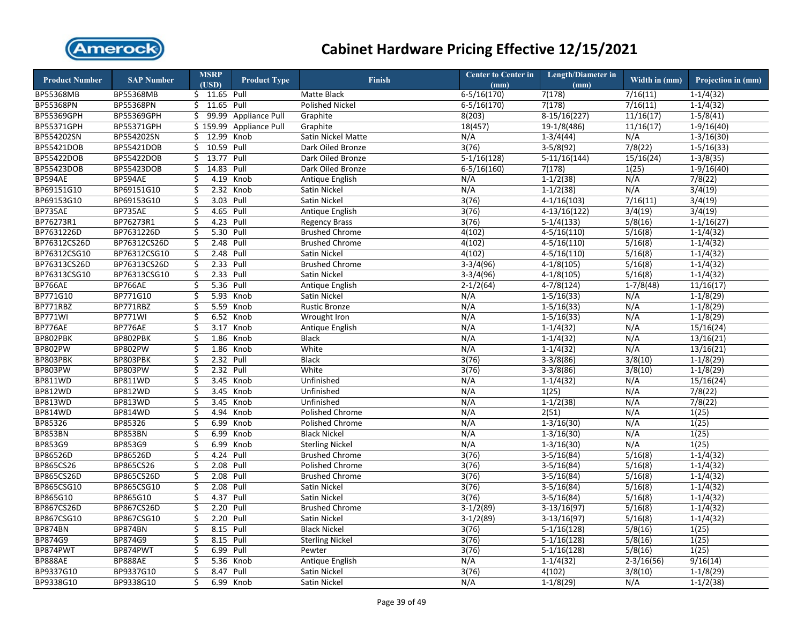

| <b>Product Number</b> | <b>SAP Number</b> | <b>MSRP</b><br>(USD) | <b>Product Type</b>   | Finish                 | Center to Center in<br>(mm) | <b>Length/Diameter in</b><br>(mm) | Width in (mm)  | Projection in (mm) |
|-----------------------|-------------------|----------------------|-----------------------|------------------------|-----------------------------|-----------------------------------|----------------|--------------------|
| BP55368MB             | BP55368MB         | \$ 11.65 Pull        |                       | Matte Black            | $6 - 5/16(170)$             | 7(178)                            | 7/16(11)       | $1-1/4(32)$        |
| BP55368PN             | <b>BP55368PN</b>  | $$11.65$ Pull        |                       | Polished Nickel        | $6 - 5/16(170)$             | 7(178)                            | 7/16(11)       | $1-1/4(32)$        |
| BP55369GPH            | BP55369GPH        | 99.99<br>Ś.          | <b>Appliance Pull</b> | Graphite               | 8(203)                      | $8-15/16(227)$                    | 11/16(17)      | $1-5/8(41)$        |
| BP55371GPH            | BP55371GPH        | \$159.99             | <b>Appliance Pull</b> | Graphite               | 18(457)                     | 19-1/8(486)                       | 11/16(17)      | $1-9/16(40)$       |
| BP554202SN            | BP554202SN        | \$12.99              | Knob                  | Satin Nickel Matte     | N/A                         | $1-3/4(44)$                       | N/A            | $1 - 3/16(30)$     |
| BP55421DOB            | BP55421DOB        | 10.59 Pull<br>\$     |                       | Dark Oiled Bronze      | 3(76)                       | $3-5/8(92)$                       | 7/8(22)        | $1 - 5/16(33)$     |
| BP55422DOB            | BP55422DOB        | 13.77<br>\$          | Pull                  | Dark Oiled Bronze      | $5-1/16(128)$               | $5-11/16(144)$                    | 15/16(24)      | $1-3/8(35)$        |
| BP55423DOB            | BP55423DOB        | \$<br>14.83          | Pull                  | Dark Oiled Bronze      | $6 - 5/16(160)$             | 7(178)                            | 1(25)          | $1-9/16(40)$       |
| <b>BP594AE</b>        | <b>BP594AE</b>    | \$<br>4.19           | Knob                  | Antique English        | N/A                         | $1-1/2(38)$                       | N/A            | 7/8(22)            |
| BP69151G10            | BP69151G10        | \$<br>2.32           | Knob                  | Satin Nickel           | N/A                         | $1-1/2(38)$                       | N/A            | 3/4(19)            |
| BP69153G10            | BP69153G10        | \$<br>3.03           | Pull                  | Satin Nickel           | 3(76)                       | $4-1/16(103)$                     | 7/16(11)       | 3/4(19)            |
| BP735AE               | BP735AE           | \$<br>4.65           | Pull                  | Antique English        | 3(76)                       | $4-13/16(122)$                    | 3/4(19)        | 3/4(19)            |
| BP76273R1             | BP76273R1         | 4.23<br>\$           | Pull                  | <b>Regency Brass</b>   | 3(76)                       | $5-1/4(133)$                      | 5/8(16)        | $1-1/16(27)$       |
| BP7631226D            | BP7631226D        | \$<br>5.30           | Pull                  | <b>Brushed Chrome</b>  | 4(102)                      | $4-5/16(110)$                     | 5/16(8)        | $1-1/4(32)$        |
| BP76312CS26D          | BP76312CS26D      | \$<br>2.48           | Pull                  | <b>Brushed Chrome</b>  | 4(102)                      | $4 - 5/16(110)$                   | 5/16(8)        | $1-1/4(32)$        |
| BP76312CSG10          | BP76312CSG10      | \$                   | 2.48 Pull             | Satin Nickel           | 4(102)                      | $4 - 5/16(110)$                   | 5/16(8)        | $1-1/4(32)$        |
| BP76313CS26D          | BP76313CS26D      | \$<br>2.33           | Pull                  | <b>Brushed Chrome</b>  | $3-3/4(96)$                 | $4-1/8(105)$                      | 5/16(8)        | $1-1/4(32)$        |
| BP76313CSG10          | BP76313CSG10      | \$<br>2.33           | Pull                  | Satin Nickel           | $3-3/4(96)$                 | $4-1/8(105)$                      | 5/16(8)        | $1-1/4(32)$        |
| BP766AE               | BP766AE           | \$                   | 5.36 Pull             | Antique English        | $2 - 1/2(64)$               | $4-7/8(124)$                      | $1-7/8(48)$    | 11/16(17)          |
| BP771G10              | BP771G10          | \$                   | 5.93 Knob             | Satin Nickel           | N/A                         | $1 - 5/16(33)$                    | N/A            | $1-1/8(29)$        |
| BP771RBZ              | BP771RBZ          | 5.59<br>\$           | Knob                  | <b>Rustic Bronze</b>   | N/A                         | $1 - 5/16(33)$                    | N/A            | $1-1/8(29)$        |
| BP771WI               | BP771WI           | Ś<br>6.52            | Knob                  | Wrought Iron           | N/A                         | $1 - 5/16(33)$                    | N/A            | $1-1/8(29)$        |
| BP776AE               | BP776AE           | \$<br>3.17           | Knob                  | Antique English        | N/A                         | $1 - 1/4(32)$                     | N/A            | 15/16(24)          |
| BP802PBK              | BP802PBK          | \$<br>1.86           | Knob                  | <b>Black</b>           | N/A                         | $1 - 1/4(32)$                     | N/A            | 13/16(21)          |
| BP802PW               | <b>BP802PW</b>    | \$                   | 1.86 Knob             | White                  | N/A                         | $1-1/4(32)$                       | N/A            | 13/16(21)          |
| BP803PBK              | BP803PBK          | \$<br>2.32           | Pull                  | <b>Black</b>           | 3(76)                       | $3-3/8(86)$                       | 3/8(10)        | $1-1/8(29)$        |
| BP803PW               | <b>BP803PW</b>    | \$<br>2.32           | Pull                  | White                  | 3(76)                       | $3-3/8(86)$                       | 3/8(10)        | $1-1/8(29)$        |
| <b>BP811WD</b>        | <b>BP811WD</b>    | \$<br>3.45           | Knob                  | Unfinished             | N/A                         | $1-1/4(32)$                       | N/A            | 15/16(24)          |
| <b>BP812WD</b>        | BP812WD           | \$<br>3.45           | Knob                  | Unfinished             | N/A                         | 1(25)                             | N/A            | 7/8(22)            |
| <b>BP813WD</b>        | <b>BP813WD</b>    | \$<br>3.45           | Knob                  | Unfinished             | N/A                         | $1-1/2(38)$                       | N/A            | 7/8(22)            |
| <b>BP814WD</b>        | <b>BP814WD</b>    | \$<br>4.94           | Knob                  | Polished Chrome        | N/A                         | 2(51)                             | N/A            | 1(25)              |
| BP85326               | BP85326           | \$<br>6.99           | Knob                  | Polished Chrome        | N/A                         | $1-3/16(30)$                      | N/A            | 1(25)              |
| BP853BN               | BP853BN           | \$<br>6.99           | Knob                  | <b>Black Nickel</b>    | N/A                         | $1-3/16(30)$                      | N/A            | 1(25)              |
| BP853G9               | BP853G9           | \$<br>6.99           | Knob                  | <b>Sterling Nickel</b> | N/A                         | $1 - 3/16(30)$                    | N/A            | 1(25)              |
| BP86526D              | BP86526D          | \$                   | 4.24 Pull             | <b>Brushed Chrome</b>  | 3(76)                       | $3-5/16(84)$                      | 5/16(8)        | $1-1/4(32)$        |
| BP865CS26             | BP865CS26         | \$                   | 2.08 Pull             | Polished Chrome        | 3(76)                       | $3-5/16(84)$                      | 5/16(8)        | $1-1/4(32)$        |
| BP865CS26D            | BP865CS26D        | 2.08<br>\$           | Pull                  | <b>Brushed Chrome</b>  | 3(76)                       | $3-5/16(84)$                      | 5/16(8)        | $1-1/4(32)$        |
| BP865CSG10            | BP865CSG10        | 2.08<br>\$           | Pull                  | Satin Nickel           | 3(76)                       | $3-5/16(84)$                      | 5/16(8)        | $1-1/4(32)$        |
| BP865G10              | BP865G10          | \$<br>4.37           | Pull                  | Satin Nickel           | 3(76)                       | $3-5/16(84)$                      | 5/16(8)        | $1-1/4(32)$        |
| <b>BP867CS26D</b>     | BP867CS26D        | \$<br>2.20           | Pull                  | <b>Brushed Chrome</b>  | $3-1/2(89)$                 | $3-13/16(97)$                     | 5/16(8)        | $1-1/4(32)$        |
| BP867CSG10            | BP867CSG10        | \$<br>2.20           | Pull                  | Satin Nickel           | $3-1/2(89)$                 | $3-13/16(97)$                     | 5/16(8)        | $1-1/4(32)$        |
| <b>BP874BN</b>        | <b>BP874BN</b>    | \$                   | 8.15 Pull             | <b>Black Nickel</b>    | 3(76)                       | $5-1/16(128)$                     | 5/8(16)        | 1(25)              |
| BP874G9               | BP874G9           | \$<br>8.15           | Pull                  | <b>Sterling Nickel</b> | 3(76)                       | $5-1/16(128)$                     | 5/8(16)        | 1(25)              |
| BP874PWT              | BP874PWT          | \$<br>6.99           | Pull                  | Pewter                 | 3(76)                       | $5-1/16(128)$                     | 5/8(16)        | 1(25)              |
| BP888AE               | BP888AE           | \$<br>5.36           | Knob                  | Antique English        | N/A                         | $1-1/4(32)$                       | $2 - 3/16(56)$ | 9/16(14)           |
| BP9337G10             | BP9337G10         | \$<br>8.47           | Pull                  | Satin Nickel           | 3(76)                       | 4(102)                            | 3/8(10)        | $1-1/8(29)$        |
| BP9338G10             | BP9338G10         | Ś<br>6.99            | Knob                  | Satin Nickel           | N/A                         | $1-1/8(29)$                       | N/A            | $1-1/2(38)$        |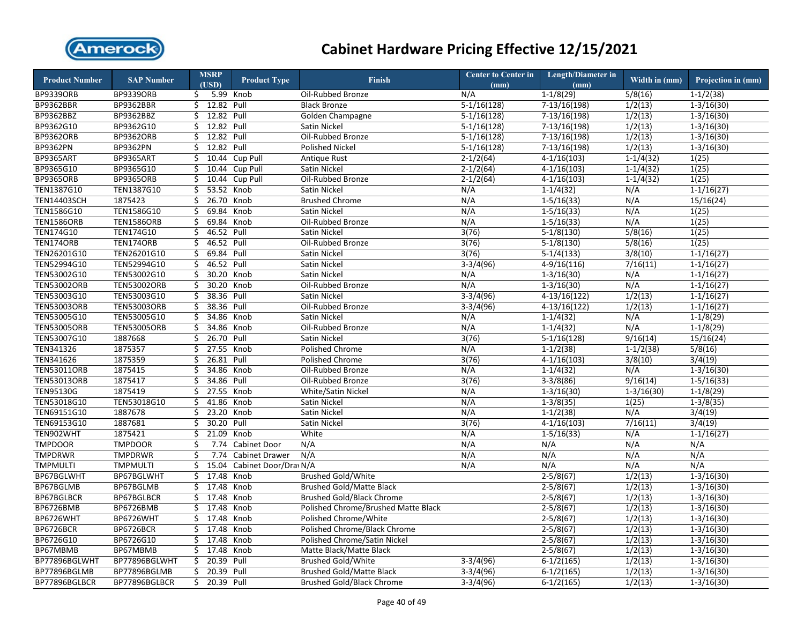

| <b>Product Number</b> | <b>SAP Number</b>  |     | <b>MSRP</b><br>(USD) | <b>Product Type</b>   | <b>Finish</b>                       | <b>Center to Center in</b><br>(mm) | <b>Length/Diameter in</b><br>(mm) | Width in (mm) | Projection in (mm) |
|-----------------------|--------------------|-----|----------------------|-----------------------|-------------------------------------|------------------------------------|-----------------------------------|---------------|--------------------|
| <b>BP9339ORB</b>      | <b>BP9339ORB</b>   | \$. |                      | 5.99 Knob             | Oil-Rubbed Bronze                   | N/A                                | $1-1/8(29)$                       | 5/8(16)       | $1 - 1/2(38)$      |
| <b>BP9362BBR</b>      | BP9362BBR          | \$. | 12.82 Pull           |                       | <b>Black Bronze</b>                 | $5-1/16(128)$                      | $7-13/16(198)$                    | 1/2(13)       | $1-3/16(30)$       |
| BP9362BBZ             | BP9362BBZ          | Ś.  | 12.82 Pull           |                       | Golden Champagne                    | $5-1/16(128)$                      | $7-13/16(198)$                    | 1/2(13)       | $1 - 3/16(30)$     |
| BP9362G10             | BP9362G10          | \$  | 12.82 Pull           |                       | Satin Nickel                        | $5-1/16(128)$                      | $7-13/16(198)$                    | 1/2(13)       | $1 - 3/16(30)$     |
| BP9362ORB             | <b>BP9362ORB</b>   | Ś.  | 12.82 Pull           |                       | Oil-Rubbed Bronze                   | $5-1/16(128)$                      | 7-13/16(198)                      | 1/2(13)       | $1 - 3/16(30)$     |
| <b>BP9362PN</b>       | <b>BP9362PN</b>    | \$  | 12.82 Pull           |                       | <b>Polished Nickel</b>              | $5-1/16(128)$                      | 7-13/16(198)                      | 1/2(13)       | $1-3/16(30)$       |
| <b>BP9365ART</b>      | BP9365ART          | Ś.  | 10.44                | Cup Pull              | Antique Rust                        | $2 - 1/2(64)$                      | $4-1/16(103)$                     | $1-1/4(32)$   | 1(25)              |
| BP9365G10             | BP9365G10          | \$  | 10.44                | Cup Pull              | Satin Nickel                        | $2 - 1/2(64)$                      | $4-1/16(103)$                     | $1 - 1/4(32)$ | 1(25)              |
| <b>BP9365ORB</b>      | <b>BP9365ORB</b>   | \$  | 10.44                | Cup Pull              | Oil-Rubbed Bronze                   | $2-1/2(64)$                        | $4-1/16(103)$                     | $1-1/4(32)$   | 1(25)              |
| TEN1387G10            | TEN1387G10         | \$  | 53.52 Knob           |                       | Satin Nickel                        | N/A                                | $1 - 1/4(32)$                     | N/A           | $1 - 1/16(27)$     |
| <b>TEN14403SCH</b>    | 1875423            | \$  | 26.70 Knob           |                       | <b>Brushed Chrome</b>               | N/A                                | $1-5/16(33)$                      | N/A           | 15/16(24)          |
| TEN1586G10            | TEN1586G10         | \$  | 69.84                | Knob                  | Satin Nickel                        | N/A                                | $1 - 5/16(33)$                    | N/A           | 1(25)              |
| <b>TEN1586ORB</b>     | <b>TEN1586ORB</b>  | \$  | 69.84                | Knob                  | Oil-Rubbed Bronze                   | N/A                                | $1-5/16(33)$                      | N/A           | 1(25)              |
| TEN174G10             | TEN174G10          | \$  | 46.52 Pull           |                       | Satin Nickel                        | 3(76)                              | $5-1/8(130)$                      | 5/8(16)       | 1(25)              |
| TEN174ORB             | TEN174ORB          | \$  | 46.52 Pull           |                       | Oil-Rubbed Bronze                   | 3(76)                              | $5-1/8(130)$                      | 5/8(16)       | 1(25)              |
| TEN26201G10           | TEN26201G10        | \$  | 69.84 Pull           |                       | Satin Nickel                        | 3(76)                              | $5-1/4(133)$                      | 3/8(10)       | $1-1/16(27)$       |
| TEN52994G10           | TEN52994G10        | \$  | 46.52 Pull           |                       | Satin Nickel                        | $3-3/4(96)$                        | $4-9/16(116)$                     | 7/16(11)      | $1-1/16(27)$       |
| TEN53002G10           | TEN53002G10        | \$  | 30.20 Knob           |                       | Satin Nickel                        | N/A                                | $1 - 3/16(30)$                    | N/A           | $1 - 1/16(27)$     |
| <b>TEN53002ORB</b>    | <b>TEN53002ORB</b> | \$  | 30.20 Knob           |                       | Oil-Rubbed Bronze                   | N/A                                | $1 - 3/16(30)$                    | N/A           | $1 - 1/16(27)$     |
| TEN53003G10           | TEN53003G10        | Ś.  | 38.36 Pull           |                       | Satin Nickel                        | $3-3/4(96)$                        | $4-13/16(122)$                    | 1/2(13)       | $1 - 1/16(27)$     |
| <b>TEN53003ORB</b>    | <b>TEN53003ORB</b> | \$  | 38.36 Pull           |                       | Oil-Rubbed Bronze                   | $3-3/4(96)$                        | $4-13/16(122)$                    | 1/2(13)       | $1-1/16(27)$       |
| TEN53005G10           | TEN53005G10        | Ś.  | 34.86 Knob           |                       | <b>Satin Nickel</b>                 | N/A                                | $1-1/4(32)$                       | N/A           | $1-1/8(29)$        |
| <b>TEN53005ORB</b>    | <b>TEN53005ORB</b> | \$  | 34.86                | Knob                  | Oil-Rubbed Bronze                   | N/A                                | $1-1/4(32)$                       | N/A           | $1-1/8(29)$        |
| TEN53007G10           | 1887668            | \$  | 26.70                | Pull                  | Satin Nickel                        | 3(76)                              | $5-1/16(128)$                     | 9/16(14)      | 15/16(24)          |
| TEN341326             | 1875357            | \$  | 27.55 Knob           |                       | Polished Chrome                     | N/A                                | $1 - 1/2(38)$                     | $1 - 1/2(38)$ | 5/8(16)            |
| TEN341626             | 1875359            | \$  | 26.81                | Pull                  | Polished Chrome                     | 3(76)                              | $4-1/16(103)$                     | 3/8(10)       | 3/4(19)            |
| <b>TEN53011ORB</b>    | 1875415            | \$  | 34.86 Knob           |                       | Oil-Rubbed Bronze                   | N/A                                | $1-1/4(32)$                       | N/A           | $1 - 3/16(30)$     |
| <b>TEN53013ORB</b>    | 1875417            | \$  | 34.86                | Pull                  | Oil-Rubbed Bronze                   | 3(76)                              | $3-3/8(86)$                       | 9/16(14)      | $1-5/16(33)$       |
| TEN95130G             | 1875419            | \$  | 27.55 Knob           |                       | White/Satin Nickel                  | N/A                                | $1 - 3/16(30)$                    | $1-3/16(30)$  | $1-1/8(29)$        |
| TEN53018G10           | TEN53018G10        | \$  | 41.86                | Knob                  | Satin Nickel                        | N/A                                | $1 - 3/8(35)$                     | 1(25)         | $1-3/8(35)$        |
| TEN69151G10           | 1887678            | \$  | 23.20                | Knob                  | Satin Nickel                        | N/A                                | $1-1/2(38)$                       | N/A           | 3/4(19)            |
| TEN69153G10           | 1887681            | \$  | 30.20                | Pull                  | Satin Nickel                        | 3(76)                              | $4-1/16(103)$                     | 7/16(11)      | 3/4(19)            |
| TEN902WHT             | 1875421            | \$  | 21.09 Knob           |                       | White                               | N/A                                | $1 - 5/16(33)$                    | N/A           | $1-1/16(27)$       |
| <b>TMPDOOR</b>        | <b>TMPDOOR</b>     | \$  | 7.74                 | Cabinet Door          | N/A                                 | N/A                                | N/A                               | N/A           | N/A                |
| TMPDRWR               | <b>TMPDRWR</b>     | Ś.  | 7.74                 | <b>Cabinet Drawer</b> | N/A                                 | N/A                                | N/A                               | N/A           | N/A                |
| <b>TMPMULTI</b>       | <b>TMPMULTI</b>    | \$  | 15.04                | Cabinet Door/Dray N/A |                                     | N/A                                | N/A                               | N/A           | N/A                |
| BP67BGLWHT            | BP67BGLWHT         | Ś.  | 17.48 Knob           |                       | <b>Brushed Gold/White</b>           |                                    | $2-5/8(67)$                       | 1/2(13)       | $1-3/16(30)$       |
| BP67BGLMB             | BP67BGLMB          | \$  | 17.48 Knob           |                       | <b>Brushed Gold/Matte Black</b>     |                                    | $2-5/8(67)$                       | 1/2(13)       | $1 - 3/16(30)$     |
| BP67BGLBCR            | BP67BGLBCR         | Ś.  | 17.48                | Knob                  | <b>Brushed Gold/Black Chrome</b>    |                                    | $2-5/8(67)$                       | 1/2(13)       | $1 - 3/16(30)$     |
| BP6726BMB             | <b>BP6726BMB</b>   | \$  | 17.48 Knob           |                       | Polished Chrome/Brushed Matte Black |                                    | $2 - 5/8(67)$                     | 1/2(13)       | $1 - 3/16(30)$     |
| BP6726WHT             | BP6726WHT          | Ś.  | 17.48                | Knob                  | Polished Chrome/White               |                                    | $2 - 5/8(67)$                     | 1/2(13)       | $1-3/16(30)$       |
| BP6726BCR             | BP6726BCR          | \$  | 17.48                | Knob                  | Polished Chrome/Black Chrome        |                                    | $2 - 5/8(67)$                     | 1/2(13)       | $1 - 3/16(30)$     |
| BP6726G10             | BP6726G10          | Ś   | 17.48                | Knob                  | Polished Chrome/Satin Nickel        |                                    | $2-5/8(67)$                       | 1/2(13)       | $1 - 3/16(30)$     |
| BP67MBMB              | BP67MBMB           | Ś.  | 17.48 Knob           |                       | Matte Black/Matte Black             |                                    | $2-5/8(67)$                       | 1/2(13)       | $1 - 3/16(30)$     |
| BP77896BGLWHT         | BP77896BGLWHT      | \$  | 20.39 Pull           |                       | <b>Brushed Gold/White</b>           | $3-3/4(96)$                        | $6-1/2(165)$                      | 1/2(13)       | $1 - 3/16(30)$     |
| BP77896BGLMB          | BP77896BGLMB       | \$  | 20.39 Pull           |                       | <b>Brushed Gold/Matte Black</b>     | $3-3/4(96)$                        | $6-1/2(165)$                      | 1/2(13)       | $1 - 3/16(30)$     |
| BP77896BGLBCR         | BP77896BGLBCR      | \$. | 20.39 Pull           |                       | <b>Brushed Gold/Black Chrome</b>    | $3-3/4(96)$                        | $6-1/2(165)$                      | 1/2(13)       | $1-3/16(30)$       |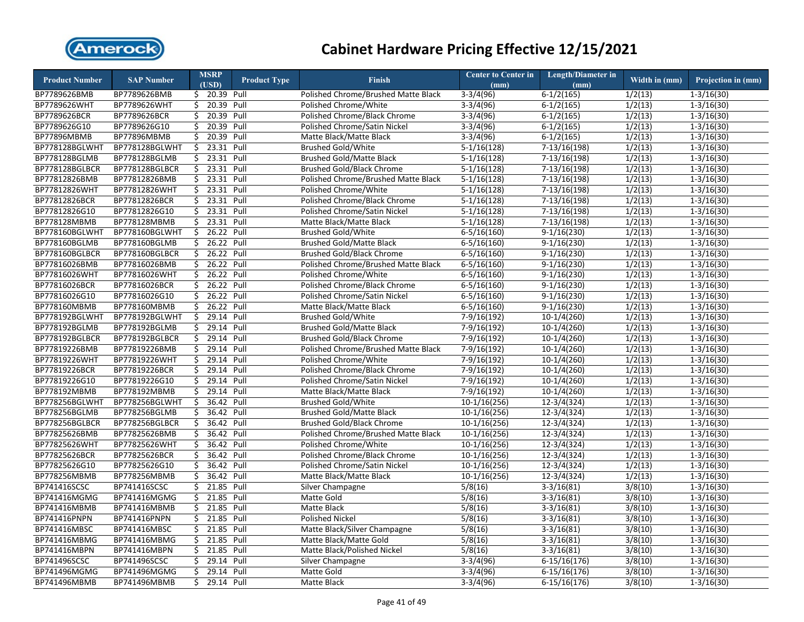

| <b>Product Number</b> | <b>SAP Number</b>  |                        | <b>MSRP</b>              | <b>Product Type</b> | <b>Finish</b>                       | <b>Center to Center in</b> | <b>Length/Diameter in</b> | Width in $(mm)$ | Projection in (mm)      |
|-----------------------|--------------------|------------------------|--------------------------|---------------------|-------------------------------------|----------------------------|---------------------------|-----------------|-------------------------|
|                       |                    |                        | (USD)                    |                     |                                     | (mm)                       | (mm)                      |                 |                         |
| BP7789626BMB          | BP7789626BMB       |                        | \$ 20.39 Pull            |                     | Polished Chrome/Brushed Matte Black | $3-3/4(96)$                | $6-1/2(165)$              | 1/2(13)         | $1-3/16(30)$            |
| BP7789626WHT          | BP7789626WHT       |                        | \$ 20.39 Pull            |                     | Polished Chrome/White               | $3-3/4(96)$                | $6-1/2(165)$              | 1/2(13)         | $1 - 3/16(30)$          |
| BP7789626BCR          | BP7789626BCR       | Ś.                     | 20.39 Pull               |                     | Polished Chrome/Black Chrome        | $3-3/4(96)$                | $6-1/2(165)$              | 1/2(13)         | $1 - 3/16(30)$          |
| BP7789626G10          | BP7789626G10       | \$                     | 20.39 Pull               |                     | Polished Chrome/Satin Nickel        | $3-3/4(96)$                | $6-1/2(165)$              | 1/2(13)         | $1 - 3/16(30)$          |
| <b>BP77896MBMB</b>    | <b>BP77896MBMB</b> | \$.                    | 20.39 Pull               |                     | Matte Black/Matte Black             | $3-3/4(96)$                | $6-1/2(165)$              | 1/2(13)         | $1 - 3/16(30)$          |
| BP778128BGLWHT        | BP778128BGLWHT     | Ś.                     | 23.31 Pull               |                     | <b>Brushed Gold/White</b>           | $5-1/16(128)$              | 7-13/16(198)              | 1/2(13)         | $1 - 3/16(30)$          |
| BP778128BGLMB         | BP778128BGLMB      | $\overline{\varsigma}$ | 23.31 Pull               |                     | <b>Brushed Gold/Matte Black</b>     | $5-1/16(128)$              | 7-13/16(198)              | 1/2(13)         | $1 - 3/16(30)$          |
| BP778128BGLBCR        | BP778128BGLBCR     |                        | \$ 23.31 Pull            |                     | <b>Brushed Gold/Black Chrome</b>    | $5-1/16(128)$              | 7-13/16(198)              | 1/2(13)         | $1 - 3/16(30)$          |
| BP77812826BMB         | BP77812826BMB      | \$                     | 23.31 Pull               |                     | Polished Chrome/Brushed Matte Black | $5-1/16(128)$              | 7-13/16(198)              | 1/2(13)         | $1 - 3/16(30)$          |
| BP77812826WHT         | BP77812826WHT      |                        | \$ 23.31 Pull            |                     | Polished Chrome/White               | $5-1/16(128)$              | 7-13/16(198)              | 1/2(13)         | $1 - 3/16(30)$          |
| BP77812826BCR         | BP77812826BCR      | \$                     | 23.31 Pull               |                     | Polished Chrome/Black Chrome        | $5-1/16(128)$              | $7-13/16(198)$            | 1/2(13)         | $1-3/16(30)$            |
| BP77812826G10         | BP77812826G10      |                        | $$23.31$ Pull            |                     | Polished Chrome/Satin Nickel        | $5-1/16(128)$              | $7-13/16(198)$            | 1/2(13)         | $1-3/16(30)$            |
| BP778128MBMB          | BP778128MBMB       | \$                     | 23.31 Pull               |                     | Matte Black/Matte Black             | $5-1/16(128)$              | 7-13/16(198)              | 1/2(13)         | $1-3/16(30)$            |
| BP778160BGLWHT        | BP778160BGLWHT     | \$                     | 26.22 Pull               |                     | <b>Brushed Gold/White</b>           | $6-5/16(160)$              | $9-1/16(230)$             | 1/2(13)         | $1-3/16(30)$            |
| BP778160BGLMB         | BP778160BGLMB      | \$                     | 26.22 Pull               |                     | <b>Brushed Gold/Matte Black</b>     | $6-5/16(160)$              | $9-1/16(230)$             | 1/2(13)         | $1-3/16(30)$            |
| BP778160BGLBCR        | BP778160BGLBCR     | \$                     | 26.22 Pull               |                     | <b>Brushed Gold/Black Chrome</b>    | $6 - 5/16(160)$            | $9-1/16(230)$             | 1/2(13)         | $1 - 3/16(30)$          |
| BP77816026BMB         | BP77816026BMB      | \$                     | 26.22 Pull               |                     | Polished Chrome/Brushed Matte Black | $6 - 5/16(160)$            | $9-1/16(230)$             | 1/2(13)         | $1-3/16(30)$            |
| BP77816026WHT         | BP77816026WHT      | \$                     | 26.22 Pull               |                     | Polished Chrome/White               | $6 - 5/16(160)$            | $9-1/16(230)$             | 1/2(13)         | $1 - 3/16(30)$          |
| BP77816026BCR         | BP77816026BCR      | \$                     | 26.22 Pull               |                     | Polished Chrome/Black Chrome        | $6 - 5/16(160)$            | $9-1/16(230)$             | 1/2(13)         | $1 - 3/16(30)$          |
| BP77816026G10         | BP77816026G10      | \$                     | 26.22 Pull               |                     | Polished Chrome/Satin Nickel        | $6 - 5/16(160)$            | $9-1/16(230)$             | 1/2(13)         | $1 - 3/16(30)$          |
| BP778160MBMB          | BP778160MBMB       | \$                     | 26.22 Pull               |                     | Matte Black/Matte Black             | $6 - 5/16(160)$            | $9-1/16(230)$             | 1/2(13)         | $1 - 3/16(30)$          |
| BP778192BGLWHT        | BP778192BGLWHT     | \$                     | 29.14 Pull               |                     | <b>Brushed Gold/White</b>           | 7-9/16(192)                | $10-1/4(260)$             | 1/2(13)         | $1 - 3/16(30)$          |
| BP778192BGLMB         | BP778192BGLMB      | \$                     | 29.14 Pull               |                     | <b>Brushed Gold/Matte Black</b>     | 7-9/16(192)                | $10-1/4(260)$             | 1/2(13)         | $1 - 3/16(30)$          |
| BP778192BGLBCR        | BP778192BGLBCR     | \$                     | 29.14 Pull               |                     | <b>Brushed Gold/Black Chrome</b>    | 7-9/16(192)                | $10-1/4(260)$             | 1/2(13)         | $1 - 3/16(30)$          |
| BP77819226BMB         | BP77819226BMB      | \$                     | 29.14 Pull               |                     | Polished Chrome/Brushed Matte Black | 7-9/16(192)                | $10-1/4(260)$             | 1/2(13)         | $1 - 3/16(30)$          |
| BP77819226WHT         | BP77819226WHT      | \$                     | 29.14 Pull               |                     | Polished Chrome/White               | 7-9/16(192)                | $10-1/4(260)$             | 1/2(13)         | $1 - 3/16(30)$          |
| BP77819226BCR         | BP77819226BCR      |                        | \$ 29.14 Pull            |                     | Polished Chrome/Black Chrome        | 7-9/16(192)                | $10-1/4(260)$             | 1/2(13)         | $1 - 3/16(30)$          |
| BP77819226G10         | BP77819226G10      | \$                     | 29.14 Pull               |                     | Polished Chrome/Satin Nickel        | 7-9/16(192)                | $10-1/4(260)$             | 1/2(13)         | $1-3/16(30)$            |
| BP778192MBMB          | BP778192MBMB       | \$.                    | 29.14 Pull               |                     | Matte Black/Matte Black             | 7-9/16(192)                | $10-1/4(260)$             | 1/2(13)         | $1-3/16(30)$            |
| BP778256BGLWHT        | BP778256BGLWHT     | \$                     | 36.42 Pull               |                     | <b>Brushed Gold/White</b>           | $10-1/16(256)$             | $12-3/4(324)$             | 1/2(13)         | $1-3/16(30)$            |
| BP778256BGLMB         | BP778256BGLMB      |                        | \$ 36.42 Pull            |                     | <b>Brushed Gold/Matte Black</b>     | $10-1/16(256)$             | $12-3/4(324)$             | 1/2(13)         | $1-3/16(30)$            |
| BP778256BGLBCR        | BP778256BGLBCR     | \$                     | 36.42 Pull               |                     | <b>Brushed Gold/Black Chrome</b>    | $10-1/16(256)$             | 12-3/4(324)               | 1/2(13)         | $1-3/16(30)$            |
| BP77825626BMB         | BP77825626BMB      | \$                     | 36.42 Pull               |                     | Polished Chrome/Brushed Matte Black | 10-1/16(256)               | $12 - 3/4(324)$           | 1/2(13)         | $\overline{1-3/1}6(30)$ |
| BP77825626WHT         | BP77825626WHT      | \$                     | 36.42 Pull               |                     | Polished Chrome/White               | $10-1/16(256)$             | 12-3/4(324)               | 1/2(13)         | $1 - 3/16(30)$          |
| BP77825626BCR         | BP77825626BCR      | \$                     | 36.42 Pull               |                     | Polished Chrome/Black Chrome        | $10-1/16(256)$             | 12-3/4(324)               | 1/2(13)         | $1 - 3/16(30)$          |
| BP77825626G10         | BP77825626G10      | \$                     | 36.42 Pull               |                     | Polished Chrome/Satin Nickel        | 10-1/16(256)               | 12-3/4(324)               | 1/2(13)         | $1 - 3/16(30)$          |
| BP778256MBMB          | BP778256MBMB       | \$.                    | 36.42 Pull               |                     | Matte Black/Matte Black             | $10-1/16(256)$             | $12 - 3/4(324)$           | 1/2(13)         | $1 - 3/16(30)$          |
| BP741416SCSC          | BP741416SCSC       | \$                     | 21.85 Pull               |                     | Silver Champagne                    | 5/8(16)                    | $3-3/16(81)$              | 3/8(10)         | $1 - 3/16(30)$          |
| BP741416MGMG          | BP741416MGMG       | \$                     | 21.85 Pull               |                     | Matte Gold                          | 5/8(16)                    | $3-3/16(81)$              | 3/8(10)         | $1 - 3/16(30)$          |
| BP741416MBMB          | BP741416MBMB       | \$                     | 21.85 Pull               |                     | Matte Black                         | 5/8(16)                    | $3-3/16(81)$              | 3/8(10)         | $1 - 3/16(30)$          |
| <b>BP741416PNPN</b>   | BP741416PNPN       | \$                     | 21.85 Pull               |                     | <b>Polished Nickel</b>              | 5/8(16)                    | $3-3/16(81)$              | 3/8(10)         | $1 - 3/16(30)$          |
| BP741416MBSC          | BP741416MBSC       |                        | $\frac{1}{2}$ 21.85 Pull |                     | Matte Black/Silver Champagne        | 5/8(16)                    | $3-3/16(81)$              | 3/8(10)         | $1 - 3/16(30)$          |
| BP741416MBMG          | BP741416MBMG       | \$                     | 21.85 Pull               |                     | Matte Black/Matte Gold              | 5/8(16)                    | $3-3/16(81)$              | 3/8(10)         | $1 - 3/16(30)$          |
| BP741416MBPN          | BP741416MBPN       |                        | \$ 21.85 Pull            |                     | Matte Black/Polished Nickel         | 5/8(16)                    | $3-3/16(81)$              | 3/8(10)         | $1 - 3/16(30)$          |
| BP741496SCSC          | BP741496SCSC       | \$                     | 29.14 Pull               |                     | Silver Champagne                    | $3-3/4(96)$                | $6-15/16(176)$            | 3/8(10)         | $1-3/16(30)$            |
| BP741496MGMG          | BP741496MGMG       | \$                     | 29.14 Pull               |                     | Matte Gold                          | $3-3/4(96)$                | $6-15/16(176)$            | 3/8(10)         | $1 - 3/16(30)$          |
| BP741496MBMB          | BP741496MBMB       | Ś.                     | 29.14 Pull               |                     | Matte Black                         | $3-3/4(96)$                | $6-15/16(176)$            | 3/8(10)         | $1-3/16(30)$            |
|                       |                    |                        |                          |                     |                                     |                            |                           |                 |                         |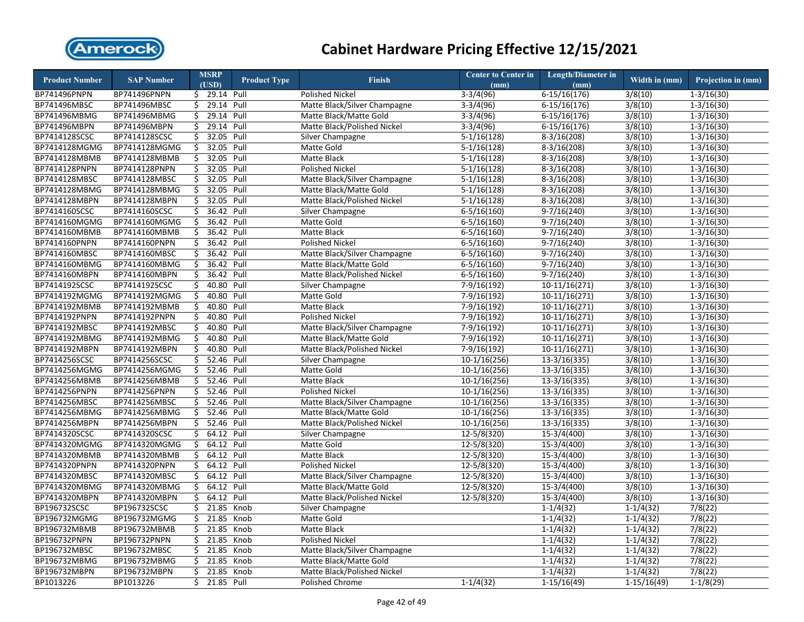

| <b>Product Number</b>          | <b>SAP Number</b>              |    | <b>MSRP</b><br>(USD)   | <b>Product Type</b> | <b>Finish</b>                                          | <b>Center to Center in</b> | <b>Length/Diameter in</b> | Width in $(mm)$ | Projection in (mm) |
|--------------------------------|--------------------------------|----|------------------------|---------------------|--------------------------------------------------------|----------------------------|---------------------------|-----------------|--------------------|
| BP741496PNPN                   | BP741496PNPN                   |    | $\frac{1}{29.14}$ Pull |                     | <b>Polished Nickel</b>                                 | (mm)<br>$3-3/4(96)$        | (mm)<br>$6-15/16(176)$    | 3/8(10)         | $1-3/16(30)$       |
| BP741496MBSC                   | BP741496MBSC                   | \$ | 29.14 Pull             |                     | Matte Black/Silver Champagne                           | $3-3/4(96)$                | $6-15/16(176)$            | 3/8(10)         | $1-3/16(30)$       |
| BP741496MBMG                   | BP741496MBMG                   | \$ | 29.14 Pull             |                     | Matte Black/Matte Gold                                 | $3-3/4(96)$                | $6-15/16(176)$            | 3/8(10)         | $1-3/16(30)$       |
| BP741496MBPN                   | BP741496MBPN                   | \$ | 29.14 Pull             |                     | Matte Black/Polished Nickel                            | $3-3/4(96)$                | $6-15/16(176)$            | 3/8(10)         | $1 - 3/16(30)$     |
| BP7414128SCSC                  | BP7414128SCSC                  | \$ | 32.05                  | Pull                | Silver Champagne                                       | $5-1/16(128)$              | $8-3/16(208)$             | 3/8(10)         | $1 - 3/16(30)$     |
| BP7414128MGMG                  | BP7414128MGMG                  | \$ | 32.05                  | Pull                | <b>Matte Gold</b>                                      | $5-1/16(128)$              | $8-3/16(208)$             | 3/8(10)         | $1 - 3/16(30)$     |
| BP7414128MBMB                  | BP7414128MBMB                  | \$ | 32.05                  | Pull                | <b>Matte Black</b>                                     | $5-1/16(128)$              | $8-3/16(208)$             | 3/8(10)         | $1 - 3/16(30)$     |
|                                |                                | \$ | 32.05 Pull             |                     | <b>Polished Nickel</b>                                 |                            |                           | 3/8(10)         |                    |
| BP7414128PNPN<br>BP7414128MBSC | BP7414128PNPN<br>BP7414128MBSC | \$ | 32.05                  | Pull                |                                                        | $5-1/16(128)$              | $8-3/16(208)$             | 3/8(10)         | $1 - 3/16(30)$     |
| BP7414128MBMG                  | BP7414128MBMG                  | \$ | 32.05                  | Pull                | Matte Black/Silver Champagne<br>Matte Black/Matte Gold | $5-1/16(128)$              | $8-3/16(208)$             | 3/8(10)         | $1 - 3/16(30)$     |
|                                |                                |    | 32.05                  | Pull                |                                                        | $5-1/16(128)$              | $8-3/16(208)$             | 3/8(10)         | $1 - 3/16(30)$     |
| BP7414128MBPN                  | BP7414128MBPN                  | \$ |                        |                     | Matte Black/Polished Nickel                            | $5-1/16(128)$              | $8-3/16(208)$             | 3/8(10)         | $1-3/16(30)$       |
| BP7414160SCSC                  | BP7414160SCSC                  | \$ | 36.42 Pull             |                     | Silver Champagne                                       | $6 - 5/16(160)$            | $9-7/16(240)$             |                 | $1 - 3/16(30)$     |
| BP7414160MGMG                  | BP7414160MGMG                  | \$ | 36.42 Pull             |                     | Matte Gold                                             | $6 - 5/16(160)$            | $9-7/16(240)$             | 3/8(10)         | $1-3/16(30)$       |
| BP7414160MBMB                  | BP7414160MBMB                  | \$ | 36.42 Pull             |                     | <b>Matte Black</b>                                     | $6 - 5/16(160)$            | $9-7/16(240)$             | 3/8(10)         | $1-3/16(30)$       |
| BP7414160PNPN                  | BP7414160PNPN                  | \$ | 36.42 Pull             |                     | Polished Nickel                                        | $6 - 5/16(160)$            | $9-7/16(240)$             | 3/8(10)         | $1-3/16(30)$       |
| BP7414160MBSC                  | BP7414160MBSC                  | \$ | 36.42 Pull             |                     | Matte Black/Silver Champagne                           | $6 - 5/16(160)$            | $9-7/16(240)$             | 3/8(10)         | $1 - 3/16(30)$     |
| BP7414160MBMG                  | BP7414160MBMG                  | \$ | 36.42 Pull             |                     | Matte Black/Matte Gold                                 | $6 - 5/16(160)$            | $9-7/16(240)$             | 3/8(10)         | $1-3/16(30)$       |
| BP7414160MBPN                  | BP7414160MBPN                  | \$ | 36.42 Pull             |                     | Matte Black/Polished Nickel                            | $6 - 5/16(160)$            | $9-7/16(240)$             | 3/8(10)         | $1 - 3/16(30)$     |
| BP7414192SCSC                  | BP7414192SCSC                  | \$ | 40.80 Pull             |                     | Silver Champagne                                       | $7-9/16(192)$              | $10-11/16(271)$           | 3/8(10)         | $1-3/16(30)$       |
| BP7414192MGMG                  | BP7414192MGMG                  | Ŝ. | 40.80 Pull             |                     | Matte Gold                                             | 7-9/16(192)                | 10-11/16(271)             | 3/8(10)         | $1 - 3/16(30)$     |
| BP7414192MBMB                  | BP7414192MBMB                  | \$ | 40.80 Pull             |                     | Matte Black                                            | 7-9/16(192)                | 10-11/16(271)             | 3/8(10)         | $1 - 3/16(30)$     |
| BP7414192PNPN                  | BP7414192PNPN                  | Ś. | 40.80                  | Pull                | <b>Polished Nickel</b>                                 | 7-9/16(192)                | 10-11/16(271)             | 3/8(10)         | $1-3/16(30)$       |
| BP7414192MBSC                  | BP7414192MBSC                  | Ś. | 40.80 Pull             |                     | Matte Black/Silver Champagne                           | 7-9/16(192)                | 10-11/16(271)             | 3/8(10)         | $1 - 3/16(30)$     |
| BP7414192MBMG                  | BP7414192MBMG                  | \$ | 40.80                  | Pull                | Matte Black/Matte Gold                                 | 7-9/16(192)                | 10-11/16(271)             | 3/8(10)         | $1 - 3/16(30)$     |
| BP7414192MBPN                  | BP7414192MBPN                  | Ś. | 40.80 Pull             |                     | Matte Black/Polished Nickel                            | 7-9/16(192)                | 10-11/16(271)             | 3/8(10)         | $1 - 3/16(30)$     |
| BP7414256SCSC                  | BP7414256SCSC                  | Ś. | 52.46                  | Pull                | Silver Champagne                                       | $10-1/16(256)$             | $13-3/16(335)$            | 3/8(10)         | $1-3/16(30)$       |
| BP7414256MGMG                  | BP7414256MGMG                  | \$ | 52.46 Pull             |                     | Matte Gold                                             | $10-1/16(256)$             | 13-3/16(335)              | 3/8(10)         | $1 - 3/16(30)$     |
| BP7414256MBMB                  | BP7414256MBMB                  | \$ | 52.46                  | Pull                | <b>Matte Black</b>                                     | $10-1/16(256)$             | $13-3/16(335)$            | 3/8(10)         | $1-3/16(30)$       |
| BP7414256PNPN                  | BP7414256PNPN                  | Ś. | 52.46                  | Pull                | <b>Polished Nickel</b>                                 | $10-1/16(256)$             | 13-3/16(335)              | 3/8(10)         | $1 - 3/16(30)$     |
| BP7414256MBSC                  | BP7414256MBSC                  | \$ | 52.46                  | Pull                | Matte Black/Silver Champagne                           | $10-1/16(256)$             | $13-3/16(335)$            | 3/8(10)         | $1-3/16(30)$       |
| BP7414256MBMG                  | BP7414256MBMG                  | \$ | 52.46 Pull             |                     | Matte Black/Matte Gold                                 | $10-1/16(256)$             | 13-3/16(335)              | 3/8(10)         | $1 - 3/16(30)$     |
| BP7414256MBPN                  | BP7414256MBPN                  | \$ | 52.46 Pull             |                     | Matte Black/Polished Nickel                            | $10-1/16(256)$             | $13-3/16(335)$            | 3/8(10)         | $1-3/16(30)$       |
| BP7414320SCSC                  | BP7414320SCSC                  | \$ | 64.12 Pull             |                     | Silver Champagne                                       | 12-5/8(320)                | 15-3/4(400)               | 3/8(10)         | $1 - 3/16(30)$     |
| BP7414320MGMG                  | BP7414320MGMG                  | \$ | 64.12 Pull             |                     | Matte Gold                                             | $12 - 5/8(320)$            | $15-3/4(400)$             | 3/8(10)         | $1-3/16(30)$       |
| BP7414320MBMB                  | BP7414320MBMB                  | \$ | 64.12 Pull             |                     | Matte Black                                            | $12 - 5/8(320)$            | $15-3/4(400)$             | 3/8(10)         | $1-3/16(30)$       |
| BP7414320PNPN                  | BP7414320PNPN                  | \$ | 64.12 Pull             |                     | Polished Nickel                                        | $12 - 5/8(320)$            | $15-3/4(400)$             | 3/8(10)         | $1 - 3/16(30)$     |
| BP7414320MBSC                  | BP7414320MBSC                  | \$ | 64.12 Pull             |                     | Matte Black/Silver Champagne                           | $12 - 5/8(320)$            | $15-3/4(400)$             | 3/8(10)         | $1 - 3/16(30)$     |
| BP7414320MBMG                  | BP7414320MBMG                  | Ś. | 64.12 Pull             |                     | Matte Black/Matte Gold                                 | $12 - 5/8(320)$            | $15-3/4(400)$             | 3/8(10)         | $1 - 3/16(30)$     |
| BP7414320MBPN                  | BP7414320MBPN                  | \$ | 64.12 Pull             |                     | Matte Black/Polished Nickel                            | $12 - 5/8(320)$            | $15-3/4(400)$             | 3/8(10)         | $1 - 3/16(30)$     |
| BP196732SCSC                   | BP196732SCSC                   | \$ | 21.85 Knob             |                     | Silver Champagne                                       |                            | $1 - 1/4(32)$             | $1 - 1/4(32)$   | 7/8(22)            |
| BP196732MGMG                   | BP196732MGMG                   | \$ | 21.85                  | Knob                | Matte Gold                                             |                            | $1-1/4(32)$               | $1-1/4(32)$     | 7/8(22)            |
| BP196732MBMB                   | BP196732MBMB                   | \$ | 21.85 Knob             |                     | Matte Black                                            |                            | $1 - 1/4(32)$             | $1 - 1/4(32)$   | 7/8(22)            |
| BP196732PNPN                   | BP196732PNPN                   | \$ | 21.85                  | Knob                | Polished Nickel                                        |                            | $1 - 1/4(32)$             | $1 - 1/4(32)$   | 7/8(22)            |
| BP196732MBSC                   | BP196732MBSC                   | \$ | 21.85                  | Knob                | Matte Black/Silver Champagne                           |                            | $1 - 1/4(32)$             | $1 - 1/4(32)$   | 7/8(22)            |
| BP196732MBMG                   | BP196732MBMG                   | \$ | 21.85                  | Knob                | Matte Black/Matte Gold                                 |                            | $1-1/4(32)$               | $1-1/4(32)$     | 7/8(22)            |
| BP196732MBPN                   | BP196732MBPN                   | \$ | 21.85                  | Knob                | Matte Black/Polished Nickel                            |                            | $1 - 1/4(32)$             | $1 - 1/4(32)$   | 7/8(22)            |
| BP1013226                      | BP1013226                      | Ś. | 21.85 Pull             |                     | Polished Chrome                                        | $1 - 1/4(32)$              | $1-15/16(49)$             | $1-15/16(49)$   | $1-1/8(29)$        |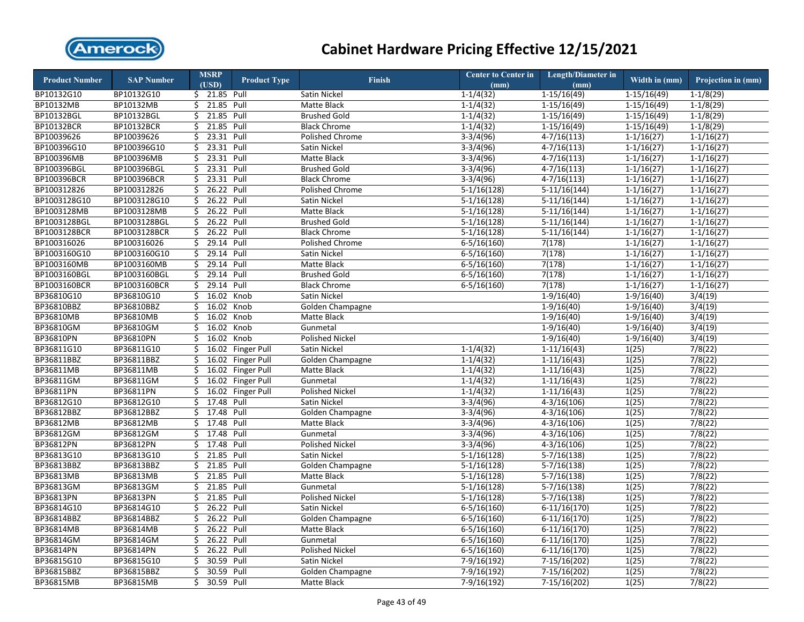

| <b>Product Number</b> | <b>SAP Number</b> |     | <b>MSRP</b><br>(USD) | <b>Product Type</b> | <b>Finish</b>           | <b>Center to Center in</b><br>(mm) | <b>Length/Diameter in</b><br>(mm) | Width in (mm)           | Projection in (mm) |
|-----------------------|-------------------|-----|----------------------|---------------------|-------------------------|------------------------------------|-----------------------------------|-------------------------|--------------------|
| BP10132G10            | BP10132G10        |     | \$ 21.85 Pull        |                     | Satin Nickel            | $1-1/4(32)$                        | $1-15/16(49)$                     | $1-15/16(49)$           | $1-1/8(29)$        |
| <b>BP10132MB</b>      | <b>BP10132MB</b>  | \$  | 21.85 Pull           |                     | Matte Black             | $1-1/4(32)$                        | $1-15/16(49)$                     | $1-15/16(49)$           | $1-1/8(29)$        |
| BP10132BGL            | BP10132BGL        | \$  | 21.85                | Pull                | <b>Brushed Gold</b>     | $1-1/4(32)$                        | $1-15/16(49)$                     | $1-15/16(49)$           | $1-1/8(29)$        |
| BP10132BCR            | BP10132BCR        | \$  | 21.85                | Pull                | <b>Black Chrome</b>     | $1-1/4(32)$                        | $1-15/16(49)$                     | $1-15/16(49)$           | $1-1/8(29)$        |
| BP10039626            | BP10039626        | \$  | 23.31 Pull           |                     | Polished Chrome         | $3-3/4(96)$                        | $4 - 7/16(113)$                   | $1-1/16(27)$            | $1-1/16(27)$       |
| BP100396G10           | BP100396G10       | \$  | 23.31 Pull           |                     | Satin Nickel            | $3-3/4(96)$                        | $4-7/16(113)$                     | $1-1/16(27)$            | $1 - 1/16(27)$     |
| BP100396MB            | BP100396MB        | Ś.  | 23.31                | Pull                | <b>Matte Black</b>      | $3-3/4(96)$                        | $4-7/16(113)$                     | $1-1/16(27)$            | $1-1/16(27)$       |
| BP100396BGL           | BP100396BGL       | \$  | 23.31 Pull           |                     | <b>Brushed Gold</b>     | $3-3/4(96)$                        | $4-7/16(113)$                     | $\overline{1-1/1}6(27)$ | $1-1/16(27)$       |
| BP100396BCR           | BP100396BCR       | \$  | 23.31                | Pull                | <b>Black Chrome</b>     | $3-3/4(96)$                        | $4 - 7/16(113)$                   | $1 - 1/16(27)$          | $1 - 1/16(27)$     |
| BP100312826           | BP100312826       | \$  | 26.22                | Pull                | <b>Polished Chrome</b>  | $5-1/16(128)$                      | $5-11/16(144)$                    | $1 - 1/16(27)$          | $1 - 1/16(27)$     |
| BP1003128G10          | BP1003128G10      | \$  | 26.22                | Pull                | Satin Nickel            | $5-1/16(128)$                      | $5-11/16(144)$                    | $1 - 1/16(27)$          | $1 - 1/16(27)$     |
| BP1003128MB           | BP1003128MB       | \$  | 26.22 Pull           |                     | Matte Black             | $5-1/16(128)$                      | $5-11/16(144)$                    | $1 - 1/16(27)$          | $1 - 1/16(27)$     |
| BP1003128BGL          | BP1003128BGL      | \$  | 26.22 Pull           |                     | <b>Brushed Gold</b>     | $5-1/16(128)$                      | $5-11/16(144)$                    | $1-1/16(27)$            | $1-1/16(27)$       |
| BP1003128BCR          | BP1003128BCR      | \$  | 26.22 Pull           |                     | <b>Black Chrome</b>     | $5-1/16(128)$                      | $5-11/16(144)$                    | $1 - 1/16(27)$          | $1-1/16(27)$       |
| BP100316026           | BP100316026       | \$  | 29.14 Pull           |                     | <b>Polished Chrome</b>  | $6-5/16(160)$                      | 7(178)                            | $1-1/16(27)$            | $1-1/16(27)$       |
| BP1003160G10          | BP1003160G10      | Ś.  | 29.14 Pull           |                     | Satin Nickel            | $6 - 5/16(160)$                    | 7(178)                            | $1-1/16(27)$            | $1-1/16(27)$       |
| BP1003160MB           | BP1003160MB       | \$  | 29.14 Pull           |                     | Matte Black             | $6 - 5/16(160)$                    | 7(178)                            | $1-1/16(27)$            | $1-1/16(27)$       |
| BP1003160BGL          | BP1003160BGL      | \$  | 29.14 Pull           |                     | <b>Brushed Gold</b>     | $6-5/16(160)$                      | 7(178)                            | $1-1/16(27)$            | $1-1/16(27)$       |
| BP1003160BCR          | BP1003160BCR      | \$  | 29.14 Pull           |                     | <b>Black Chrome</b>     | $6 - 5/16(160)$                    | 7(178)                            | $1-1/16(27)$            | $1-1/16(27)$       |
| BP36810G10            | BP36810G10        | \$  | 16.02 Knob           |                     | Satin Nickel            |                                    | $1-9/16(40)$                      | $1-9/16(40)$            | 3/4(19)            |
| BP36810BBZ            | BP36810BBZ        | \$  | 16.02                | Knob                | Golden Champagne        |                                    | $1-9/16(40)$                      | $1-9/16(40)$            | 3/4(19)            |
| BP36810MB             | BP36810MB         | Ś.  | 16.02                | Knob                | Matte Black             |                                    | $1-9/16(40)$                      | $1-9/16(40)$            | 3/4(19)            |
| <b>BP36810GM</b>      | BP36810GM         | \$  | 16.02                | Knob                | Gunmetal                |                                    | $1-9/16(40)$                      | $1-9/16(40)$            | 3/4(19)            |
| BP36810PN             | BP36810PN         | Ś.  | 16.02                | Knob                | Polished Nickel         |                                    | $1-9/16(40)$                      | $1-9/16(40)$            | 3/4(19)            |
| BP36811G10            | BP36811G10        | \$  | 16.02                | <b>Finger Pull</b>  | Satin Nickel            | $1-1/4(32)$                        | $1-11/16(43)$                     | 1(25)                   | 7/8(22)            |
| BP36811BBZ            | BP36811BBZ        | \$  | 16.02                | <b>Finger Pull</b>  | Golden Champagne        | $1-1/4(32)$                        | $1-11/16(43)$                     | 1(25)                   | 7/8(22)            |
| BP36811MB             | BP36811MB         | \$  |                      | 16.02 Finger Pull   | Matte Black             | $1-1/4(32)$                        | $1-11/16(43)$                     | 1(25)                   | $\sqrt{7/8}$ (22)  |
| BP36811GM             | BP36811GM         | \$  |                      | 16.02 Finger Pull   | Gunmetal                | $1-1/4(32)$                        | $1-11/16(43)$                     | 1(25)                   | 7/8(22)            |
| BP36811PN             | BP36811PN         | \$  | 16.02                | Finger Pull         | <b>Polished Nickel</b>  | $1 - 1/4(32)$                      | $1-11/16(43)$                     | 1(25)                   | 7/8(22)            |
| BP36812G10            | BP36812G10        | \$  | 17.48                | Pull                | Satin Nickel            | $3-3/4(96)$                        | $4 - 3/16(106)$                   | 1(25)                   | 7/8(22)            |
| BP36812BBZ            | BP36812BBZ        | \$. | 17.48                | Pull                | Golden Champagne        | $3-3/4(96)$                        | $4 - 3/16(106)$                   | 1(25)                   | 7/8(22)            |
| BP36812MB             | BP36812MB         | \$  | 17.48                | Pull                | Matte Black             | $3-3/4(96)$                        | $4-3/16(106)$                     | 1(25)                   | 7/8(22)            |
| BP36812GM             | BP36812GM         | Ś.  | 17.48                | Pull                | Gunmetal                | $3-3/4(96)$                        | $4 - 3/16(106)$                   | 1(25)                   | 7/8(22)            |
| <b>BP36812PN</b>      | BP36812PN         | \$  | 17.48                | Pull                | Polished Nickel         | $3-3/4(96)$                        | $4-3/16(106)$                     | 1(25)                   | 7/8(22)            |
| BP36813G10            | BP36813G10        | \$  | 21.85 Pull           |                     | Satin Nickel            | $5-1/16(128)$                      | $5-7/16(138)$                     | 1(25)                   | 7/8(22)            |
| BP36813BBZ            | BP36813BBZ        | \$  | 21.85                | Pull                | Golden Champagne        | $5-1/16(128)$                      | $5-7/16(138)$                     | 1(25)                   | 7/8(22)            |
| BP36813MB             | BP36813MB         | \$  | 21.85                | Pull                | Matte Black             | $5-1/16(128)$                      | $5-7/16(138)$                     | 1(25)                   | 7/8(22)            |
| BP36813GM             | BP36813GM         | \$  | 21.85                | Pull                | Gunmetal                | $5-1/16(128)$                      | $5-7/16(138)$                     | 1(25)                   | 7/8(22)            |
| BP36813PN             | BP36813PN         | Ś.  | 21.85                | Pull                | <b>Polished Nickel</b>  | $5-1/16(128)$                      | $5 - 7/16(138)$                   | 1(25)                   | 7/8(22)            |
| BP36814G10            | BP36814G10        | \$  | 26.22                | Pull                | Satin Nickel            | $6 - 5/16(160)$                    | $6-11/16(170)$                    | 1(25)                   | 7/8(22)            |
| BP36814BBZ            | BP36814BBZ        | Ś.  | 26.22 Pull           |                     | <b>Golden Champagne</b> | $6-5/16(160)$                      | $6-11/16(170)$                    | 1(25)                   | 7/8(22)            |
| BP36814MB             | BP36814MB         | \$  | 26.22                | Pull                | Matte Black             | $6 - 5/16(160)$                    | $6-11/16(170)$                    | 1(25)                   | 7/8(22)            |
| BP36814GM             | BP36814GM         | \$  | 26.22                | Pull                | Gunmetal                | $6 - 5/16(160)$                    | $6-11/16(170)$                    | 1(25)                   | 7/8(22)            |
| BP36814PN             | BP36814PN         | \$  | 26.22                | Pull                | Polished Nickel         | $6 - 5/16(160)$                    | $6-11/16(170)$                    | 1(25)                   | $\sqrt{7/8(22)}$   |
| BP36815G10            | BP36815G10        | \$  | 30.59                | Pull                | Satin Nickel            | $7-9/16(192)$                      | $7-15/16(202)$                    | 1(25)                   | 7/8(22)            |
| BP36815BBZ            | BP36815BBZ        | \$  | 30.59                | Pull                | Golden Champagne        | 7-9/16(192)                        | 7-15/16(202)                      | 1(25)                   | 7/8(22)            |
| BP36815MB             | BP36815MB         | \$  | 30.59 Pull           |                     | Matte Black             | 7-9/16(192)                        | 7-15/16(202)                      | 1(25)                   | 7/8(22)            |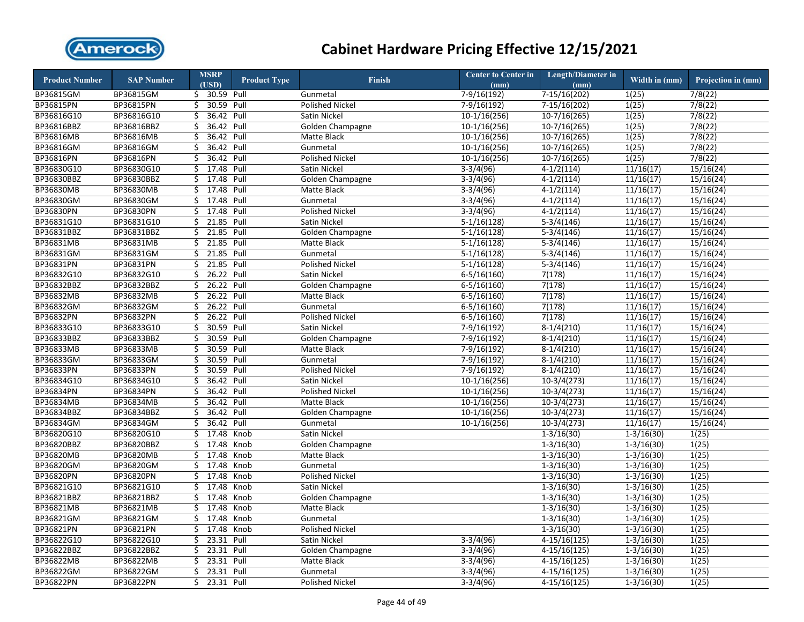

| <b>Product Number</b> | <b>SAP Number</b> | <b>MSRP</b>      | <b>Product Type</b> | <b>Finish</b>          | <b>Center to Center in</b> | <b>Length/Diameter in</b> | Width in (mm)  | Projection in (mm)     |
|-----------------------|-------------------|------------------|---------------------|------------------------|----------------------------|---------------------------|----------------|------------------------|
|                       |                   | (USD)            |                     |                        | (mm)                       | (mm)                      |                |                        |
| BP36815GM             | BP36815GM         | \$ 30.59 Pull    |                     | Gunmetal               | $7-9/16(192)$              | $7-15/16(202)$            | 1(25)          | 7/8(22)                |
| BP36815PN             | BP36815PN         | 30.59<br>\$      | Pull                | <b>Polished Nickel</b> | $7-9/16(192)$              | $7-15/16(202)$            | 1(25)          | 7/8(22)                |
| BP36816G10            | BP36816G10        | \$               | 36.42 Pull          | Satin Nickel           | $10-1/16(256)$             | $10-7/16(265)$            | 1(25)          | 7/8(22)                |
| BP36816BBZ            | BP36816BBZ        | \$               | 36.42 Pull          | Golden Champagne       | $10-1/16(256)$             | $10-7/16(265)$            | 1(25)          | 7/8(22)                |
| BP36816MB             | BP36816MB         | \$               | 36.42 Pull          | Matte Black            | $10-1/16(256)$             | $10-7/16(265)$            | 1(25)          | 7/8(22)                |
| BP36816GM             | BP36816GM         | \$               | 36.42 Pull          | Gunmetal               | $10-1/16(256)$             | $10-7/16(265)$            | 1(25)          | 7/8(22)                |
| BP36816PN             | BP36816PN         | Ś<br>36.42       | Pull                | Polished Nickel        | $10-1/16(256)$             | $10-7/16(265)$            | 1(25)          | 7/8(22)                |
| BP36830G10            | BP36830G10        | 17.48<br>\$      | Pull                | Satin Nickel           | $3-3/4(96)$                | $4-1/2(114)$              | 11/16(17)      | $\overline{15}/16(24)$ |
| BP36830BBZ            | BP36830BBZ        | 17.48<br>\$      | Pull                | Golden Champagne       | $3-3/4(96)$                | $4-1/2(114)$              | 11/16(17)      | 15/16(24)              |
| <b>BP36830MB</b>      | <b>BP36830MB</b>  | \$<br>17.48      | Pull                | Matte Black            | $3-3/4(96)$                | $4-1/2(114)$              | 11/16(17)      | 15/16(24)              |
| BP36830GM             | BP36830GM         | 17.48<br>Ś.      | Pull                | Gunmetal               | $3-3/4(96)$                | $4-1/2(114)$              | 11/16(17)      | 15/16(24)              |
| BP36830PN             | BP36830PN         | 17.48<br>\$      | Pull                | <b>Polished Nickel</b> | $3-3/4(96)$                | $4-1/2(114)$              | 11/16(17)      | 15/16(24)              |
| BP36831G10            | BP36831G10        | 21.85<br>\$      | Pull                | Satin Nickel           | $5-1/16(128)$              | $5-3/4(146)$              | 11/16(17)      | 15/16(24)              |
| BP36831BBZ            | BP36831BBZ        | \$<br>21.85      | Pull                | Golden Champagne       | $5-1/16(128)$              | $5-3/4(146)$              | 11/16(17)      | 15/16(24)              |
| <b>BP36831MB</b>      | BP36831MB         | Ś<br>21.85       | Pull                | Matte Black            | $5-1/16(128)$              | $5-3/4(146)$              | 11/16(17)      | 15/16(24)              |
| BP36831GM             | BP36831GM         | 21.85<br>\$      | Pull                | Gunmetal               | $5-1/16(128)$              | $5-3/4(146)$              | 11/16(17)      | 15/16(24)              |
| BP36831PN             | BP36831PN         | \$<br>21.85      | Pull                | <b>Polished Nickel</b> | $5-1/16(128)$              | $5-3/4(146)$              | 11/16(17)      | 15/16(24)              |
| BP36832G10            | BP36832G10        | \$               | 26.22 Pull          | Satin Nickel           | $6 - 5/16(160)$            | 7(178)                    | 11/16(17)      | 15/16(24)              |
| BP36832BBZ            | BP36832BBZ        | \$               | 26.22 Pull          | Golden Champagne       | $6-5/16(160)$              | 7(178)                    | 11/16(17)      | 15/16(24)              |
| BP36832MB             | BP36832MB         | Ś.               | 26.22 Pull          | Matte Black            | $6 - 5/16(160)$            | 7(178)                    | 11/16(17)      | 15/16(24)              |
| BP36832GM             | BP36832GM         | \$               | 26.22 Pull          | Gunmetal               | $6 - 5/16(160)$            | 7(178)                    | 11/16(17)      | 15/16(24)              |
| BP36832PN             | BP36832PN         | Ś.<br>26.22      | Pull                | Polished Nickel        | $6 - 5/16(160)$            | 7(178)                    | 11/16(17)      | 15/16(24)              |
| BP36833G10            | BP36833G10        | 30.59<br>Ś.      | Pull                | Satin Nickel           | $7-9/16(192)$              | $8-1/4(210)$              | 11/16(17)      | 15/16(24)              |
| BP36833BBZ            | BP36833BBZ        | \$<br>30.59      | Pull                | Golden Champagne       | 7-9/16(192)                | $8-1/4(210)$              | 11/16(17)      | 15/16(24)              |
| BP36833MB             | BP36833MB         | 30.59<br>\$      | Pull                | Matte Black            | 7-9/16(192)                | $8-1/4(210)$              | 11/16(17)      | 15/16(24)              |
| <b>BP36833GM</b>      | BP36833GM         | 30.59<br>Ś.      | Pull                | Gunmetal               | 7-9/16(192)                | $8-1/4(210)$              | 11/16(17)      | 15/16(24)              |
| BP36833PN             | BP36833PN         | 30.59<br>\$      | Pull                | <b>Polished Nickel</b> | $7-9/16(192)$              | $8-1/4(210)$              | 11/16(17)      | 15/16(24)              |
| BP36834G10            | BP36834G10        | 36.42<br>Ś.      | Pull                | Satin Nickel           | $10-1/16(256)$             | $10-3/4(273)$             | 11/16(17)      | 15/16(24)              |
| BP36834PN             | BP36834PN         | 36.42<br>Ś.      | Pull                | <b>Polished Nickel</b> | $10-1/16(256)$             | $10-3/4(273)$             | 11/16(17)      | 15/16(24)              |
| BP36834MB             | <b>BP36834MB</b>  | 36.42<br>Ś       | Pull                | Matte Black            | $10-1/16(256)$             | $10-3/4(273)$             | 11/16(17)      | 15/16(24)              |
| BP36834BBZ            | BP36834BBZ        | \$               | 36.42 Pull          | Golden Champagne       | $10-1/16(256)$             | $10-3/4(273)$             | 11/16(17)      | 15/16(24)              |
| BP36834GM             | BP36834GM         | 36.42<br>\$      | Pull                | Gunmetal               | $10-1/16(256)$             | $10-3/4(273)$             | 11/16(17)      | 15/16(24)              |
| BP36820G10            | BP36820G10        | 17.48<br>\$      | Knob                | Satin Nickel           |                            | $1 - 3/16(30)$            | $1 - 3/16(30)$ | 1(25)                  |
| BP36820BBZ            | BP36820BBZ        | 17.48<br>\$      | Knob                | Golden Champagne       |                            | $1-3/16(30)$              | $1-3/16(30)$   | 1(25)                  |
| <b>BP36820MB</b>      | <b>BP36820MB</b>  | 17.48<br>Ś.      | Knob                | Matte Black            |                            | $1-3/16(30)$              | $1 - 3/16(30)$ | 1(25)                  |
| BP36820GM             | BP36820GM         | 17.48<br>\$      | Knob                | Gunmetal               |                            | $1-3/16(30)$              | $1 - 3/16(30)$ | 1(25)                  |
| BP36820PN             | BP36820PN         | 17.48<br>Ś.      | Knob                | Polished Nickel        |                            | $1-3/16(30)$              | $1-3/16(30)$   | 1(25)                  |
| BP36821G10            | BP36821G10        | 17.48<br>Ś.      | Knob                | Satin Nickel           |                            | $1-3/16(30)$              | $1-3/16(30)$   | 1(25)                  |
| BP36821BBZ            | BP36821BBZ        | 17.48<br>Ś.      | Knob                | Golden Champagne       |                            | $1 - 3/16(30)$            | $1 - 3/16(30)$ | 1(25)                  |
| BP36821MB             | BP36821MB         | 17.48<br>Ś.      | Knob                | Matte Black            |                            | $1 - 3/16(30)$            | $1 - 3/16(30)$ | 1(25)                  |
| BP36821GM             | BP36821GM         | Ś.<br>17.48      | Knob                | Gunmetal               |                            | $1-3/16(30)$              | $1 - 3/16(30)$ | 1(25)                  |
| BP36821PN             | BP36821PN         | \$               | 17.48 Knob          | Polished Nickel        |                            | $1 - 3/16(30)$            | $1 - 3/16(30)$ | 1(25)                  |
| BP36822G10            | BP36822G10        | 23.31<br>\$      | Pull                | Satin Nickel           | $3-3/4(96)$                | $4-15/16(125)$            | $1 - 3/16(30)$ | 1(25)                  |
| BP36822BBZ            | BP36822BBZ        | 23.31<br>\$      | Pull                | Golden Champagne       | $3-3/4(96)$                | $\overline{4-15/16(125)}$ | $1 - 3/16(30)$ | 1(25)                  |
| <b>BP36822MB</b>      | BP36822MB         | 23.31<br>Ś       | Pull                | Matte Black            | $3-3/4(96)$                | $4-15/16(125)$            | $1 - 3/16(30)$ | 1(25)                  |
| BP36822GM             | BP36822GM         | 23.31 Pull<br>\$ |                     | Gunmetal               | $3-3/4(96)$                | $4-15/16(125)$            | $1 - 3/16(30)$ | 1(25)                  |
| BP36822PN             | BP36822PN         | Ś.<br>23.31 Pull |                     | <b>Polished Nickel</b> | $3-3/4(96)$                | $4-15/16(125)$            | $1-3/16(30)$   | 1(25)                  |
|                       |                   |                  |                     |                        |                            |                           |                |                        |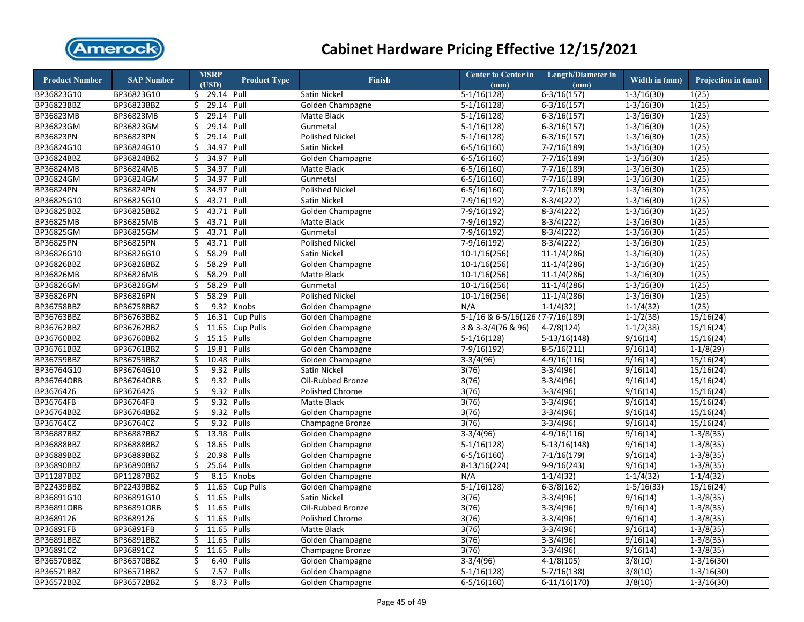

| <b>Product Number</b> | <b>SAP Number</b> | <b>MSRP</b>   | <b>Product Type</b> | Finish                 | <b>Center to Center in</b>          | <b>Length/Diameter in</b> | Width in $(mm)$       | Projection in (mm) |
|-----------------------|-------------------|---------------|---------------------|------------------------|-------------------------------------|---------------------------|-----------------------|--------------------|
|                       |                   | (USD)         |                     |                        | (mm)                                | (mm)                      |                       |                    |
| BP36823G10            | BP36823G10        | \$ 29.14 Pull |                     | Satin Nickel           | $\overline{5-1/16(128)}$            | $6-3/16(157)$             | $1 - 3/16(30)$        | 1(25)              |
| BP36823BBZ            | BP36823BBZ        | \$            | 29.14 Pull          | Golden Champagne       | $5-1/16(128)$                       | $6 - 3/16(157)$           | $1-3/16(30)$          | 1(25)              |
| BP36823MB             | BP36823MB         | \$            | 29.14 Pull          | Matte Black            | $5-1/16(128)$                       | $6 - 3/16(157)$           | $1-3/16(30)$          | 1(25)              |
| BP36823GM             | BP36823GM         | Ś             | 29.14 Pull          | Gunmetal               | $5-1/16(128)$                       | $6 - 3/16(157)$           | $1 - 3/16(30)$        | 1(25)              |
| BP36823PN             | BP36823PN         | \$            | 29.14 Pull          | Polished Nickel        | $5-1/16(128)$                       | $6 - 3/16(157)$           | $1 - 3/16(30)$        | 1(25)              |
| BP36824G10            | BP36824G10        | 34.97<br>\$   | Pull                | Satin Nickel           | $6 - 5/16(160)$                     | $7 - 7/16(189)$           | $1 - 3/16(30)$        | 1(25)              |
| BP36824BBZ            | BP36824BBZ        | 34.97<br>Ś.   | Pull                | Golden Champagne       | $6 - 5/16(160)$                     | $7 - 7/16(189)$           | $1-3/16(30)$          | 1(25)              |
| BP36824MB             | BP36824MB         | 34.97<br>\$   | Pull                | Matte Black            | $6 - 5/16(160)$                     | $7-7/16(189)$             | $1-3/16(30)$          | 1(25)              |
| BP36824GM             | BP36824GM         | \$<br>34.97   | Pull                | Gunmetal               | $6 - 5/16(160)$                     | $7 - 7/16(189)$           | $1 - 3/16(30)$        | 1(25)              |
| BP36824PN             | BP36824PN         | \$<br>34.97   | Pull                | <b>Polished Nickel</b> | $6 - 5/16(160)$                     | $7-7/16(189)$             | $1-3/16(30)$          | 1(25)              |
| BP36825G10            | BP36825G10        | \$            | 43.71 Pull          | Satin Nickel           | 7-9/16(192)                         | $8-3/4(222)$              | $1 - 3/16(30)$        | 1(25)              |
| BP36825BBZ            | BP36825BBZ        | \$            | 43.71 Pull          | Golden Champagne       | 7-9/16(192)                         | $8-3/4(222)$              | $1 - 3/16(30)$        | 1(25)              |
| BP36825MB             | BP36825MB         | 43.71<br>\$   | Pull                | <b>Matte Black</b>     | $7-9/16(192)$                       | $8-3/4(222)$              | $1-3/16(30)$          | 1(25)              |
| BP36825GM             | BP36825GM         | \$<br>43.71   | Pull                | Gunmetal               | $7-9/16(192)$                       | $8-3/4(222)$              | $1 - 3/16(30)$        | 1(25)              |
| BP36825PN             | BP36825PN         | Ś<br>43.71    | Pull                | Polished Nickel        | $7-9/16(192)$                       | $8-3/4(222)$              | $1-3/16(30)$          | 1(25)              |
| BP36826G10            | BP36826G10        | Ś.            | 58.29 Pull          | <b>Satin Nickel</b>    | $10-1/16(256)$                      | $11 - 1/4(286)$           | $1-3/16(30)$          | 1(25)              |
| BP36826BBZ            | BP36826BBZ        | 58.29<br>\$   | Pull                | Golden Champagne       | $10-1/16(256)$                      | $11-1/4(286)$             | $1 - 3/16(30)$        | 1(25)              |
| BP36826MB             | BP36826MB         | \$<br>58.29   | Pull                | Matte Black            | $10-1/16(256)$                      | $11-1/4(286)$             | $1-3/16(30)$          | 1(25)              |
| BP36826GM             | BP36826GM         | 58.29<br>\$   | Pull                | Gunmetal               | $10-1/16(256)$                      | $11-1/4(286)$             | $1-3/16(30)$          | 1(25)              |
| BP36826PN             | BP36826PN         | 58.29<br>\$   | Pull                | <b>Polished Nickel</b> | $10-1/16(256)$                      | $11-1/4(286)$             | $1 - 3/16(30)$        | 1(25)              |
| BP36758BBZ            | BP36758BBZ        | \$            | 9.32 Knobs          | Golden Champagne       | N/A                                 | $1-1/4(32)$               | $1-1/4(32)$           | 1(25)              |
| BP36763BBZ            | BP36763BBZ        | 16.31<br>Ś.   | <b>Cup Pulls</b>    | Golden Champagne       | 5-1/16 & 6-5/16(126 $\{7-7/16(189)$ |                           | $1-1/2(38)$           | 15/16(24)          |
| BP36762BBZ            | BP36762BBZ        | \$<br>11.65   | <b>Cup Pulls</b>    | Golden Champagne       | 3 & 3-3/4(76 & 96)                  | $4 - 7/8(124)$            | $1-1/2(38)$           | 15/16(24)          |
| BP36760BBZ            | BP36760BBZ        | Ś.            | 15.15 Pulls         | Golden Champagne       | $5-1/16(128)$                       | $5-13/16(148)$            | 9/16(14)              | 15/16(24)          |
| BP36761BBZ            | BP36761BBZ        | 19.81<br>\$   | Pulls               | Golden Champagne       | 7-9/16(192)                         | $\frac{8-5}{16(211)}$     | $\overline{9}/16(14)$ | $1-1/8(29)$        |
| BP36759BBZ            | BP36759BBZ        | \$            | 10.48 Pulls         | Golden Champagne       | $3-3/4(96)$                         | $4-9/16(116)$             | 9/16(14)              | 15/16(24)          |
| BP36764G10            | BP36764G10        | 9.32<br>\$    | Pulls               | Satin Nickel           | 3(76)                               | $3-3/4(96)$               | 9/16(14)              | 15/16(24)          |
| BP36764ORB            | <b>BP36764ORB</b> | \$<br>9.32    | Pulls               | Oil-Rubbed Bronze      | 3(76)                               | $3-3/4(96)$               | 9/16(14)              | 15/16(24)          |
| BP3676426             | BP3676426         | \$<br>9.32    | Pulls               | Polished Chrome        | 3(76)                               | $3-3/4(96)$               | 9/16(14)              | 15/16(24)          |
| BP36764FB             | BP36764FB         | \$<br>9.32    | Pulls               | Matte Black            | 3(76)                               | $3-3/4(96)$               | 9/16(14)              | 15/16(24)          |
| BP36764BBZ            | BP36764BBZ        | \$<br>9.32    | Pulls               | Golden Champagne       | 3(76)                               | $3-3/4(96)$               | 9/16(14)              | 15/16(24)          |
| BP36764CZ             | BP36764CZ         | \$<br>9.32    | Pulls               | Champagne Bronze       | 3(76)                               | $3-3/4(96)$               | 9/16(14)              | 15/16(24)          |
| BP36887BBZ            | BP36887BBZ        | Ś.            | 13.98 Pulls         | Golden Champagne       | $3-3/4(96)$                         | $4-9/16(116)$             | 9/16(14)              | $1 - 3/8(35)$      |
| BP36888BBZ            | BP36888BBZ        | 18.65<br>\$   | Pulls               | Golden Champagne       | $5-1/16(128)$                       | $5-13/16(148)$            | 9/16(14)              | $1 - 3/8(35)$      |
| <b>BP36889BBZ</b>     | BP36889BBZ        | 20.98<br>\$   | Pulls               | Golden Champagne       | $6 - 5/16(160)$                     | $7-1/16(179)$             | 9/16(14)              | $1 - 3/8(35)$      |
| BP36890BBZ            | BP36890BBZ        | \$            | 25.64 Pulls         | Golden Champagne       | $8-13/16(224)$                      | $9-9/16(243)$             | 9/16(14)              | $1-3/8(35)$        |
| BP11287BBZ            | BP11287BBZ        | 8.15<br>\$    | Knobs               | Golden Champagne       | N/A                                 | $1 - 1/4(32)$             | $1 - 1/4(32)$         | $1 - 1/4(32)$      |
| BP22439BBZ            | BP22439BBZ        | \$<br>11.65   | <b>Cup Pulls</b>    | Golden Champagne       | $5-1/16(128)$                       | $6-3/8(162)$              | $1 - 5/16(33)$        | 15/16(24)          |
| BP36891G10            | BP36891G10        | Ś.<br>11.65   | Pulls               | Satin Nickel           | 3(76)                               | $3-3/4(96)$               | 9/16(14)              | $1-3/8(35)$        |
| <b>BP36891ORB</b>     | BP36891ORB        | 11.65<br>\$   | Pulls               | Oil-Rubbed Bronze      | 3(76)                               | $3-3/4(96)$               | 9/16(14)              | $1-3/8(35)$        |
| BP3689126             | BP3689126         | 11.65<br>Ś.   | Pulls               | <b>Polished Chrome</b> | 3(76)                               | $3-3/4(96)$               | 9/16(14)              | $1-3/8(35)$        |
| BP36891FB             | BP36891FB         | Ś.<br>11.65   | Pulls               | Matte Black            | 3(76)                               | $3-3/4(96)$               | 9/16(14)              | $1 - 3/8(35)$      |
| BP36891BBZ            | BP36891BBZ        | \$<br>11.65   | Pulls               | Golden Champagne       | 3(76)                               | $3-3/4(96)$               | 9/16(14)              | $1 - 3/8(35)$      |
| BP36891CZ             | BP36891CZ         | 11.65<br>\$   | Pulls               | Champagne Bronze       | 3(76)                               | $3-3/4(96)$               | 9/16(14)              | $1 - 3/8(35)$      |
| BP36570BBZ            | BP36570BBZ        | \$<br>6.40    | Pulls               | Golden Champagne       | $3-3/4(96)$                         | $4-1/8(105)$              | 3/8(10)               | $1-3/16(30)$       |
| BP36571BBZ            | BP36571BBZ        | \$<br>7.57    | Pulls               | Golden Champagne       | $5-1/16(128)$                       | $5 - 7/16(138)$           | 3/8(10)               | $1 - 3/16(30)$     |
| BP36572BBZ            | BP36572BBZ        | \$<br>8.73    | Pulls               | Golden Champagne       | $6 - 5/16(160)$                     | $6-11/16(170)$            | 3/8(10)               | $1 - 3/16(30)$     |
|                       |                   |               |                     |                        |                                     |                           |                       |                    |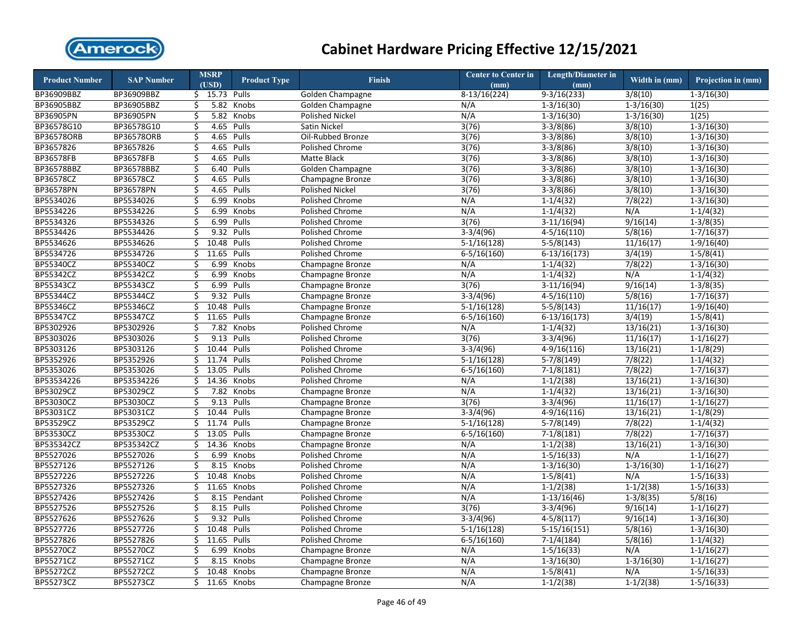

| <b>Product Number</b> | <b>SAP Number</b> |                         | <b>MSRP</b>    | <b>Product Type</b> | <b>Finish</b>                      | <b>Center to Center in</b> | <b>Length/Diameter in</b>   | Width in (mm)        | Projection in (mm) |
|-----------------------|-------------------|-------------------------|----------------|---------------------|------------------------------------|----------------------------|-----------------------------|----------------------|--------------------|
|                       |                   |                         | (USD)          |                     |                                    | (mm)                       | (mm)                        |                      |                    |
| BP36909BBZ            | BP36909BBZ        |                         | $$15.73$ Pulls |                     | Golden Champagne                   | $8-13/16(224)$             | $9-3/16(233)$               | 3/8(10)              | $1-3/16(30)$       |
| BP36905BBZ            | BP36905BBZ        | \$                      |                | 5.82 Knobs          | Golden Champagne                   | N/A                        | $1 - 3/16(30)$              | $1-3/16(30)$         | 1(25)              |
| BP36905PN             | BP36905PN         | \$                      |                | 5.82 Knobs          | <b>Polished Nickel</b>             | N/A                        | $1 - 3/16(30)$              | $1 - 3/16(30)$       | 1(25)              |
| BP36578G10            | BP36578G10        | \$                      |                | 4.65 Pulls          | Satin Nickel                       | 3(76)                      | $3-3/8(86)$                 | 3/8(10)              | $1-3/16(30)$       |
| <b>BP36578ORB</b>     | BP36578ORB        | \$                      | 4.65 Pulls     |                     | Oil-Rubbed Bronze                  | 3(76)                      | $3-3/8(86)$                 | 3/8(10)              | $1 - 3/16(30)$     |
| BP3657826             | BP3657826         | \$                      | 4.65 Pulls     |                     | Polished Chrome                    | 3(76)                      | $3-3/8(86)$                 | 3/8(10)              | $1 - 3/16(30)$     |
| BP36578FB             | BP36578FB         | $\overline{\mathsf{S}}$ | 4.65 Pulls     |                     | Matte Black                        | 3(76)                      | $3-3/8(86)$                 | 3/8(10)              | $1 - 3/16(30)$     |
| BP36578BBZ            | BP36578BBZ        | \$                      | 6.40           | Pulls               | Golden Champagne                   | 3(76)                      | $3-3/8(86)$                 | 3/8(10)              | $1 - 3/16(30)$     |
| BP36578CZ             | BP36578CZ         | \$                      | 4.65           | Pulls               | Champagne Bronze                   | 3(76)                      | $3-3/8(86)$                 | 3/8(10)              | $1 - 3/16(30)$     |
| <b>BP36578PN</b>      | BP36578PN         | \$                      | 4.65           | Pulls               | <b>Polished Nickel</b>             | 3(76)                      | $3-3/8(86)$                 | 3/8(10)              | $1 - 3/16(30)$     |
| BP5534026             | BP5534026         | \$                      | 6.99           | Knobs               | <b>Polished Chrome</b>             | N/A                        | $1-1/4(32)$                 | 7/8(22)              | $1-3/16(30)$       |
| BP5534226             | BP5534226         | \$                      | 6.99           | Knobs               | Polished Chrome                    | N/A                        | $1-1/4(32)$                 | N/A                  | $1-1/4(32)$        |
| BP5534326             | BP5534326         | \$                      | 6.99           | Pulls               | Polished Chrome                    | 3(76)                      | $3-11/16(94)$               | 9/16(14)             | $1-3/8(35)$        |
| BP5534426             | BP5534426         | \$                      | 9.32 Pulls     |                     | Polished Chrome                    | $3-3/4(96)$                | $4 - 5/16(110)$             | 5/8(16)              | $1-7/16(37)$       |
| BP5534626             | BP5534626         | \$                      | 10.48 Pulls    |                     | Polished Chrome                    | $5-1/16(128)$              | $5-5/8(143)$                | 11/16(17)            | $1-9/16(40)$       |
| BP5534726             | BP5534726         | \$                      | 11.65 Pulls    |                     | Polished Chrome                    | $6-5/16(160)$              | $6-13/16(173)$              | 3/4(19)              | $1 - 5/8(41)$      |
| BP55340CZ             | BP55340CZ         | \$                      | 6.99           | Knobs               | Champagne Bronze                   | N/A                        | $1-1/4(32)$                 | 7/8(22)              | $1-3/16(30)$       |
| BP55342CZ             | BP55342CZ         | \$                      | 6.99           | Knobs               | Champagne Bronze                   | N/A                        | $1-1/4(32)$                 | N/A                  | $1-1/4(32)$        |
| BP55343CZ             | BP55343CZ         | \$                      | 6.99           | Pulls               | Champagne Bronze                   | 3(76)                      | $3-11/16(94)$               | 9/16(14)             | $1-3/8(35)$        |
| BP55344CZ             | BP55344CZ         | \$                      | 9.32 Pulls     |                     | Champagne Bronze                   | $3-3/4(96)$                | $4 - 5/16(110)$             | 5/8(16)              | $1 - 7/16(37)$     |
| BP55346CZ             | BP55346CZ         | \$                      | 10.48          | Pulls               | Champagne Bronze                   | $5-1/16(128)$              | $5-5/8(143)$                | 11/16(17)            | $1-9/16(40)$       |
| <b>BP55347CZ</b>      | BP55347CZ         | \$                      | 11.65          | Pulls               | Champagne Bronze                   | $6 - 5/16(160)$            | $6-13/16(173)$              | 3/4(19)              | $1-5/8(41)$        |
| BP5302926             | BP5302926         | \$                      | 7.82           | Knobs               | Polished Chrome                    | N/A                        | $1 - 1/4(32)$               | 13/16(21)            | $1 - 3/16(30)$     |
| BP5303026             | BP5303026         | \$                      | 9.13 Pulls     |                     | Polished Chrome                    | 3(76)                      | $3-3/4(96)$                 | 11/16(17)            | $1 - 1/16(27)$     |
| BP5303126             | BP5303126         | \$                      | 10.44 Pulls    |                     | <b>Polished Chrome</b>             | $3-3/4(96)$                | $4-9/16(116)$               | 13/16(21)            | $1-1/8(29)$        |
| BP5352926             | BP5352926         | \$                      | 11.74          | Pulls               | Polished Chrome                    | $5-1/16(128)$              | $5-7/8(149)$                | 7/8(22)              | $1-1/4(32)$        |
| BP5353026             | BP5353026         | \$                      | 13.05          | Pulls               | <b>Polished Chrome</b>             | $6 - 5/16(160)$            | $7-1/8(181)$                | 7/8(22)              | $1 - 7/16(37)$     |
| BP53534226            | BP53534226        | \$                      | 14.36          | Knobs               | Polished Chrome                    | N/A                        | $1-1/2(38)$                 | 13/16(21)            | $1-3/16(30)$       |
| BP53029CZ             | BP53029CZ         | \$                      | 7.82           | Knobs               | Champagne Bronze                   | N/A                        | $1-1/4(32)$                 | 13/16(21)            | $1-3/16(30)$       |
| BP53030CZ             | BP53030CZ         | \$                      | 9.13           | Pulls               | Champagne Bronze                   | 3(76)                      | $3-3/4(96)$                 | 11/16(17)            | $1-1/16(27)$       |
| BP53031CZ             | BP53031CZ         | \$                      | 10.44 Pulls    |                     | Champagne Bronze                   | $3-3/4(96)$                | $4-9/16(116)$               | 13/16(21)            | $1-1/8(29)$        |
| BP53529CZ             | BP53529CZ         | \$                      | 11.74 Pulls    |                     | Champagne Bronze                   | $5-1/16(128)$              | $5-7/8(149)$                | 7/8(22)              | $1-1/4(32)$        |
| <b>BP53530CZ</b>      | BP53530CZ         | \$                      | 13.05          | Pulls               | Champagne Bronze                   | $6 - 5/16(160)$            | $7-1/8(181)$                | 7/8(22)              | $1-7/16(37)$       |
| BP535342CZ            | BP535342CZ        | \$                      | 14.36          | Knobs               | Champagne Bronze                   | N/A                        | $1-1/2(38)$                 | 13/16(21)            | $1 - 3/16(30)$     |
| BP5527026             | BP5527026         | \$                      | 6.99           | Knobs               | Polished Chrome                    | N/A                        | $1 - 5/16(33)$              | N/A                  | $1 - 1/16(27)$     |
| BP5527126             | BP5527126         | \$                      |                | 8.15 Knobs          | Polished Chrome                    | N/A                        | $1-3/16(30)$                | $1 - 3/16(30)$       | $1 - 1/16(27)$     |
| BP5527226             | BP5527226         | \$                      |                | 10.48 Knobs         | Polished Chrome                    | N/A                        | $1-5/8(41)$                 | N/A                  | $1 - 5/16(33)$     |
| BP5527326             | BP5527326         | \$                      | 11.65          | Knobs               | Polished Chrome                    | N/A                        | $1-1/2(38)$                 | $1-1/2(38)$          | $1 - 5/16(33)$     |
| BP5527426             | BP5527426         | \$                      |                | 8.15 Pendant        | Polished Chrome                    | N/A                        | $1-13/16(46)$               | $1-3/8(35)$          | 5/8(16)            |
| BP5527526             | BP5527526         |                         | 8.15 Pulls     |                     |                                    |                            |                             |                      |                    |
| BP5527626             | BP5527626         | \$<br>\$                | 9.32 Pulls     |                     | Polished Chrome<br>Polished Chrome | 3(76)<br>$3-3/4(96)$       | $3-3/4(96)$<br>$4-5/8(117)$ | 9/16(14)<br>9/16(14) | $1 - 1/16(27)$     |
|                       |                   |                         |                |                     |                                    |                            |                             |                      | $1 - 3/16(30)$     |
| BP5527726             | BP5527726         | \$                      | 10.48 Pulls    |                     | <b>Polished Chrome</b>             | $5-1/16(128)$              | $5-15/16(151)$              | 5/8(16)              | $1 - 3/16(30)$     |
| BP5527826             | BP5527826         | \$                      | 11.65          | Pulls               | Polished Chrome                    | $6 - 5/16(160)$            | $7-1/4(184)$                | 5/8(16)              | $1-1/4(32)$        |
| BP55270CZ             | BP55270CZ         | \$                      | 6.99           | Knobs               | Champagne Bronze                   | N/A                        | $1 - 5/16(33)$              | N/A                  | $1 - 1/16(27)$     |
| BP55271CZ             | BP55271CZ         | \$                      | 8.15           | Knobs               | Champagne Bronze                   | N/A                        | $1-3/16(30)$                | $1 - 3/16(30)$       | $1-1/16(27)$       |
| BP55272CZ             | BP55272CZ         | \$                      |                | 10.48 Knobs         | Champagne Bronze                   | N/A                        | $1 - 5/8(41)$               | N/A                  | $1-5/16(33)$       |
| BP55273CZ             | BP55273CZ         | Ś.                      |                | 11.65 Knobs         | Champagne Bronze                   | N/A                        | $1-1/2(38)$                 | $1-1/2(38)$          | $1-5/16(33)$       |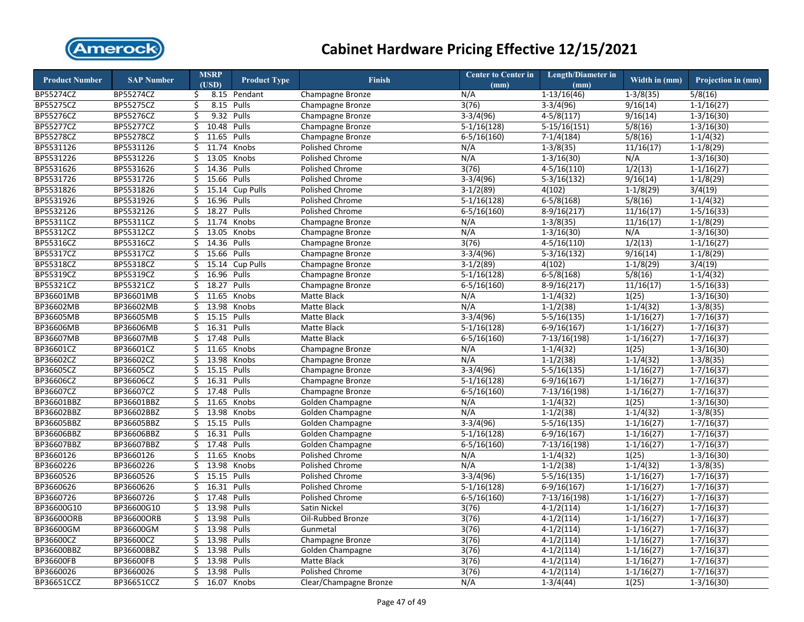

| <b>Product Number</b> | <b>SAP Number</b> |     | <b>MSRP</b><br>(USD) | <b>Product Type</b> | <b>Finish</b>          | <b>Center to Center in</b><br>(mm) | <b>Length/Diameter in</b><br>(mm) | Width in (mm)        | Projection in (mm) |
|-----------------------|-------------------|-----|----------------------|---------------------|------------------------|------------------------------------|-----------------------------------|----------------------|--------------------|
| BP55274CZ             | BP55274CZ         | \$  |                      | 8.15 Pendant        | Champagne Bronze       | N/A                                | $1-13/16(46)$                     | $1-3/8(35)$          | 5/8(16)            |
| <b>BP55275CZ</b>      | <b>BP55275CZ</b>  | \$  | 8.15                 | Pulls               | Champagne Bronze       | 3(76)                              | $3-3/4(96)$                       | 9/16(14)             | $1-1/16(27)$       |
| BP55276CZ             | BP55276CZ         | \$  | 9.32                 | Pulls               | Champagne Bronze       | $3-3/4(96)$                        | $4-5/8(117)$                      | 9/16(14)             | $1 - 3/16(30)$     |
| BP55277CZ             | BP55277CZ         | \$  | 10.48 Pulls          |                     | Champagne Bronze       | $5-1/16(128)$                      | $5-15/16(151)$                    | 5/8(16)              | $1 - 3/16(30)$     |
| BP55278CZ             | BP55278CZ         | \$  | 11.65                | Pulls               | Champagne Bronze       | $6 - 5/16(160)$                    | $7-1/4(184)$                      | 5/8(16)              | $1-1/4(32)$        |
| BP5531126             | BP5531126         | \$  | 11.74                | Knobs               | <b>Polished Chrome</b> | N/A                                | $1-3/8(35)$                       | 11/16(17)            | $1-1/8(29)$        |
| BP5531226             | BP5531226         | Ś.  | 13.05                | Knobs               | <b>Polished Chrome</b> | N/A                                | $1-3/16(30)$                      | N/A                  | $1 - 3/16(30)$     |
| BP5531626             | BP5531626         | \$  | 14.36 Pulls          |                     | Polished Chrome        | 3(76)                              | $4 - 5/16(110)$                   | $\overline{1/2(13)}$ | $1 - 1/16(27)$     |
| BP5531726             | BP5531726         | Ś.  | 15.66                | Pulls               | Polished Chrome        | $3-3/4(96)$                        | $5-3/16(132)$                     | 9/16(14)             | $1-1/8(29)$        |
| BP5531826             | BP5531826         | \$  | 15.14                | <b>Cup Pulls</b>    | Polished Chrome        | $3-1/2(89)$                        | 4(102)                            | $1-1/8(29)$          | 3/4(19)            |
| BP5531926             | BP5531926         | \$  | 16.96                | Pulls               | <b>Polished Chrome</b> | $5-1/16(128)$                      | $6 - 5/8(168)$                    | 5/8(16)              | $1 - 1/4(32)$      |
| BP5532126             | BP5532126         | \$  | 18.27                | Pulls               | Polished Chrome        | $6 - 5/16(160)$                    | $8-9/16(217)$                     | 11/16(17)            | $1 - 5/16(33)$     |
| BP55311CZ             | BP55311CZ         | Ś.  | 11.74                | Knobs               | Champagne Bronze       | N/A                                | $1-3/8(35)$                       | 11/16(17)            | $1-1/8(29)$        |
| BP55312CZ             | BP55312CZ         | \$  | 13.05                | Knobs               | Champagne Bronze       | N/A                                | $1 - 3/16(30)$                    | N/A                  | $1 - 3/16(30)$     |
| BP55316CZ             | BP55316CZ         | \$  | 14.36                | Pulls               | Champagne Bronze       | 3(76)                              | $4-5/16(110)$                     | 1/2(13)              | $1-1/16(27)$       |
| BP55317CZ             | BP55317CZ         | Ś.  | 15.66                | Pulls               | Champagne Bronze       | $3-3/4(96)$                        | $5-3/16(132)$                     | 9/16(14)             | $1-1/8(29)$        |
| BP55318CZ             | BP55318CZ         | \$  | 15.14                | <b>Cup Pulls</b>    | Champagne Bronze       | $3-1/2(89)$                        | 4(102)                            | $1-1/8(29)$          | 3/4(19)            |
| BP55319CZ             | BP55319CZ         | \$  | 16.96                | Pulls               | Champagne Bronze       | $5-1/16(128)$                      | $6-5/8(168)$                      | 5/8(16)              | $1-1/4(32)$        |
| BP55321CZ             | BP55321CZ         | \$  | 18.27                | Pulls               | Champagne Bronze       | $6 - 5/16(160)$                    | $8-9/16(217)$                     | 11/16(17)            | $1-5/16(33)$       |
| BP36601MB             | BP36601MB         | \$  | 11.65                | Knobs               | Matte Black            | N/A                                | $1-1/4(32)$                       | 1(25)                | $1 - 3/16(30)$     |
| BP36602MB             | BP36602MB         | \$  | 13.98                | Knobs               | Matte Black            | N/A                                | $1-1/2(38)$                       | $1-1/4(32)$          | $1-3/8(35)$        |
| BP36605MB             | BP36605MB         | Ś.  | 15.15                | Pulls               | Matte Black            | $3-3/4(96)$                        | $5-5/16(135)$                     | $1-1/16(27)$         | $1 - 7/16(37)$     |
| BP36606MB             | BP36606MB         | \$  | 16.31                | Pulls               | Matte Black            | $5-1/16(128)$                      | $6-9/16(167)$                     | $1 - 1/16(27)$       | $1-7/16(37)$       |
| BP36607MB             | BP36607MB         | Ś.  | 17.48                | Pulls               | Matte Black            | $6 - 5/16(160)$                    | 7-13/16(198)                      | $1-1/16(27)$         | $1-7/16(37)$       |
| BP36601CZ             | BP36601CZ         | \$  | 11.65                | Knobs               | Champagne Bronze       | N/A                                | $1-1/4(32)$                       | 1(25)                | $1 - 3/16(30)$     |
| BP36602CZ             | BP36602CZ         | \$  | 13.98                | Knobs               | Champagne Bronze       | N/A                                | $1-1/2(38)$                       | $1-1/4(32)$          | $1-3/8(35)$        |
| BP36605CZ             | BP36605CZ         | \$  | 15.15                | Pulls               | Champagne Bronze       | $3-3/4(96)$                        | $5-5/16(135)$                     | $1 - 1/16(27)$       | $1 - 7/16(37)$     |
| BP36606CZ             | BP36606CZ         | \$  | 16.31                | Pulls               | Champagne Bronze       | $5-1/16(128)$                      | $6-9/16(167)$                     | $1 - 1/16(27)$       | $1 - 7/16(37)$     |
| BP36607CZ             | BP36607CZ         | \$  | 17.48                | Pulls               | Champagne Bronze       | $6 - 5/16(160)$                    | 7-13/16(198)                      | $1 - 1/16(27)$       | $1 - 7/16(37)$     |
| BP36601BBZ            | BP36601BBZ        | Ś.  | 11.65                | Knobs               | Golden Champagne       | N/A                                | $1-1/4(32)$                       | 1(25)                | $1-3/16(30)$       |
| BP36602BBZ            | BP36602BBZ        | \$. | 13.98                | Knobs               | Golden Champagne       | N/A                                | $1-1/2(38)$                       | $1-1/4(32)$          | $1-3/8(35)$        |
| BP36605BBZ            | BP36605BBZ        | \$  | 15.15                | Pulls               | Golden Champagne       | $3-3/4(96)$                        | $5-5/16(135)$                     | $1-1/16(27)$         | $1-7/16(37)$       |
| BP36606BBZ            | BP36606BBZ        | Ś.  | 16.31                | Pulls               | Golden Champagne       | $\overline{5-1}/16(128)$           | 6-9/16(167)                       | $1 - 1/16(27)$       | $1-7/16(37)$       |
| BP36607BBZ            | BP36607BBZ        | \$  | 17.48                | Pulls               | Golden Champagne       | $6 - 5/16(160)$                    | $7-13/16(198)$                    | $1 - 1/16(27)$       | $1 - 7/16(37)$     |
| BP3660126             | BP3660126         | \$  | 11.65                | Knobs               | Polished Chrome        | N/A                                | $1-1/4(32)$                       | 1(25)                | $1-3/16(30)$       |
| BP3660226             | BP3660226         | \$  | 13.98                | Knobs               | Polished Chrome        | N/A                                | $1-1/2(38)$                       | $1-1/4(32)$          | $1-3/8(35)$        |
| BP3660526             | BP3660526         | \$  | 15.15                | Pulls               | Polished Chrome        | $3-3/4(96)$                        | $5-5/16(135)$                     | $1 - 1/16(27)$       | $1 - 7/16(37)$     |
| BP3660626             | BP3660626         | \$  | 16.31                | Pulls               | Polished Chrome        | $5-1/16(128)$                      | $6-9/16(167)$                     | $1-1/16(27)$         | $1 - 7/16(37)$     |
| BP3660726             | BP3660726         | Ś.  | 17.48                | Pulls               | <b>Polished Chrome</b> | $6 - 5/16(160)$                    | $7-13/16(198)$                    | $1 - 1/16(27)$       | $1 - 7/16(37)$     |
| BP36600G10            | BP36600G10        | \$  | 13.98                | Pulls               | Satin Nickel           | 3(76)                              | $4-1/2(114)$                      | $1 - 1/16(27)$       | $1 - 7/16(37)$     |
| BP36600ORB            | BP36600ORB        | Ś.  | 13.98                | Pulls               | Oil-Rubbed Bronze      | 3(76)                              | $4-1/2(114)$                      | $1 - 1/16(27)$       | $1 - 7/16(37)$     |
| BP36600GM             | BP36600GM         | \$  | 13.98                | Pulls               | Gunmetal               | 3(76)                              | $4-1/2(114)$                      | $1 - 1/16(27)$       | $1 - 7/16(37)$     |
| BP36600CZ             | BP36600CZ         | \$  | 13.98                | Pulls               | Champagne Bronze       | 3(76)                              | $4-1/2(114)$                      | $1 - 1/16(27)$       | $1 - 7/16(37)$     |
| BP36600BBZ            | BP36600BBZ        | \$  | 13.98                | Pulls               | Golden Champagne       | 3(76)                              | $4-1/2(114)$                      | $1 - 1/16(27)$       | $1 - 7/16(37)$     |
| BP36600FB             | BP36600FB         | \$  | 13.98                | Pulls               | Matte Black            | 3(76)                              | $4-1/2(114)$                      | $1-1/16(27)$         | $1-7/16(37)$       |
| BP3660026             | BP3660026         | Ś.  | 13.98                | Pulls               | <b>Polished Chrome</b> | 3(76)                              | $4-1/2(114)$                      | $1 - 1/16(27)$       | $1 - 7/16(37)$     |
| BP36651CCZ            | BP36651CCZ        | Ś.  | 16.07                | Knobs               | Clear/Champagne Bronze | N/A                                | $1-3/4(44)$                       | 1(25)                | $1-3/16(30)$       |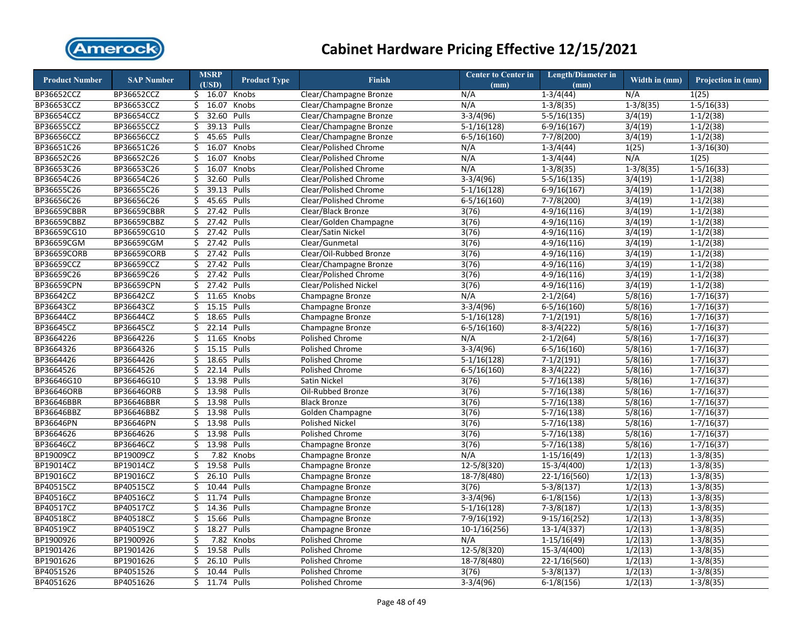

| 1(25)<br>\$ 16.07 Knobs<br>$1-3/4(44)$<br>N/A<br>BP36652CCZ<br>BP36652CCZ<br>Clear/Champagne Bronze<br>N/A<br>\$16.07<br>$1-3/8(35)$<br>BP36653CCZ<br>BP36653CCZ<br>Knobs<br>Clear/Champagne Bronze<br>N/A<br>$1-3/8(35)$<br>$1 - 5/16(33)$<br>32.60<br>BP36654CCZ<br>BP36654CCZ<br>Ś.<br>Pulls<br>$3-3/4(96)$<br>$5-5/16(135)$<br>3/4(19)<br>$1 - 1/2(38)$<br>Clear/Champagne Bronze<br>BP36655CCZ<br>BP36655CCZ<br>39.13<br>Pulls<br>$5-1/16(128)$<br>$6-9/16(167)$<br>3/4(19)<br>$1-1/2(38)$<br>\$<br>Clear/Champagne Bronze<br>45.65<br>Pulls<br>BP36656CCZ<br>BP36656CCZ<br>Ś.<br>Clear/Champagne Bronze<br>$6 - 5/16(160)$<br>$7-7/8(200)$<br>3/4(19)<br>$1-1/2(38)$<br>\$<br>16.07<br>Knobs<br>1(25)<br>BP36651C26<br>BP36651C26<br>Clear/Polished Chrome<br>N/A<br>$1 - 3/4(44)$<br>$1 - 3/16(30)$<br>N/A<br>1(25)<br>BP36652C26<br>BP36652C26<br>Ś.<br>16.07<br>Knobs<br>Clear/Polished Chrome<br>N/A<br>$1-3/4(44)$<br>BP36653C26<br>16.07<br>$1-3/8(35)$<br>BP36653C26<br>Ŝ.<br>Knobs<br>Clear/Polished Chrome<br>N/A<br>$1 - 3/8(35)$<br>$1 - 5/16(33)$<br>32.60<br>3/4(19)<br>BP36654C26<br>BP36654C26<br>Ś.<br>Pulls<br>$3-3/4(96)$<br>$5-5/16(135)$<br>Clear/Polished Chrome<br>$1 - 1/2(38)$<br>BP36655C26<br>BP36655C26<br>Ś.<br>39.13 Pulls<br>Clear/Polished Chrome<br>$5-1/16(128)$<br>6-9/16(167)<br>3/4(19)<br>$1 - 1/2(38)$<br>45.65 Pulls<br>BP36656C26<br>BP36656C26<br>\$<br>Clear/Polished Chrome<br>$6 - 5/16(160)$<br>$7-7/8(200)$<br>3/4(19)<br>$1-1/2(38)$<br><b>BP36659CBBR</b><br><b>BP36659CBBR</b><br>27.42<br>\$<br>Pulls<br>Clear/Black Bronze<br>3(76)<br>$4-9/16(116)$<br>3/4(19)<br>$1 - 1/2(38)$<br>BP36659CBBZ<br>BP36659CBBZ<br>Ś.<br>27.42<br>Pulls<br>Clear/Golden Champagne<br>3(76)<br>$4-9/16(116)$<br>3/4(19)<br>$1-1/2(38)$<br>27.42 Pulls<br>BP36659CG10<br>BP36659CG10<br>\$<br>Clear/Satin Nickel<br>3(76)<br>$4-9/16(116)$<br>3/4(19)<br>$1-1/2(38)$<br>BP36659CGM<br>BP36659CGM<br>\$<br>27.42 Pulls<br>Clear/Gunmetal<br>$4-9/16(116)$<br>3/4(19)<br>$1-1/2(38)$<br>3(76)<br>27.42 Pulls<br><b>BP36659CORB</b><br>BP36659CORB<br>\$<br>Clear/Oil-Rubbed Bronze<br>3(76)<br>$4-9/16(116)$<br>3/4(19)<br>$1-1/2(38)$<br>27.42 Pulls<br>BP36659CCZ<br>BP36659CCZ<br>\$<br>Clear/Champagne Bronze<br>3(76)<br>$4-9/16(116)$<br>3/4(19)<br>$1-1/2(38)$<br>27.42 Pulls<br>BP36659C26<br>BP36659C26<br>Ś.<br>3/4(19)<br>$1-1/2(38)$<br>Clear/Polished Chrome<br>3(76)<br>$4-9/16(116)$<br>BP36659CPN<br>BP36659CPN<br>27.42<br>Pulls<br>Clear/Polished Nickel<br>$4-9/16(116)$<br>3/4(19)<br>$1-1/2(38)$<br>Ś.<br>3(76)<br>BP36642CZ<br>11.65<br>5/8(16)<br>BP36642CZ<br>Ś.<br>Knobs<br>Champagne Bronze<br>N/A<br>$2 - 1/2(64)$<br>$1 - 7/16(37)$<br>BP36643CZ<br>\$<br>15.15 Pulls<br>5/8(16)<br>BP36643CZ<br>Champagne Bronze<br>$3-3/4(96)$<br>$6 - 5/16(160)$<br>$1 - 7/16(37)$<br>BP36644CZ<br>18.65 Pulls<br>5/8(16)<br>BP36644CZ<br>Ś.<br>$5-1/16(128)$<br>$7-1/2(191)$<br>$1 - 7/16(37)$<br>Champagne Bronze<br>22.14 Pulls<br>BP36645CZ<br>BP36645CZ<br>\$<br>5/8(16)<br>Champagne Bronze<br>$6 - 5/16(160)$<br>$8-3/4(222)$<br>$1 - 7/16(37)$<br>BP3664226<br>BP3664226<br>Ś.<br>11.65 Knobs<br>$2-1/2(64)$<br>5/8(16)<br><b>Polished Chrome</b><br>N/A<br>$1 - 7/16(37)$<br>BP3664326<br>BP3664326<br>Ś.<br>15.15 Pulls<br>5/8(16)<br>Polished Chrome<br>$3-3/4(96)$<br>$6 - 5/16(160)$<br>$1 - 7/16(37)$<br>BP3664426<br>BP3664426<br>Ś.<br>18.65<br>Pulls<br>Polished Chrome<br>$5-1/16(128)$<br>$7-1/2(191)$<br>5/8(16)<br>$1 - 7/16(37)$<br>BP3664526<br>BP3664526<br>22.14<br>\$<br>Pulls<br>Polished Chrome<br>$6 - 5/16(160)$<br>$8-3/4(222)$<br>5/8(16)<br>$1 - 7/16(37)$<br>BP36646G10<br>BP36646G10<br>Ś.<br>13.98 Pulls<br>Satin Nickel<br>$5-7/16(138)$<br>5/8(16)<br>$1-7/16(37)$<br>3(76)<br>BP36646ORB<br>BP36646ORB<br>\$<br>13.98<br>Pulls<br>Oil-Rubbed Bronze<br>3(76)<br>$5-7/16(138)$<br>5/8(16)<br>$1-7/16(37)$<br>13.98<br>Pulls<br>5/8(16)<br>BP36646BBR<br>BP36646BBR<br>\$<br><b>Black Bronze</b><br>3(76)<br>$5 - 7/16(138)$<br>$1 - 7/16(37)$<br>BP36646BBZ<br>BP36646BBZ<br>Ś.<br>13.98<br>Pulls<br>$5-7/16(138)$<br>5/8(16)<br>$1-7/16(37)$<br>Golden Champagne<br>3(76)<br>5/8(16)<br>BP36646PN<br>BP36646PN<br>\$<br>13.98 Pulls<br><b>Polished Nickel</b><br>3(76)<br>$5-7/16(138)$<br>$1 - 7/16(37)$<br>13.98<br>BP3664626<br>BP3664626<br>Ś.<br>Pulls<br>Polished Chrome<br>$5-7/16(138)$<br>5/8(16)<br>3(76)<br>$1 - 7/16(37)$<br>BP36646CZ<br>BP36646CZ<br>13.98<br>Pulls<br>$5 - 7/16(138)$<br>5/8(16)<br>Ś.<br>Champagne Bronze<br>3(76)<br>$1 - 7/16(37)$<br>BP19009CZ<br>BP19009CZ<br>Ś.<br>7.82<br>Knobs<br>N/A<br>$1-15/16(49)$<br>1/2(13)<br>$1 - 3/8(35)$<br>Champagne Bronze<br>BP19014CZ<br>BP19014CZ<br>19.58<br>1/2(13)<br>\$<br>Pulls<br>Champagne Bronze<br>12-5/8(320)<br>15-3/4(400)<br>$1-3/8(35)$<br>26.10<br>BP19016CZ<br>BP19016CZ<br>\$<br>Pulls<br>18-7/8(480)<br>$22-1/16(560)$<br>1/2(13)<br>$1-3/8(35)$<br>Champagne Bronze<br>10.44<br>BP40515CZ<br>BP40515CZ<br>\$<br>Pulls<br>Champagne Bronze<br>3(76)<br>$5-3/8(137)$<br>1/2(13)<br>$1-3/8(35)$<br>BP40516CZ<br>BP40516CZ<br>Ś.<br>11.74<br>Pulls<br>$3-3/4(96)$<br>1/2(13)<br>Champagne Bronze<br>$6-1/8(156)$<br>$1-3/8(35)$<br>BP40517CZ<br>BP40517CZ<br>Ś.<br>14.36 Pulls<br>1/2(13)<br>Champagne Bronze<br>$5-1/16(128)$<br>$7-3/8(187)$<br>$1 - 3/8(35)$<br>BP40518CZ<br>BP40518CZ<br>Ś<br>15.66<br>Pulls<br>7-9/16(192)<br>$9-15/16(252)$<br>1/2(13)<br>$1 - 3/8(35)$<br>Champagne Bronze<br>BP40519CZ<br>BP40519CZ<br>\$<br>18.27<br>Pulls<br>$10-1/16(256)$<br>$13-1/4(337)$<br>1/2(13)<br>$1-3/8(35)$<br>Champagne Bronze<br>BP1900926<br>BP1900926<br>$1-15/16(49)$<br>1/2(13)<br>$1-3/8(35)$<br>\$<br>7.82<br>Knobs<br>Polished Chrome<br>N/A<br>BP1901426<br>BP1901426<br>\$<br>19.58 Pulls<br><b>Polished Chrome</b><br>$12 - 5/8(320)$<br>$15-3/4(400)$<br>1/2(13)<br>$1-3/8(35)$<br>26.10 Pulls<br>1/2(13)<br>BP1901626<br>BP1901626<br>\$<br><b>Polished Chrome</b><br>18-7/8(480)<br>22-1/16(560)<br>$1 - 3/8(35)$<br>BP4051526<br>BP4051526<br>Ś.<br>10.44<br>Pulls<br>3(76)<br>$5-3/8(137)$<br>1/2(13)<br>Polished Chrome<br>$1-3/8(35)$<br>\$ 11.74 Pulls<br><b>Polished Chrome</b> | <b>Product Number</b> | <b>SAP Number</b> | <b>MSRP</b><br>(USD) | <b>Product Type</b> | <b>Finish</b> | <b>Center to Center in</b><br>(mm) | <b>Length/Diameter in</b><br>(mm) | Width in (mm) | Projection in (mm) |
|------------------------------------------------------------------------------------------------------------------------------------------------------------------------------------------------------------------------------------------------------------------------------------------------------------------------------------------------------------------------------------------------------------------------------------------------------------------------------------------------------------------------------------------------------------------------------------------------------------------------------------------------------------------------------------------------------------------------------------------------------------------------------------------------------------------------------------------------------------------------------------------------------------------------------------------------------------------------------------------------------------------------------------------------------------------------------------------------------------------------------------------------------------------------------------------------------------------------------------------------------------------------------------------------------------------------------------------------------------------------------------------------------------------------------------------------------------------------------------------------------------------------------------------------------------------------------------------------------------------------------------------------------------------------------------------------------------------------------------------------------------------------------------------------------------------------------------------------------------------------------------------------------------------------------------------------------------------------------------------------------------------------------------------------------------------------------------------------------------------------------------------------------------------------------------------------------------------------------------------------------------------------------------------------------------------------------------------------------------------------------------------------------------------------------------------------------------------------------------------------------------------------------------------------------------------------------------------------------------------------------------------------------------------------------------------------------------------------------------------------------------------------------------------------------------------------------------------------------------------------------------------------------------------------------------------------------------------------------------------------------------------------------------------------------------------------------------------------------------------------------------------------------------------------------------------------------------------------------------------------------------------------------------------------------------------------------------------------------------------------------------------------------------------------------------------------------------------------------------------------------------------------------------------------------------------------------------------------------------------------------------------------------------------------------------------------------------------------------------------------------------------------------------------------------------------------------------------------------------------------------------------------------------------------------------------------------------------------------------------------------------------------------------------------------------------------------------------------------------------------------------------------------------------------------------------------------------------------------------------------------------------------------------------------------------------------------------------------------------------------------------------------------------------------------------------------------------------------------------------------------------------------------------------------------------------------------------------------------------------------------------------------------------------------------------------------------------------------------------------------------------------------------------------------------------------------------------------------------------------------------------------------------------------------------------------------------------------------------------------------------------------------------------------------------------------------------------------------------------------------------------------------------------------------------------------------------------------------------------------------------------------------------------------------------------------------------------------------------------------------------------------------------------------------------------------------------------------------------------------------------------------------------------------------------------------------------------------------------------------------------------------------------------------------------------------------------------------------------------------------------------------------------------------------------------------------------------------------------------------------------------------------------------------------------------------------------------------------------------------------------------------------------------------------------------------------------------------------------------------------------------------------------------------------------------------|-----------------------|-------------------|----------------------|---------------------|---------------|------------------------------------|-----------------------------------|---------------|--------------------|
|                                                                                                                                                                                                                                                                                                                                                                                                                                                                                                                                                                                                                                                                                                                                                                                                                                                                                                                                                                                                                                                                                                                                                                                                                                                                                                                                                                                                                                                                                                                                                                                                                                                                                                                                                                                                                                                                                                                                                                                                                                                                                                                                                                                                                                                                                                                                                                                                                                                                                                                                                                                                                                                                                                                                                                                                                                                                                                                                                                                                                                                                                                                                                                                                                                                                                                                                                                                                                                                                                                                                                                                                                                                                                                                                                                                                                                                                                                                                                                                                                                                                                                                                                                                                                                                                                                                                                                                                                                                                                                                                                                                                                                                                                                                                                                                                                                                                                                                                                                                                                                                                                                                                                                                                                                                                                                                                                                                                                                                                                                                                                                                                                                                                                                                                                                                                                                                                                                                                                                                                                                                                                                                                                                                          |                       |                   |                      |                     |               |                                    |                                   |               |                    |
|                                                                                                                                                                                                                                                                                                                                                                                                                                                                                                                                                                                                                                                                                                                                                                                                                                                                                                                                                                                                                                                                                                                                                                                                                                                                                                                                                                                                                                                                                                                                                                                                                                                                                                                                                                                                                                                                                                                                                                                                                                                                                                                                                                                                                                                                                                                                                                                                                                                                                                                                                                                                                                                                                                                                                                                                                                                                                                                                                                                                                                                                                                                                                                                                                                                                                                                                                                                                                                                                                                                                                                                                                                                                                                                                                                                                                                                                                                                                                                                                                                                                                                                                                                                                                                                                                                                                                                                                                                                                                                                                                                                                                                                                                                                                                                                                                                                                                                                                                                                                                                                                                                                                                                                                                                                                                                                                                                                                                                                                                                                                                                                                                                                                                                                                                                                                                                                                                                                                                                                                                                                                                                                                                                                          |                       |                   |                      |                     |               |                                    |                                   |               |                    |
|                                                                                                                                                                                                                                                                                                                                                                                                                                                                                                                                                                                                                                                                                                                                                                                                                                                                                                                                                                                                                                                                                                                                                                                                                                                                                                                                                                                                                                                                                                                                                                                                                                                                                                                                                                                                                                                                                                                                                                                                                                                                                                                                                                                                                                                                                                                                                                                                                                                                                                                                                                                                                                                                                                                                                                                                                                                                                                                                                                                                                                                                                                                                                                                                                                                                                                                                                                                                                                                                                                                                                                                                                                                                                                                                                                                                                                                                                                                                                                                                                                                                                                                                                                                                                                                                                                                                                                                                                                                                                                                                                                                                                                                                                                                                                                                                                                                                                                                                                                                                                                                                                                                                                                                                                                                                                                                                                                                                                                                                                                                                                                                                                                                                                                                                                                                                                                                                                                                                                                                                                                                                                                                                                                                          |                       |                   |                      |                     |               |                                    |                                   |               |                    |
|                                                                                                                                                                                                                                                                                                                                                                                                                                                                                                                                                                                                                                                                                                                                                                                                                                                                                                                                                                                                                                                                                                                                                                                                                                                                                                                                                                                                                                                                                                                                                                                                                                                                                                                                                                                                                                                                                                                                                                                                                                                                                                                                                                                                                                                                                                                                                                                                                                                                                                                                                                                                                                                                                                                                                                                                                                                                                                                                                                                                                                                                                                                                                                                                                                                                                                                                                                                                                                                                                                                                                                                                                                                                                                                                                                                                                                                                                                                                                                                                                                                                                                                                                                                                                                                                                                                                                                                                                                                                                                                                                                                                                                                                                                                                                                                                                                                                                                                                                                                                                                                                                                                                                                                                                                                                                                                                                                                                                                                                                                                                                                                                                                                                                                                                                                                                                                                                                                                                                                                                                                                                                                                                                                                          |                       |                   |                      |                     |               |                                    |                                   |               |                    |
|                                                                                                                                                                                                                                                                                                                                                                                                                                                                                                                                                                                                                                                                                                                                                                                                                                                                                                                                                                                                                                                                                                                                                                                                                                                                                                                                                                                                                                                                                                                                                                                                                                                                                                                                                                                                                                                                                                                                                                                                                                                                                                                                                                                                                                                                                                                                                                                                                                                                                                                                                                                                                                                                                                                                                                                                                                                                                                                                                                                                                                                                                                                                                                                                                                                                                                                                                                                                                                                                                                                                                                                                                                                                                                                                                                                                                                                                                                                                                                                                                                                                                                                                                                                                                                                                                                                                                                                                                                                                                                                                                                                                                                                                                                                                                                                                                                                                                                                                                                                                                                                                                                                                                                                                                                                                                                                                                                                                                                                                                                                                                                                                                                                                                                                                                                                                                                                                                                                                                                                                                                                                                                                                                                                          |                       |                   |                      |                     |               |                                    |                                   |               |                    |
|                                                                                                                                                                                                                                                                                                                                                                                                                                                                                                                                                                                                                                                                                                                                                                                                                                                                                                                                                                                                                                                                                                                                                                                                                                                                                                                                                                                                                                                                                                                                                                                                                                                                                                                                                                                                                                                                                                                                                                                                                                                                                                                                                                                                                                                                                                                                                                                                                                                                                                                                                                                                                                                                                                                                                                                                                                                                                                                                                                                                                                                                                                                                                                                                                                                                                                                                                                                                                                                                                                                                                                                                                                                                                                                                                                                                                                                                                                                                                                                                                                                                                                                                                                                                                                                                                                                                                                                                                                                                                                                                                                                                                                                                                                                                                                                                                                                                                                                                                                                                                                                                                                                                                                                                                                                                                                                                                                                                                                                                                                                                                                                                                                                                                                                                                                                                                                                                                                                                                                                                                                                                                                                                                                                          |                       |                   |                      |                     |               |                                    |                                   |               |                    |
|                                                                                                                                                                                                                                                                                                                                                                                                                                                                                                                                                                                                                                                                                                                                                                                                                                                                                                                                                                                                                                                                                                                                                                                                                                                                                                                                                                                                                                                                                                                                                                                                                                                                                                                                                                                                                                                                                                                                                                                                                                                                                                                                                                                                                                                                                                                                                                                                                                                                                                                                                                                                                                                                                                                                                                                                                                                                                                                                                                                                                                                                                                                                                                                                                                                                                                                                                                                                                                                                                                                                                                                                                                                                                                                                                                                                                                                                                                                                                                                                                                                                                                                                                                                                                                                                                                                                                                                                                                                                                                                                                                                                                                                                                                                                                                                                                                                                                                                                                                                                                                                                                                                                                                                                                                                                                                                                                                                                                                                                                                                                                                                                                                                                                                                                                                                                                                                                                                                                                                                                                                                                                                                                                                                          |                       |                   |                      |                     |               |                                    |                                   |               |                    |
|                                                                                                                                                                                                                                                                                                                                                                                                                                                                                                                                                                                                                                                                                                                                                                                                                                                                                                                                                                                                                                                                                                                                                                                                                                                                                                                                                                                                                                                                                                                                                                                                                                                                                                                                                                                                                                                                                                                                                                                                                                                                                                                                                                                                                                                                                                                                                                                                                                                                                                                                                                                                                                                                                                                                                                                                                                                                                                                                                                                                                                                                                                                                                                                                                                                                                                                                                                                                                                                                                                                                                                                                                                                                                                                                                                                                                                                                                                                                                                                                                                                                                                                                                                                                                                                                                                                                                                                                                                                                                                                                                                                                                                                                                                                                                                                                                                                                                                                                                                                                                                                                                                                                                                                                                                                                                                                                                                                                                                                                                                                                                                                                                                                                                                                                                                                                                                                                                                                                                                                                                                                                                                                                                                                          |                       |                   |                      |                     |               |                                    |                                   |               |                    |
|                                                                                                                                                                                                                                                                                                                                                                                                                                                                                                                                                                                                                                                                                                                                                                                                                                                                                                                                                                                                                                                                                                                                                                                                                                                                                                                                                                                                                                                                                                                                                                                                                                                                                                                                                                                                                                                                                                                                                                                                                                                                                                                                                                                                                                                                                                                                                                                                                                                                                                                                                                                                                                                                                                                                                                                                                                                                                                                                                                                                                                                                                                                                                                                                                                                                                                                                                                                                                                                                                                                                                                                                                                                                                                                                                                                                                                                                                                                                                                                                                                                                                                                                                                                                                                                                                                                                                                                                                                                                                                                                                                                                                                                                                                                                                                                                                                                                                                                                                                                                                                                                                                                                                                                                                                                                                                                                                                                                                                                                                                                                                                                                                                                                                                                                                                                                                                                                                                                                                                                                                                                                                                                                                                                          |                       |                   |                      |                     |               |                                    |                                   |               |                    |
|                                                                                                                                                                                                                                                                                                                                                                                                                                                                                                                                                                                                                                                                                                                                                                                                                                                                                                                                                                                                                                                                                                                                                                                                                                                                                                                                                                                                                                                                                                                                                                                                                                                                                                                                                                                                                                                                                                                                                                                                                                                                                                                                                                                                                                                                                                                                                                                                                                                                                                                                                                                                                                                                                                                                                                                                                                                                                                                                                                                                                                                                                                                                                                                                                                                                                                                                                                                                                                                                                                                                                                                                                                                                                                                                                                                                                                                                                                                                                                                                                                                                                                                                                                                                                                                                                                                                                                                                                                                                                                                                                                                                                                                                                                                                                                                                                                                                                                                                                                                                                                                                                                                                                                                                                                                                                                                                                                                                                                                                                                                                                                                                                                                                                                                                                                                                                                                                                                                                                                                                                                                                                                                                                                                          |                       |                   |                      |                     |               |                                    |                                   |               |                    |
|                                                                                                                                                                                                                                                                                                                                                                                                                                                                                                                                                                                                                                                                                                                                                                                                                                                                                                                                                                                                                                                                                                                                                                                                                                                                                                                                                                                                                                                                                                                                                                                                                                                                                                                                                                                                                                                                                                                                                                                                                                                                                                                                                                                                                                                                                                                                                                                                                                                                                                                                                                                                                                                                                                                                                                                                                                                                                                                                                                                                                                                                                                                                                                                                                                                                                                                                                                                                                                                                                                                                                                                                                                                                                                                                                                                                                                                                                                                                                                                                                                                                                                                                                                                                                                                                                                                                                                                                                                                                                                                                                                                                                                                                                                                                                                                                                                                                                                                                                                                                                                                                                                                                                                                                                                                                                                                                                                                                                                                                                                                                                                                                                                                                                                                                                                                                                                                                                                                                                                                                                                                                                                                                                                                          |                       |                   |                      |                     |               |                                    |                                   |               |                    |
|                                                                                                                                                                                                                                                                                                                                                                                                                                                                                                                                                                                                                                                                                                                                                                                                                                                                                                                                                                                                                                                                                                                                                                                                                                                                                                                                                                                                                                                                                                                                                                                                                                                                                                                                                                                                                                                                                                                                                                                                                                                                                                                                                                                                                                                                                                                                                                                                                                                                                                                                                                                                                                                                                                                                                                                                                                                                                                                                                                                                                                                                                                                                                                                                                                                                                                                                                                                                                                                                                                                                                                                                                                                                                                                                                                                                                                                                                                                                                                                                                                                                                                                                                                                                                                                                                                                                                                                                                                                                                                                                                                                                                                                                                                                                                                                                                                                                                                                                                                                                                                                                                                                                                                                                                                                                                                                                                                                                                                                                                                                                                                                                                                                                                                                                                                                                                                                                                                                                                                                                                                                                                                                                                                                          |                       |                   |                      |                     |               |                                    |                                   |               |                    |
|                                                                                                                                                                                                                                                                                                                                                                                                                                                                                                                                                                                                                                                                                                                                                                                                                                                                                                                                                                                                                                                                                                                                                                                                                                                                                                                                                                                                                                                                                                                                                                                                                                                                                                                                                                                                                                                                                                                                                                                                                                                                                                                                                                                                                                                                                                                                                                                                                                                                                                                                                                                                                                                                                                                                                                                                                                                                                                                                                                                                                                                                                                                                                                                                                                                                                                                                                                                                                                                                                                                                                                                                                                                                                                                                                                                                                                                                                                                                                                                                                                                                                                                                                                                                                                                                                                                                                                                                                                                                                                                                                                                                                                                                                                                                                                                                                                                                                                                                                                                                                                                                                                                                                                                                                                                                                                                                                                                                                                                                                                                                                                                                                                                                                                                                                                                                                                                                                                                                                                                                                                                                                                                                                                                          |                       |                   |                      |                     |               |                                    |                                   |               |                    |
|                                                                                                                                                                                                                                                                                                                                                                                                                                                                                                                                                                                                                                                                                                                                                                                                                                                                                                                                                                                                                                                                                                                                                                                                                                                                                                                                                                                                                                                                                                                                                                                                                                                                                                                                                                                                                                                                                                                                                                                                                                                                                                                                                                                                                                                                                                                                                                                                                                                                                                                                                                                                                                                                                                                                                                                                                                                                                                                                                                                                                                                                                                                                                                                                                                                                                                                                                                                                                                                                                                                                                                                                                                                                                                                                                                                                                                                                                                                                                                                                                                                                                                                                                                                                                                                                                                                                                                                                                                                                                                                                                                                                                                                                                                                                                                                                                                                                                                                                                                                                                                                                                                                                                                                                                                                                                                                                                                                                                                                                                                                                                                                                                                                                                                                                                                                                                                                                                                                                                                                                                                                                                                                                                                                          |                       |                   |                      |                     |               |                                    |                                   |               |                    |
|                                                                                                                                                                                                                                                                                                                                                                                                                                                                                                                                                                                                                                                                                                                                                                                                                                                                                                                                                                                                                                                                                                                                                                                                                                                                                                                                                                                                                                                                                                                                                                                                                                                                                                                                                                                                                                                                                                                                                                                                                                                                                                                                                                                                                                                                                                                                                                                                                                                                                                                                                                                                                                                                                                                                                                                                                                                                                                                                                                                                                                                                                                                                                                                                                                                                                                                                                                                                                                                                                                                                                                                                                                                                                                                                                                                                                                                                                                                                                                                                                                                                                                                                                                                                                                                                                                                                                                                                                                                                                                                                                                                                                                                                                                                                                                                                                                                                                                                                                                                                                                                                                                                                                                                                                                                                                                                                                                                                                                                                                                                                                                                                                                                                                                                                                                                                                                                                                                                                                                                                                                                                                                                                                                                          |                       |                   |                      |                     |               |                                    |                                   |               |                    |
|                                                                                                                                                                                                                                                                                                                                                                                                                                                                                                                                                                                                                                                                                                                                                                                                                                                                                                                                                                                                                                                                                                                                                                                                                                                                                                                                                                                                                                                                                                                                                                                                                                                                                                                                                                                                                                                                                                                                                                                                                                                                                                                                                                                                                                                                                                                                                                                                                                                                                                                                                                                                                                                                                                                                                                                                                                                                                                                                                                                                                                                                                                                                                                                                                                                                                                                                                                                                                                                                                                                                                                                                                                                                                                                                                                                                                                                                                                                                                                                                                                                                                                                                                                                                                                                                                                                                                                                                                                                                                                                                                                                                                                                                                                                                                                                                                                                                                                                                                                                                                                                                                                                                                                                                                                                                                                                                                                                                                                                                                                                                                                                                                                                                                                                                                                                                                                                                                                                                                                                                                                                                                                                                                                                          |                       |                   |                      |                     |               |                                    |                                   |               |                    |
|                                                                                                                                                                                                                                                                                                                                                                                                                                                                                                                                                                                                                                                                                                                                                                                                                                                                                                                                                                                                                                                                                                                                                                                                                                                                                                                                                                                                                                                                                                                                                                                                                                                                                                                                                                                                                                                                                                                                                                                                                                                                                                                                                                                                                                                                                                                                                                                                                                                                                                                                                                                                                                                                                                                                                                                                                                                                                                                                                                                                                                                                                                                                                                                                                                                                                                                                                                                                                                                                                                                                                                                                                                                                                                                                                                                                                                                                                                                                                                                                                                                                                                                                                                                                                                                                                                                                                                                                                                                                                                                                                                                                                                                                                                                                                                                                                                                                                                                                                                                                                                                                                                                                                                                                                                                                                                                                                                                                                                                                                                                                                                                                                                                                                                                                                                                                                                                                                                                                                                                                                                                                                                                                                                                          |                       |                   |                      |                     |               |                                    |                                   |               |                    |
|                                                                                                                                                                                                                                                                                                                                                                                                                                                                                                                                                                                                                                                                                                                                                                                                                                                                                                                                                                                                                                                                                                                                                                                                                                                                                                                                                                                                                                                                                                                                                                                                                                                                                                                                                                                                                                                                                                                                                                                                                                                                                                                                                                                                                                                                                                                                                                                                                                                                                                                                                                                                                                                                                                                                                                                                                                                                                                                                                                                                                                                                                                                                                                                                                                                                                                                                                                                                                                                                                                                                                                                                                                                                                                                                                                                                                                                                                                                                                                                                                                                                                                                                                                                                                                                                                                                                                                                                                                                                                                                                                                                                                                                                                                                                                                                                                                                                                                                                                                                                                                                                                                                                                                                                                                                                                                                                                                                                                                                                                                                                                                                                                                                                                                                                                                                                                                                                                                                                                                                                                                                                                                                                                                                          |                       |                   |                      |                     |               |                                    |                                   |               |                    |
|                                                                                                                                                                                                                                                                                                                                                                                                                                                                                                                                                                                                                                                                                                                                                                                                                                                                                                                                                                                                                                                                                                                                                                                                                                                                                                                                                                                                                                                                                                                                                                                                                                                                                                                                                                                                                                                                                                                                                                                                                                                                                                                                                                                                                                                                                                                                                                                                                                                                                                                                                                                                                                                                                                                                                                                                                                                                                                                                                                                                                                                                                                                                                                                                                                                                                                                                                                                                                                                                                                                                                                                                                                                                                                                                                                                                                                                                                                                                                                                                                                                                                                                                                                                                                                                                                                                                                                                                                                                                                                                                                                                                                                                                                                                                                                                                                                                                                                                                                                                                                                                                                                                                                                                                                                                                                                                                                                                                                                                                                                                                                                                                                                                                                                                                                                                                                                                                                                                                                                                                                                                                                                                                                                                          |                       |                   |                      |                     |               |                                    |                                   |               |                    |
|                                                                                                                                                                                                                                                                                                                                                                                                                                                                                                                                                                                                                                                                                                                                                                                                                                                                                                                                                                                                                                                                                                                                                                                                                                                                                                                                                                                                                                                                                                                                                                                                                                                                                                                                                                                                                                                                                                                                                                                                                                                                                                                                                                                                                                                                                                                                                                                                                                                                                                                                                                                                                                                                                                                                                                                                                                                                                                                                                                                                                                                                                                                                                                                                                                                                                                                                                                                                                                                                                                                                                                                                                                                                                                                                                                                                                                                                                                                                                                                                                                                                                                                                                                                                                                                                                                                                                                                                                                                                                                                                                                                                                                                                                                                                                                                                                                                                                                                                                                                                                                                                                                                                                                                                                                                                                                                                                                                                                                                                                                                                                                                                                                                                                                                                                                                                                                                                                                                                                                                                                                                                                                                                                                                          |                       |                   |                      |                     |               |                                    |                                   |               |                    |
|                                                                                                                                                                                                                                                                                                                                                                                                                                                                                                                                                                                                                                                                                                                                                                                                                                                                                                                                                                                                                                                                                                                                                                                                                                                                                                                                                                                                                                                                                                                                                                                                                                                                                                                                                                                                                                                                                                                                                                                                                                                                                                                                                                                                                                                                                                                                                                                                                                                                                                                                                                                                                                                                                                                                                                                                                                                                                                                                                                                                                                                                                                                                                                                                                                                                                                                                                                                                                                                                                                                                                                                                                                                                                                                                                                                                                                                                                                                                                                                                                                                                                                                                                                                                                                                                                                                                                                                                                                                                                                                                                                                                                                                                                                                                                                                                                                                                                                                                                                                                                                                                                                                                                                                                                                                                                                                                                                                                                                                                                                                                                                                                                                                                                                                                                                                                                                                                                                                                                                                                                                                                                                                                                                                          |                       |                   |                      |                     |               |                                    |                                   |               |                    |
|                                                                                                                                                                                                                                                                                                                                                                                                                                                                                                                                                                                                                                                                                                                                                                                                                                                                                                                                                                                                                                                                                                                                                                                                                                                                                                                                                                                                                                                                                                                                                                                                                                                                                                                                                                                                                                                                                                                                                                                                                                                                                                                                                                                                                                                                                                                                                                                                                                                                                                                                                                                                                                                                                                                                                                                                                                                                                                                                                                                                                                                                                                                                                                                                                                                                                                                                                                                                                                                                                                                                                                                                                                                                                                                                                                                                                                                                                                                                                                                                                                                                                                                                                                                                                                                                                                                                                                                                                                                                                                                                                                                                                                                                                                                                                                                                                                                                                                                                                                                                                                                                                                                                                                                                                                                                                                                                                                                                                                                                                                                                                                                                                                                                                                                                                                                                                                                                                                                                                                                                                                                                                                                                                                                          |                       |                   |                      |                     |               |                                    |                                   |               |                    |
|                                                                                                                                                                                                                                                                                                                                                                                                                                                                                                                                                                                                                                                                                                                                                                                                                                                                                                                                                                                                                                                                                                                                                                                                                                                                                                                                                                                                                                                                                                                                                                                                                                                                                                                                                                                                                                                                                                                                                                                                                                                                                                                                                                                                                                                                                                                                                                                                                                                                                                                                                                                                                                                                                                                                                                                                                                                                                                                                                                                                                                                                                                                                                                                                                                                                                                                                                                                                                                                                                                                                                                                                                                                                                                                                                                                                                                                                                                                                                                                                                                                                                                                                                                                                                                                                                                                                                                                                                                                                                                                                                                                                                                                                                                                                                                                                                                                                                                                                                                                                                                                                                                                                                                                                                                                                                                                                                                                                                                                                                                                                                                                                                                                                                                                                                                                                                                                                                                                                                                                                                                                                                                                                                                                          |                       |                   |                      |                     |               |                                    |                                   |               |                    |
|                                                                                                                                                                                                                                                                                                                                                                                                                                                                                                                                                                                                                                                                                                                                                                                                                                                                                                                                                                                                                                                                                                                                                                                                                                                                                                                                                                                                                                                                                                                                                                                                                                                                                                                                                                                                                                                                                                                                                                                                                                                                                                                                                                                                                                                                                                                                                                                                                                                                                                                                                                                                                                                                                                                                                                                                                                                                                                                                                                                                                                                                                                                                                                                                                                                                                                                                                                                                                                                                                                                                                                                                                                                                                                                                                                                                                                                                                                                                                                                                                                                                                                                                                                                                                                                                                                                                                                                                                                                                                                                                                                                                                                                                                                                                                                                                                                                                                                                                                                                                                                                                                                                                                                                                                                                                                                                                                                                                                                                                                                                                                                                                                                                                                                                                                                                                                                                                                                                                                                                                                                                                                                                                                                                          |                       |                   |                      |                     |               |                                    |                                   |               |                    |
|                                                                                                                                                                                                                                                                                                                                                                                                                                                                                                                                                                                                                                                                                                                                                                                                                                                                                                                                                                                                                                                                                                                                                                                                                                                                                                                                                                                                                                                                                                                                                                                                                                                                                                                                                                                                                                                                                                                                                                                                                                                                                                                                                                                                                                                                                                                                                                                                                                                                                                                                                                                                                                                                                                                                                                                                                                                                                                                                                                                                                                                                                                                                                                                                                                                                                                                                                                                                                                                                                                                                                                                                                                                                                                                                                                                                                                                                                                                                                                                                                                                                                                                                                                                                                                                                                                                                                                                                                                                                                                                                                                                                                                                                                                                                                                                                                                                                                                                                                                                                                                                                                                                                                                                                                                                                                                                                                                                                                                                                                                                                                                                                                                                                                                                                                                                                                                                                                                                                                                                                                                                                                                                                                                                          |                       |                   |                      |                     |               |                                    |                                   |               |                    |
|                                                                                                                                                                                                                                                                                                                                                                                                                                                                                                                                                                                                                                                                                                                                                                                                                                                                                                                                                                                                                                                                                                                                                                                                                                                                                                                                                                                                                                                                                                                                                                                                                                                                                                                                                                                                                                                                                                                                                                                                                                                                                                                                                                                                                                                                                                                                                                                                                                                                                                                                                                                                                                                                                                                                                                                                                                                                                                                                                                                                                                                                                                                                                                                                                                                                                                                                                                                                                                                                                                                                                                                                                                                                                                                                                                                                                                                                                                                                                                                                                                                                                                                                                                                                                                                                                                                                                                                                                                                                                                                                                                                                                                                                                                                                                                                                                                                                                                                                                                                                                                                                                                                                                                                                                                                                                                                                                                                                                                                                                                                                                                                                                                                                                                                                                                                                                                                                                                                                                                                                                                                                                                                                                                                          |                       |                   |                      |                     |               |                                    |                                   |               |                    |
|                                                                                                                                                                                                                                                                                                                                                                                                                                                                                                                                                                                                                                                                                                                                                                                                                                                                                                                                                                                                                                                                                                                                                                                                                                                                                                                                                                                                                                                                                                                                                                                                                                                                                                                                                                                                                                                                                                                                                                                                                                                                                                                                                                                                                                                                                                                                                                                                                                                                                                                                                                                                                                                                                                                                                                                                                                                                                                                                                                                                                                                                                                                                                                                                                                                                                                                                                                                                                                                                                                                                                                                                                                                                                                                                                                                                                                                                                                                                                                                                                                                                                                                                                                                                                                                                                                                                                                                                                                                                                                                                                                                                                                                                                                                                                                                                                                                                                                                                                                                                                                                                                                                                                                                                                                                                                                                                                                                                                                                                                                                                                                                                                                                                                                                                                                                                                                                                                                                                                                                                                                                                                                                                                                                          |                       |                   |                      |                     |               |                                    |                                   |               |                    |
|                                                                                                                                                                                                                                                                                                                                                                                                                                                                                                                                                                                                                                                                                                                                                                                                                                                                                                                                                                                                                                                                                                                                                                                                                                                                                                                                                                                                                                                                                                                                                                                                                                                                                                                                                                                                                                                                                                                                                                                                                                                                                                                                                                                                                                                                                                                                                                                                                                                                                                                                                                                                                                                                                                                                                                                                                                                                                                                                                                                                                                                                                                                                                                                                                                                                                                                                                                                                                                                                                                                                                                                                                                                                                                                                                                                                                                                                                                                                                                                                                                                                                                                                                                                                                                                                                                                                                                                                                                                                                                                                                                                                                                                                                                                                                                                                                                                                                                                                                                                                                                                                                                                                                                                                                                                                                                                                                                                                                                                                                                                                                                                                                                                                                                                                                                                                                                                                                                                                                                                                                                                                                                                                                                                          |                       |                   |                      |                     |               |                                    |                                   |               |                    |
|                                                                                                                                                                                                                                                                                                                                                                                                                                                                                                                                                                                                                                                                                                                                                                                                                                                                                                                                                                                                                                                                                                                                                                                                                                                                                                                                                                                                                                                                                                                                                                                                                                                                                                                                                                                                                                                                                                                                                                                                                                                                                                                                                                                                                                                                                                                                                                                                                                                                                                                                                                                                                                                                                                                                                                                                                                                                                                                                                                                                                                                                                                                                                                                                                                                                                                                                                                                                                                                                                                                                                                                                                                                                                                                                                                                                                                                                                                                                                                                                                                                                                                                                                                                                                                                                                                                                                                                                                                                                                                                                                                                                                                                                                                                                                                                                                                                                                                                                                                                                                                                                                                                                                                                                                                                                                                                                                                                                                                                                                                                                                                                                                                                                                                                                                                                                                                                                                                                                                                                                                                                                                                                                                                                          |                       |                   |                      |                     |               |                                    |                                   |               |                    |
|                                                                                                                                                                                                                                                                                                                                                                                                                                                                                                                                                                                                                                                                                                                                                                                                                                                                                                                                                                                                                                                                                                                                                                                                                                                                                                                                                                                                                                                                                                                                                                                                                                                                                                                                                                                                                                                                                                                                                                                                                                                                                                                                                                                                                                                                                                                                                                                                                                                                                                                                                                                                                                                                                                                                                                                                                                                                                                                                                                                                                                                                                                                                                                                                                                                                                                                                                                                                                                                                                                                                                                                                                                                                                                                                                                                                                                                                                                                                                                                                                                                                                                                                                                                                                                                                                                                                                                                                                                                                                                                                                                                                                                                                                                                                                                                                                                                                                                                                                                                                                                                                                                                                                                                                                                                                                                                                                                                                                                                                                                                                                                                                                                                                                                                                                                                                                                                                                                                                                                                                                                                                                                                                                                                          |                       |                   |                      |                     |               |                                    |                                   |               |                    |
|                                                                                                                                                                                                                                                                                                                                                                                                                                                                                                                                                                                                                                                                                                                                                                                                                                                                                                                                                                                                                                                                                                                                                                                                                                                                                                                                                                                                                                                                                                                                                                                                                                                                                                                                                                                                                                                                                                                                                                                                                                                                                                                                                                                                                                                                                                                                                                                                                                                                                                                                                                                                                                                                                                                                                                                                                                                                                                                                                                                                                                                                                                                                                                                                                                                                                                                                                                                                                                                                                                                                                                                                                                                                                                                                                                                                                                                                                                                                                                                                                                                                                                                                                                                                                                                                                                                                                                                                                                                                                                                                                                                                                                                                                                                                                                                                                                                                                                                                                                                                                                                                                                                                                                                                                                                                                                                                                                                                                                                                                                                                                                                                                                                                                                                                                                                                                                                                                                                                                                                                                                                                                                                                                                                          |                       |                   |                      |                     |               |                                    |                                   |               |                    |
|                                                                                                                                                                                                                                                                                                                                                                                                                                                                                                                                                                                                                                                                                                                                                                                                                                                                                                                                                                                                                                                                                                                                                                                                                                                                                                                                                                                                                                                                                                                                                                                                                                                                                                                                                                                                                                                                                                                                                                                                                                                                                                                                                                                                                                                                                                                                                                                                                                                                                                                                                                                                                                                                                                                                                                                                                                                                                                                                                                                                                                                                                                                                                                                                                                                                                                                                                                                                                                                                                                                                                                                                                                                                                                                                                                                                                                                                                                                                                                                                                                                                                                                                                                                                                                                                                                                                                                                                                                                                                                                                                                                                                                                                                                                                                                                                                                                                                                                                                                                                                                                                                                                                                                                                                                                                                                                                                                                                                                                                                                                                                                                                                                                                                                                                                                                                                                                                                                                                                                                                                                                                                                                                                                                          |                       |                   |                      |                     |               |                                    |                                   |               |                    |
|                                                                                                                                                                                                                                                                                                                                                                                                                                                                                                                                                                                                                                                                                                                                                                                                                                                                                                                                                                                                                                                                                                                                                                                                                                                                                                                                                                                                                                                                                                                                                                                                                                                                                                                                                                                                                                                                                                                                                                                                                                                                                                                                                                                                                                                                                                                                                                                                                                                                                                                                                                                                                                                                                                                                                                                                                                                                                                                                                                                                                                                                                                                                                                                                                                                                                                                                                                                                                                                                                                                                                                                                                                                                                                                                                                                                                                                                                                                                                                                                                                                                                                                                                                                                                                                                                                                                                                                                                                                                                                                                                                                                                                                                                                                                                                                                                                                                                                                                                                                                                                                                                                                                                                                                                                                                                                                                                                                                                                                                                                                                                                                                                                                                                                                                                                                                                                                                                                                                                                                                                                                                                                                                                                                          |                       |                   |                      |                     |               |                                    |                                   |               |                    |
|                                                                                                                                                                                                                                                                                                                                                                                                                                                                                                                                                                                                                                                                                                                                                                                                                                                                                                                                                                                                                                                                                                                                                                                                                                                                                                                                                                                                                                                                                                                                                                                                                                                                                                                                                                                                                                                                                                                                                                                                                                                                                                                                                                                                                                                                                                                                                                                                                                                                                                                                                                                                                                                                                                                                                                                                                                                                                                                                                                                                                                                                                                                                                                                                                                                                                                                                                                                                                                                                                                                                                                                                                                                                                                                                                                                                                                                                                                                                                                                                                                                                                                                                                                                                                                                                                                                                                                                                                                                                                                                                                                                                                                                                                                                                                                                                                                                                                                                                                                                                                                                                                                                                                                                                                                                                                                                                                                                                                                                                                                                                                                                                                                                                                                                                                                                                                                                                                                                                                                                                                                                                                                                                                                                          |                       |                   |                      |                     |               |                                    |                                   |               |                    |
|                                                                                                                                                                                                                                                                                                                                                                                                                                                                                                                                                                                                                                                                                                                                                                                                                                                                                                                                                                                                                                                                                                                                                                                                                                                                                                                                                                                                                                                                                                                                                                                                                                                                                                                                                                                                                                                                                                                                                                                                                                                                                                                                                                                                                                                                                                                                                                                                                                                                                                                                                                                                                                                                                                                                                                                                                                                                                                                                                                                                                                                                                                                                                                                                                                                                                                                                                                                                                                                                                                                                                                                                                                                                                                                                                                                                                                                                                                                                                                                                                                                                                                                                                                                                                                                                                                                                                                                                                                                                                                                                                                                                                                                                                                                                                                                                                                                                                                                                                                                                                                                                                                                                                                                                                                                                                                                                                                                                                                                                                                                                                                                                                                                                                                                                                                                                                                                                                                                                                                                                                                                                                                                                                                                          |                       |                   |                      |                     |               |                                    |                                   |               |                    |
|                                                                                                                                                                                                                                                                                                                                                                                                                                                                                                                                                                                                                                                                                                                                                                                                                                                                                                                                                                                                                                                                                                                                                                                                                                                                                                                                                                                                                                                                                                                                                                                                                                                                                                                                                                                                                                                                                                                                                                                                                                                                                                                                                                                                                                                                                                                                                                                                                                                                                                                                                                                                                                                                                                                                                                                                                                                                                                                                                                                                                                                                                                                                                                                                                                                                                                                                                                                                                                                                                                                                                                                                                                                                                                                                                                                                                                                                                                                                                                                                                                                                                                                                                                                                                                                                                                                                                                                                                                                                                                                                                                                                                                                                                                                                                                                                                                                                                                                                                                                                                                                                                                                                                                                                                                                                                                                                                                                                                                                                                                                                                                                                                                                                                                                                                                                                                                                                                                                                                                                                                                                                                                                                                                                          |                       |                   |                      |                     |               |                                    |                                   |               |                    |
|                                                                                                                                                                                                                                                                                                                                                                                                                                                                                                                                                                                                                                                                                                                                                                                                                                                                                                                                                                                                                                                                                                                                                                                                                                                                                                                                                                                                                                                                                                                                                                                                                                                                                                                                                                                                                                                                                                                                                                                                                                                                                                                                                                                                                                                                                                                                                                                                                                                                                                                                                                                                                                                                                                                                                                                                                                                                                                                                                                                                                                                                                                                                                                                                                                                                                                                                                                                                                                                                                                                                                                                                                                                                                                                                                                                                                                                                                                                                                                                                                                                                                                                                                                                                                                                                                                                                                                                                                                                                                                                                                                                                                                                                                                                                                                                                                                                                                                                                                                                                                                                                                                                                                                                                                                                                                                                                                                                                                                                                                                                                                                                                                                                                                                                                                                                                                                                                                                                                                                                                                                                                                                                                                                                          |                       |                   |                      |                     |               |                                    |                                   |               |                    |
|                                                                                                                                                                                                                                                                                                                                                                                                                                                                                                                                                                                                                                                                                                                                                                                                                                                                                                                                                                                                                                                                                                                                                                                                                                                                                                                                                                                                                                                                                                                                                                                                                                                                                                                                                                                                                                                                                                                                                                                                                                                                                                                                                                                                                                                                                                                                                                                                                                                                                                                                                                                                                                                                                                                                                                                                                                                                                                                                                                                                                                                                                                                                                                                                                                                                                                                                                                                                                                                                                                                                                                                                                                                                                                                                                                                                                                                                                                                                                                                                                                                                                                                                                                                                                                                                                                                                                                                                                                                                                                                                                                                                                                                                                                                                                                                                                                                                                                                                                                                                                                                                                                                                                                                                                                                                                                                                                                                                                                                                                                                                                                                                                                                                                                                                                                                                                                                                                                                                                                                                                                                                                                                                                                                          |                       |                   |                      |                     |               |                                    |                                   |               |                    |
|                                                                                                                                                                                                                                                                                                                                                                                                                                                                                                                                                                                                                                                                                                                                                                                                                                                                                                                                                                                                                                                                                                                                                                                                                                                                                                                                                                                                                                                                                                                                                                                                                                                                                                                                                                                                                                                                                                                                                                                                                                                                                                                                                                                                                                                                                                                                                                                                                                                                                                                                                                                                                                                                                                                                                                                                                                                                                                                                                                                                                                                                                                                                                                                                                                                                                                                                                                                                                                                                                                                                                                                                                                                                                                                                                                                                                                                                                                                                                                                                                                                                                                                                                                                                                                                                                                                                                                                                                                                                                                                                                                                                                                                                                                                                                                                                                                                                                                                                                                                                                                                                                                                                                                                                                                                                                                                                                                                                                                                                                                                                                                                                                                                                                                                                                                                                                                                                                                                                                                                                                                                                                                                                                                                          |                       |                   |                      |                     |               |                                    |                                   |               |                    |
|                                                                                                                                                                                                                                                                                                                                                                                                                                                                                                                                                                                                                                                                                                                                                                                                                                                                                                                                                                                                                                                                                                                                                                                                                                                                                                                                                                                                                                                                                                                                                                                                                                                                                                                                                                                                                                                                                                                                                                                                                                                                                                                                                                                                                                                                                                                                                                                                                                                                                                                                                                                                                                                                                                                                                                                                                                                                                                                                                                                                                                                                                                                                                                                                                                                                                                                                                                                                                                                                                                                                                                                                                                                                                                                                                                                                                                                                                                                                                                                                                                                                                                                                                                                                                                                                                                                                                                                                                                                                                                                                                                                                                                                                                                                                                                                                                                                                                                                                                                                                                                                                                                                                                                                                                                                                                                                                                                                                                                                                                                                                                                                                                                                                                                                                                                                                                                                                                                                                                                                                                                                                                                                                                                                          |                       |                   |                      |                     |               |                                    |                                   |               |                    |
|                                                                                                                                                                                                                                                                                                                                                                                                                                                                                                                                                                                                                                                                                                                                                                                                                                                                                                                                                                                                                                                                                                                                                                                                                                                                                                                                                                                                                                                                                                                                                                                                                                                                                                                                                                                                                                                                                                                                                                                                                                                                                                                                                                                                                                                                                                                                                                                                                                                                                                                                                                                                                                                                                                                                                                                                                                                                                                                                                                                                                                                                                                                                                                                                                                                                                                                                                                                                                                                                                                                                                                                                                                                                                                                                                                                                                                                                                                                                                                                                                                                                                                                                                                                                                                                                                                                                                                                                                                                                                                                                                                                                                                                                                                                                                                                                                                                                                                                                                                                                                                                                                                                                                                                                                                                                                                                                                                                                                                                                                                                                                                                                                                                                                                                                                                                                                                                                                                                                                                                                                                                                                                                                                                                          |                       |                   |                      |                     |               |                                    |                                   |               |                    |
|                                                                                                                                                                                                                                                                                                                                                                                                                                                                                                                                                                                                                                                                                                                                                                                                                                                                                                                                                                                                                                                                                                                                                                                                                                                                                                                                                                                                                                                                                                                                                                                                                                                                                                                                                                                                                                                                                                                                                                                                                                                                                                                                                                                                                                                                                                                                                                                                                                                                                                                                                                                                                                                                                                                                                                                                                                                                                                                                                                                                                                                                                                                                                                                                                                                                                                                                                                                                                                                                                                                                                                                                                                                                                                                                                                                                                                                                                                                                                                                                                                                                                                                                                                                                                                                                                                                                                                                                                                                                                                                                                                                                                                                                                                                                                                                                                                                                                                                                                                                                                                                                                                                                                                                                                                                                                                                                                                                                                                                                                                                                                                                                                                                                                                                                                                                                                                                                                                                                                                                                                                                                                                                                                                                          |                       |                   |                      |                     |               |                                    |                                   |               |                    |
|                                                                                                                                                                                                                                                                                                                                                                                                                                                                                                                                                                                                                                                                                                                                                                                                                                                                                                                                                                                                                                                                                                                                                                                                                                                                                                                                                                                                                                                                                                                                                                                                                                                                                                                                                                                                                                                                                                                                                                                                                                                                                                                                                                                                                                                                                                                                                                                                                                                                                                                                                                                                                                                                                                                                                                                                                                                                                                                                                                                                                                                                                                                                                                                                                                                                                                                                                                                                                                                                                                                                                                                                                                                                                                                                                                                                                                                                                                                                                                                                                                                                                                                                                                                                                                                                                                                                                                                                                                                                                                                                                                                                                                                                                                                                                                                                                                                                                                                                                                                                                                                                                                                                                                                                                                                                                                                                                                                                                                                                                                                                                                                                                                                                                                                                                                                                                                                                                                                                                                                                                                                                                                                                                                                          |                       |                   |                      |                     |               |                                    |                                   |               |                    |
|                                                                                                                                                                                                                                                                                                                                                                                                                                                                                                                                                                                                                                                                                                                                                                                                                                                                                                                                                                                                                                                                                                                                                                                                                                                                                                                                                                                                                                                                                                                                                                                                                                                                                                                                                                                                                                                                                                                                                                                                                                                                                                                                                                                                                                                                                                                                                                                                                                                                                                                                                                                                                                                                                                                                                                                                                                                                                                                                                                                                                                                                                                                                                                                                                                                                                                                                                                                                                                                                                                                                                                                                                                                                                                                                                                                                                                                                                                                                                                                                                                                                                                                                                                                                                                                                                                                                                                                                                                                                                                                                                                                                                                                                                                                                                                                                                                                                                                                                                                                                                                                                                                                                                                                                                                                                                                                                                                                                                                                                                                                                                                                                                                                                                                                                                                                                                                                                                                                                                                                                                                                                                                                                                                                          |                       |                   |                      |                     |               |                                    |                                   |               |                    |
|                                                                                                                                                                                                                                                                                                                                                                                                                                                                                                                                                                                                                                                                                                                                                                                                                                                                                                                                                                                                                                                                                                                                                                                                                                                                                                                                                                                                                                                                                                                                                                                                                                                                                                                                                                                                                                                                                                                                                                                                                                                                                                                                                                                                                                                                                                                                                                                                                                                                                                                                                                                                                                                                                                                                                                                                                                                                                                                                                                                                                                                                                                                                                                                                                                                                                                                                                                                                                                                                                                                                                                                                                                                                                                                                                                                                                                                                                                                                                                                                                                                                                                                                                                                                                                                                                                                                                                                                                                                                                                                                                                                                                                                                                                                                                                                                                                                                                                                                                                                                                                                                                                                                                                                                                                                                                                                                                                                                                                                                                                                                                                                                                                                                                                                                                                                                                                                                                                                                                                                                                                                                                                                                                                                          |                       |                   |                      |                     |               |                                    |                                   |               |                    |
|                                                                                                                                                                                                                                                                                                                                                                                                                                                                                                                                                                                                                                                                                                                                                                                                                                                                                                                                                                                                                                                                                                                                                                                                                                                                                                                                                                                                                                                                                                                                                                                                                                                                                                                                                                                                                                                                                                                                                                                                                                                                                                                                                                                                                                                                                                                                                                                                                                                                                                                                                                                                                                                                                                                                                                                                                                                                                                                                                                                                                                                                                                                                                                                                                                                                                                                                                                                                                                                                                                                                                                                                                                                                                                                                                                                                                                                                                                                                                                                                                                                                                                                                                                                                                                                                                                                                                                                                                                                                                                                                                                                                                                                                                                                                                                                                                                                                                                                                                                                                                                                                                                                                                                                                                                                                                                                                                                                                                                                                                                                                                                                                                                                                                                                                                                                                                                                                                                                                                                                                                                                                                                                                                                                          |                       |                   |                      |                     |               |                                    |                                   |               |                    |
|                                                                                                                                                                                                                                                                                                                                                                                                                                                                                                                                                                                                                                                                                                                                                                                                                                                                                                                                                                                                                                                                                                                                                                                                                                                                                                                                                                                                                                                                                                                                                                                                                                                                                                                                                                                                                                                                                                                                                                                                                                                                                                                                                                                                                                                                                                                                                                                                                                                                                                                                                                                                                                                                                                                                                                                                                                                                                                                                                                                                                                                                                                                                                                                                                                                                                                                                                                                                                                                                                                                                                                                                                                                                                                                                                                                                                                                                                                                                                                                                                                                                                                                                                                                                                                                                                                                                                                                                                                                                                                                                                                                                                                                                                                                                                                                                                                                                                                                                                                                                                                                                                                                                                                                                                                                                                                                                                                                                                                                                                                                                                                                                                                                                                                                                                                                                                                                                                                                                                                                                                                                                                                                                                                                          | BP4051626             | BP4051626         |                      |                     |               | $3-3/4(96)$                        | $6-1/8(156)$                      | 1/2(13)       | $1-3/8(35)$        |